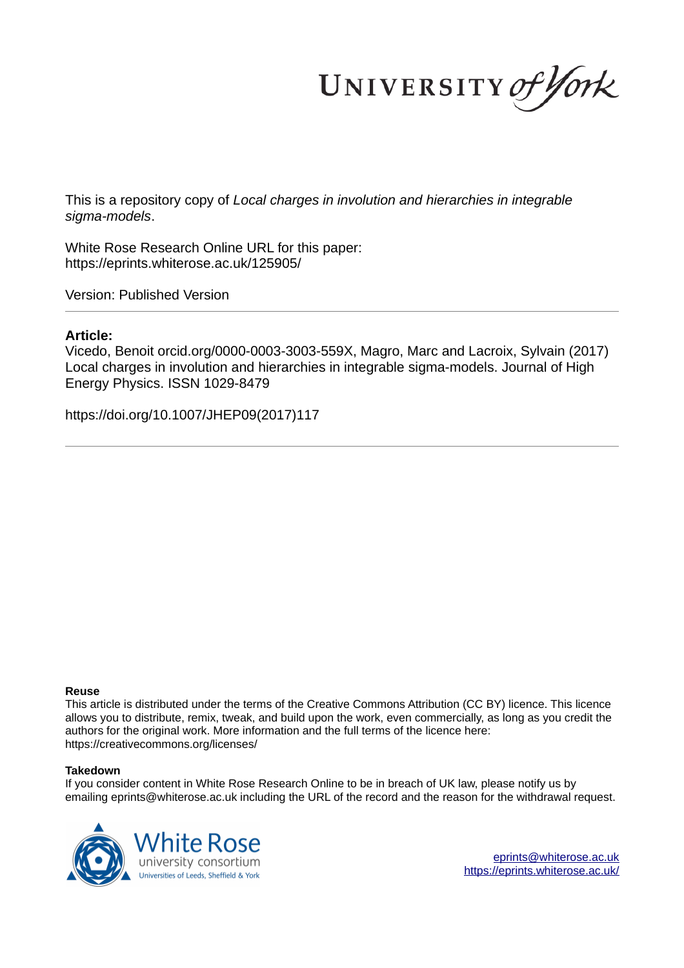UNIVERSITY of York

This is a repository copy of *Local charges in involution and hierarchies in integrable sigma-models*.

White Rose Research Online URL for this paper: https://eprints.whiterose.ac.uk/125905/

Version: Published Version

# **Article:**

Vicedo, Benoit orcid.org/0000-0003-3003-559X, Magro, Marc and Lacroix, Sylvain (2017) Local charges in involution and hierarchies in integrable sigma-models. Journal of High Energy Physics. ISSN 1029-8479

https://doi.org/10.1007/JHEP09(2017)117

#### **Reuse**

This article is distributed under the terms of the Creative Commons Attribution (CC BY) licence. This licence allows you to distribute, remix, tweak, and build upon the work, even commercially, as long as you credit the authors for the original work. More information and the full terms of the licence here: https://creativecommons.org/licenses/

### **Takedown**

If you consider content in White Rose Research Online to be in breach of UK law, please notify us by emailing eprints@whiterose.ac.uk including the URL of the record and the reason for the withdrawal request.

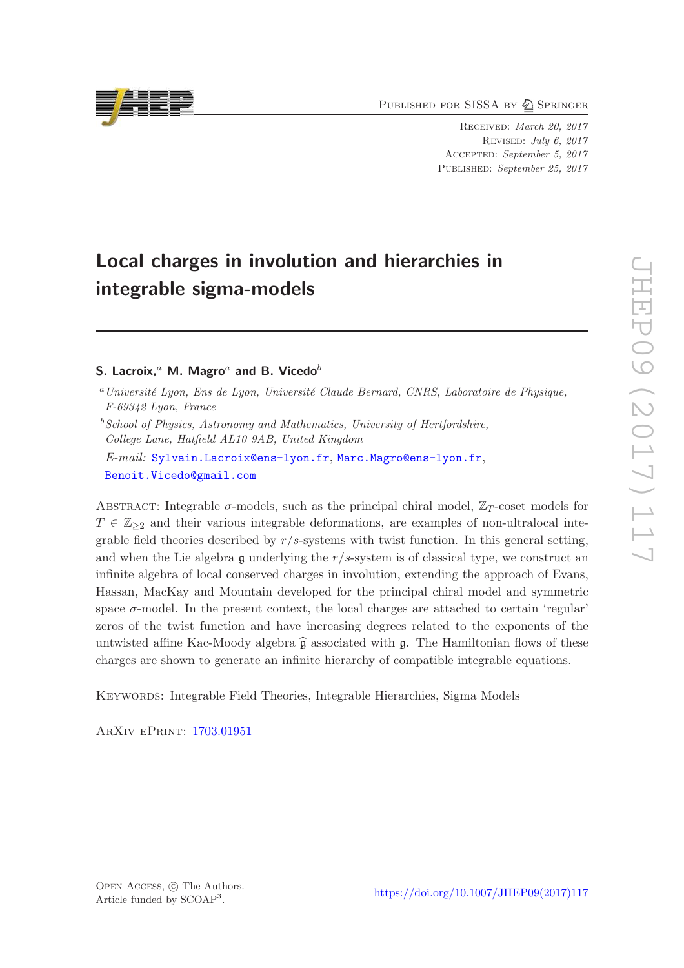PUBLISHED FOR SISSA BY 2 SPRINGER

RECEIVED: March 20, 2017 Revised : July 6, 2017 ACCEPTED: September 5, 2017 PUBLISHED: September 25, 2017

# Local charges in involution and hierarchies in integrable sigma-models

# S. Lacroix, ${}^a$  M. Magro ${}^a$  and B. Vicedo ${}^b$

E-mail: [Sylvain.Lacroix@ens-lyon.fr](mailto:Sylvain.Lacroix@ens-lyon.fr), [Marc.Magro@ens-lyon.fr](mailto:Marc.Magro@ens-lyon.fr), [Benoit.Vicedo@gmail.com](mailto:Benoit.Vicedo@gmail.com)

ABSTRACT: Integrable  $\sigma$ -models, such as the principal chiral model,  $\mathbb{Z}_T$ -coset models for  $T \in \mathbb{Z}_{\geq 2}$  and their various integrable deformations, are examples of non-ultralocal integrable field theories described by  $r/s$ -systems with twist function. In this general setting, and when the Lie algebra  $\mathfrak g$  underlying the  $r/s$ -system is of classical type, we construct an infinite algebra of local conserved charges in involution, extending the approach of Evans, Hassan, MacKay and Mountain developed for the principal chiral model and symmetric space  $\sigma$ -model. In the present context, the local charges are attached to certain 'regular' zeros of the twist function and have increasing degrees related to the exponents of the untwisted affine Kac-Moody algebra  $\hat{\mathfrak{g}}$  associated with  $\mathfrak{g}$ . The Hamiltonian flows of these charges are shown to generate an infinite hierarchy of compatible integrable equations.

Keywords: Integrable Field Theories, Integrable Hierarchies, Sigma Models

ArXiv ePrint: [1703.01951](https://arxiv.org/abs/1703.01951)



 $a$ Université Lyon, Ens de Lyon, Université Claude Bernard, CNRS, Laboratoire de Physique, F-69342 Lyon, France

 $b$  School of Physics, Astronomy and Mathematics, University of Hertfordshire, College Lane, Hatfield AL10 9AB, United Kingdom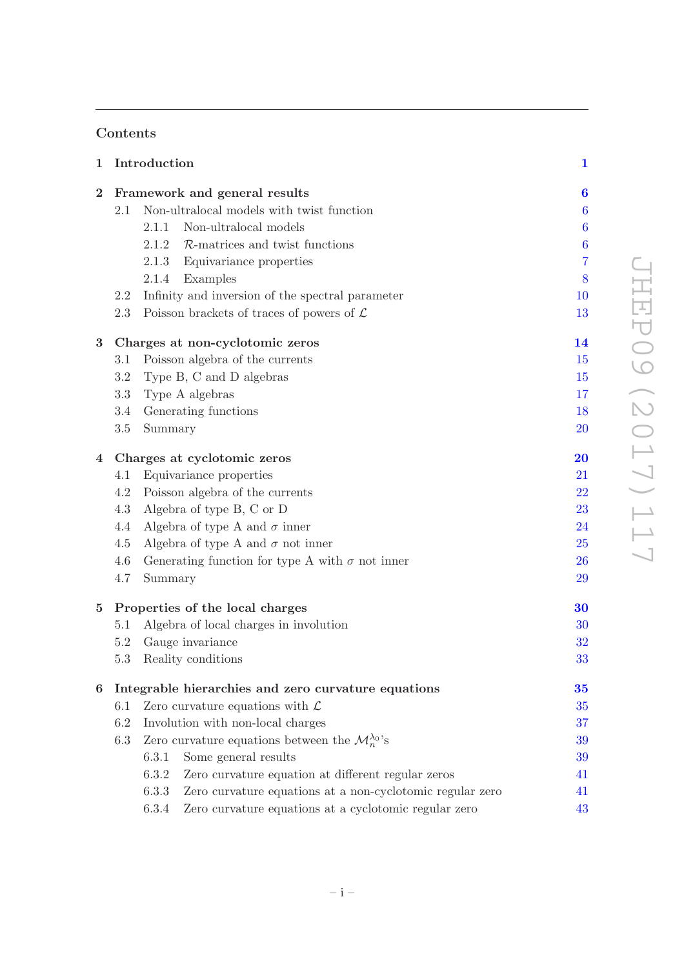# Contents

| $\mathbf{1}$ | Introduction                                        |                                                                     |                  |  |
|--------------|-----------------------------------------------------|---------------------------------------------------------------------|------------------|--|
| $\bf{2}$     | Framework and general results                       |                                                                     |                  |  |
|              | 2.1                                                 | Non-ultralocal models with twist function                           | $\bf{6}$<br>6    |  |
|              |                                                     | Non-ultralocal models<br>2.1.1                                      | 6                |  |
|              |                                                     | R-matrices and twist functions<br>2.1.2                             | $\boldsymbol{6}$ |  |
|              |                                                     | 2.1.3 Equivariance properties                                       | $\overline{7}$   |  |
|              |                                                     | 2.1.4 Examples                                                      | 8                |  |
|              | 2.2                                                 | Infinity and inversion of the spectral parameter                    | 10               |  |
|              | 2.3                                                 | Poisson brackets of traces of powers of $\mathcal L$                | 13               |  |
| $\bf{3}$     | Charges at non-cyclotomic zeros                     |                                                                     |                  |  |
|              | 3.1                                                 | Poisson algebra of the currents                                     | 15               |  |
|              | 3.2                                                 | Type B, C and D algebras                                            | 15               |  |
|              | 3.3                                                 | Type A algebras                                                     | 17               |  |
|              | 3.4                                                 | Generating functions                                                | 18               |  |
|              | $3.5\,$                                             | Summary                                                             | 20               |  |
| 4            | Charges at cyclotomic zeros                         |                                                                     |                  |  |
|              | 4.1                                                 | Equivariance properties                                             | 21               |  |
|              | 4.2                                                 | Poisson algebra of the currents                                     | 22               |  |
|              | 4.3                                                 | Algebra of type B, C or D                                           | 23               |  |
|              | 4.4                                                 | Algebra of type A and $\sigma$ inner                                |                  |  |
|              | 4.5                                                 | Algebra of type A and $\sigma$ not inner                            |                  |  |
|              | 4.6                                                 | Generating function for type A with $\sigma$ not inner              |                  |  |
|              | 4.7                                                 | Summary                                                             |                  |  |
| $\bf{5}$     |                                                     | Properties of the local charges                                     | 30               |  |
|              | 5.1                                                 | Algebra of local charges in involution                              | 30               |  |
|              | $5.2\,$                                             | Gauge invariance                                                    | 32               |  |
|              | 5.3                                                 | Reality conditions                                                  | 33               |  |
| 6            | Integrable hierarchies and zero curvature equations |                                                                     |                  |  |
|              | 6.1                                                 | Zero curvature equations with $\mathcal L$                          | 35               |  |
|              | 6.2                                                 | Involution with non-local charges                                   |                  |  |
|              | 6.3                                                 | Zero curvature equations between the $\mathcal{M}_n^{\lambda_0}$ 's |                  |  |
|              |                                                     | Some general results<br>6.3.1                                       | 39               |  |
|              |                                                     | 6.3.2<br>Zero curvature equation at different regular zeros         | 41               |  |
|              |                                                     | 6.3.3<br>Zero curvature equations at a non-cyclotomic regular zero  | 41               |  |
|              |                                                     | 6.3.4<br>Zero curvature equations at a cyclotomic regular zero      | 43               |  |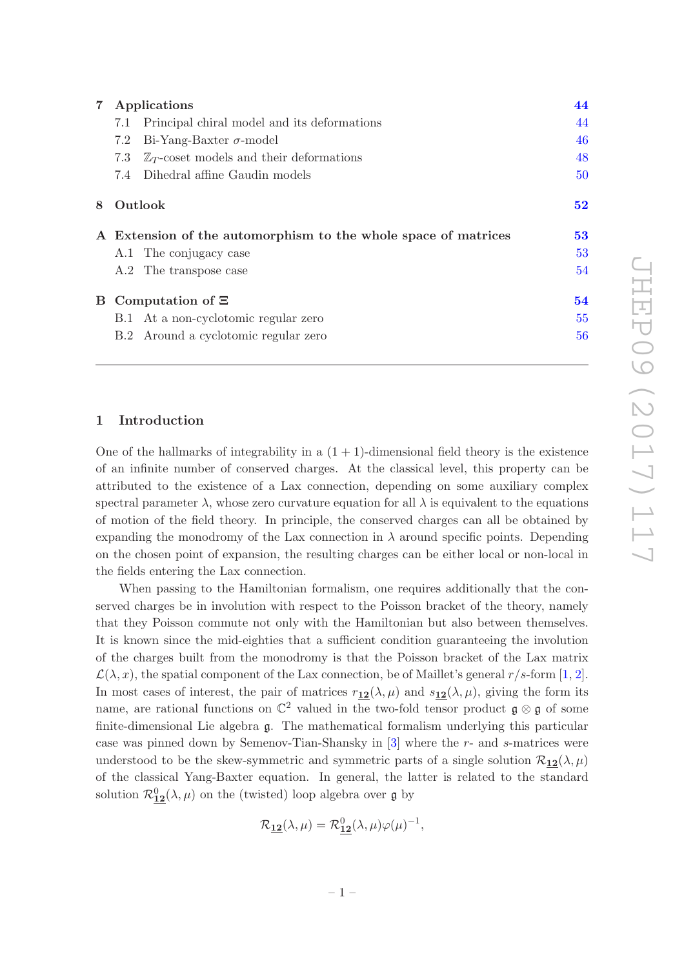| 7        | Applications                                                   |                                                     | 44       |  |
|----------|----------------------------------------------------------------|-----------------------------------------------------|----------|--|
|          | 7.1                                                            | Principal chiral model and its deformations         | 44       |  |
|          | 7.2                                                            | Bi-Yang-Baxter $\sigma$ -model                      | 46       |  |
|          | 7.3                                                            | $\mathbb{Z}_T$ -coset models and their deformations | 48       |  |
|          | 7.4                                                            | Dihedral affine Gaudin models                       | $50\,$   |  |
| 8        | Outlook                                                        |                                                     |          |  |
|          | A Extension of the automorphism to the whole space of matrices |                                                     |          |  |
|          |                                                                | A.1 The conjugacy case                              | 53       |  |
|          |                                                                | A.2 The transpose case                              | 54       |  |
|          | Computation of $\Xi$                                           |                                                     |          |  |
| $\bf{B}$ |                                                                |                                                     |          |  |
|          |                                                                | B.1 At a non-cyclotomic regular zero                | 54<br>55 |  |

# <span id="page-3-0"></span>1 Introduction

One of the hallmarks of integrability in a  $(1 + 1)$ -dimensional field theory is the existence of an infinite number of conserved charges. At the classical level, this property can be attributed to the existence of a Lax connection, depending on some auxiliary complex spectral parameter  $\lambda$ , whose zero curvature equation for all  $\lambda$  is equivalent to the equations of motion of the field theory. In principle, the conserved charges can all be obtained by expanding the monodromy of the Lax connection in  $\lambda$  around specific points. Depending on the chosen point of expansion, the resulting charges can be either local or non-local in the fields entering the Lax connection.

When passing to the Hamiltonian formalism, one requires additionally that the conserved charges be in involution with respect to the Poisson bracket of the theory, namely that they Poisson commute not only with the Hamiltonian but also between themselves. It is known since the mid-eighties that a sufficient condition guaranteeing the involution of the charges built from the monodromy is that the Poisson bracket of the Lax matrix  $\mathcal{L}(\lambda, x)$ , the spatial component of the Lax connection, be of Maillet's general  $r/s$ -form [\[1,](#page-61-0) [2\]](#page-61-1). In most cases of interest, the pair of matrices  $r_{12}(\lambda,\mu)$  and  $s_{12}(\lambda,\mu)$ , giving the form its name, are rational functions on  $\mathbb{C}^2$  valued in the two-fold tensor product  $\mathfrak{g} \otimes \mathfrak{g}$  of some finite-dimensional Lie algebra g. The mathematical formalism underlying this particular case was pinned down by Semenov-Tian-Shansky in [ [3](#page-61-2)] where the r- and s-matrices were understood to be the skew-symmetric and symmetric parts of a single solution  $\mathcal{R}_{12}(\lambda,\mu)$ of the classical Yang-Baxter equation. In general, the latter is related to the standard solution  $\mathcal{R}_{12}^0(\lambda,\mu)$  on the (twisted) loop algebra over g by

$$
\mathcal{R}_{\mathbf{12}}(\lambda,\mu) = \mathcal{R}^0_{\mathbf{12}}(\lambda,\mu)\varphi(\mu)^{-1},
$$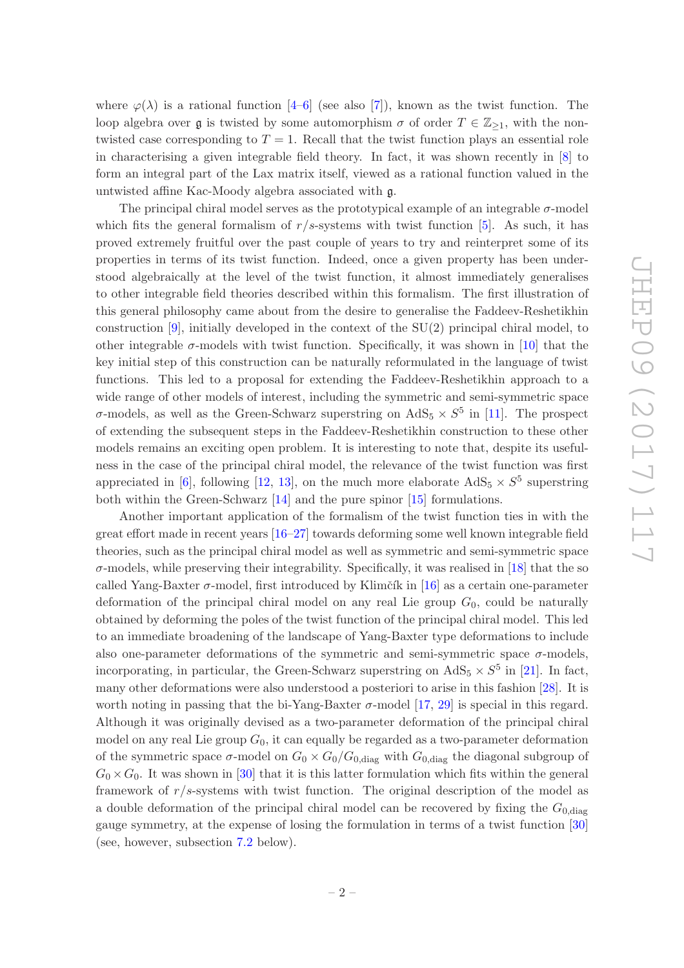where  $\varphi(\lambda)$  is a rational function  $[4-6]$  $[4-6]$  $[4-6]$  $[4-6]$  (see also [[7\]](#page-61-5)), known as the twist function. The loop algebra over **g** is twisted by some automorphism  $\sigma$  of order  $T \in \mathbb{Z}_{\geq 1}$ , with the nontwisted case corresponding to  $T = 1$ . Recall that the twist function plays an essential role in characterising a given integrable field theory. In fact, it was shown recently in [ [8\]](#page-61-6) to form an integral part of the Lax matrix itself, viewed as a rational function valued in the untwisted affine Kac-Moody algebra associated with g .

The principal chiral model serves as the prototypical example of an integrable  $\sigma$ -model which fits the general formalism of  $r/s$ -systems with twist function [[5\]](#page-61-7). As such, it has proved extremely fruitful over the past couple of years to try and reinterpret some of its properties in terms of its twist function. Indeed, once a given property has been understood algebraically at the level of the twist function, it almost immediately generalises to other integrable field theories described within this formalism. The first illustration of this general philosophy came about from the desire to generalise the Faddeev-Reshetikhin construction [ [9\]](#page-61-8), initially developed in the context of the SU(2) principal chiral model, to other integrable  $\sigma$ -models with twist function. Specifically, it was shown in [\[10\]](#page-61-9) that the key initial step of this construction can be naturally reformulated in the language of twist functions. This led to a proposal for extending the Faddeev-Reshetikhin approach to a wide range of other models of interest, including the symmetric and semi-symmetric space  $\sigma$ -models, as well as the Green-Schwarz superstring on  $AdS_5 \times S^5$  in [\[11\]](#page-61-10). The prospect of extending the subsequent steps in the Faddeev-Reshetikhin construction to these other models remains an exciting open problem. It is interesting to note that, despite its usefulness in the case of the principal chiral model, the relevance of the twist function was first appreciated in [[6](#page-61-4)], following [\[12](#page-61-11), [13](#page-61-12)], on the much more elaborate  $AdS_5 \times S^5$  superstring both within the Green-Schwarz [\[14](#page-61-13)] and the pure spinor [\[15](#page-61-14)] formulations.

Another important application of the formalism of the twist function ties in with the great effort made in recent years [\[16](#page-61-15) [–27](#page-62-0)] towards deforming some well known integrable field theories, such as the principal chiral model as well as symmetric and semi-symmetric space  $\sigma$ -models, while preserving their integrability. Specifically, it was realised in [\[18](#page-61-16)] that the so called Yang-Baxter  $\sigma$ -model, first introduced by Klimčík in [\[16\]](#page-61-15) as a certain one-parameter deformation of the principal chiral model on any real Lie group  $G_0$ , could be naturally obtained by deforming the poles of the twist function of the principal chiral model. This led to an immediate broadening of the landscape of Yang-Baxter type deformations to include also one-parameter deformations of the symmetric and semi-symmetric space  $\sigma$ -models, incorporating, in particular, the Green-Schwarz superstring on  $AdS_5 \times S^5$  in [\[21](#page-62-1)]. In fact, many other deformations were also understood a posteriori to arise in this fashion [\[28\]](#page-62-2). It is worth noting in passing that the bi-Yang-Baxter  $\sigma$ -model [\[17](#page-61-17), [29\]](#page-62-3) is special in this regard. Although it was originally devised as a two-parameter deformation of the principal chiral model on any real Lie group  $G_0$ , it can equally be regarded as a two-parameter deformation of the symmetric space  $\sigma$ -model on  $G_0 \times G_0/G_{0,\text{diag}}$  with  $G_{0,\text{diag}}$  the diagonal subgroup of  $G_0 \times G_0$ . It was shown in [\[30](#page-62-4)] that it is this latter formulation which fits within the general framework of  $r/s$ -systems with twist function. The original description of the model as a double deformation of the principal chiral model can be recovered by fixing the  $G_{0,\text{diag}}$ gauge symmetry, at the expense of losing the formulation in terms of a twist function [\[30](#page-62-4) ] (see, however, subsection [7.2](#page-48-0) below).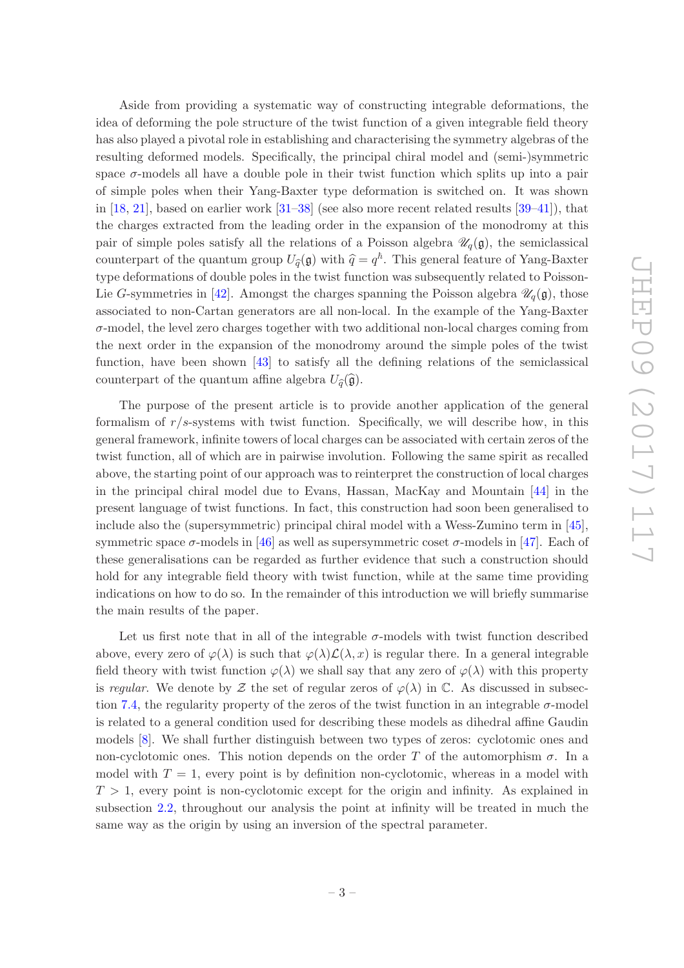Aside from providing a systematic way of constructing integrable deformations, the idea of deforming the pole structure of the twist function of a given integrable field theory has also played a pivotal role in establishing and characterising the symmetry algebras of the resulting deformed models. Specifically, the principal chiral model and (semi-)symmetric space  $\sigma$ -models all have a double pole in their twist function which splits up into a pair of simple poles when their Yang-Baxter type deformation is switched on. It was shown in  $[18, 21]$  $[18, 21]$ , based on earlier work  $[31-38]$  (see also more recent related results  $[39-41]$ ), that the charges extracted from the leading order in the expansion of the monodromy at this pair of simple poles satisfy all the relations of a Poisson algebra  $\mathscr{U}_q(\mathfrak{g})$ , the semiclassical counterpart of the quantum group  $U_{\hat{q}}(\mathfrak{g})$  with  $\hat{q} = q^{\hbar}$ . This general feature of Yang-Baxter type deformations of double poles in the twist function was subsequently related to Poisson-Lie G-symmetries in [\[42](#page-63-2)]. Amongst the charges spanning the Poisson algebra  $\mathscr{U}_q(\mathfrak{g})$ , those associated to non-Cartan generators are all non-local. In the example of the Yang-Baxter  $\sigma$ -model, the level zero charges together with two additional non-local charges coming from the next order in the expansion of the monodromy around the simple poles of the twist function, have been shown [\[43\]](#page-63-3) to satisfy all the defining relations of the semiclassical counterpart of the quantum affine algebra  $U_{\widehat{q}}(\widehat{\mathfrak{g}})$ .

The purpose of the present article is to provide another application of the general formalism of  $r/s$ -systems with twist function. Specifically, we will describe how, in this general framework, infinite towers of local charges can be associated with certain zeros of the twist function, all of which are in pairwise involution. Following the same spirit as recalled above, the starting point of our approach was to reinterpret the construction of local charges in the principal chiral model due to Evans, Hassan, MacKay and Mountain [\[44](#page-63-4)] in the present language of twist functions. In fact, this construction had soon been generalised to include also the (supersymmetric) principal chiral model with a Wess-Zumino term in [\[45\]](#page-63-5), symmetric space  $\sigma$ -models in [\[46](#page-63-6)] as well as supersymmetric coset  $\sigma$ -models in [\[47](#page-63-7)]. Each of these generalisations can be regarded as further evidence that such a construction should hold for any integrable field theory with twist function, while at the same time providing indications on how to do so. In the remainder of this introduction we will briefly summarise the main results of the paper.

Let us first note that in all of the integrable  $\sigma$ -models with twist function described above, every zero of  $\varphi(\lambda)$  is such that  $\varphi(\lambda) \mathcal{L}(\lambda, x)$  is regular there. In a general integrable field theory with twist function  $\varphi(\lambda)$  we shall say that any zero of  $\varphi(\lambda)$  with this property is regular. We denote by  $\mathcal Z$  the set of regular zeros of  $\varphi(\lambda)$  in  $\mathbb C$ . As discussed in subsec-tion [7.4,](#page-52-0) the regularity property of the zeros of the twist function in an integrable  $\sigma$ -model is related to a general condition used for describing these models as dihedral affine Gaudin models [ [8\]](#page-61-6). We shall further distinguish between two types of zeros: cyclotomic ones and non-cyclotomic ones. This notion depends on the order T of the automorphism  $\sigma$ . In a model with  $T = 1$ , every point is by definition non-cyclotomic, whereas in a model with  $T > 1$ , every point is non-cyclotomic except for the origin and infinity. As explained in subsection [2.2,](#page-12-0) throughout our analysis the point at infinity will be treated in much the same way as the origin by using an inversion of the spectral parameter.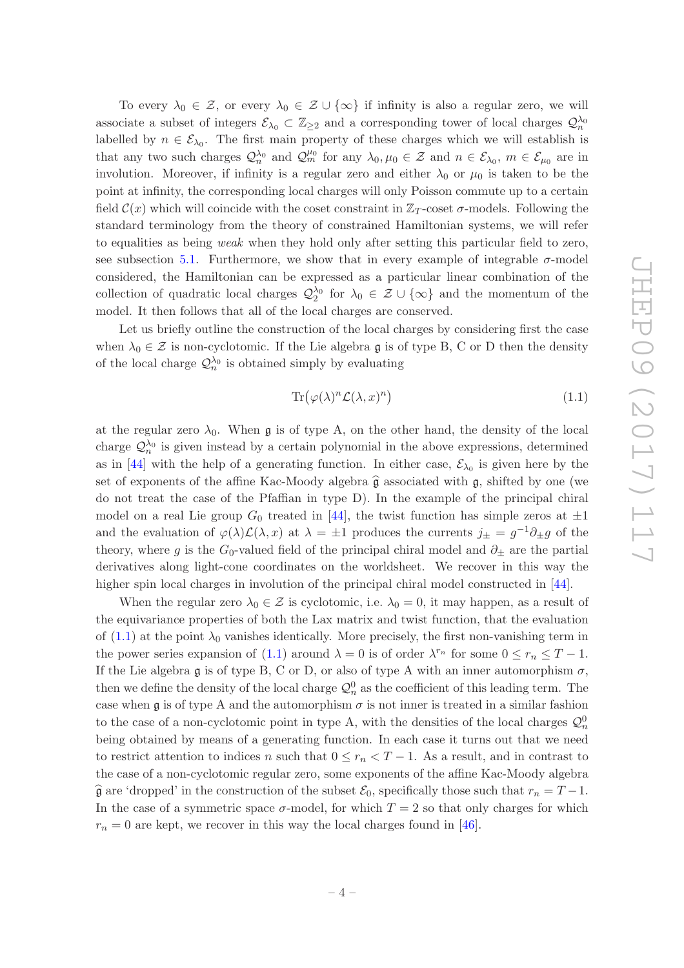To every  $\lambda_0 \in \mathcal{Z}$ , or every  $\lambda_0 \in \mathcal{Z} \cup \{\infty\}$  if infinity is also a regular zero, we will associate a subset of integers  $\mathcal{E}_{\lambda_0} \subset \mathbb{Z}_{\geq 2}$  and a corresponding tower of local charges  $\mathcal{Q}_n^{\lambda_0}$ labelled by  $n \in \mathcal{E}_{\lambda_0}$ . The first main property of these charges which we will establish is that any two such charges  $\mathcal{Q}_n^{\lambda_0}$  and  $\mathcal{Q}_m^{\mu_0}$  for any  $\lambda_0, \mu_0 \in \mathcal{Z}$  and  $n \in \mathcal{E}_{\lambda_0}, m \in \mathcal{E}_{\mu_0}$  are in involution. Moreover, if infinity is a regular zero and either  $\lambda_0$  or  $\mu_0$  is taken to be the point at infinity, the corresponding local charges will only Poisson commute up to a certain field  $\mathcal{C}(x)$  which will coincide with the coset constraint in  $\mathbb{Z}_T$ -coset  $\sigma$ -models. Following the standard terminology from the theory of constrained Hamiltonian systems, we will refer to equalities as being weak when they hold only after setting this particular field to zero, see subsection [5.1.](#page-32-1) Furthermore, we show that in every example of integrable  $\sigma$ -model considered, the Hamiltonian can be expressed as a particular linear combination of the collection of quadratic local charges  $\mathcal{Q}_2^{\lambda_0}$  for  $\lambda_0 \in \mathcal{Z} \cup \{\infty\}$  and the momentum of the model. It then follows that all of the local charges are conserved.

Let us briefly outline the construction of the local charges by considering first the case when  $\lambda_0 \in \mathcal{Z}$  is non-cyclotomic. If the Lie algebra  $\mathfrak{g}$  is of type B, C or D then the density of the local charge  $\mathcal{Q}_n^{\lambda_0}$  is obtained simply by evaluating

<span id="page-6-0"></span>
$$
\operatorname{Tr}\left(\varphi(\lambda)^n \mathcal{L}(\lambda, x)^n\right) \tag{1.1}
$$

at the regular zero  $\lambda_0$ . When  $\mathfrak g$  is of type A, on the other hand, the density of the local charge  $\mathcal{Q}_n^{\lambda_0}$  is given instead by a certain polynomial in the above expressions, determined as in [\[44](#page-63-4)] with the help of a generating function. In either case,  $\mathcal{E}_{\lambda_0}$  is given here by the set of exponents of the affine Kac-Moody algebra  $\hat{\mathfrak{g}}$  associated with  $\mathfrak{g}$ , shifted by one (we do not treat the case of the Pfaffian in type D). In the example of the principal chiral model on a real Lie group  $G_0$  treated in [\[44\]](#page-63-4), the twist function has simple zeros at  $\pm 1$ and the evaluation of  $\varphi(\lambda) \mathcal{L}(\lambda, x)$  at  $\lambda = \pm 1$  produces the currents  $j_{\pm} = g^{-1} \partial_{\pm} g$  of the theory, where g is the  $G_0$ -valued field of the principal chiral model and  $\partial_{\pm}$  are the partial derivatives along light-cone coordinates on the worldsheet. We recover in this way the higher spin local charges in involution of the principal chiral model constructed in [\[44\]](#page-63-4).

When the regular zero  $\lambda_0 \in \mathcal{Z}$  is cyclotomic, i.e.  $\lambda_0 = 0$ , it may happen, as a result of the equivariance properties of both the Lax matrix and twist function, that the evaluation of  $(1.1)$  at the point  $\lambda_0$  vanishes identically. More precisely, the first non-vanishing term in the power series expansion of [\(1.1\)](#page-6-0) around  $\lambda = 0$  is of order  $\lambda^{r_n}$  for some  $0 \le r_n \le T - 1$ . If the Lie algebra  $\mathfrak g$  is of type B, C or D, or also of type A with an inner automorphism  $\sigma$ , then we define the density of the local charge  $\mathcal{Q}_n^0$  as the coefficient of this leading term. The case when  $\mathfrak g$  is of type A and the automorphism  $\sigma$  is not inner is treated in a similar fashion to the case of a non-cyclotomic point in type A, with the densities of the local charges  $\mathcal{Q}_n^0$ being obtained by means of a generating function. In each case it turns out that we need to restrict attention to indices n such that  $0 \le r_n < T - 1$ . As a result, and in contrast to the case of a non-cyclotomic regular zero, some exponents of the affine Kac-Moody algebra  $\hat{\mathfrak{g}}$  are 'dropped' in the construction of the subset  $\mathcal{E}_0$ , specifically those such that  $r_n = T - 1$ . In the case of a symmetric space  $\sigma$ -model, for which  $T = 2$  so that only charges for which  $r_n = 0$  are kept, we recover in this way the local charges found in [\[46\]](#page-63-6).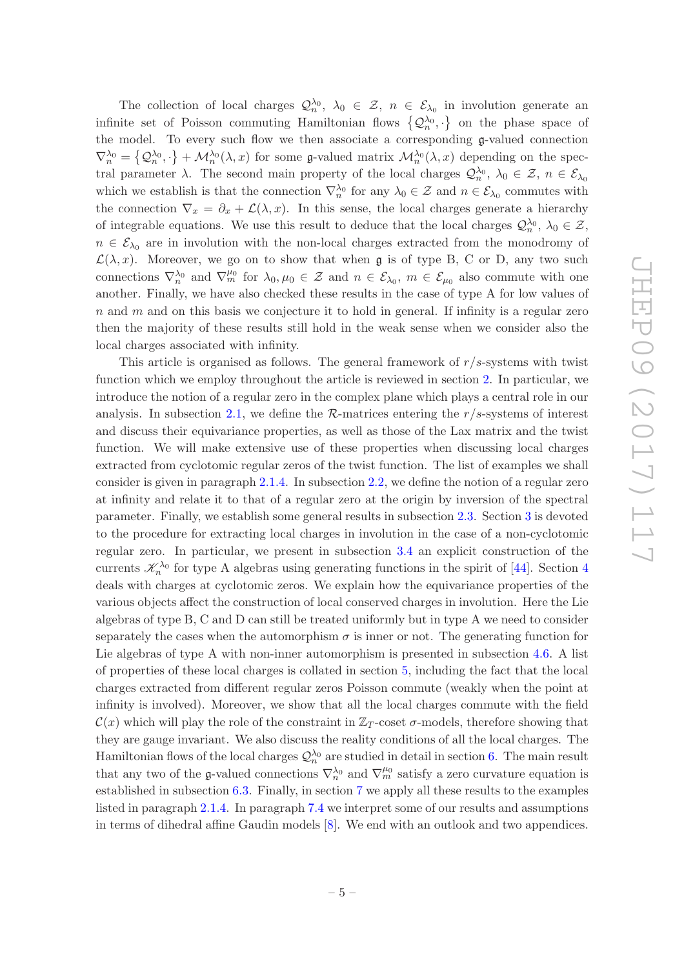The collection of local charges  $\mathcal{Q}_n^{\lambda_0}$ ,  $\lambda_0 \in \mathcal{Z}$ ,  $n \in \mathcal{E}_{\lambda_0}$  in involution generate an infinite set of Poisson commuting Hamiltonian flows  $\{\mathcal{Q}_n^{\lambda_0},\cdot\}$  on the phase space of the model. To every such flow we then associate a corresponding  $\mathfrak{g}\text{-valued}$  connection  $\nabla_n^{\lambda_0} = \left\{ \mathcal{Q}_n^{\lambda_0}, \cdot \right\} + \mathcal{M}_n^{\lambda_0}(\lambda, x)$  for some g-valued matrix  $\mathcal{M}_n^{\lambda_0}(\lambda, x)$  depending on the spectral parameter  $\lambda$ . The second main property of the local charges  $\mathcal{Q}_n^{\lambda_0}$ ,  $\lambda_0 \in \mathcal{Z}$ ,  $n \in \mathcal{E}_{\lambda_0}$ which we establish is that the connection  $\nabla_n^{\lambda_0}$  for any  $\lambda_0 \in \mathcal{Z}$  and  $n \in \mathcal{E}_{\lambda_0}$  commutes with the connection  $\nabla_x = \partial_x + \mathcal{L}(\lambda, x)$ . In this sense, the local charges generate a hierarchy of integrable equations. We use this result to deduce that the local charges  $\mathcal{Q}_n^{\lambda_0}$ ,  $\lambda_0 \in \mathcal{Z}$ ,  $n \in \mathcal{E}_{\lambda_0}$  are in involution with the non-local charges extracted from the monodromy of  $\mathcal{L}(\lambda,x)$ . Moreover, we go on to show that when  $\mathfrak g$  is of type B, C or D, any two such connections  $\nabla_n^{\lambda_0}$  and  $\nabla_m^{\mu_0}$  for  $\lambda_0, \mu_0 \in \mathcal{Z}$  and  $n \in \mathcal{E}_{\lambda_0}, m \in \mathcal{E}_{\mu_0}$  also commute with one another. Finally, we have also checked these results in the case of type A for low values of  $n$  and  $m$  and on this basis we conjecture it to hold in general. If infinity is a regular zero then the majority of these results still hold in the weak sense when we consider also the local charges associated with infinity.

This article is organised as follows. The general framework of  $r/s$ -systems with twist function which we employ throughout the article is reviewed in section [2.](#page-8-0) In particular, we introduce the notion of a regular zero in the complex plane which plays a central role in our analysis. In subsection [2.1,](#page-8-1) we define the  $R$ -matrices entering the  $r/s$ -systems of interest and discuss their equivariance properties, as well as those of the Lax matrix and the twist function. We will make extensive use of these properties when discussing local charges extracted from cyclotomic regular zeros of the twist function. The list of examples we shall consider is given in paragraph [2.1.4.](#page-10-0) In subsection [2.2,](#page-12-0) we define the notion of a regular zero at infinity and relate it to that of a regular zero at the origin by inversion of the spectral parameter. Finally, we establish some general results in subsection [2.3.](#page-15-0) Section [3](#page-16-0) is devoted to the procedure for extracting local charges in involution in the case of a non-cyclotomic regular zero. In particular, we present in subsection [3.4](#page-20-0) an explicit construction of the currents  $\mathscr{K}_n^{\lambda_0}$  for type A algebras using generating functions in the spirit of [\[44\]](#page-63-4). Section [4](#page-22-1) deals with charges at cyclotomic zeros. We explain how the equivariance properties of the various objects affect the construction of local conserved charges in involution. Here the Lie algebras of type B, C and D can still be treated uniformly but in type A we need to consider separately the cases when the automorphism  $\sigma$  is inner or not. The generating function for Lie algebras of type A with non-inner automorphism is presented in subsection [4.6.](#page-28-0) A list of properties of these local charges is collated in section [5,](#page-32-0) including the fact that the local charges extracted from different regular zeros Poisson commute (weakly when the point at infinity is involved). Moreover, we show that all the local charges commute with the field  $\mathcal{C}(x)$  which will play the role of the constraint in  $\mathbb{Z}_T$ -coset  $\sigma$ -models, therefore showing that they are gauge invariant. We also discuss the reality conditions of all the local charges. The Hamiltonian flows of the local charges  $\mathcal{Q}_n^{\lambda_0}$  are studied in detail in section [6.](#page-37-0) The main result that any two of the g-valued connections  $\nabla_n^{\lambda_0}$  and  $\nabla_m^{\mu_0}$  satisfy a zero curvature equation is established in subsection [6.3.](#page-41-0) Finally, in section [7](#page-46-0) we apply all these results to the examples listed in paragraph [2.1.4.](#page-10-0) In paragraph [7.4](#page-52-0) we interpret some of our results and assumptions in terms of dihedral affine Gaudin models [ [8](#page-61-6)]. We end with an outlook and two appendices.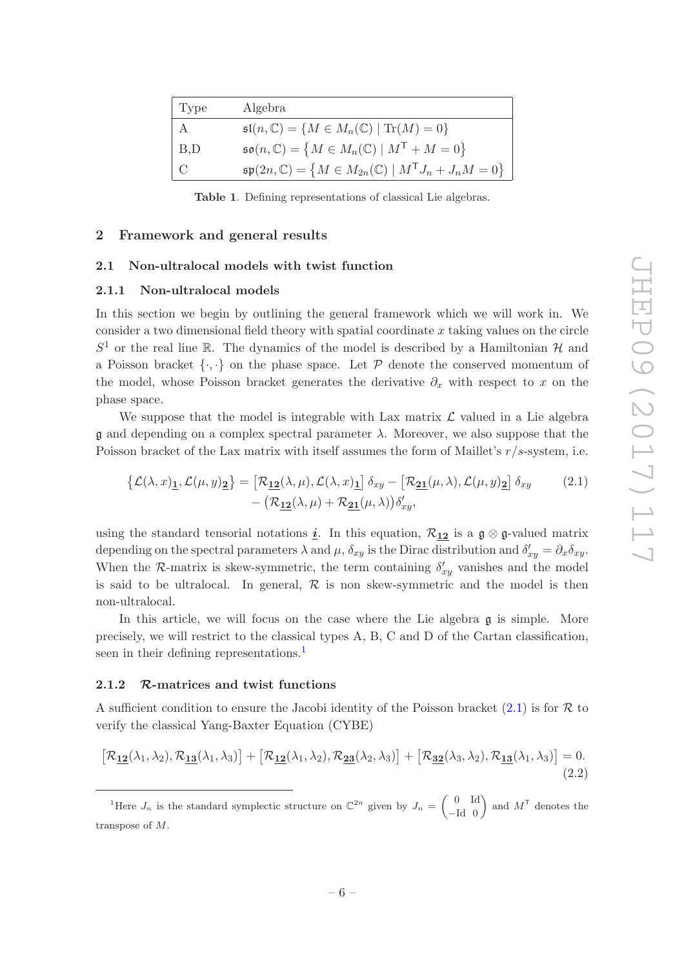| Type | Algebra                                                                                             |
|------|-----------------------------------------------------------------------------------------------------|
| A    | $\mathfrak{sl}(n,\mathbb{C})=\{M\in M_n(\mathbb{C})\mid \text{Tr}(M)=0\}$                           |
| B,D  | $\mathfrak{so}(n,\mathbb{C})=\left\{M\in M_n(\mathbb{C})\mid M^{\mathsf{T}}+M=0\right\}$            |
|      | $\mathfrak{sp}(2n,\mathbb{C}) = \{ M \in M_{2n}(\mathbb{C}) \mid M^{\mathsf{T}} J_n + J_n M = 0 \}$ |

<span id="page-8-7"></span>Table 1. Defining representations of classical Lie algebras.

#### <span id="page-8-1"></span><span id="page-8-0"></span>2 Framework and general results

### <span id="page-8-2"></span>2.1 Non-ultralocal models with twist function

#### 2.1.1 Non-ultralocal models

In this section we begin by outlining the general framework which we will work in. We consider a two dimensional field theory with spatial coordinate  $x$  taking values on the circle  $S<sup>1</sup>$  or the real line R. The dynamics of the model is described by a Hamiltonian  $H$  and a Poisson bracket  $\{\cdot,\cdot\}$  on the phase space. Let  $P$  denote the conserved momentum of the model, whose Poisson bracket generates the derivative  $\partial_x$  with respect to x on the phase space.

We suppose that the model is integrable with Lax matrix  $\mathcal L$  valued in a Lie algebra  $\mathfrak g$  and depending on a complex spectral parameter  $\lambda$ . Moreover, we also suppose that the Poisson bracket of the Lax matrix with itself assumes the form of Maillet's  $r/s$ -system, i.e.

<span id="page-8-5"></span>
$$
\left\{ \mathcal{L}(\lambda, x)_{\mathbf{\underline{1}}}, \mathcal{L}(\mu, y)_{\mathbf{\underline{2}}} \right\} = \left[ \mathcal{R}_{\mathbf{\underline{12}}}(\lambda, \mu), \mathcal{L}(\lambda, x)_{\mathbf{\underline{1}}} \right] \delta_{xy} - \left[ \mathcal{R}_{\mathbf{\underline{21}}}(\mu, \lambda), \mathcal{L}(\mu, y)_{\mathbf{\underline{2}}} \right] \delta_{xy} \tag{2.1}
$$

$$
- \left( \mathcal{R}_{\mathbf{\underline{12}}}(\lambda, \mu) + \mathcal{R}_{\mathbf{\underline{21}}}(\mu, \lambda) \right) \delta'_{xy},
$$

using the standard tensorial notations  $\underline{i}$ . In this equation,  $\mathcal{R}_{12}$  is a  $\mathfrak{g} \otimes \mathfrak{g}$ -valued matrix depending on the spectral parameters  $\lambda$  and  $\mu$ ,  $\delta_{xy}$  is the Dirac distribution and  $\delta'_{xy} = \partial_x \delta_{xy}$ . When the R-matrix is skew-symmetric, the term containing  $\delta'_{xy}$  vanishes and the model is said to be ultralocal. In general,  $\mathcal R$  is non skew-symmetric and the model is then non-ultralocal.

In this article, we will focus on the case where the Lie algebra  $\mathfrak g$  is simple. More precisely, we will restrict to the classical types A, B, C and D of the Cartan classification, seen in their defining representations.<sup>[1](#page-8-4)</sup>

#### <span id="page-8-3"></span>2.1.2 R-matrices and twist functions

A sufficient condition to ensure the Jacobi identity of the Poisson bracket  $(2.1)$  is for R to verify the classical Yang-Baxter Equation (CYBE)

<span id="page-8-6"></span>
$$
[\mathcal{R}_{\mathbf{12}}(\lambda_1, \lambda_2), \mathcal{R}_{\mathbf{13}}(\lambda_1, \lambda_3)] + [\mathcal{R}_{\mathbf{12}}(\lambda_1, \lambda_2), \mathcal{R}_{\mathbf{23}}(\lambda_2, \lambda_3)] + [\mathcal{R}_{\mathbf{32}}(\lambda_3, \lambda_2), \mathcal{R}_{\mathbf{13}}(\lambda_1, \lambda_3)] = 0.
$$
\n(2.2)

<span id="page-8-4"></span><sup>&</sup>lt;sup>1</sup>Here  $J_n$  is the standard symplectic structure on  $\mathbb{C}^{2n}$  given by  $J_n = \begin{pmatrix} 0 & \text{Id} \\ 0 & \text{Id} \end{pmatrix}$ −Id 0 and  $M<sup>T</sup>$  denotes the transpose of M.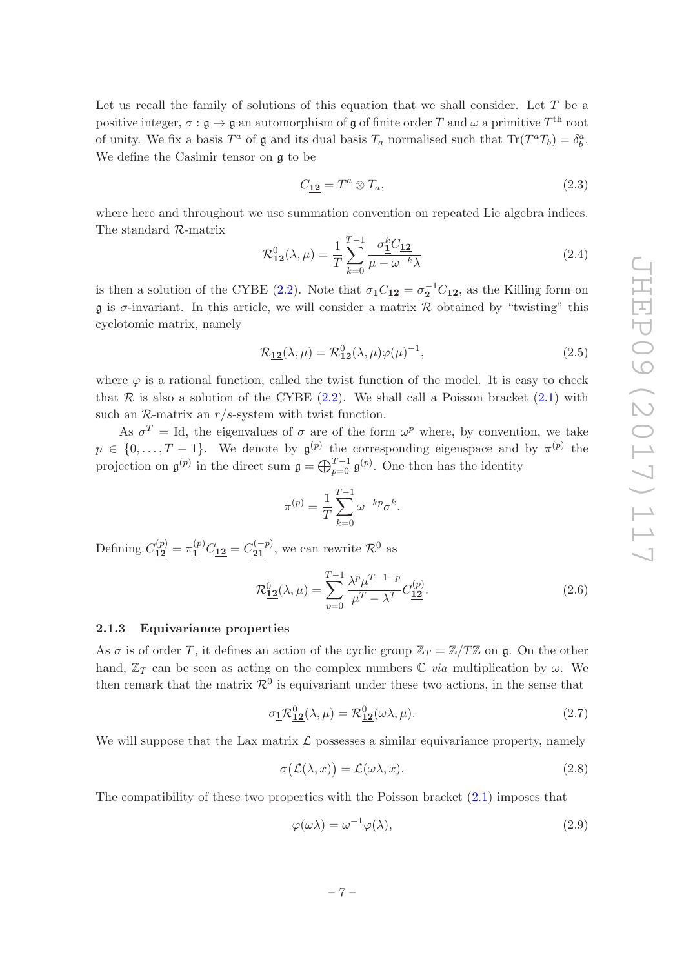Let us recall the family of solutions of this equation that we shall consider. Let T be a positive integer,  $\sigma : \mathfrak{g} \to \mathfrak{g}$  an automorphism of  $\mathfrak{g}$  of finite order  $T$  and  $\omega$  a primitive  $T^{\text{th}}$  root of unity. We fix a basis  $T^a$  of  $\mathfrak g$  and its dual basis  $T_a$  normalised such that  $\text{Tr}(T^aT_b) = \delta^a_b$ . We define the Casimir tensor on g to be

$$
C_{12} = T^a \otimes T_a,\tag{2.3}
$$

where here and throughout we use summation convention on repeated Lie algebra indices. The standard R-matrix

<span id="page-9-4"></span>
$$
\mathcal{R}_{\mathbf{\underline{12}}}^{0}(\lambda,\mu) = \frac{1}{T} \sum_{k=0}^{T-1} \frac{\sigma_{\mathbf{\underline{1}}}^{k} C_{\mathbf{\underline{12}}}}{\mu - \omega^{-k} \lambda}
$$
(2.4)

is then a solution of the CYBE [\(2.2\)](#page-8-6). Note that  $\sigma_1 C_{12} = \sigma_2^{-1} C_{12}$ , as the Killing form on  $\mathfrak g$  is  $\sigma$ -invariant. In this article, we will consider a matrix  $\mathcal R$  obtained by "twisting" this cyclotomic matrix, namely

<span id="page-9-3"></span>
$$
\mathcal{R}_{\mathbf{\underline{12}}}(\lambda,\mu) = \mathcal{R}_{\mathbf{\underline{12}}}^0(\lambda,\mu)\varphi(\mu)^{-1},\tag{2.5}
$$

where  $\varphi$  is a rational function, called the twist function of the model. It is easy to check that R is also a solution of the CYBE  $(2.2)$ . We shall call a Poisson bracket  $(2.1)$  with such an  $\mathcal{R}$ -matrix an  $r/s$ -system with twist function.

As  $\sigma^T =$  Id, the eigenvalues of  $\sigma$  are of the form  $\omega^p$  where, by convention, we take  $p \in \{0, \ldots, T-1\}$ . We denote by  $\mathfrak{g}^{(p)}$  the corresponding eigenspace and by  $\pi^{(p)}$  the projection on  $\mathfrak{g}^{(p)}$  in the direct sum  $\mathfrak{g} = \bigoplus_{n=0}^{T-1}$  $_{p=0}^{T-1}$   $\mathfrak{g}^{(p)}$ . One then has the identity

$$
\pi^{(p)} = \frac{1}{T} \sum_{k=0}^{T-1} \omega^{-kp} \sigma^k.
$$

Defining  $C_{12}^{(p)} = \pi_1^{(p)} C_{12} = C_{21}^{(-p)}$ , we can rewrite  $\mathcal{R}^0$  as

<span id="page-9-5"></span>
$$
\mathcal{R}_{\mathbf{\underline{12}}}^{0}(\lambda,\mu) = \sum_{p=0}^{T-1} \frac{\lambda^p \mu^{T-1-p}}{\mu^T - \lambda^T} C_{\mathbf{\underline{12}}}^{(p)}.
$$
\n(2.6)

#### <span id="page-9-0"></span>2.1.3 Equivariance properties

As  $\sigma$  is of order T, it defines an action of the cyclic group  $\mathbb{Z}_T = \mathbb{Z}/T\mathbb{Z}$  on  $\mathfrak{g}$ . On the other hand,  $\mathbb{Z}_T$  can be seen as acting on the complex numbers  $\mathbb C$  *via* multiplication by  $\omega$ . We then remark that the matrix  $\mathcal{R}^0$  is equivariant under these two actions, in the sense that

<span id="page-9-6"></span>
$$
\sigma_{\underline{\mathbf{1}}} \mathcal{R}^0_{\underline{\mathbf{12}}}(\lambda, \mu) = \mathcal{R}^0_{\underline{\mathbf{12}}}(\omega \lambda, \mu). \tag{2.7}
$$

We will suppose that the Lax matrix  $\mathcal L$  possesses a similar equivariance property, namely

<span id="page-9-1"></span>
$$
\sigma(\mathcal{L}(\lambda, x)) = \mathcal{L}(\omega \lambda, x). \tag{2.8}
$$

The compatibility of these two properties with the Poisson bracket [\(2.1\)](#page-8-5) imposes that

<span id="page-9-2"></span>
$$
\varphi(\omega \lambda) = \omega^{-1} \varphi(\lambda), \tag{2.9}
$$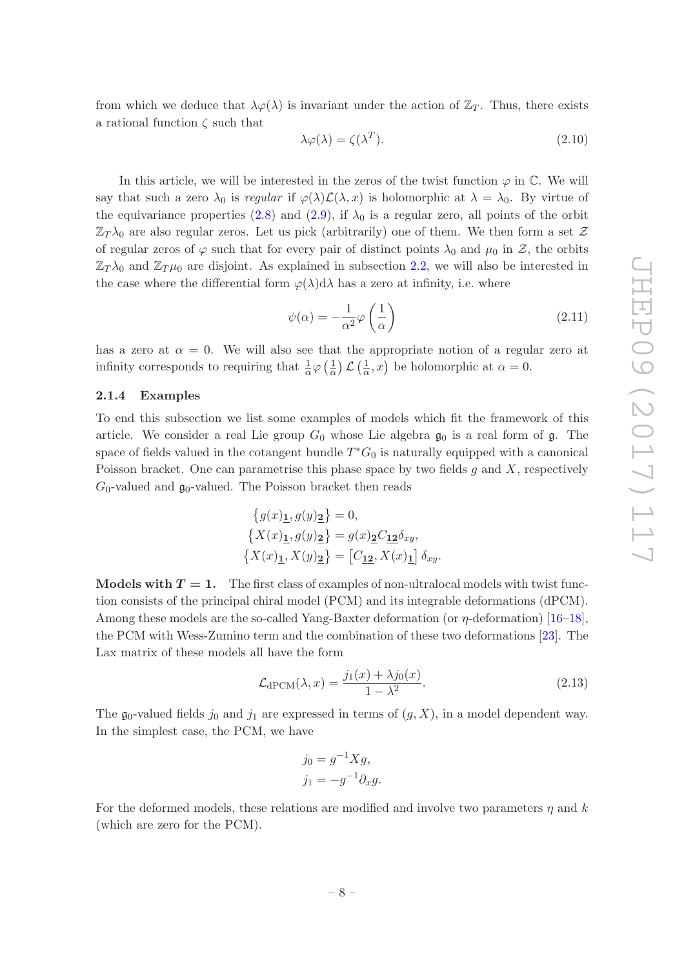from which we deduce that  $\lambda \varphi(\lambda)$  is invariant under the action of  $\mathbb{Z}_T$ . Thus, there exists a rational function  $\zeta$  such that

<span id="page-10-3"></span>
$$
\lambda \varphi(\lambda) = \zeta(\lambda^T). \tag{2.10}
$$

In this article, we will be interested in the zeros of the twist function  $\varphi$  in  $\mathbb C$ . We will say that such a zero  $\lambda_0$  is regular if  $\varphi(\lambda) \mathcal{L}(\lambda, x)$  is holomorphic at  $\lambda = \lambda_0$ . By virtue of the equivariance properties  $(2.8)$  and  $(2.9)$ , if  $\lambda_0$  is a regular zero, all points of the orbit  $\mathbb{Z}_T\lambda_0$  are also regular zeros. Let us pick (arbitrarily) one of them. We then form a set  $\mathcal Z$ of regular zeros of  $\varphi$  such that for every pair of distinct points  $\lambda_0$  and  $\mu_0$  in  $\mathcal{Z}$ , the orbits  $\mathbb{Z}_T\lambda_0$  and  $\mathbb{Z}_T\mu_0$  are disjoint. As explained in subsection [2.2,](#page-12-0) we will also be interested in the case where the differential form  $\varphi(\lambda)d\lambda$  has a zero at infinity, i.e. where

<span id="page-10-2"></span>
$$
\psi(\alpha) = -\frac{1}{\alpha^2} \varphi\left(\frac{1}{\alpha}\right) \tag{2.11}
$$

has a zero at  $\alpha = 0$ . We will also see that the appropriate notion of a regular zero at infinity corresponds to requiring that  $\frac{1}{0}$  $\frac{1}{\alpha}\varphi\left(\frac{1}{\alpha}\right)$  $\frac{1}{\alpha}$ )  $\mathcal{L}$   $\left(\frac{1}{\alpha}\right)$  $(\frac{1}{\alpha}, x)$  be holomorphic at  $\alpha = 0$ .

#### <span id="page-10-0"></span>2.1.4 Examples

To end this subsection we list some examples of models which fit the framework of this article. We consider a real Lie group  $G_0$  whose Lie algebra  $\mathfrak{g}_0$  is a real form of  $\mathfrak{g}$ . The space of fields valued in the cotangent bundle  $T^*G_0$  is naturally equipped with a canonical Poisson bracket. One can parametrise this phase space by two fields  $g$  and  $X$ , respectively  $G_0$ -valued and  $\mathfrak{g}_0$ -valued. The Poisson bracket then reads

$$
\begin{aligned}\n\{g(x)_{\mathbf{1}}, g(y)_{\mathbf{2}}\} &= 0, \\
\{X(x)_{\mathbf{1}}, g(y)_{\mathbf{2}}\} &= g(x)_{\mathbf{2}}C_{\mathbf{12}}\delta_{xy}, \\
\{X(x)_{\mathbf{1}}, X(y)_{\mathbf{2}}\} &= [C_{\mathbf{12}}, X(x)_{\mathbf{1}}] \delta_{xy}.\n\end{aligned}
$$

Models with  $T = 1$ . The first class of examples of non-ultralocal models with twist function consists of the principal chiral model (PCM) and its integrable deformations (dPCM). Among these models are the so-called Yang-Baxter deformation (or  $\eta$ -deformation) [\[16](#page-61-15)[–18\]](#page-61-16), the PCM with Wess-Zumino term and the combination of these two deformations [\[23](#page-62-7)]. The Lax matrix of these models all have the form

<span id="page-10-1"></span>
$$
\mathcal{L}_{\text{dPCM}}(\lambda, x) = \frac{j_1(x) + \lambda j_0(x)}{1 - \lambda^2}.
$$
\n(2.13)

The  $\mathfrak{g}_0$ -valued fields  $j_0$  and  $j_1$  are expressed in terms of  $(g, X)$ , in a model dependent way. In the simplest case, the PCM, we have

$$
j_0 = g^{-1} X g,
$$
  

$$
j_1 = -g^{-1} \partial_x g.
$$

For the deformed models, these relations are modified and involve two parameters  $\eta$  and  $k$ (which are zero for the PCM).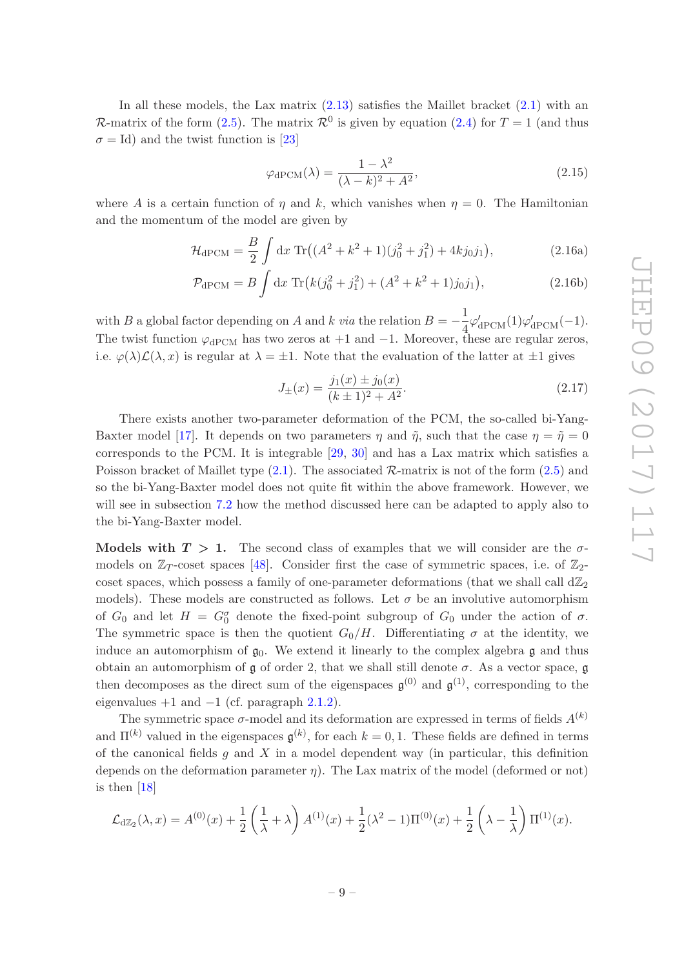In all these models, the Lax matrix  $(2.13)$  satisfies the Maillet bracket  $(2.1)$  with an R-matrix of the form [\(2.5\)](#page-9-3). The matrix  $\mathcal{R}^0$  is given by equation [\(2.4\)](#page-9-4) for  $T=1$  (and thus  $\sigma = Id$ ) and the twist function is [\[23](#page-62-7)]

<span id="page-11-2"></span><span id="page-11-0"></span>
$$
\varphi_{\rm dPCM}(\lambda) = \frac{1 - \lambda^2}{(\lambda - k)^2 + A^2},\tag{2.15}
$$

where A is a certain function of  $\eta$  and k, which vanishes when  $\eta = 0$ . The Hamiltonian and the momentum of the model are given by

$$
\mathcal{H}_{\text{dPCM}} = \frac{B}{2} \int \text{d}x \, \text{Tr}\left( (A^2 + k^2 + 1)(j_0^2 + j_1^2) + 4k j_0 j_1 \right),\tag{2.16a}
$$

$$
\mathcal{P}_{\text{dPCM}} = B \int \text{d}x \, \text{Tr}\big(k(j_0^2 + j_1^2) + (A^2 + k^2 + 1)j_0j_1\big),\tag{2.16b}
$$

with B a global factor depending on A and k via the relation  $B = -\frac{1}{4} \varphi_{\text{dPCM}}'(1) \varphi_{\text{dPCM}}'(-1)$ . The twist function  $\varphi_{\text{dPCM}}$  has two zeros at  $+1$  and  $-1$ . Moreover, these are regular zeros, i.e.  $\varphi(\lambda)\mathcal{L}(\lambda,x)$  is regular at  $\lambda = \pm 1$ . Note that the evaluation of the latter at  $\pm 1$  gives

<span id="page-11-1"></span>
$$
J_{\pm}(x) = \frac{j_1(x) \pm j_0(x)}{(k \pm 1)^2 + A^2}.
$$
\n(2.17)

There exists another two-parameter deformation of the PCM, the so-called bi-Yang-Baxter model [\[17](#page-61-17)]. It depends on two parameters  $\eta$  and  $\tilde{\eta}$ , such that the case  $\eta = \tilde{\eta} = 0$ corresponds to the PCM. It is integrable [\[29](#page-62-3) , [30\]](#page-62-4) and has a Lax matrix which satisfies a Poisson bracket of Maillet type  $(2.1)$ . The associated  $\mathcal{R}$ -matrix is not of the form  $(2.5)$  and so the bi-Yang-Baxter model does not quite fit within the above framework. However, we will see in subsection [7.2](#page-48-0) how the method discussed here can be adapted to apply also to the bi-Yang-Baxter model.

Models with  $T > 1$ . The second class of examples that we will consider are the  $\sigma$ models on  $\mathbb{Z}_T$ -coset spaces [\[48](#page-63-8)]. Consider first the case of symmetric spaces, i.e. of  $\mathbb{Z}_2$ coset spaces, which possess a family of one-parameter deformations (that we shall call  $d\mathbb{Z}_2$ ) models). These models are constructed as follows. Let  $\sigma$  be an involutive automorphism of  $G_0$  and let  $H = G_0^{\sigma}$  denote the fixed-point subgroup of  $G_0$  under the action of  $\sigma$ . The symmetric space is then the quotient  $G_0/H$ . Differentiating  $\sigma$  at the identity, we induce an automorphism of  $\mathfrak{g}_0$ . We extend it linearly to the complex algebra  $\mathfrak{g}$  and thus obtain an automorphism of  $\mathfrak g$  of order 2, that we shall still denote  $\sigma$ . As a vector space,  $\mathfrak g$ then decomposes as the direct sum of the eigenspaces  $\mathfrak{g}^{(0)}$  and  $\mathfrak{g}^{(1)}$ , corresponding to the eigenvalues  $+1$  and  $-1$  (cf. paragraph [2.1.2\)](#page-8-3).

The symmetric space  $\sigma$ -model and its deformation are expressed in terms of fields  $A^{(k)}$ and  $\Pi^{(k)}$  valued in the eigenspaces  $\mathfrak{g}^{(k)}$ , for each  $k = 0, 1$ . These fields are defined in terms of the canonical fields  $g$  and  $X$  in a model dependent way (in particular, this definition depends on the deformation parameter  $\eta$ ). The Lax matrix of the model (deformed or not) is then [\[18](#page-61-16) ]

$$
\mathcal{L}_{d\mathbb{Z}_2}(\lambda, x) = A^{(0)}(x) + \frac{1}{2} \left( \frac{1}{\lambda} + \lambda \right) A^{(1)}(x) + \frac{1}{2} (\lambda^2 - 1) \Pi^{(0)}(x) + \frac{1}{2} \left( \lambda - \frac{1}{\lambda} \right) \Pi^{(1)}(x).
$$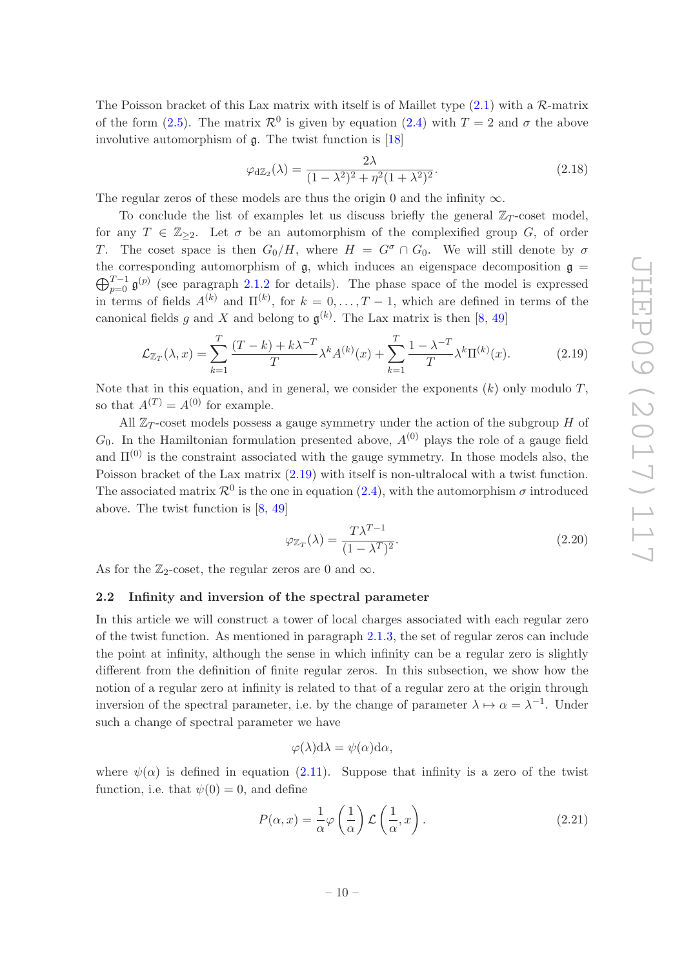The Poisson bracket of this Lax matrix with itself is of Maillet type  $(2.1)$  with a  $\mathcal{R}$ -matrix of the form [\(2.5\)](#page-9-3). The matrix  $\mathcal{R}^0$  is given by equation [\(2.4\)](#page-9-4) with  $T=2$  and  $\sigma$  the above involutive automorphism of g. The twist function is [\[18](#page-61-16) ]

<span id="page-12-2"></span>
$$
\varphi_{d\mathbb{Z}_2}(\lambda) = \frac{2\lambda}{(1 - \lambda^2)^2 + \eta^2 (1 + \lambda^2)^2}.
$$
\n(2.18)

The regular zeros of these models are thus the origin 0 and the infinity  $\infty$ .

To conclude the list of examples let us discuss briefly the general  $\mathbb{Z}_T$ -coset model, for any  $T \in \mathbb{Z}_{\geq 2}$ . Let  $\sigma$  be an automorphism of the complexified group G, of order T. The coset space is then  $G_0/H$ , where  $H = G^{\sigma} \cap G_0$ . We will still denote by  $\sigma$ the corresponding automorphism of  $\mathfrak{g}$ , which induces an eigenspace decomposition  $\mathfrak{g} =$  $\bigoplus_{n=0}^{T-1}$  $_{p=0}^{T-1}$  g<sup>(p)</sup> (see paragraph [2.1.2](#page-8-3) for details). The phase space of the model is expressed in terms of fields  $A^{(k)}$  and  $\Pi^{(k)}$ , for  $k = 0, \ldots, T-1$ , which are defined in terms of the canonical fields g and X and belong to  $\mathfrak{g}^{(k)}$ . The Lax matrix is then [[8](#page-61-6), [49](#page-63-9)]

<span id="page-12-1"></span>
$$
\mathcal{L}_{\mathbb{Z}_T}(\lambda, x) = \sum_{k=1}^T \frac{(T-k) + k\lambda^{-T}}{T} \lambda^k A^{(k)}(x) + \sum_{k=1}^T \frac{1 - \lambda^{-T}}{T} \lambda^k \Pi^{(k)}(x).
$$
 (2.19)

Note that in this equation, and in general, we consider the exponents  $(k)$  only modulo  $T$ , so that  $A^{(T)} = A^{(0)}$  for example.

All  $\mathbb{Z}_T$ -coset models possess a gauge symmetry under the action of the subgroup H of  $G_0$ . In the Hamiltonian formulation presented above,  $A^{(0)}$  plays the role of a gauge field and  $\Pi^{(0)}$  is the constraint associated with the gauge symmetry. In those models also, the Poisson bracket of the Lax matrix [\(2.19\)](#page-12-1) with itself is non-ultralocal with a twist function. The associated matrix  $\mathcal{R}^0$  is the one in equation [\(2.4\)](#page-9-4), with the automorphism  $\sigma$  introduced above. The twist function is [ [8](#page-61-6) , [49](#page-63-9) ]

<span id="page-12-3"></span>
$$
\varphi_{\mathbb{Z}_T}(\lambda) = \frac{T\lambda^{T-1}}{(1-\lambda^T)^2}.
$$
\n(2.20)

<span id="page-12-0"></span>As for the  $\mathbb{Z}_2$ -coset, the regular zeros are 0 and  $\infty$ .

#### 2.2 Infinity and inversion of the spectral parameter

In this article we will construct a tower of local charges associated with each regular zero of the twist function. As mentioned in paragraph [2.1.3,](#page-9-0) the set of regular zeros can include the point at infinity, although the sense in which infinity can be a regular zero is slightly different from the definition of finite regular zeros. In this subsection, we show how the notion of a regular zero at infinity is related to that of a regular zero at the origin through inversion of the spectral parameter, i.e. by the change of parameter  $\lambda \mapsto \alpha = \lambda^{-1}$ . Under such a change of spectral parameter we have

$$
\varphi(\lambda)d\lambda = \psi(\alpha)d\alpha,
$$

where  $\psi(\alpha)$  is defined in equation [\(2.11\)](#page-10-2). Suppose that infinity is a zero of the twist function, i.e. that  $\psi(0) = 0$ , and define

<span id="page-12-4"></span>
$$
P(\alpha, x) = \frac{1}{\alpha} \varphi \left(\frac{1}{\alpha}\right) \mathcal{L}\left(\frac{1}{\alpha}, x\right). \tag{2.21}
$$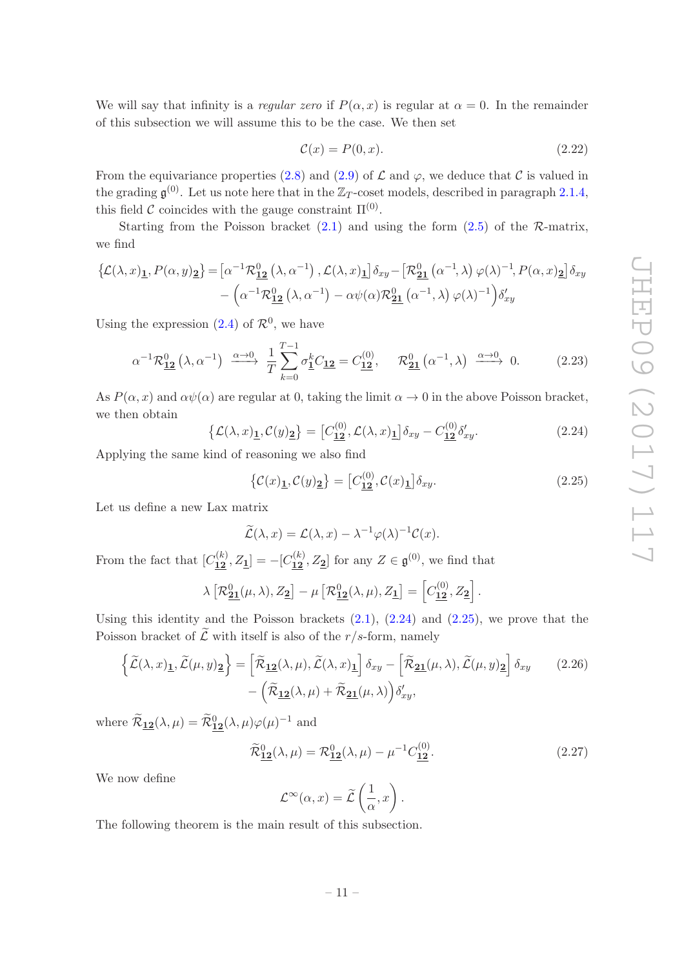We will say that infinity is a *regular zero* if  $P(\alpha, x)$  is regular at  $\alpha = 0$ . In the remainder of this subsection we will assume this to be the case. We then set

<span id="page-13-6"></span>
$$
\mathcal{C}(x) = P(0, x). \tag{2.22}
$$

From the equivariance properties [\(2.8\)](#page-9-1) and [\(2.9\)](#page-9-2) of  $\mathcal L$  and  $\varphi$ , we deduce that  $\mathcal C$  is valued in the grading  $\mathfrak{g}^{(0)}$ . Let us note here that in the  $\mathbb{Z}_T$ -coset models, described in paragraph [2.1.4](#page-10-0), this field C coincides with the gauge constraint  $\Pi^{(0)}$ .

Starting from the Poisson bracket  $(2.1)$  and using the form  $(2.5)$  of the R-matrix, we find

$$
\{\mathcal{L}(\lambda, x)_{\mathbf{\underline{1}}}, P(\alpha, y)_{\mathbf{\underline{2}}}\} = \left[\alpha^{-1} \mathcal{R}_{\mathbf{\underline{12}}}^{0}(\lambda, \alpha^{-1}), \mathcal{L}(\lambda, x)_{\mathbf{\underline{1}}}\right] \delta_{xy} - \left[\mathcal{R}_{\mathbf{\underline{21}}}^{0}(\alpha^{-1}, \lambda) \varphi(\lambda)^{-1}, P(\alpha, x)_{\mathbf{\underline{2}}}\right] \delta_{xy} - \left(\alpha^{-1} \mathcal{R}_{\mathbf{\underline{12}}}^{0}(\lambda, \alpha^{-1}) - \alpha \psi(\alpha) \mathcal{R}_{\mathbf{\underline{21}}}^{0}(\alpha^{-1}, \lambda) \varphi(\lambda)^{-1}\right) \delta'_{xy}
$$

Using the expression  $(2.4)$  of  $\mathcal{R}^0$ , we have

<span id="page-13-5"></span>
$$
\alpha^{-1}\mathcal{R}_{\underline{\mathbf{12}}}^{0}\left(\lambda,\alpha^{-1}\right) \xrightarrow{\alpha \to 0} \frac{1}{T} \sum_{k=0}^{T-1} \sigma_{\underline{\mathbf{1}}}^{k} C_{\underline{\mathbf{12}}} = C_{\underline{\mathbf{12}}}^{(0)}, \quad \mathcal{R}_{\underline{\mathbf{21}}}^{0}\left(\alpha^{-1},\lambda\right) \xrightarrow{\alpha \to 0} 0. \tag{2.23}
$$

As  $P(\alpha, x)$  and  $\alpha \psi(\alpha)$  are regular at 0, taking the limit  $\alpha \to 0$  in the above Poisson bracket, we then obtain

<span id="page-13-0"></span>
$$
\left\{ \mathcal{L}(\lambda, x)_{\mathbf{\underline{1}}}, \mathcal{C}(y)_{\mathbf{\underline{2}}} \right\} = \left[ C_{\mathbf{\underline{12}}}^{(0)}, \mathcal{L}(\lambda, x)_{\mathbf{\underline{1}}} \right] \delta_{xy} - C_{\mathbf{\underline{12}}}^{(0)} \delta'_{xy}.
$$
 (2.24)

Applying the same kind of reasoning we also find

<span id="page-13-1"></span>
$$
\left\{ \mathcal{C}(x)_{\mathbf{1}}, \mathcal{C}(y)_{\mathbf{2}} \right\} = \left[ C_{\mathbf{12}}^{(0)}, \mathcal{C}(x)_{\mathbf{1}} \right] \delta_{xy}.
$$
 (2.25)

Let us define a new Lax matrix

$$
\widetilde{\mathcal{L}}(\lambda, x) = \mathcal{L}(\lambda, x) - \lambda^{-1} \varphi(\lambda)^{-1} \mathcal{C}(x).
$$

From the fact that  $[C_{12}^{(k)}, Z_1] = -[C_{12}^{(k)}, Z_2]$  for any  $Z \in \mathfrak{g}^{(0)}$ , we find that

$$
\lambda \left[ \mathcal{R}_{\mathbf{21}}^0(\mu, \lambda), Z_{\mathbf{2}} \right] - \mu \left[ \mathcal{R}_{\mathbf{12}}^0(\lambda, \mu), Z_{\mathbf{1}} \right] = \left[ C_{\mathbf{12}}^{(0)}, Z_{\mathbf{2}} \right].
$$

Using this identity and the Poisson brackets  $(2.1)$ ,  $(2.24)$  and  $(2.25)$ , we prove that the Poisson bracket of  $\mathcal L$  with itself is also of the  $r/s$ -form, namely

$$
\left\{ \widetilde{\mathcal{L}}(\lambda, x)_{\mathbf{\underline{1}}}, \widetilde{\mathcal{L}}(\mu, y)_{\mathbf{\underline{2}}} \right\} = \left[ \widetilde{\mathcal{R}}_{\mathbf{\underline{12}}}(\lambda, \mu), \widetilde{\mathcal{L}}(\lambda, x)_{\mathbf{\underline{1}}} \right] \delta_{xy} - \left[ \widetilde{\mathcal{R}}_{\mathbf{\underline{21}}}(\mu, \lambda), \widetilde{\mathcal{L}}(\mu, y)_{\mathbf{\underline{2}}} \right] \delta_{xy} \qquad (2.26)
$$

$$
- \left( \widetilde{\mathcal{R}}_{\mathbf{\underline{12}}}(\lambda, \mu) + \widetilde{\mathcal{R}}_{\mathbf{\underline{21}}}(\mu, \lambda) \right) \delta'_{xy},
$$

where  $\widetilde{\mathcal{R}}_{\mathbf{\underline{12}}}(\lambda,\mu) = \widetilde{\mathcal{R}}_{\mathbf{\underline{12}}}^{0}(\lambda,\mu)\varphi(\mu)^{-1}$  and

<span id="page-13-4"></span>
$$
\widetilde{\mathcal{R}}_{\mathbf{12}}^{0}(\lambda,\mu) = \mathcal{R}_{\mathbf{12}}^{0}(\lambda,\mu) - \mu^{-1} C_{\mathbf{12}}^{(0)}.
$$
\n(2.27)

We now define

<span id="page-13-2"></span>
$$
\mathcal{L}^{\infty}(\alpha, x) = \widetilde{\mathcal{L}}\left(\frac{1}{\alpha}, x\right).
$$

<span id="page-13-3"></span>The following theorem is the main result of this subsection.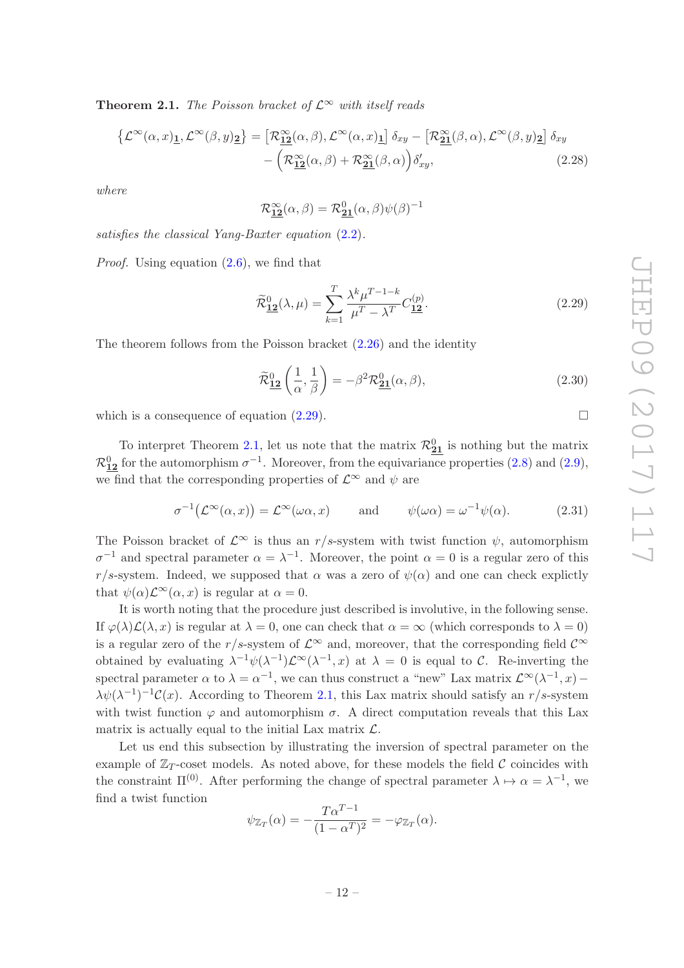$\Box$ 

**Theorem 2.1.** The Poisson bracket of  $\mathcal{L}^{\infty}$  with itself reads

$$
\left\{\mathcal{L}^{\infty}(\alpha,x)_{\mathbf{1}},\mathcal{L}^{\infty}(\beta,y)_{\mathbf{2}}\right\} = \left[\mathcal{R}^{\infty}_{\mathbf{12}}(\alpha,\beta),\mathcal{L}^{\infty}(\alpha,x)_{\mathbf{1}}\right]\delta_{xy} - \left[\mathcal{R}^{\infty}_{\mathbf{21}}(\beta,\alpha),\mathcal{L}^{\infty}(\beta,y)_{\mathbf{2}}\right]\delta_{xy} - \left(\mathcal{R}^{\infty}_{\mathbf{12}}(\alpha,\beta) + \mathcal{R}^{\infty}_{\mathbf{21}}(\beta,\alpha)\right)\delta'_{xy},\tag{2.28}
$$

where

$$
\mathcal{R}_{\mathbf{\underline{12}}}^{\infty}(\alpha,\beta) = \mathcal{R}_{\mathbf{\underline{21}}}^{0}(\alpha,\beta)\psi(\beta)^{-1}
$$

satisfies the classical Yang-Baxter equation  $(2.2)$  $(2.2)$ .

Proof. Using equation [\(2.6\)](#page-9-5), we find that

<span id="page-14-0"></span>
$$
\widetilde{\mathcal{R}}_{\mathbf{\underline{12}}}^{0}(\lambda,\mu) = \sum_{k=1}^{T} \frac{\lambda^k \mu^{T-1-k}}{\mu^T - \lambda^T} C_{\mathbf{\underline{12}}}^{(p)}.
$$
\n(2.29)

The theorem follows from the Poisson bracket [\(2.26\)](#page-13-2) and the identity

$$
\widetilde{\mathcal{R}}_{\underline{\mathbf{12}}}^{0}\left(\frac{1}{\alpha},\frac{1}{\beta}\right) = -\beta^2 \mathcal{R}_{\underline{\mathbf{21}}}^{0}(\alpha,\beta),\tag{2.30}
$$

which is a consequence of equation  $(2.29)$ .

To interpret Theorem [2.1,](#page-13-3) let us note that the matrix  $\mathcal{R}_{21}^0$  is nothing but the matrix  $\mathcal{R}_{12}^0$  for the automorphism  $\sigma^{-1}$ . Moreover, from the equivariance properties [\(2.8\)](#page-9-1) and [\(2.9\)](#page-9-2), we find that the corresponding properties of  $\mathcal{L}^{\infty}$  and  $\psi$  are

<span id="page-14-1"></span>
$$
\sigma^{-1}(\mathcal{L}^{\infty}(\alpha, x)) = \mathcal{L}^{\infty}(\omega \alpha, x) \quad \text{and} \quad \psi(\omega \alpha) = \omega^{-1} \psi(\alpha). \quad (2.31)
$$

The Poisson bracket of  $\mathcal{L}^{\infty}$  is thus an r/s-system with twist function  $\psi$ , automorphism  $\sigma^{-1}$  and spectral parameter  $\alpha = \lambda^{-1}$ . Moreover, the point  $\alpha = 0$  is a regular zero of this r/s-system. Indeed, we supposed that  $\alpha$  was a zero of  $\psi(\alpha)$  and one can check explictly that  $\psi(\alpha) \mathcal{L}^{\infty}(\alpha, x)$  is regular at  $\alpha = 0$ .

It is worth noting that the procedure just described is involutive, in the following sense. If  $\varphi(\lambda) \mathcal{L}(\lambda, x)$  is regular at  $\lambda = 0$ , one can check that  $\alpha = \infty$  (which corresponds to  $\lambda = 0$ ) is a regular zero of the r/s-system of  $\mathcal{L}^{\infty}$  and, moreover, that the corresponding field  $\mathcal{C}^{\infty}$ obtained by evaluating  $\lambda^{-1}\psi(\lambda^{-1})\mathcal{L}^{\infty}(\lambda^{-1},x)$  at  $\lambda=0$  is equal to C. Re-inverting the spectral parameter  $\alpha$  to  $\lambda = \alpha^{-1}$ , we can thus construct a "new" Lax matrix  $\mathcal{L}^{\infty}(\lambda^{-1}, x)$  –  $\lambda \psi(\lambda^{-1})^{-1} C(x)$ . According to Theorem [2.1,](#page-13-3) this Lax matrix should satisfy an r/s-system with twist function  $\varphi$  and automorphism  $\sigma$ . A direct computation reveals that this Lax matrix is actually equal to the initial Lax matrix  $\mathcal{L}$ .

Let us end this subsection by illustrating the inversion of spectral parameter on the example of  $\mathbb{Z}_T$ -coset models. As noted above, for these models the field  $\mathcal C$  coincides with the constraint  $\Pi^{(0)}$ . After performing the change of spectral parameter  $\lambda \mapsto \alpha = \lambda^{-1}$ , we find a twist function

$$
\psi_{\mathbb{Z}_T}(\alpha) = -\frac{T\alpha^{T-1}}{(1-\alpha^T)^2} = -\varphi_{\mathbb{Z}_T}(\alpha).
$$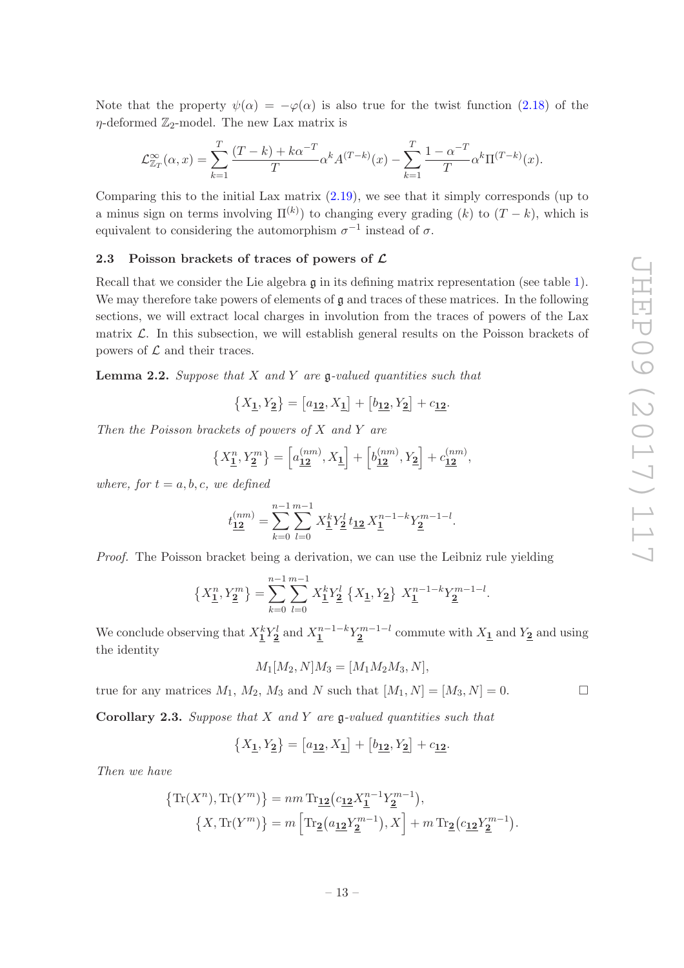$\Box$ 

Note that the property  $\psi(\alpha) = -\varphi(\alpha)$  is also true for the twist function  $(2.18)$  of the  $\eta$ -deformed  $\mathbb{Z}_2$ -model. The new Lax matrix is

$$
\mathcal{L}_{\mathbb{Z}_T}^{\infty}(\alpha, x) = \sum_{k=1}^T \frac{(T-k) + k\alpha^{-T}}{T} \alpha^k A^{(T-k)}(x) - \sum_{k=1}^T \frac{1 - \alpha^{-T}}{T} \alpha^k \Pi^{(T-k)}(x).
$$

Comparing this to the initial Lax matrix [\(2.19\)](#page-12-1), we see that it simply corresponds (up to a minus sign on terms involving  $\Pi^{(k)}$  to changing every grading  $(k)$  to  $(T - k)$ , which is equivalent to considering the automorphism  $\sigma^{-1}$  instead of  $\sigma$ .

# <span id="page-15-0"></span>2.3 Poisson brackets of traces of powers of  $\mathcal L$

Recall that we consider the Lie algebra  $\mathfrak g$  in its defining matrix representation (see table [1\)](#page-8-7). We may therefore take powers of elements of  $\mathfrak g$  and traces of these matrices. In the following sections, we will extract local charges in involution from the traces of powers of the Lax matrix  $\mathcal{L}$ . In this subsection, we will establish general results on the Poisson brackets of powers of  $\mathcal L$  and their traces.

<span id="page-15-1"></span>**Lemma 2.2.** Suppose that X and Y are  $\mathfrak{g}\text{-valued quantities such that}$ 

$$
\{X_{\underline{1}}, Y_{\underline{2}}\} = [a_{\underline{1}\underline{2}}, X_{\underline{1}}] + [b_{\underline{1}\underline{2}}, Y_{\underline{2}}] + c_{\underline{1}\underline{2}}.
$$

Then the Poisson brackets of powers of  $X$  and  $Y$  are

$$
\left\{X^{\underline{n}}_{\underline{1}},Y^{\underline{m}}_{\underline{2}}\right\}=\left[a^{(nm)}_{\underline{1}\underline{2}},X_{\underline{1}}\right]+\left[b^{(nm)}_{\underline{1}\underline{2}},Y_{\underline{2}}\right]+c^{(nm)}_{\underline{1}\underline{2}},
$$

where, for  $t = a, b, c$ , we defined

$$
t_{\underline{12}}^{(nm)} = \sum_{k=0}^{n-1} \sum_{l=0}^{m-1} X_{\underline{1}}^k Y_{\underline{2}}^l t_{\underline{12}} X_{\underline{1}}^{n-1-k} Y_{\underline{2}}^{m-1-l}.
$$

Proof. The Poisson bracket being a derivation, we can use the Leibniz rule yielding

$$
\left\{X_{\underline{\mathbf{1}}}^{n}, Y_{\underline{\mathbf{2}}}^{m}\right\} = \sum_{k=0}^{n-1} \sum_{l=0}^{m-1} X_{\underline{\mathbf{1}}}^{k} Y_{\underline{\mathbf{2}}}^{l} \left\{X_{\underline{\mathbf{1}}}, Y_{\underline{\mathbf{2}}}\right\} X_{\underline{\mathbf{1}}}^{n-1-k} Y_{\underline{\mathbf{2}}}^{m-1-l}.
$$

We conclude observing that  $X_1^k Y_2^l$  and  $X_1^{n-1-k} Y_2^{m-1-l}$  commute with  $X_1$  and  $Y_2$  and using the identity

$$
M_1[M_2, N]M_3 = [M_1M_2M_3, N],
$$

<span id="page-15-2"></span>true for any matrices  $M_1$ ,  $M_2$ ,  $M_3$  and N such that  $[M_1, N] = [M_3, N] = 0$ .

**Corollary 2.3.** Suppose that  $X$  and  $Y$  are  $\mathfrak{g}\text{-valued quantities such that}$ 

$$
\{X_{\underline{1}}, Y_{\underline{2}}\} = [a_{\underline{1}\underline{2}}, X_{\underline{1}}] + [b_{\underline{1}\underline{2}}, Y_{\underline{2}}] + c_{\underline{1}\underline{2}}.
$$

Then we have

$$
\begin{aligned} \left\{ \text{Tr}(X^n), \text{Tr}(Y^m) \right\} &= nm \, \text{Tr}_{\mathbf{12}} \big( c_{\mathbf{12}} X^{n-1}_{\mathbf{\underline{1}}} Y^{m-1}_{\mathbf{\underline{2}}} \big), \\ \left\{ X, \text{Tr}(Y^m) \right\} &= m \left[ \text{Tr}_{\mathbf{\underline{2}}} \big( a_{\mathbf{12}} Y^{m-1}_{\mathbf{\underline{2}}}\big), X \right] + m \, \text{Tr}_{\mathbf{\underline{2}}} \big( c_{\mathbf{12}} Y^{m-1}_{\mathbf{\underline{2}}} \big). \end{aligned}
$$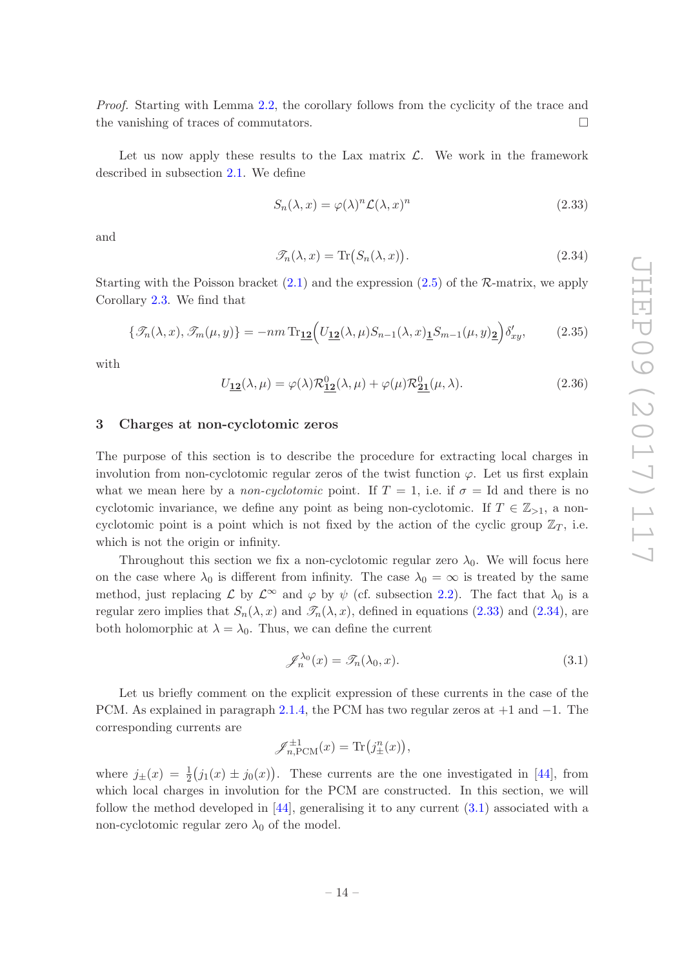Proof. Starting with Lemma [2.2,](#page-15-1) the corollary follows from the cyclicity of the trace and the vanishing of traces of commutators.  $\Box$ 

Let us now apply these results to the Lax matrix  $\mathcal{L}$ . We work in the framework described in subsection [2.1.](#page-8-1) We define

<span id="page-16-1"></span>
$$
S_n(\lambda, x) = \varphi(\lambda)^n \mathcal{L}(\lambda, x)^n \tag{2.33}
$$

and

<span id="page-16-2"></span>
$$
\mathcal{F}_n(\lambda, x) = \text{Tr}(S_n(\lambda, x)).\tag{2.34}
$$

Starting with the Poisson bracket  $(2.1)$  and the expression  $(2.5)$  of the R-matrix, we apply Corollary [2.3.](#page-15-2) We find that

<span id="page-16-4"></span>
$$
\{\mathcal{S}_n(\lambda, x), \mathcal{S}_m(\mu, y)\} = -nm \operatorname{Tr}_{\mathbf{12}}\Big(U_{\mathbf{12}}(\lambda, \mu)S_{n-1}(\lambda, x)\mathbf{1}_{\mathbf{2}}S_{m-1}(\mu, y)\mathbf{2}\Big)\delta'_{xy},\tag{2.35}
$$

with

<span id="page-16-5"></span>
$$
U_{\mathbf{12}}(\lambda,\mu) = \varphi(\lambda)\mathcal{R}_{\mathbf{12}}^{0}(\lambda,\mu) + \varphi(\mu)\mathcal{R}_{\mathbf{21}}^{0}(\mu,\lambda).
$$
\n(2.36)

#### <span id="page-16-0"></span>3 Charges at non-cyclotomic zeros

The purpose of this section is to describe the procedure for extracting local charges in involution from non-cyclotomic regular zeros of the twist function  $\varphi$ . Let us first explain what we mean here by a *non-cyclotomic* point. If  $T = 1$ , i.e. if  $\sigma = Id$  and there is no cyclotomic invariance, we define any point as being non-cyclotomic. If  $T \in \mathbb{Z}_{\geq 1}$ , a noncyclotomic point is a point which is not fixed by the action of the cyclic group  $\mathbb{Z}_T$ , i.e. which is not the origin or infinity.

Throughout this section we fix a non-cyclotomic regular zero  $\lambda_0$ . We will focus here on the case where  $\lambda_0$  is different from infinity. The case  $\lambda_0 = \infty$  is treated by the same method, just replacing  $\mathcal L$  by  $\mathcal L^{\infty}$  and  $\varphi$  by  $\psi$  (cf. subsection [2.2\)](#page-12-0). The fact that  $\lambda_0$  is a regular zero implies that  $S_n(\lambda, x)$  and  $\mathcal{T}_n(\lambda, x)$ , defined in equations [\(2.33\)](#page-16-1) and [\(2.34\)](#page-16-2), are both holomorphic at  $\lambda = \lambda_0$ . Thus, we can define the current

<span id="page-16-3"></span>
$$
\mathscr{J}_n^{\lambda_0}(x) = \mathcal{I}_n(\lambda_0, x). \tag{3.1}
$$

Let us briefly comment on the explicit expression of these currents in the case of the PCM. As explained in paragraph [2.1.4,](#page-10-0) the PCM has two regular zeros at +1 and −1. The corresponding currents are

$$
\mathscr{J}_{n,\text{PCM}}^{\pm 1}(x) = \text{Tr}(j_{\pm}^n(x)),
$$

where  $j_{\pm}(x) = \frac{1}{2}(j_1(x) \pm j_0(x))$ . These currents are the one investigated in [\[44\]](#page-63-4), from which local charges in involution for the PCM are constructed. In this section, we will follow the method developed in  $[44]$ , generalising it to any current  $(3.1)$  associated with a non-cyclotomic regular zero  $\lambda_0$  of the model.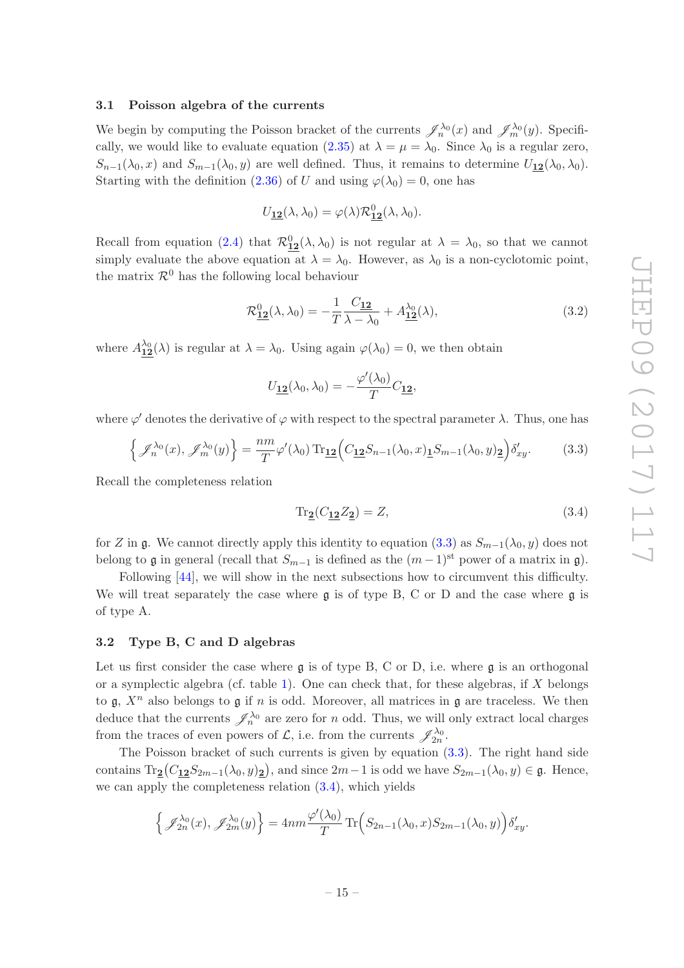#### <span id="page-17-0"></span>3.1 Poisson algebra of the currents

We begin by computing the Poisson bracket of the currents  $\mathscr{J}_n^{\lambda_0}(x)$  and  $\mathscr{J}_m^{\lambda_0}(y)$ . Specifi-cally, we would like to evaluate equation [\(2.35\)](#page-16-4) at  $\lambda = \mu = \lambda_0$ . Since  $\lambda_0$  is a regular zero,  $S_{n-1}(\lambda_0, x)$  and  $S_{m-1}(\lambda_0, y)$  are well defined. Thus, it remains to determine  $U_{12}(\lambda_0, \lambda_0)$ . Starting with the definition [\(2.36\)](#page-16-5) of U and using  $\varphi(\lambda_0) = 0$ , one has

$$
U_{\mathbf{12}}(\lambda, \lambda_0) = \varphi(\lambda) \mathcal{R}_{\mathbf{12}}^0(\lambda, \lambda_0).
$$

Recall from equation [\(2.4\)](#page-9-4) that  $\mathcal{R}_{12}^0(\lambda, \lambda_0)$  is not regular at  $\lambda = \lambda_0$ , so that we cannot simply evaluate the above equation at  $\lambda = \lambda_0$ . However, as  $\lambda_0$  is a non-cyclotomic point, the matrix  $\mathcal{R}^0$  has the following local behaviour

<span id="page-17-4"></span>
$$
\mathcal{R}_{\mathbf{\underline{12}}}^{0}(\lambda,\lambda_0) = -\frac{1}{T} \frac{C_{\mathbf{\underline{12}}}}{\lambda - \lambda_0} + A_{\mathbf{\underline{12}}}^{\lambda_0}(\lambda),\tag{3.2}
$$

where  $A_{12}^{\lambda_0}(\lambda)$  is regular at  $\lambda = \lambda_0$ . Using again  $\varphi(\lambda_0) = 0$ , we then obtain

$$
U_{\mathbf{12}}(\lambda_0, \lambda_0) = -\frac{\varphi'(\lambda_0)}{T} C_{\mathbf{12}},
$$

where  $\varphi'$  denotes the derivative of  $\varphi$  with respect to the spectral parameter  $\lambda$ . Thus, one has

<span id="page-17-2"></span>
$$
\left\{\mathcal{J}_n^{\lambda_0}(x), \mathcal{J}_m^{\lambda_0}(y)\right\} = \frac{nm}{T}\varphi'(\lambda_0) \operatorname{Tr}_{\mathbf{12}}\Big(C_{\mathbf{12}}S_{n-1}(\lambda_0, x) \mathbf{1}_{\mathbf{2}}S_{m-1}(\lambda_0, y) \mathbf{2}\Big)\delta'_{xy}.\tag{3.3}
$$

Recall the completeness relation

<span id="page-17-3"></span>
$$
\operatorname{Tr}_{\mathbf{2}}(C_{\mathbf{12}}Z_{\mathbf{2}}) = Z,\tag{3.4}
$$

for Z in  $\mathfrak g$ . We cannot directly apply this identity to equation [\(3.3\)](#page-17-2) as  $S_{m-1}(\lambda_0, y)$  does not belong to  $\mathfrak g$  in general (recall that  $S_{m-1}$  is defined as the  $(m-1)^{st}$  power of a matrix in  $\mathfrak g$ ).

Following [\[44\]](#page-63-4), we will show in the next subsections how to circumvent this difficulty. We will treat separately the case where  $\mathfrak g$  is of type B, C or D and the case where  $\mathfrak g$  is of type A.

### <span id="page-17-1"></span>3.2 Type B, C and D algebras

Let us first consider the case where  $\mathfrak g$  is of type B, C or D, i.e. where  $\mathfrak g$  is an orthogonal or a symplectic algebra (cf. table [1\)](#page-8-7). One can check that, for these algebras, if X belongs to  $\mathfrak{g}, X^n$  also belongs to  $\mathfrak{g}$  if n is odd. Moreover, all matrices in  $\mathfrak{g}$  are traceless. We then deduce that the currents  $\mathscr{J}_n^{\lambda_0}$  are zero for *n* odd. Thus, we will only extract local charges from the traces of even powers of  $\mathcal{L}$ , i.e. from the currents  $\mathscr{J}_{2n}^{\lambda_0}$ .

The Poisson bracket of such currents is given by equation [\(3.3\)](#page-17-2). The right hand side contains  $\text{Tr}_{\mathbf{2}}(C_{12}S_{2m-1}(\lambda_0, y)_{\mathbf{2}}),$  and since  $2m-1$  is odd we have  $S_{2m-1}(\lambda_0, y) \in \mathfrak{g}$ . Hence, we can apply the completeness relation [\(3.4\)](#page-17-3), which yields

$$
\left\{\mathscr{J}_{2n}^{\lambda_0}(x),\mathscr{J}_{2m}^{\lambda_0}(y)\right\} = 4nm\frac{\varphi'(\lambda_0)}{T}\operatorname{Tr}\Big(S_{2n-1}(\lambda_0,x)S_{2m-1}(\lambda_0,y)\Big)\delta'_{xy}.
$$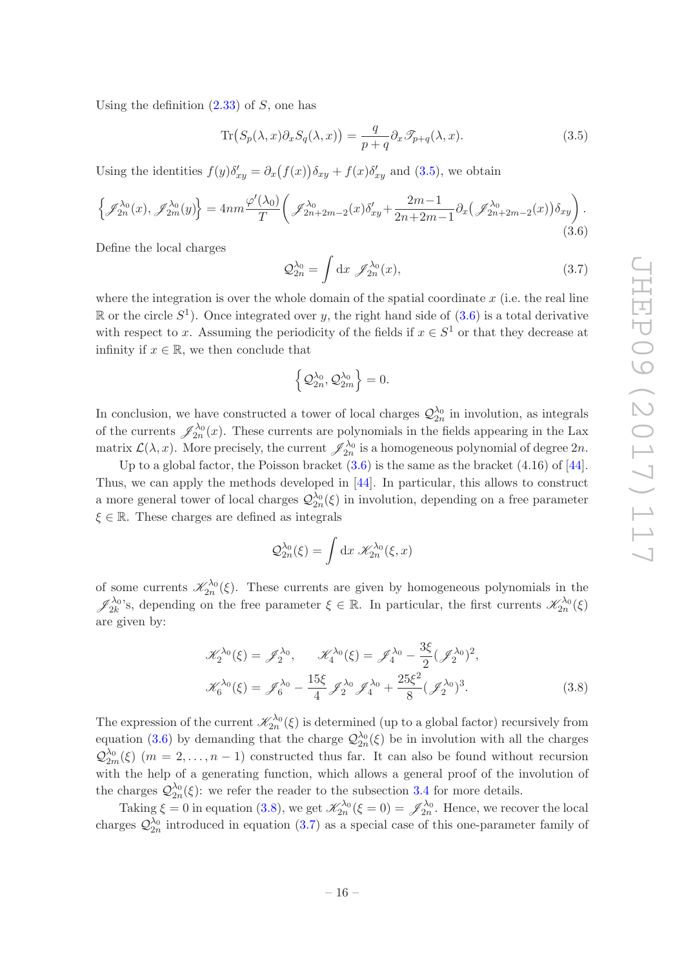Using the definition  $(2.33)$  of S, one has

<span id="page-18-0"></span>
$$
\text{Tr}\big(S_p(\lambda, x)\partial_x S_q(\lambda, x)\big) = \frac{q}{p+q} \partial_x \mathcal{F}_{p+q}(\lambda, x). \tag{3.5}
$$

Using the identities  $f(y)\delta'_{xy} = \partial_x(f(x))\delta_{xy} + f(x)\delta'_{xy}$  and [\(3.5\)](#page-18-0), we obtain

<span id="page-18-1"></span>
$$
\left\{\mathcal{J}_{2n}^{\lambda_0}(x),\mathcal{J}_{2m}^{\lambda_0}(y)\right\} = 4nm\frac{\varphi'(\lambda_0)}{T}\left(\mathcal{J}_{2n+2m-2}^{\lambda_0}(x)\delta'_{xy} + \frac{2m-1}{2n+2m-1}\partial_x\left(\mathcal{J}_{2n+2m-2}^{\lambda_0}(x)\right)\delta_{xy}\right). \tag{3.6}
$$

Define the local charges

<span id="page-18-3"></span>
$$
\mathcal{Q}_{2n}^{\lambda_0} = \int \mathrm{d}x \; \mathscr{J}_{2n}^{\lambda_0}(x), \tag{3.7}
$$

where the integration is over the whole domain of the spatial coordinate  $x$  (i.e. the real line R or the circle  $S^1$ ). Once integrated over y, the right hand side of  $(3.6)$  is a total derivative with respect to x. Assuming the periodicity of the fields if  $x \in S^1$  or that they decrease at infinity if  $x \in \mathbb{R}$ , we then conclude that

$$
\left\{\mathcal{Q}_{2n}^{\lambda_0},\mathcal{Q}_{2m}^{\lambda_0}\right\}=0.
$$

In conclusion, we have constructed a tower of local charges  $\mathcal{Q}_{2n}^{\lambda_0}$  in involution, as integrals of the currents  $\mathscr{J}_{2n}^{\lambda_0}(x)$ . These currents are polynomials in the fields appearing in the Lax matrix  $\mathcal{L}(\lambda, x)$ . More precisely, the current  $\mathscr{J}_{2n}^{\lambda_0}$  is a homogeneous polynomial of degree  $2n$ .

Up to a global factor, the Poisson bracket  $(3.6)$  is the same as the bracket  $(4.16)$  of  $[44]$ . Thus, we can apply the methods developed in [\[44](#page-63-4)]. In particular, this allows to construct a more general tower of local charges  $\mathcal{Q}_{2n}^{\lambda_0}(\xi)$  in involution, depending on a free parameter  $\xi \in \mathbb{R}$ . These charges are defined as integrals

<span id="page-18-2"></span>
$$
\mathcal{Q}_{2n}^{\lambda_0}(\xi) = \int \mathrm{d}x \; \mathscr{K}_{2n}^{\lambda_0}(\xi, x)
$$

of some currents  $\mathscr{K}_{2n}^{\lambda_0}(\xi)$ . These currents are given by homogeneous polynomials in the  $\mathscr{J}_{2k}^{\lambda_0}$ 's, depending on the free parameter  $\xi \in \mathbb{R}$ . In particular, the first currents  $\mathscr{K}_{2n}^{\lambda_0}(\xi)$ are given by:

$$
\mathcal{K}_2^{\lambda_0}(\xi) = \mathcal{J}_2^{\lambda_0}, \qquad \mathcal{K}_4^{\lambda_0}(\xi) = \mathcal{J}_4^{\lambda_0} - \frac{3\xi}{2} (\mathcal{J}_2^{\lambda_0})^2,
$$
  

$$
\mathcal{K}_6^{\lambda_0}(\xi) = \mathcal{J}_6^{\lambda_0} - \frac{15\xi}{4} \mathcal{J}_2^{\lambda_0} \mathcal{J}_4^{\lambda_0} + \frac{25\xi^2}{8} (\mathcal{J}_2^{\lambda_0})^3.
$$
 (3.8)

The expression of the current  $\mathscr{K}_{2n}^{\lambda_0}(\xi)$  is determined (up to a global factor) recursively from equation [\(3.6\)](#page-18-1) by demanding that the charge  $\mathcal{Q}_{2n}^{\lambda_0}(\xi)$  be in involution with all the charges  $\mathcal{Q}_{2m}^{\lambda_0}(\xi)$   $(m=2,\ldots,n-1)$  constructed thus far. It can also be found without recursion with the help of a generating function, which allows a general proof of the involution of the charges  $\mathcal{Q}_{2n}^{\lambda_0}(\xi)$ : we refer the reader to the subsection [3.4](#page-20-0) for more details.

Taking  $\xi = 0$  in equation [\(3.8\)](#page-18-2), we get  $\mathscr{K}_{2n}^{\lambda_0}(\xi = 0) = \mathscr{J}_{2n}^{\lambda_0}$ . Hence, we recover the local charges  $\mathcal{Q}_{2n}^{\lambda_0}$  introduced in equation [\(3.7\)](#page-18-3) as a special case of this one-parameter family of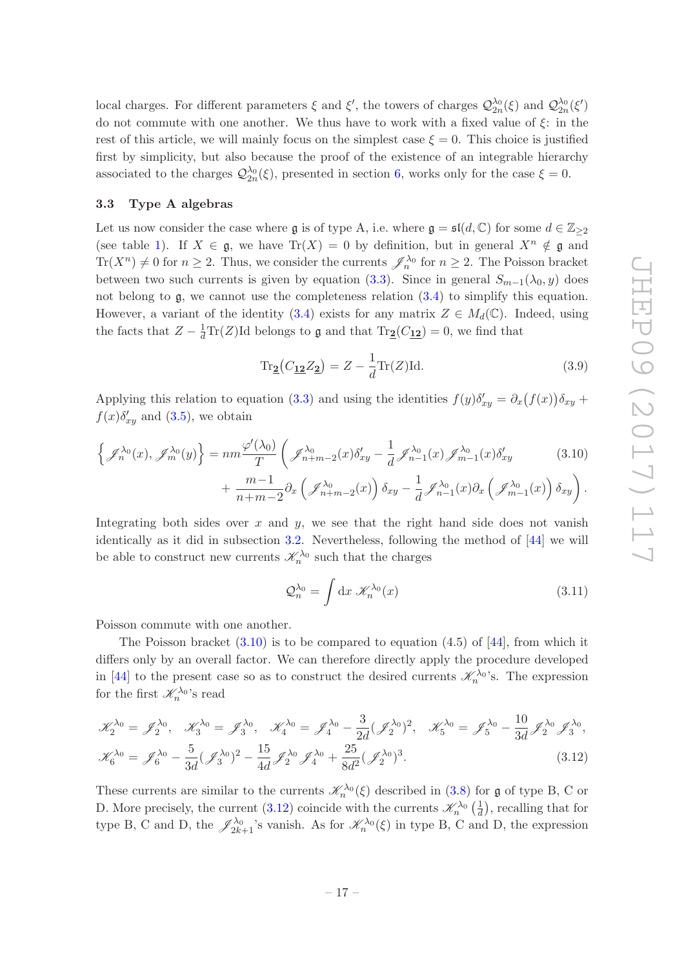local charges. For different parameters  $\xi$  and  $\xi'$ , the towers of charges  $\mathcal{Q}_{2n}^{\lambda_0}(\xi)$  and  $\mathcal{Q}_{2n}^{\lambda_0}(\xi')$ do not commute with one another. We thus have to work with a fixed value of ξ: in the rest of this article, we will mainly focus on the simplest case  $\xi = 0$ . This choice is justified first by simplicity, but also because the proof of the existence of an integrable hierarchy associated to the charges  $\mathcal{Q}_{2n}^{\lambda_0}(\xi)$ , presented in section [6,](#page-37-0) works only for the case  $\xi = 0$ .

#### <span id="page-19-0"></span>3.3 Type A algebras

Let us now consider the case where  $\mathfrak g$  is of type A, i.e. where  $\mathfrak g = \mathfrak{sl}(d,\mathbb C)$  for some  $d \in \mathbb Z_{\geq 2}$ (see table [1\)](#page-8-7). If  $X \in \mathfrak{g}$ , we have  $\text{Tr}(X) = 0$  by definition, but in general  $X^n \notin \mathfrak{g}$  and  $\text{Tr}(X^n) \neq 0$  for  $n \geq 2$ . Thus, we consider the currents  $\mathscr{J}_n^{\lambda_0}$  for  $n \geq 2$ . The Poisson bracket between two such currents is given by equation [\(3.3\)](#page-17-2). Since in general  $S_{m-1}(\lambda_0, y)$  does not belong to  $\mathfrak{g}$ , we cannot use the completeness relation  $(3.4)$  to simplify this equation. However, a variant of the identity [\(3.4\)](#page-17-3) exists for any matrix  $Z \in M_d(\mathbb{C})$ . Indeed, using the facts that  $Z - \frac{1}{d}\text{Tr}(Z)$ Id belongs to  $\mathfrak g$  and that  $\text{Tr}_{\mathbf 2}(C_{\mathbf{12}}) = 0$ , we find that

<span id="page-19-4"></span>
$$
\operatorname{Tr}_{\mathbf{\underline{2}}}(C_{\mathbf{\underline{12}}}Z_{\mathbf{\underline{2}}}) = Z - \frac{1}{d}\operatorname{Tr}(Z)\operatorname{Id}.\tag{3.9}
$$

Applying this relation to equation [\(3.3\)](#page-17-2) and using the identities  $f(y)\delta'_{xy} = \partial_x (f(x))\delta_{xy} +$  $f(x)\delta_{xy}'$  and [\(3.5\)](#page-18-0), we obtain

$$
\left\{\mathcal{J}_n^{\lambda_0}(x), \mathcal{J}_m^{\lambda_0}(y)\right\} = nm \frac{\varphi'(\lambda_0)}{T} \left(\mathcal{J}_{n+m-2}^{\lambda_0}(x)\delta'_{xy} - \frac{1}{d}\mathcal{J}_{n-1}^{\lambda_0}(x)\mathcal{J}_{m-1}^{\lambda_0}(x)\delta'_{xy}\right)
$$
(3.10)

$$
+\frac{m-1}{n+m-2}\partial_x\left(\mathscr{J}_{n+m-2}^{\lambda_0}(x)\right)\delta_{xy}-\frac{1}{d}\mathscr{J}_{n-1}^{\lambda_0}(x)\partial_x\left(\mathscr{J}_{m-1}^{\lambda_0}(x)\right)\delta_{xy}\bigg).
$$

Integrating both sides over  $x$  and  $y$ , we see that the right hand side does not vanish identically as it did in subsection [3.2.](#page-17-1) Nevertheless, following the method of [\[44](#page-63-4)] we will be able to construct new currents  $\mathscr{K}_n^{\lambda_0}$  such that the charges

<span id="page-19-3"></span><span id="page-19-2"></span><span id="page-19-1"></span>
$$
\mathcal{Q}_n^{\lambda_0} = \int \mathrm{d}x \; \mathcal{K}_n^{\lambda_0}(x) \tag{3.11}
$$

Poisson commute with one another.

The Poisson bracket  $(3.10)$  is to be compared to equation  $(4.5)$  of  $[44]$ , from which it differs only by an overall factor. We can therefore directly apply the procedure developed in [\[44](#page-63-4)] to the present case so as to construct the desired currents  $\mathscr{K}_n^{\lambda_0}$ 's. The expression for the first  $\mathscr{K}_n^{\lambda_0}$ 's read

$$
\mathcal{K}_2^{\lambda_0} = \mathcal{J}_2^{\lambda_0}, \quad \mathcal{K}_3^{\lambda_0} = \mathcal{J}_3^{\lambda_0}, \quad \mathcal{K}_4^{\lambda_0} = \mathcal{J}_4^{\lambda_0} - \frac{3}{2d} (\mathcal{J}_2^{\lambda_0})^2, \quad \mathcal{K}_5^{\lambda_0} = \mathcal{J}_5^{\lambda_0} - \frac{10}{3d} \mathcal{J}_2^{\lambda_0} \mathcal{J}_3^{\lambda_0},
$$

$$
\mathcal{K}_6^{\lambda_0} = \mathcal{J}_6^{\lambda_0} - \frac{5}{3d} (\mathcal{J}_3^{\lambda_0})^2 - \frac{15}{4d} \mathcal{J}_2^{\lambda_0} \mathcal{J}_4^{\lambda_0} + \frac{25}{8d^2} (\mathcal{J}_2^{\lambda_0})^3.
$$
(3.12)

These currents are similar to the currents  $\mathscr{K}_n^{\lambda_0}(\xi)$  described in [\(3.8\)](#page-18-2) for  $\mathfrak g$  of type B, C or D. More precisely, the current [\(3.12\)](#page-19-2) coincide with the currents  $\mathscr{K}_n^{\lambda_0}$  ( $\frac{1}{d}$ )  $\frac{1}{d}$ , recalling that for type B, C and D, the  $\mathscr{J}_{2k+1}^{\lambda_0}$ 's vanish. As for  $\mathscr{K}_n^{\lambda_0}(\xi)$  in type B, C and D, the expression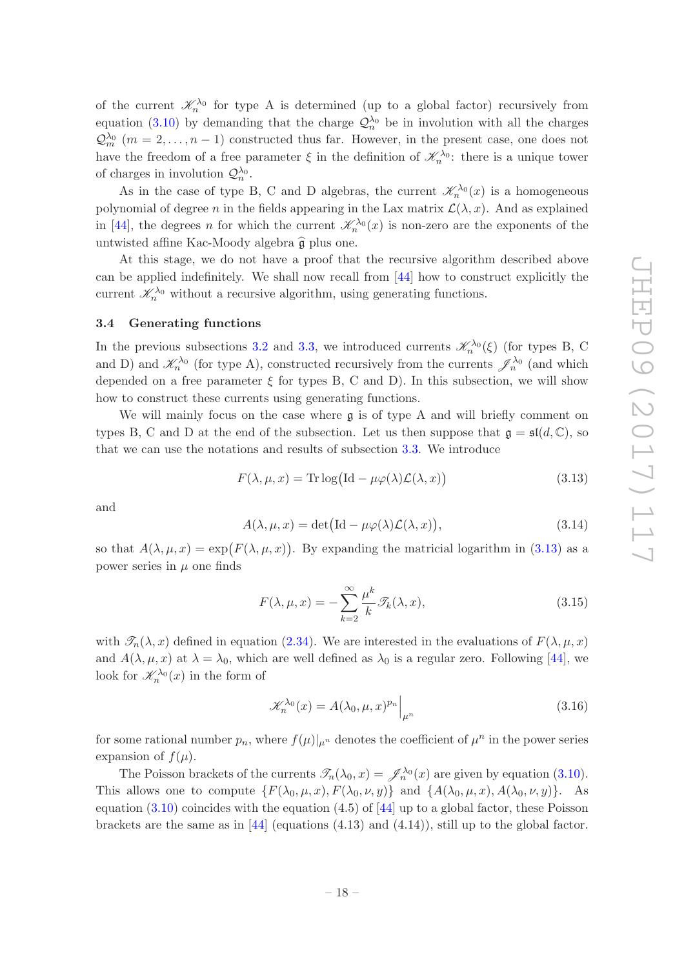of the current  $\mathcal{K}_n^{\lambda_0}$  for type A is determined (up to a global factor) recursively from equation [\(3.10\)](#page-19-1) by demanding that the charge  $\mathcal{Q}_n^{\lambda_0}$  be in involution with all the charges  $\mathcal{Q}_m^{\lambda_0}$  ( $m = 2, \ldots, n-1$ ) constructed thus far. However, in the present case, one does not have the freedom of a free parameter  $\xi$  in the definition of  $\mathscr{K}_n^{\lambda_0}$ : there is a unique tower of charges in involution  $\mathcal{Q}_n^{\lambda_0}$ .

As in the case of type B, C and D algebras, the current  $\mathscr{K}_n^{\lambda_0}(x)$  is a homogeneous polynomial of degree *n* in the fields appearing in the Lax matrix  $\mathcal{L}(\lambda, x)$ . And as explained in [\[44](#page-63-4)], the degrees n for which the current  $\mathscr{K}_n^{\lambda_0}(x)$  is non-zero are the exponents of the untwisted affine Kac-Moody algebra  $\widehat{\mathfrak{g}}$  plus one.

At this stage, we do not have a proof that the recursive algorithm described above can be applied indefinitely. We shall now recall from [\[44\]](#page-63-4) how to construct explicitly the current  $\mathcal{K}_n^{\lambda_0}$  without a recursive algorithm, using generating functions.

# <span id="page-20-0"></span>3.4 Generating functions

In the previous subsections [3.2](#page-17-1) and [3.3,](#page-19-0) we introduced currents  $\mathscr{K}_n^{\lambda_0}(\xi)$  (for types B, C and D) and  $\mathcal{K}_n^{\lambda_0}$  (for type A), constructed recursively from the currents  $\mathcal{J}_n^{\lambda_0}$  (and which depended on a free parameter  $\xi$  for types B, C and D). In this subsection, we will show how to construct these currents using generating functions .

We will mainly focus on the case where  $\mathfrak g$  is of type A and will briefly comment on types B, C and D at the end of the subsection. Let us then suppose that  $\mathfrak{g} = \mathfrak{sl}(d, \mathbb{C})$ , so that we can use the notations and results of subsection [3.3.](#page-19-0) We introduce

<span id="page-20-1"></span>
$$
F(\lambda, \mu, x) = \text{Tr} \log(\text{Id} - \mu \varphi(\lambda) \mathcal{L}(\lambda, x))
$$
\n(3.13)

and

<span id="page-20-3"></span>
$$
A(\lambda, \mu, x) = \det(\text{Id} - \mu \varphi(\lambda) \mathcal{L}(\lambda, x)), \tag{3.14}
$$

so that  $A(\lambda, \mu, x) = \exp(F(\lambda, \mu, x))$ . By expanding the matricial logarithm in [\(3.13\)](#page-20-1) as a power series in  $\mu$  one finds

<span id="page-20-4"></span>
$$
F(\lambda, \mu, x) = -\sum_{k=2}^{\infty} \frac{\mu^k}{k} \mathcal{F}_k(\lambda, x),
$$
\n(3.15)

with  $\mathcal{T}_n(\lambda, x)$  defined in equation [\(2.34\)](#page-16-2). We are interested in the evaluations of  $F(\lambda, \mu, x)$ and  $A(\lambda,\mu,x)$  at  $\lambda = \lambda_0$ , which are well defined as  $\lambda_0$  is a regular zero. Following [\[44\]](#page-63-4), we look for  $\mathscr{K}_n^{\lambda_0}(x)$  in the form of

<span id="page-20-2"></span>
$$
\mathcal{K}_n^{\lambda_0}(x) = A(\lambda_0, \mu, x)^{p_n} \Big|_{\mu^n} \tag{3.16}
$$

for some rational number  $p_n$ , where  $f(\mu)|_{\mu^n}$  denotes the coefficient of  $\mu^n$  in the power series expansion of  $f(\mu)$ .

The Poisson brackets of the currents  $\mathcal{T}_n(\lambda_0, x) = \mathcal{J}_n^{\lambda_0}(x)$  are given by equation [\(3.10\)](#page-19-1). This allows one to compute  $\{F(\lambda_0,\mu,x), F(\lambda_0,\nu,y)\}\$  and  $\{A(\lambda_0,\mu,x), A(\lambda_0,\nu,y)\}\$ . As equation  $(3.10)$  coincides with the equation  $(4.5)$  of  $[44]$  up to a global factor, these Poisson brackets are the same as in  $[44]$  (equations  $(4.13)$  and  $(4.14)$ ), still up to the global factor.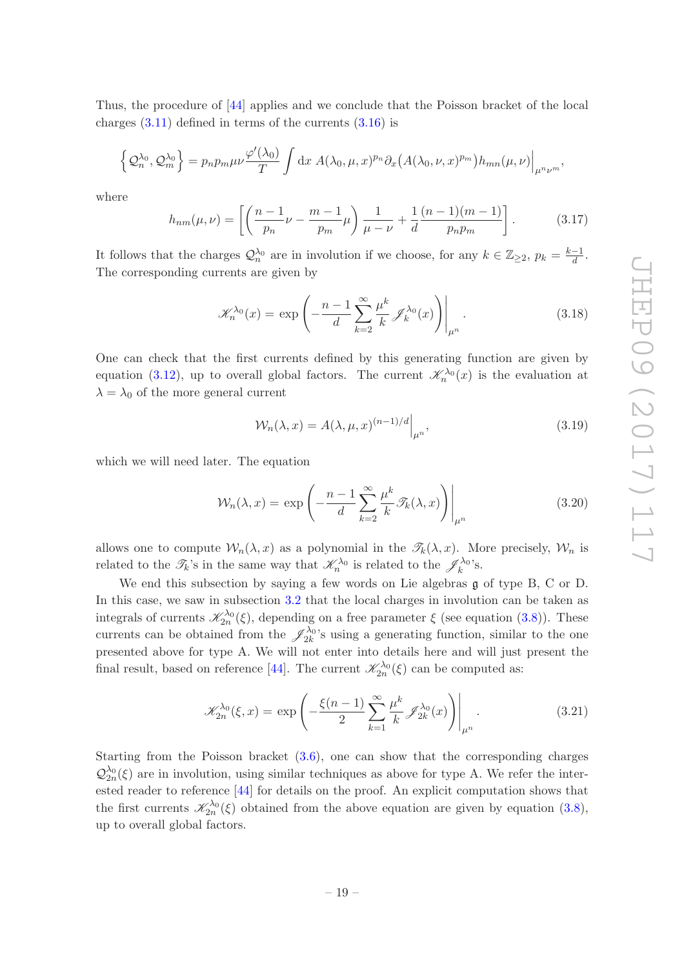Thus, the procedure of [\[44\]](#page-63-4) applies and we conclude that the Poisson bracket of the loca l charges [\(3.11\)](#page-19-3) defined in terms of the currents [\(3.16\)](#page-20-2) is

$$
\left\{\mathcal{Q}_n^{\lambda_0},\mathcal{Q}_m^{\lambda_0}\right\} = p_n p_m \mu \nu \frac{\varphi'(\lambda_0)}{T} \int \mathrm{d}x \, A(\lambda_0,\mu,x)^{p_n} \partial_x \big(A(\lambda_0,\nu,x)^{p_m}\big) h_{mn}(\mu,\nu) \Big|_{\mu^n \nu^m},
$$

where

<span id="page-21-2"></span>
$$
h_{nm}(\mu,\nu) = \left[ \left( \frac{n-1}{p_n} \nu - \frac{m-1}{p_m} \mu \right) \frac{1}{\mu - \nu} + \frac{1}{d} \frac{(n-1)(m-1)}{p_n p_m} \right].
$$
 (3.17)

It follows that the charges  $\mathcal{Q}_n^{\lambda_0}$  are in involution if we choose, for any  $k \in \mathbb{Z}_{\geq 2}$ ,  $p_k = \frac{k-1}{d}$  $\frac{-1}{d}$ . The corresponding currents are given by

<span id="page-21-0"></span>
$$
\mathscr{K}_n^{\lambda_0}(x) = \exp\left(-\frac{n-1}{d}\sum_{k=2}^{\infty} \frac{\mu^k}{k} \mathscr{J}_k^{\lambda_0}(x)\right)\Big|_{\mu^n}.
$$
 (3.18)

One can check that the first currents defined by this generating function are given by equation [\(3.12\)](#page-19-2), up to overall global factors. The current  $\mathscr{K}_n^{\lambda_0}(x)$  is the evaluation at  $\lambda = \lambda_0$  of the more general current

<span id="page-21-3"></span>
$$
\mathcal{W}_n(\lambda, x) = A(\lambda, \mu, x)^{(n-1)/d} \Big|_{\mu^n},
$$
\n(3.19)

which we will need later. The equation

<span id="page-21-1"></span>
$$
\mathcal{W}_n(\lambda, x) = \exp\left(-\frac{n-1}{d} \sum_{k=2}^{\infty} \frac{\mu^k}{k} \mathcal{F}_k(\lambda, x)\right)\Big|_{\mu^n}
$$
\n(3.20)

allows one to compute  $W_n(\lambda, x)$  as a polynomial in the  $\mathcal{T}_k(\lambda, x)$ . More precisely,  $W_n$  is related to the  $\mathcal{T}_k$ 's in the same way that  $\mathcal{K}_n^{\lambda_0}$  is related to the  $\mathcal{J}_k^{\lambda_0}$ 's.

We end this subsection by saying a few words on Lie algebras g of type B, C or D. In this case, we saw in subsection [3.2](#page-17-1) that the local charges in involution can be taken as integrals of currents  $\mathscr{K}_{2n}^{\lambda_0}(\xi)$ , depending on a free parameter  $\xi$  (see equation [\(3.8\)](#page-18-2)). These currents can be obtained from the  $\mathscr{J}_{2k}^{\lambda_0}$ 's using a generating function, similar to the one presented above for type A. We will not enter into details here and will just present the final result, based on reference [\[44](#page-63-4)]. The current  $\mathscr{K}_{2n}^{\lambda_0}(\xi)$  can be computed as:

$$
\mathscr{K}_{2n}^{\lambda_0}(\xi, x) = \exp\left(-\frac{\xi(n-1)}{2} \sum_{k=1}^{\infty} \frac{\mu^k}{k} \mathscr{J}_{2k}^{\lambda_0}(x)\right)\Big|_{\mu^n}.
$$
 (3.21)

Starting from the Poisson bracket [\(3.6\)](#page-18-1), one can show that the corresponding charges  $\mathcal{Q}_{2n}^{\lambda_0}(\xi)$  are in involution, using similar techniques as above for type A. We refer the interested reader to reference [\[44](#page-63-4)] for details on the proof. An explicit computation shows that the first currents  $\mathscr{K}_{2n}^{\lambda_0}(\xi)$  obtained from the above equation are given by equation [\(3.8\)](#page-18-2), up to overall global factors.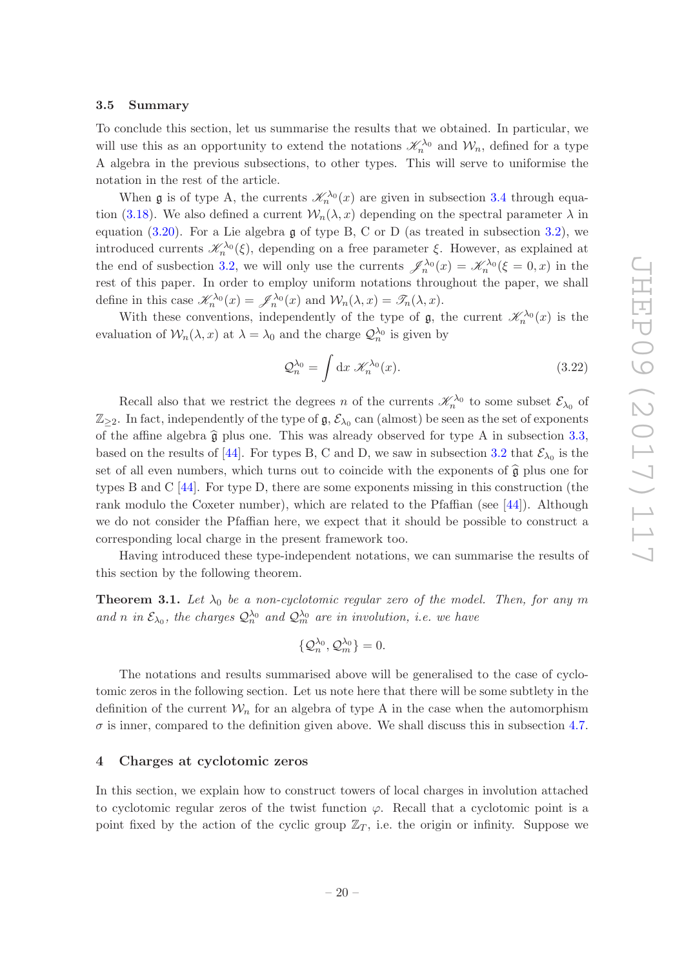#### <span id="page-22-0"></span>3.5 Summary

To conclude this section, let us summarise the results that we obtained. In particular, we will use this as an opportunity to extend the notations  $\mathscr{K}_n^{\lambda_0}$  and  $\mathcal{W}_n$ , defined for a type A algebra in the previous subsections, to other types. This will serve to uniformise the notation in the rest of the article.

When **g** is of type A, the currents  $\mathscr{K}_n^{\lambda_0}(x)$  are given in subsection [3.4](#page-20-0) through equa-tion [\(3.18\)](#page-21-0). We also defined a current  $\mathcal{W}_n(\lambda, x)$  depending on the spectral parameter  $\lambda$  in equation [\(3.20\)](#page-21-1). For a Lie algebra g of type B, C or D (as treated in subsection [3.2\)](#page-17-1), we introduced currents  $\mathscr{K}_n^{\lambda_0}(\xi)$ , depending on a free parameter  $\xi$ . However, as explained at the end of susbection [3.2,](#page-17-1) we will only use the currents  $\mathscr{J}_n^{\lambda_0}(x) = \mathscr{K}_n^{\lambda_0}(\xi = 0, x)$  in the rest of this paper. In order to employ uniform notations throughout the paper, we shall define in this case  $\mathscr{K}_n^{\lambda_0}(x) = \mathscr{J}_n^{\lambda_0}(x)$  and  $\mathcal{W}_n(\lambda, x) = \mathscr{T}_n(\lambda, x)$ .

With these conventions, independently of the type of  $\mathfrak{g}$ , the current  $\mathscr{K}_n^{\lambda_0}(x)$  is the evaluation of  $\mathcal{W}_n(\lambda, x)$  at  $\lambda = \lambda_0$  and the charge  $\mathcal{Q}_n^{\lambda_0}$  is given by

$$
\mathcal{Q}_n^{\lambda_0} = \int \mathrm{d}x \; \mathcal{K}_n^{\lambda_0}(x). \tag{3.22}
$$

Recall also that we restrict the degrees n of the currents  $\mathscr{K}_n^{\lambda_0}$  to some subset  $\mathcal{E}_{\lambda_0}$  of  $\mathbb{Z}_{\geq 2}$ . In fact, independently of the type of  $\mathfrak{g}, \mathcal{E}_{\lambda_0}$  can (almost) be seen as the set of exponents of the affine algebra  $\hat{\mathfrak{g}}$  plus one. This was already observed for type A in subsection [3.3](#page-19-0), based on the results of [\[44\]](#page-63-4). For types B, C and D, we saw in subsection [3.2](#page-17-1) that  $\mathcal{E}_{\lambda_0}$  is the set of all even numbers, which turns out to coincide with the exponents of  $\hat{\mathfrak{g}}$  plus one for types B and C [\[44](#page-63-4)]. For type D, there are some exponents missing in this construction (the rank modulo the Coxeter number), which are related to the Pfaffian (see [\[44](#page-63-4)]). Although we do not consider the Pfaffian here, we expect that it should be possible to construct a corresponding local charge in the present framework too.

Having introduced these type-independent notations, we can summarise the results of this section by the following theorem.

**Theorem 3.1.** Let  $\lambda_0$  be a non-cyclotomic regular zero of the model. Then, for any m and n in  $\mathcal{E}_{\lambda_0}$ , the charges  $\mathcal{Q}_n^{\lambda_0}$  and  $\mathcal{Q}_m^{\lambda_0}$  are in involution, i.e. we have

$$
\{\mathcal{Q}_n^{\lambda_0},\mathcal{Q}_m^{\lambda_0}\}=0.
$$

The notations and results summarised above will be generalised to the case of cyclotomic zeros in the following section. Let us note here that there will be some subtlety in the definition of the current  $\mathcal{W}_n$  for an algebra of type A in the case when the automorphism  $\sigma$  is inner, compared to the definition given above. We shall discuss this in subsection [4.7](#page-31-0).

#### <span id="page-22-1"></span>4 Charges at cyclotomic zeros

In this section, we explain how to construct towers of local charges in involution attached to cyclotomic regular zeros of the twist function  $\varphi$ . Recall that a cyclotomic point is a point fixed by the action of the cyclic group  $\mathbb{Z}_T$ , i.e. the origin or infinity. Suppose we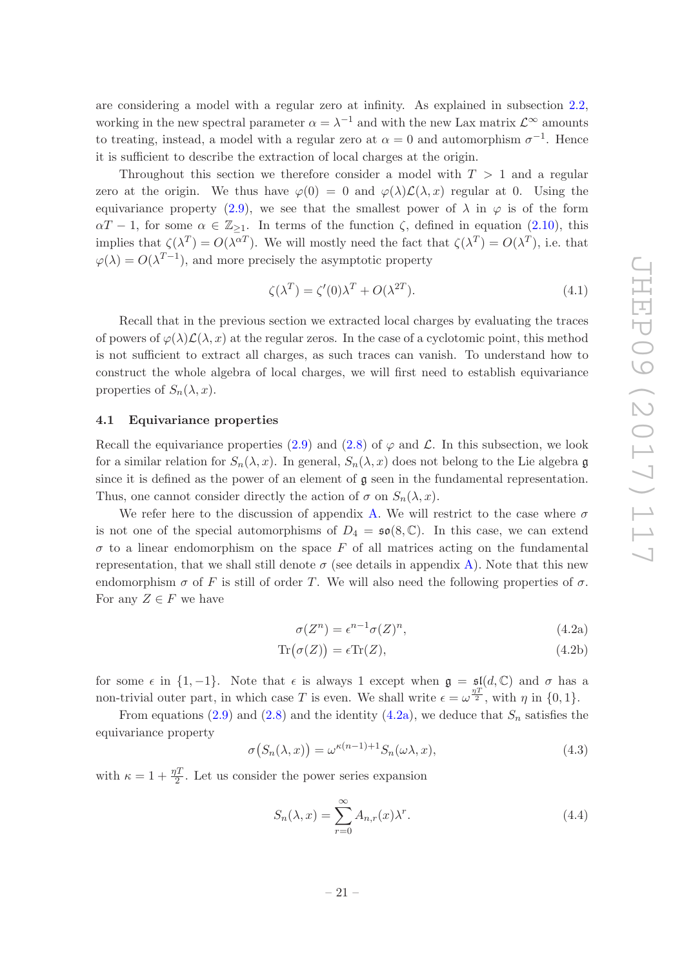are considering a model with a regular zero at infinity. As explained in subsection [2.2](#page-12-0) , working in the new spectral parameter  $\alpha = \lambda^{-1}$  and with the new Lax matrix  $\mathcal{L}^{\infty}$  amounts to treating, instead, a model with a regular zero at  $\alpha = 0$  and automorphism  $\sigma^{-1}$ . Hence it is sufficient to describe the extraction of local charges at the origin.

Throughout this section we therefore consider a model with  $T > 1$  and a regular zero at the origin. We thus have  $\varphi(0) = 0$  and  $\varphi(\lambda) \mathcal{L}(\lambda, x)$  regular at 0. Using the equivariance property  $(2.9)$ , we see that the smallest power of  $\lambda$  in  $\varphi$  is of the form  $\alpha T - 1$ , for some  $\alpha \in \mathbb{Z}_{\geq 1}$ . In terms of the function  $\zeta$ , defined in equation [\(2.10\)](#page-10-3), this implies that  $\zeta(\lambda^T) = O(\lambda^{\alpha T})$ . We will mostly need the fact that  $\zeta(\lambda^T) = O(\lambda^T)$ , i.e. that  $\varphi(\lambda) = O(\lambda^{T-1})$ , and more precisely the asymptotic property

<span id="page-23-4"></span>
$$
\zeta(\lambda^T) = \zeta'(0)\lambda^T + O(\lambda^{2T}).\tag{4.1}
$$

Recall that in the previous section we extracted local charges by evaluating the traces of powers of  $\varphi(\lambda) \mathcal{L}(\lambda, x)$  at the regular zeros. In the case of a cyclotomic point, this method is not sufficient to extract all charges, as such traces can vanish. To understand how to construct the whole algebra of local charges, we will first need to establish equivariance properties of  $S_n(\lambda, x)$ .

#### <span id="page-23-0"></span>4.1 Equivariance properties

Recall the equivariance properties [\(2.9\)](#page-9-2) and [\(2.8\)](#page-9-1) of  $\varphi$  and  $\mathcal{L}$ . In this subsection, we look for a similar relation for  $S_n(\lambda, x)$ . In general,  $S_n(\lambda, x)$  does not belong to the Lie algebra  $\mathfrak g$ since it is defined as the power of an element of g seen in the fundamental representation. Thus, one cannot consider directly the action of  $\sigma$  on  $S_n(\lambda, x)$ .

We refer here to the discussion of appendix [A.](#page-55-0) We will restrict to the case where  $\sigma$ is not one of the special automorphisms of  $D_4 = \mathfrak{so}(8,\mathbb{C})$ . In this case, we can extend  $\sigma$  to a linear endomorphism on the space F of all matrices acting on the fundamental representation, that we shall still denote  $\sigma$  (see details in appendix [A\)](#page-55-0). Note that this new endomorphism  $\sigma$  of F is still of order T. We will also need the following properties of  $\sigma$ . For any  $Z \in F$  we have

<span id="page-23-2"></span><span id="page-23-1"></span>
$$
\sigma(Z^n) = \epsilon^{n-1} \sigma(Z)^n,\tag{4.2a}
$$

$$
Tr(\sigma(Z)) = \epsilon Tr(Z),\tag{4.2b}
$$

for some  $\epsilon$  in  $\{1,-1\}$ . Note that  $\epsilon$  is always 1 except when  $\mathfrak{g} = \mathfrak{sl}(d,\mathbb{C})$  and  $\sigma$  has a non-trivial outer part, in which case T is even. We shall write  $\epsilon = \omega^{\frac{\eta T}{2}}$ , with  $\eta$  in  $\{0,1\}$ .

From equations [\(2.9\)](#page-9-2) and [\(2.8\)](#page-9-1) and the identity [\(4.2a\)](#page-23-1), we deduce that  $S_n$  satisfies the equivariance property

<span id="page-23-5"></span>
$$
\sigma\big(S_n(\lambda, x)\big) = \omega^{\kappa(n-1)+1} S_n(\omega \lambda, x),\tag{4.3}
$$

with  $\kappa = 1 + \frac{\eta T}{2}$ . Let us consider the power series expansion

<span id="page-23-3"></span>
$$
S_n(\lambda, x) = \sum_{r=0}^{\infty} A_{n,r}(x) \lambda^r.
$$
 (4.4)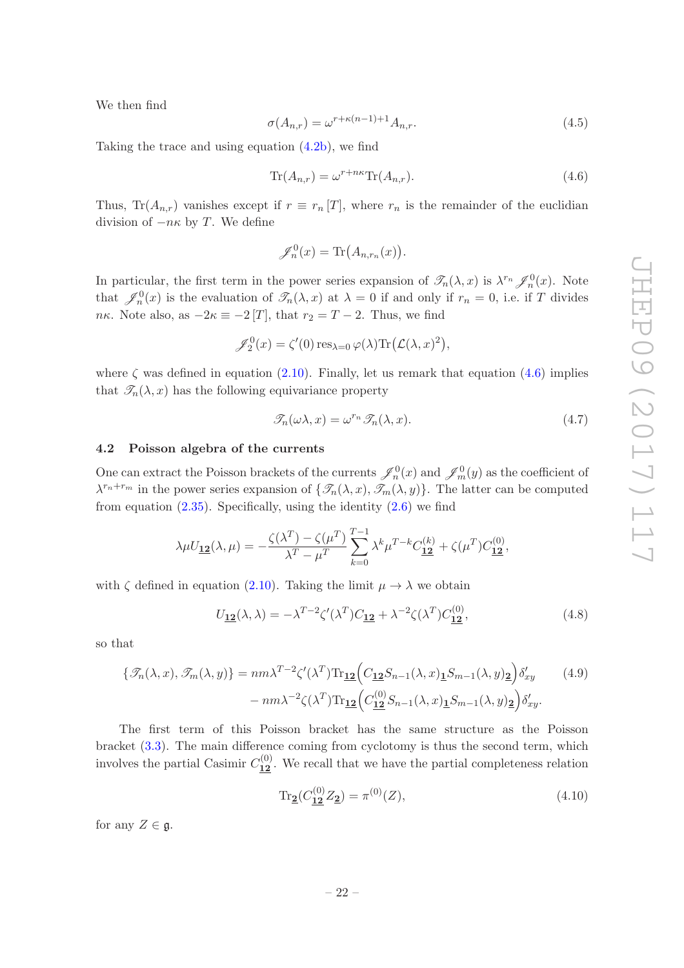We then find

<span id="page-24-3"></span>
$$
\sigma(A_{n,r}) = \omega^{r+\kappa(n-1)+1} A_{n,r}.\tag{4.5}
$$

Taking the trace and using equation [\(4.2b\)](#page-23-2), we find

<span id="page-24-1"></span>
$$
\text{Tr}(A_{n,r}) = \omega^{r+n\kappa} \text{Tr}(A_{n,r}).\tag{4.6}
$$

Thus, Tr $(A_{n,r})$  vanishes except if  $r \equiv r_n[T]$ , where  $r_n$  is the remainder of the euclidian division of  $-n\kappa$  by T. We define

$$
\mathscr{J}_n^0(x) = \text{Tr}\big(A_{n,r_n}(x)\big).
$$

In particular, the first term in the power series expansion of  $\mathcal{I}_n(\lambda,x)$  is  $\lambda^{r_n} \mathcal{J}_n^0(x)$ . Note that  $\mathscr{J}_n^0(x)$  is the evaluation of  $\mathscr{T}_n(\lambda, x)$  at  $\lambda = 0$  if and only if  $r_n = 0$ , i.e. if T divides  $n\kappa$ . Note also, as  $-2\kappa \equiv -2[T]$ , that  $r_2 = T - 2$ . Thus, we find

$$
\mathcal{J}_2^0(x) = \zeta'(0) \operatorname{res}_{\lambda=0} \varphi(\lambda) \operatorname{Tr}(\mathcal{L}(\lambda, x)^2),
$$

where  $\zeta$  was defined in equation [\(2.10\)](#page-10-3). Finally, let us remark that equation [\(4.6\)](#page-24-1) implies that  $\mathcal{T}_n(\lambda, x)$  has the following equivariance property

<span id="page-24-5"></span>
$$
\mathcal{F}_n(\omega \lambda, x) = \omega^{r_n} \mathcal{F}_n(\lambda, x). \tag{4.7}
$$

#### <span id="page-24-0"></span>4.2 Poisson algebra of the currents

One can extract the Poisson brackets of the currents  $\mathscr{J}_n^0(x)$  and  $\mathscr{J}_m^0(y)$  as the coefficient of  $\lambda^{r_n+r_m}$  in the power series expansion of  $\{\mathcal{T}_n(\lambda,x), \mathcal{T}_m(\lambda,y)\}$ . The latter can be computed from equation  $(2.35)$ . Specifically, using the identity  $(2.6)$  we find

$$
\lambda \mu U_{\mathbf{12}}(\lambda, \mu) = -\frac{\zeta(\lambda^T) - \zeta(\mu^T)}{\lambda^T - \mu^T} \sum_{k=0}^{T-1} \lambda^k \mu^{T-k} C_{\mathbf{12}}^{(k)} + \zeta(\mu^T) C_{\mathbf{12}}^{(0)},
$$

with  $\zeta$  defined in equation [\(2.10\)](#page-10-3). Taking the limit  $\mu \to \lambda$  we obtain

<span id="page-24-6"></span>
$$
U_{\mathbf{12}}(\lambda,\lambda) = -\lambda^{T-2} \zeta'(\lambda^T) C_{\mathbf{12}} + \lambda^{-2} \zeta(\lambda^T) C_{\mathbf{12}}^{(0)},\tag{4.8}
$$

so that

$$
\begin{aligned}\n\{\mathcal{I}_n(\lambda, x), \mathcal{I}_m(\lambda, y)\} &= n m \lambda^{T-2} \zeta'(\lambda^T) \text{Tr}_{\mathbf{12}} \Big( C_{\mathbf{12}} S_{n-1}(\lambda, x) \mathbf{1} S_{m-1}(\lambda, y) \mathbf{2} \Big) \delta'_{xy} \\
&- n m \lambda^{-2} \zeta(\lambda^T) \text{Tr}_{\mathbf{12}} \Big( C_{\mathbf{12}}^{(0)} S_{n-1}(\lambda, x) \mathbf{1} S_{m-1}(\lambda, y) \mathbf{2} \Big) \delta'_{xy}.\n\end{aligned} \tag{4.9}
$$

The first term of this Poisson bracket has the same structure as the Poisson bracket [\(3.3\)](#page-17-2). The main difference coming from cyclotomy is thus the second term, which involves the partial Casimir  $C_{12}^{(0)}$ . We recall that we have the partial completeness relation

<span id="page-24-4"></span><span id="page-24-2"></span>
$$
\operatorname{Tr}_{\mathbf{\underline{2}}}(C_{\mathbf{\underline{12}}}^{(0)}Z_{\mathbf{\underline{2}}}) = \pi^{(0)}(Z),\tag{4.10}
$$

for any  $Z \in \mathfrak{g}$ .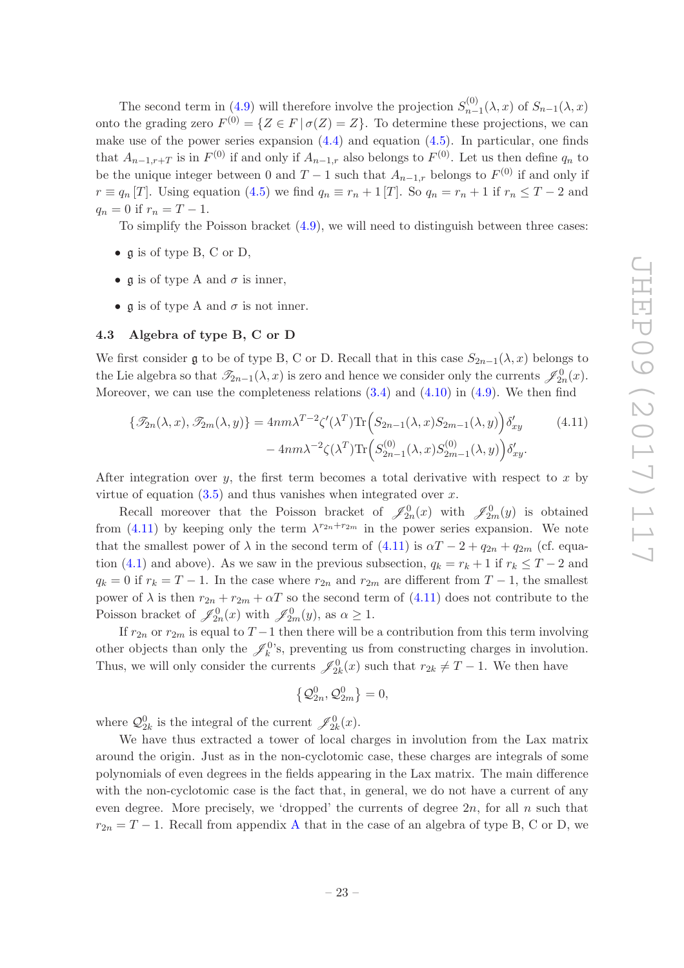The second term in [\(4.9\)](#page-24-2) will therefore involve the projection  $S_{n-}^{(0)}$  $S_{n-1}(\lambda, x)$  of  $S_{n-1}(\lambda, x)$ onto the grading zero  $F^{(0)} = \{ Z \in F \mid \sigma(Z) = Z \}.$  To determine these projections, we can make use of the power series expansion  $(4.4)$  and equation  $(4.5)$ . In particular, one finds that  $A_{n-1,r+T}$  is in  $F^{(0)}$  if and only if  $A_{n-1,r}$  also belongs to  $F^{(0)}$ . Let us then define  $q_n$  to be the unique integer between 0 and  $T-1$  such that  $A_{n-1,r}$  belongs to  $F^{(0)}$  if and only if  $r \equiv q_n[T]$ . Using equation [\(4.5\)](#page-24-3) we find  $q_n \equiv r_n + 1[T]$ . So  $q_n = r_n + 1$  if  $r_n \leq T - 2$  and  $q_n = 0$  if  $r_n = T - 1$ .

To simplify the Poisson bracket  $(4.9)$ , we will need to distinguish between three cases:

- g is of type B, C or D,
- g is of type A and  $\sigma$  is inner,
- g is of type A and  $\sigma$  is not inner.

#### <span id="page-25-0"></span>4.3 Algebra of type B, C or D

We first consider  $\mathfrak g$  to be of type B, C or D. Recall that in this case  $S_{2n-1}(\lambda, x)$  belongs to the Lie algebra so that  $\mathcal{I}_{2n-1}(\lambda,x)$  is zero and hence we consider only the currents  $\mathcal{J}_{2n}^{0}(x)$ . Moreover, we can use the completeness relations  $(3.4)$  and  $(4.10)$  in  $(4.9)$ . We then find

$$
\begin{aligned} \{\mathcal{I}_{2n}(\lambda,x),\mathcal{I}_{2m}(\lambda,y)\} &= 4nm\lambda^{T-2}\zeta'(\lambda^T)\text{Tr}\Big(S_{2n-1}(\lambda,x)S_{2m-1}(\lambda,y)\Big)\delta'_{xy} \\ &- 4nm\lambda^{-2}\zeta(\lambda^T)\text{Tr}\Big(S_{2n-1}^{(0)}(\lambda,x)S_{2m-1}^{(0)}(\lambda,y)\Big)\delta'_{xy}.\end{aligned} \tag{4.11}
$$

After integration over  $y$ , the first term becomes a total derivative with respect to  $x$  by virtue of equation  $(3.5)$  and thus vanishes when integrated over x.

Recall moreover that the Poisson bracket of  $\mathscr{J}_{2n}^{0}(x)$  with  $\mathscr{J}_{2m}^{0}(y)$  is obtained from [\(4.11\)](#page-25-1) by keeping only the term  $\lambda^{r_{2n}+r_{2m}}$  in the power series expansion. We note that the smallest power of  $\lambda$  in the second term of  $(4.11)$  is  $\alpha T - 2 + q_{2n} + q_{2m}$  (cf. equa-tion [\(4.1\)](#page-23-4) and above). As we saw in the previous subsection,  $q_k = r_k + 1$  if  $r_k \leq T - 2$  and  $q_k = 0$  if  $r_k = T - 1$ . In the case where  $r_{2n}$  and  $r_{2m}$  are different from  $T - 1$ , the smallest power of  $\lambda$  is then  $r_{2n} + r_{2m} + \alpha T$  so the second term of  $(4.11)$  does not contribute to the Poisson bracket of  $\mathcal{J}_{2n}^0(x)$  with  $\mathcal{J}_{2m}^0(y)$ , as  $\alpha \geq 1$ .

If  $r_{2n}$  or  $r_{2m}$  is equal to  $T-1$  then there will be a contribution from this term involving other objects than only the  $\mathscr{J}_k^{0}$ 's, preventing us from constructing charges in involution. Thus, we will only consider the currents  $\mathscr{J}_{2k}^{0}(x)$  such that  $r_{2k} \neq T-1$ . We then have

<span id="page-25-1"></span>
$$
\left\{ \mathcal{Q}_{2n}^{0},\mathcal{Q}_{2m}^{0}\right\} =0,
$$

where  $\mathcal{Q}_{2k}^0$  is the integral of the current  $\mathscr{J}_{2k}^0(x)$ .

We have thus extracted a tower of local charges in involution from the Lax matrix around the origin. Just as in the non-cyclotomic case, these charges are integrals of some polynomials of even degrees in the fields appearing in the Lax matrix. The main difference with the non-cyclotomic case is the fact that, in general, we do not have a current of any even degree. More precisely, we 'dropped' the currents of degree  $2n$ , for all  $n$  such that  $r_{2n} = T - 1$ . Recall from appendix [A](#page-55-0) that in the case of an algebra of type B, C or D, we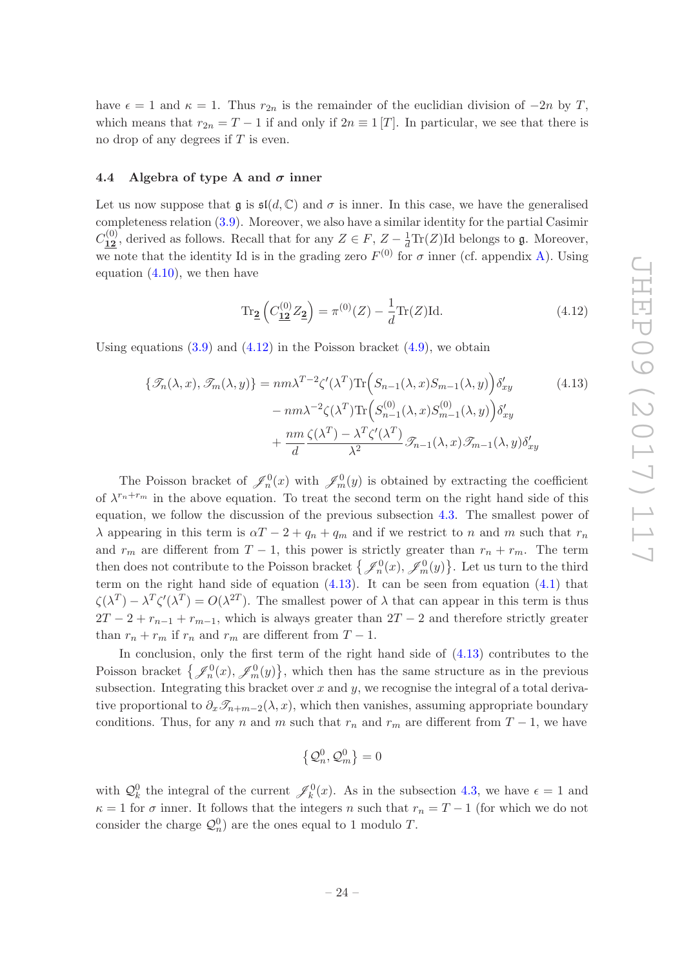have  $\epsilon = 1$  and  $\kappa = 1$ . Thus  $r_{2n}$  is the remainder of the euclidian division of  $-2n$  by T, which means that  $r_{2n} = T - 1$  if and only if  $2n \equiv 1$  [T]. In particular, we see that there is no drop of any degrees if  $T$  is even.

# <span id="page-26-0"></span>4.4 Algebra of type A and  $\sigma$  inner

Let us now suppose that  $\mathfrak g$  is  $\mathfrak{sl}(d,\mathbb C)$  and  $\sigma$  is inner. In this case, we have the generalised completeness relation [\(3.9\)](#page-19-4). Moreover, we also have a similar identity for the partial Casimir  $C_{\mathbf{12}}^{(0)}$ , derived as follows. Recall that for any  $Z \in F$ ,  $Z - \frac{1}{d} \text{Tr}(Z)$ Id belongs to  $\mathfrak{g}$ . Moreover, we note that the identity Id is in the grading zero  $F^{(0)}$  for  $\sigma$  inner (cf. appendix [A\)](#page-55-0). Using equation  $(4.10)$ , we then have

<span id="page-26-2"></span><span id="page-26-1"></span>
$$
\operatorname{Tr}_{\mathbf{2}}\left(C_{\mathbf{12}}^{(0)}Z_{\mathbf{2}}\right) = \pi^{(0)}(Z) - \frac{1}{d}\operatorname{Tr}(Z)\operatorname{Id}.\tag{4.12}
$$

Using equations  $(3.9)$  and  $(4.12)$  in the Poisson bracket  $(4.9)$ , we obtain

$$
\{\mathcal{F}_n(\lambda, x), \mathcal{F}_m(\lambda, y)\} = nm\lambda^{T-2} \zeta'(\lambda^T) \text{Tr}\Big(S_{n-1}(\lambda, x)S_{m-1}(\lambda, y)\Big) \delta'_{xy}
$$
\n
$$
- nm\lambda^{-2} \zeta(\lambda^T) \text{Tr}\Big(S_{n-1}^{(0)}(\lambda, x)S_{m-1}^{(0)}(\lambda, y)\Big) \delta'_{xy}
$$
\n
$$
+ \frac{nm}{d} \frac{\zeta(\lambda^T) - \lambda^T \zeta'(\lambda^T)}{\lambda^2} \mathcal{F}_{n-1}(\lambda, x) \mathcal{F}_{m-1}(\lambda, y) \delta'_{xy}
$$
\n(4.13)

The Poisson bracket of  $\mathscr{J}_n^0(x)$  with  $\mathscr{J}_m^0(y)$  is obtained by extracting the coefficient of  $\lambda^{r_n+r_m}$  in the above equation. To treat the second term on the right hand side of this equation, we follow the discussion of the previous subsection [4.3.](#page-25-0) The smallest power of  $\lambda$  appearing in this term is  $\alpha T - 2 + q_n + q_m$  and if we restrict to n and m such that  $r_n$ and  $r_m$  are different from  $T-1$ , this power is strictly greater than  $r_n + r_m$ . The term then does not contribute to the Poisson bracket  $\{\mathscr{J}_n^0(x), \mathscr{J}_m^0(y)\}$ . Let us turn to the third term on the right hand side of equation  $(4.13)$ . It can be seen from equation  $(4.1)$  that  $\zeta(\lambda^T) - \lambda^T \zeta'(\lambda^T) = O(\lambda^{2T}).$  The smallest power of  $\lambda$  that can appear in this term is thus  $2T-2+r_{n-1}+r_{m-1}$ , which is always greater than  $2T-2$  and therefore strictly greater than  $r_n + r_m$  if  $r_n$  and  $r_m$  are different from  $T - 1$ .

In conclusion, only the first term of the right hand side of  $(4.13)$  contributes to the Poisson bracket  $\{\mathcal{J}_n^0(x), \mathcal{J}_m^0(y)\}\$ , which then has the same structure as in the previous subsection. Integrating this bracket over  $x$  and  $y$ , we recognise the integral of a total derivative proportional to  $\partial_x \mathcal{I}_{n+m-2}(\lambda, x)$ , which then vanishes, assuming appropriate boundary conditions. Thus, for any n and m such that  $r_n$  and  $r_m$  are different from  $T-1$ , we have

$$
\left\{\mathcal{Q}_n^0, \mathcal{Q}_m^0\right\}=0
$$

with  $\mathcal{Q}_k^0$  the integral of the current  $\mathscr{J}_k^0(x)$ . As in the subsection [4.3,](#page-25-0) we have  $\epsilon = 1$  and  $\kappa = 1$  for  $\sigma$  inner. It follows that the integers n such that  $r_n = T - 1$  (for which we do not consider the charge  $\mathcal{Q}_n^0$  are the ones equal to 1 modulo T.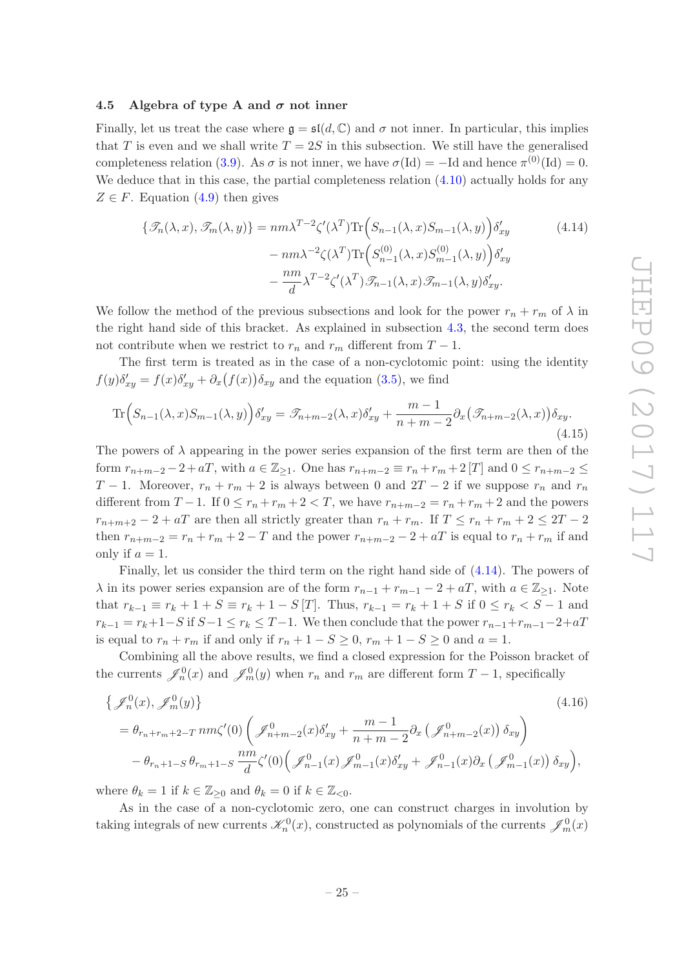# <span id="page-27-0"></span>4.5 Algebra of type A and  $\sigma$  not inner

Finally, let us treat the case where  $\mathfrak{g} = \mathfrak{sl}(d, \mathbb{C})$  and  $\sigma$  not inner. In particular, this implies that T is even and we shall write  $T = 2S$  in this subsection. We still have the generalised completeness relation [\(3.9\)](#page-19-4). As  $\sigma$  is not inner, we have  $\sigma(\text{Id}) = -\text{Id}$  and hence  $\pi^{(0)}(\text{Id}) = 0$ . We deduce that in this case, the partial completeness relation  $(4.10)$  actually holds for any  $Z \in F$ . Equation [\(4.9\)](#page-24-2) then gives

<span id="page-27-1"></span>
$$
\{\mathcal{F}_n(\lambda, x), \mathcal{F}_m(\lambda, y)\} = nm\lambda^{T-2} \zeta'(\lambda^T) \text{Tr}\Big(S_{n-1}(\lambda, x)S_{m-1}(\lambda, y)\Big) \delta'_{xy}
$$
\n
$$
- nm\lambda^{-2} \zeta(\lambda^T) \text{Tr}\Big(S_{n-1}^{(0)}(\lambda, x)S_{m-1}^{(0)}(\lambda, y)\Big) \delta'_{xy}
$$
\n
$$
- \frac{nm}{d} \lambda^{T-2} \zeta'(\lambda^T) \mathcal{F}_{n-1}(\lambda, x) \mathcal{F}_{m-1}(\lambda, y) \delta'_{xy}.
$$
\n(4.14)

We follow the method of the previous subsections and look for the power  $r_n + r_m$  of  $\lambda$  in the right hand side of this bracket. As explained in subsection [4.3,](#page-25-0) the second term does not contribute when we restrict to  $r_n$  and  $r_m$  different from  $T-1$ .

The first term is treated as in the case of a non-cyclotomic point: using the identity  $f(y)\delta'_{xy} = f(x)\delta'_{xy} + \partial_x(f(x))\delta_{xy}$  and the equation [\(3.5\)](#page-18-0), we find

<span id="page-27-3"></span>
$$
\operatorname{Tr}\Big(S_{n-1}(\lambda,x)S_{m-1}(\lambda,y)\Big)\delta'_{xy} = \mathcal{I}_{n+m-2}(\lambda,x)\delta'_{xy} + \frac{m-1}{n+m-2}\partial_x(\mathcal{I}_{n+m-2}(\lambda,x))\delta_{xy}.
$$
\n(4.15)

The powers of  $\lambda$  appearing in the power series expansion of the first term are then of the form  $r_{n+m-2}-2+aT$ , with  $a \in \mathbb{Z}_{\geq 1}$ . One has  $r_{n+m-2} \equiv r_n + r_m + 2[T]$  and  $0 \leq r_{n+m-2} \leq$ T – 1. Moreover,  $r_n + r_m + 2$  is always between 0 and  $2T - 2$  if we suppose  $r_n$  and  $r_n$ different from  $T-1$ . If  $0 \le r_n + r_m + 2 < T$ , we have  $r_{n+m-2} = r_n + r_m + 2$  and the powers  $r_{n+m+2}-2+aT$  are then all strictly greater than  $r_n+r_m$ . If  $T \le r_n+r_m+2 \le 2T-2$ then  $r_{n+m-2} = r_n + r_m + 2 - T$  and the power  $r_{n+m-2} - 2 + aT$  is equal to  $r_n + r_m$  if and only if  $a=1$ .

Finally, let us consider the third term on the right hand side of [\(4.14\)](#page-27-1). The powers of  $\lambda$  in its power series expansion are of the form  $r_{n-1} + r_{m-1} - 2 + aT$ , with  $a \in \mathbb{Z}_{\geq 1}$ . Note that  $r_{k-1} \equiv r_k + 1 + S \equiv r_k + 1 - S[T]$ . Thus,  $r_{k-1} = r_k + 1 + S$  if  $0 \le r_k < S - 1$  and  $r_{k-1} = r_k + 1 - S$  if  $S - 1 \le r_k \le T - 1$ . We then conclude that the power  $r_{n-1} + r_{m-1} - 2 + aT$ is equal to  $r_n + r_m$  if and only if  $r_n + 1 - S \geq 0$ ,  $r_m + 1 - S \geq 0$  and  $a = 1$ .

Combining all the above results, we find a closed expression for the Poisson bracket of the currents  $\mathscr{J}_n^0(x)$  and  $\mathscr{J}_m^0(y)$  when  $r_n$  and  $r_m$  are different form  $T-1$ , specifically

<span id="page-27-2"></span>
$$
\{\mathcal{J}_{n}^{0}(x), \mathcal{J}_{m}^{0}(y)\}\
$$
\n
$$
= \theta_{r_{n}+r_{m}+2-T} n m \zeta'(0) \left(\mathcal{J}_{n+m-2}^{0}(x)\delta_{xy}' + \frac{m-1}{n+m-2} \partial_{x}\left(\mathcal{J}_{n+m-2}^{0}(x)\right) \delta_{xy}\right)
$$
\n
$$
- \theta_{r_{n}+1-S} \theta_{r_{m}+1-S} \frac{n m}{d} \zeta'(0) \left(\mathcal{J}_{n-1}^{0}(x)\mathcal{J}_{m-1}^{0}(x)\delta_{xy}' + \mathcal{J}_{n-1}^{0}(x)\partial_{x}\left(\mathcal{J}_{m-1}^{0}(x)\right) \delta_{xy}\right),
$$
\n(4.16)

where  $\theta_k = 1$  if  $k \in \mathbb{Z}_{\geq 0}$  and  $\theta_k = 0$  if  $k \in \mathbb{Z}_{\leq 0}$ .

As in the case of a non-cyclotomic zero, one can construct charges in involution by taking integrals of new currents  $\mathscr{K}_n^0(x)$ , constructed as polynomials of the currents  $\mathscr{J}_m^0(x)$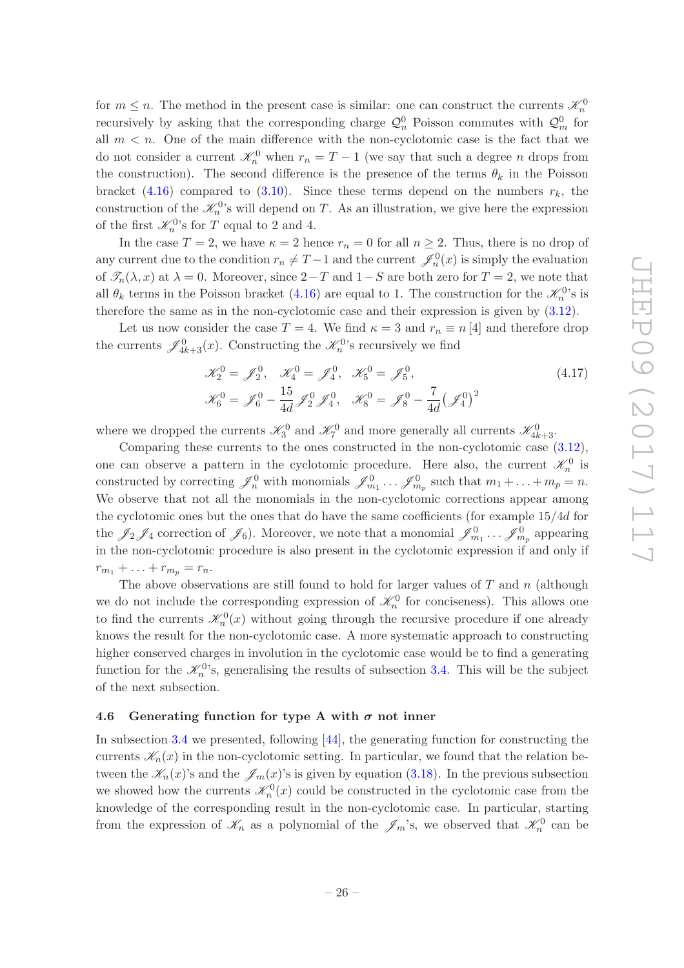for  $m \leq n$ . The method in the present case is similar: one can construct the currents  $\mathscr{K}_n^0$ recursively by asking that the corresponding charge  $\mathcal{Q}_n^0$  Poisson commutes with  $\mathcal{Q}_m^0$  for all  $m < n$ . One of the main difference with the non-cyclotomic case is the fact that we do not consider a current  $\mathcal{K}_n^0$  when  $r_n = T - 1$  (we say that such a degree n drops from the construction). The second difference is the presence of the terms  $\theta_k$  in the Poisson bracket [\(4.16\)](#page-27-2) compared to [\(3.10\)](#page-19-1). Since these terms depend on the numbers  $r_k$ , the construction of the  $\mathcal{K}_n^{0}$ 's will depend on T. As an illustration, we give here the expression of the first  $\mathscr{K}_n^{0}$ 's for T equal to 2 and 4.

In the case  $T = 2$ , we have  $\kappa = 2$  hence  $r_n = 0$  for all  $n \ge 2$ . Thus, there is no drop of any current due to the condition  $r_n \neq T-1$  and the current  $\mathscr{J}_n^0(x)$  is simply the evaluation of  $\mathcal{I}_n(\lambda, x)$  at  $\lambda = 0$ . Moreover, since  $2 - T$  and  $1 - S$  are both zero for  $T = 2$ , we note that all  $\theta_k$  terms in the Poisson bracket [\(4.16\)](#page-27-2) are equal to 1. The construction for the  $\mathcal{K}_n^{0}$ 's is therefore the same as in the non-cyclotomic case and their expression is given by [\(3.12\)](#page-19-2).

Let us now consider the case  $T = 4$ . We find  $\kappa = 3$  and  $r_n \equiv n[4]$  and therefore drop the currents  $\mathscr{J}_{4k+3}^{0}(x)$ . Constructing the  $\mathscr{K}_{n}^{0}$ 's recursively we find

$$
\mathcal{K}_2^0 = \mathcal{J}_2^0, \quad \mathcal{K}_4^0 = \mathcal{J}_4^0, \quad \mathcal{K}_5^0 = \mathcal{J}_5^0,
$$
  

$$
\mathcal{K}_6^0 = \mathcal{J}_6^0 - \frac{15}{4d} \mathcal{J}_2^0 \mathcal{J}_4^0, \quad \mathcal{K}_8^0 = \mathcal{J}_8^0 - \frac{7}{4d} (\mathcal{J}_4^0)^2
$$
 (4.17)

where we dropped the currents  $\mathcal{K}_3^0$  and  $\mathcal{K}_7^0$  and more generally all currents  $\mathcal{K}_{4k+3}^0$ .

Comparing these currents to the ones constructed in the non-cyclotomic case [\(3.12\)](#page-19-2), one can observe a pattern in the cyclotomic procedure. Here also, the current  $\mathcal{K}_n^0$  is constructed by correcting  $\mathscr{J}_n^0$  with monomials  $\mathscr{J}_{m_1}^0 \cdots \mathscr{J}_{m_p}^0$  such that  $m_1 + \ldots + m_p = n$ . We observe that not all the monomials in the non-cyclotomic corrections appear among the cyclotomic ones but the ones that do have the same coefficients (for example  $15/4d$  for the  $\mathscr{J}_2 \mathscr{J}_4$  correction of  $\mathscr{J}_6$ ). Moreover, we note that a monomial  $\mathscr{J}_{m_1}^0 \dots \mathscr{J}_{m_p}^0$  appearing in the non-cyclotomic procedure is also present in the cyclotomic expression if and only if  $r_{m_1} + \ldots + r_{m_p} = r_n.$ 

The above observations are still found to hold for larger values of T and n (although we do not include the corresponding expression of  $\mathcal{K}_n^0$  for conciseness). This allows one to find the currents  $\mathscr{K}_n^0(x)$  without going through the recursive procedure if one already knows the result for the non-cyclotomic case. A more systematic approach to constructing higher conserved charges in involution in the cyclotomic case would be to find a generating function for the  $\mathcal{K}_n^{0}$ 's, generalising the results of subsection [3.4.](#page-20-0) This will be the subject of the next subsection.

# <span id="page-28-0"></span>4.6 Generating function for type A with  $\sigma$  not inner

In subsection [3.4](#page-20-0) we presented, following [\[44](#page-63-4)], the generating function for constructing the currents  $\mathscr{K}_n(x)$  in the non-cyclotomic setting. In particular, we found that the relation between the  $\mathscr{K}_n(x)$ 's and the  $\mathscr{J}_m(x)$ 's is given by equation [\(3.18\)](#page-21-0). In the previous subsection we showed how the currents  $\mathcal{K}_n^0(x)$  could be constructed in the cyclotomic case from the knowledge of the corresponding result in the non-cyclotomic case. In particular, starting from the expression of  $\mathcal{K}_n$  as a polynomial of the  $\mathcal{J}_m$ 's, we observed that  $\mathcal{K}_n^0$  can be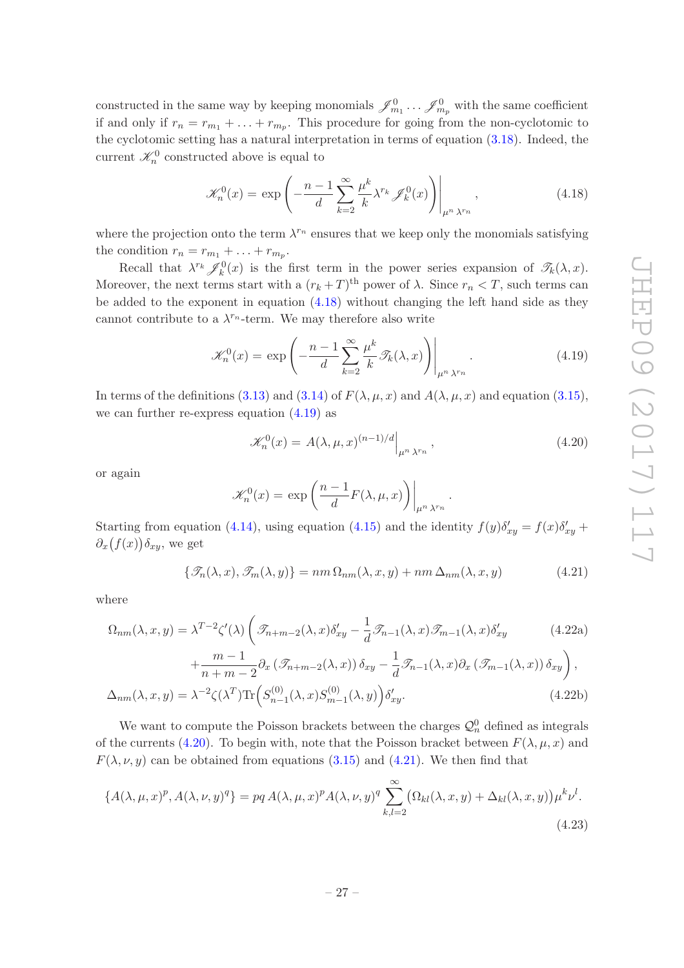constructed in the same way by keeping monomials  $\mathscr{J}_{m_1}^0 \cdots \mathscr{J}_{m_p}^0$  with the same coefficient if and only if  $r_n = r_{m_1} + \ldots + r_{m_p}$ . This procedure for going from the non-cyclotomic to the cyclotomic setting has a natural interpretation in terms of equation [\(3.18\)](#page-21-0). Indeed, the current  $\mathcal{K}_n^0$  constructed above is equal to

<span id="page-29-0"></span>
$$
\mathcal{K}_n^0(x) = \exp\left(-\frac{n-1}{d}\sum_{k=2}^\infty \frac{\mu^k}{k} \lambda^{r_k} \mathcal{J}_k^0(x)\right)\Big|_{\mu^n \lambda^{r_n}},\tag{4.18}
$$

where the projection onto the term  $\lambda^{r_n}$  ensures that we keep only the monomials satisfying the condition  $r_n = r_{m_1} + \ldots + r_{m_p}$ .

Recall that  $\lambda^{r_k} \mathcal{J}_k^0(x)$  is the first term in the power series expansion of  $\mathcal{F}_k(\lambda, x)$ . Moreover, the next terms start with a  $(r_k+T)$ <sup>th</sup> power of  $\lambda$ . Since  $r_n < T$ , such terms can be added to the exponent in equation [\(4.18\)](#page-29-0) without changing the left hand side as they cannot contribute to a  $\lambda^{r_n}$ -term. We may therefore also write

<span id="page-29-1"></span>
$$
\mathcal{K}_n^0(x) = \exp\left(-\frac{n-1}{d}\sum_{k=2}^\infty \frac{\mu^k}{k} \mathcal{F}_k(\lambda, x)\right)\Big|_{\mu^n \lambda^{r_n}}.\tag{4.19}
$$

In terms of the definitions [\(3.13\)](#page-20-1) and [\(3.14\)](#page-20-3) of  $F(\lambda, \mu, x)$  and  $A(\lambda, \mu, x)$  and equation [\(3.15\)](#page-20-4), we can further re-express equation  $(4.19)$  as

<span id="page-29-2"></span>
$$
\mathscr{K}_n^0(x) = A(\lambda, \mu, x)^{(n-1)/d} \Big|_{\mu^n \lambda^{r_n}}, \tag{4.20}
$$

<span id="page-29-5"></span>.

or again

$$
\mathscr{K}_n^0(x) = \exp\left(\frac{n-1}{d}F(\lambda,\mu,x)\right)\bigg|_{\mu^n \lambda^{r_n}}
$$

Starting from equation [\(4.14\)](#page-27-1), using equation [\(4.15\)](#page-27-3) and the identity  $f(y)\delta'_{xy} = f(x)\delta'_{xy} +$  $\partial_x(f(x))\delta_{xy}$ , we get

<span id="page-29-3"></span>
$$
\{\mathcal{I}_n(\lambda, x), \mathcal{I}_m(\lambda, y)\} = nm \,\Omega_{nm}(\lambda, x, y) + nm \,\Delta_{nm}(\lambda, x, y) \tag{4.21}
$$

where

$$
\Omega_{nm}(\lambda, x, y) = \lambda^{T-2} \zeta'(\lambda) \left( \mathcal{F}_{n+m-2}(\lambda, x) \delta'_{xy} - \frac{1}{d} \mathcal{F}_{n-1}(\lambda, x) \mathcal{F}_{m-1}(\lambda, x) \delta'_{xy} \right)
$$
\n
$$
+ \frac{m-1}{m+m-2} \partial_x \left( \mathcal{F}_{n+m-2}(\lambda, x) \right) \delta_{xy} - \frac{1}{d} \mathcal{F}_{n-1}(\lambda, x) \partial_x \left( \mathcal{F}_{m-1}(\lambda, x) \right) \delta_{xy} \right),
$$
\n(4.22a)

$$
n + m - 2^{C_x(C_n + m - 2\lambda, C_n, \omega)} d^{C_n - 1\lambda, \omega} \mathcal{L}^{C_n - 1\lambda, \omega} \mathcal{L}^{C_n - 1\lambda, \omega}.
$$
  
\n
$$
\Delta_{nm}(\lambda, x, y) = \lambda^{-2} \zeta(\lambda^T) \text{Tr}\Big(S_{n-1}^{(0)}(\lambda, x) S_{m-1}^{(0)}(\lambda, y)\Big) \delta'_{xy}.
$$
\n(4.22b)

We want to compute the Poisson brackets between the charges  $\mathcal{Q}_n^0$  defined as integrals of the currents [\(4.20\)](#page-29-2). To begin with, note that the Poisson bracket between  $F(\lambda, \mu, x)$  and  $F(\lambda, \nu, y)$  can be obtained from equations [\(3.15\)](#page-20-4) and [\(4.21\)](#page-29-3). We then find that

<span id="page-29-4"></span>
$$
\{A(\lambda,\mu,x)^p, A(\lambda,\nu,y)^q\} = pq A(\lambda,\mu,x)^p A(\lambda,\nu,y)^q \sum_{k,l=2}^{\infty} \left(\Omega_{kl}(\lambda,x,y) + \Delta_{kl}(\lambda,x,y)\right) \mu^k \nu^l.
$$
\n(4.23)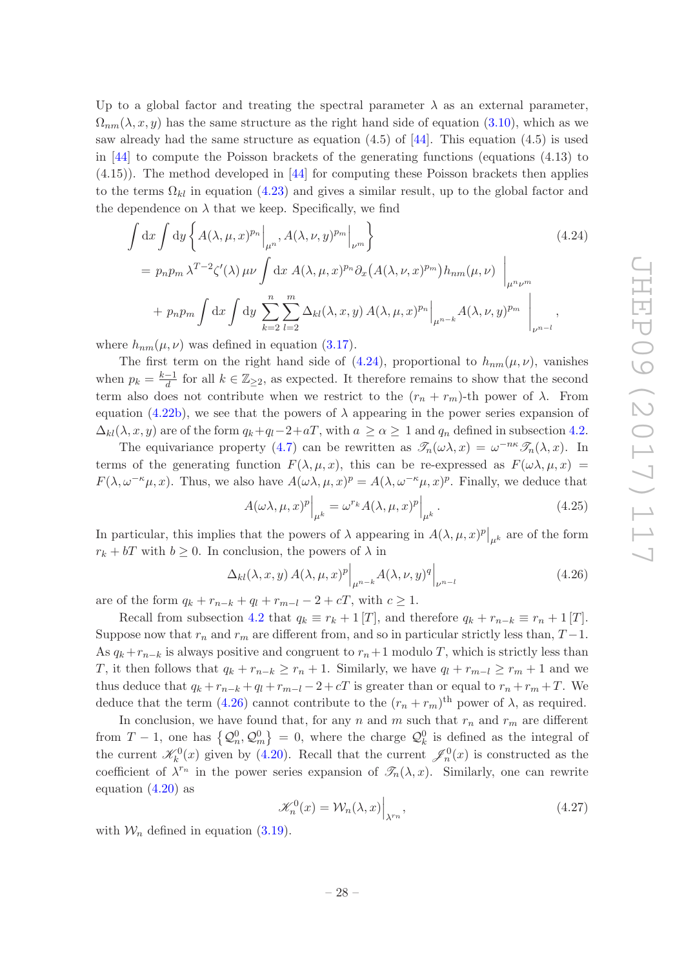Up to a global factor and treating the spectral parameter  $\lambda$  as an external parameter,  $\Omega_{nm}(\lambda, x, y)$  has the same structure as the right hand side of equation [\(3.10\)](#page-19-1), which as we saw already had the same structure as equation  $(4.5)$  of  $[44]$ . This equation  $(4.5)$  is used in [\[44\]](#page-63-4) to compute the Poisson brackets of the generating functions (equations (4.13) to (4.15)). The method developed in [\[44\]](#page-63-4) for computing these Poisson brackets then applies to the terms  $\Omega_{kl}$  in equation [\(4.23\)](#page-29-4) and gives a similar result, up to the global factor and the dependence on  $\lambda$  that we keep. Specifically, we find

$$
\int dx \int dy \left\{ A(\lambda, \mu, x)^{p_n} \Big|_{\mu^n}, A(\lambda, \nu, y)^{p_m} \Big|_{\nu^m} \right\}
$$
\n
$$
= p_n p_m \lambda^{T-2} \zeta'(\lambda) \mu \nu \int dx A(\lambda, \mu, x)^{p_n} \partial_x \left( A(\lambda, \nu, x)^{p_m} \right) h_{nm}(\mu, \nu) \Big|_{\mu^n \nu^m}
$$
\n
$$
+ p_n p_m \int dx \int dy \sum_{k=2}^n \sum_{l=2}^m \Delta_{kl}(\lambda, x, y) A(\lambda, \mu, x)^{p_n} \Big|_{\mu^{n-k}} A(\lambda, \nu, y)^{p_m} \Big|_{\nu^{n-l}},
$$
\n(4.24)

where  $h_{nm}(\mu, \nu)$  was defined in equation [\(3.17\)](#page-21-2).

The first term on the right hand side of  $(4.24)$ , proportional to  $h_{nm}(\mu, \nu)$ , vanishes when  $p_k = \frac{k-1}{d}$  $\frac{-1}{d}$  for all  $k \in \mathbb{Z}_{\geq 2}$ , as expected. It therefore remains to show that the second term also does not contribute when we restrict to the  $(r_n + r_m)$ -th power of  $\lambda$ . From equation [\(4.22b\)](#page-29-5), we see that the powers of  $\lambda$  appearing in the power series expansion of  $\Delta_{kl}(\lambda, x, y)$  are of the form  $q_k + q_l - 2 + aT$ , with  $a \ge \alpha \ge 1$  and  $q_n$  defined in subsection [4.2](#page-24-0).

The equivariance property [\(4.7\)](#page-24-5) can be rewritten as  $\mathscr{T}_n(\omega \lambda, x) = \omega^{-n\kappa} \mathscr{T}_n(\lambda, x)$ . In terms of the generating function  $F(\lambda, \mu, x)$ , this can be re-expressed as  $F(\omega \lambda, \mu, x) =$  $F(\lambda, \omega^{-\kappa}\mu, x)$ . Thus, we also have  $A(\omega\lambda, \mu, x)^p = A(\lambda, \omega^{-\kappa}\mu, x)^p$ . Finally, we deduce that

<span id="page-30-2"></span><span id="page-30-0"></span>
$$
A(\omega \lambda, \mu, x)^p \Big|_{\mu^k} = \omega^{r_k} A(\lambda, \mu, x)^p \Big|_{\mu^k}.
$$
 (4.25)

In particular, this implies that the powers of  $\lambda$  appearing in  $A(\lambda,\mu,x)^p|_{\mu^k}$  are of the form  $r_k + bT$  with  $b \ge 0$ . In conclusion, the powers of  $\lambda$  in

<span id="page-30-1"></span>
$$
\Delta_{kl}(\lambda, x, y) A(\lambda, \mu, x)^p \Big|_{\mu^{n-k}} A(\lambda, \nu, y)^q \Big|_{\nu^{n-l}} \tag{4.26}
$$

are of the form  $q_k + r_{n-k} + q_l + r_{m-l} - 2 + cT$ , with  $c \ge 1$ .

Recall from subsection [4.2](#page-24-0) that  $q_k \equiv r_k + 1$  [T], and therefore  $q_k + r_{n-k} \equiv r_n + 1$  [T]. Suppose now that  $r_n$  and  $r_m$  are different from, and so in particular strictly less than,  $T-1$ . As  $q_k + r_{n-k}$  is always positive and congruent to  $r_n + 1$  modulo T, which is strictly less than T, it then follows that  $q_k + r_{n-k} \ge r_n + 1$ . Similarly, we have  $q_l + r_{m-l} \ge r_m + 1$  and we thus deduce that  $q_k + r_{n-k} + q_l + r_{m-l} - 2 + cT$  is greater than or equal to  $r_n + r_m + T$ . We deduce that the term [\(4.26\)](#page-30-1) cannot contribute to the  $(r_n + r_m)$ <sup>th</sup> power of  $\lambda$ , as required.

In conclusion, we have found that, for any  $n$  and  $m$  such that  $r_n$  and  $r_m$  are different from  $T-1$ , one has  $\{Q_n^0, Q_m^0\} = 0$ , where the charge  $Q_k^0$  is defined as the integral of the current  $\mathscr{K}_k^0(x)$  given by [\(4.20\)](#page-29-2). Recall that the current  $\mathscr{J}_n^0(x)$  is constructed as the coefficient of  $\lambda^{r_n}$  in the power series expansion of  $\mathcal{T}_n(\lambda, x)$ . Similarly, one can rewrite equation  $(4.20)$  as

$$
\mathcal{K}_n^0(x) = \mathcal{W}_n(\lambda, x) \Big|_{\lambda^{r_n}},\tag{4.27}
$$

with  $\mathcal{W}_n$  defined in equation [\(3.19\)](#page-21-3).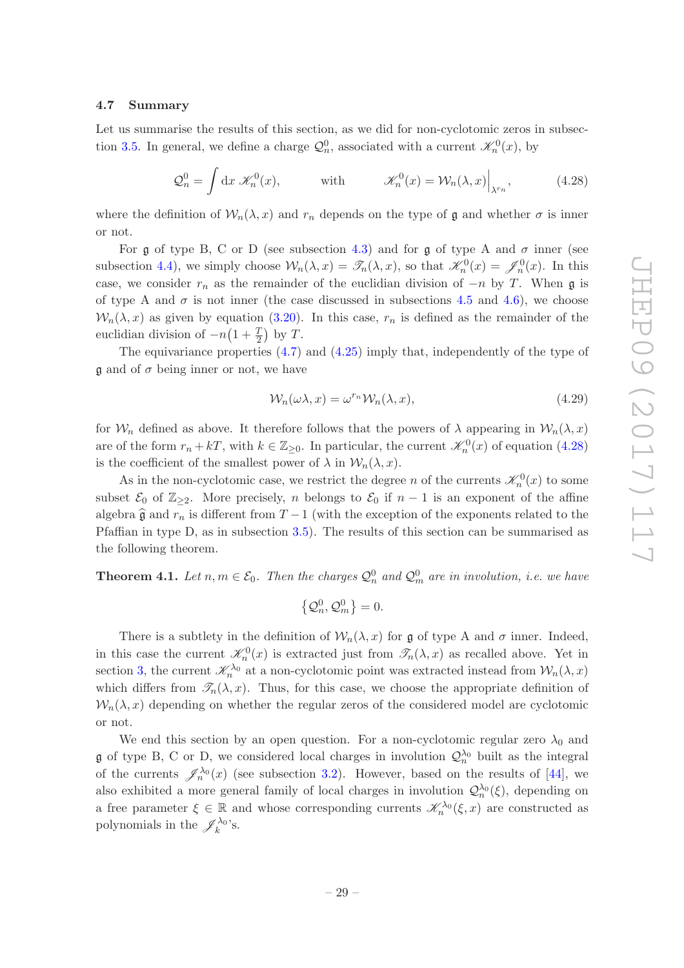#### <span id="page-31-0"></span>4.7 Summary

Let us summarise the results of this section, as we did for non-cyclotomic zeros in subsec-tion [3.5.](#page-22-0) In general, we define a charge  $\mathcal{Q}_n^0$ , associated with a current  $\mathscr{K}_n^0(x)$ , by

<span id="page-31-1"></span>
$$
\mathcal{Q}_n^0 = \int \mathrm{d}x \, \mathcal{K}_n^0(x), \qquad \text{with} \qquad \mathcal{K}_n^0(x) = \mathcal{W}_n(\lambda, x) \Big|_{\lambda^{r_n}}, \tag{4.28}
$$

where the definition of  $W_n(\lambda, x)$  and  $r_n$  depends on the type of  $\mathfrak g$  and whether  $\sigma$  is inner or not.

For  $\mathfrak g$  of type B, C or D (see subsection [4.3\)](#page-25-0) and for  $\mathfrak g$  of type A and  $\sigma$  inner (see subsection [4.4\)](#page-26-0), we simply choose  $\mathcal{W}_n(\lambda, x) = \mathcal{F}_n(\lambda, x)$ , so that  $\mathcal{K}_n^0(x) = \mathcal{J}_n^0(x)$ . In this case, we consider  $r_n$  as the remainder of the euclidian division of  $-n$  by T. When  $\mathfrak g$  is of type A and  $\sigma$  is not inner (the case discussed in subsections [4.5](#page-27-0) and [4.6\)](#page-28-0), we choose  $W_n(\lambda, x)$  as given by equation [\(3.20\)](#page-21-1). In this case,  $r_n$  is defined as the remainder of the euclidian division of  $-n(1+\frac{7}{2})$  $(\frac{T}{2})$  by T.

The equivariance properties [\(4.7\)](#page-24-5) and [\(4.25\)](#page-30-2) imply that, independently of the type of  $\mathfrak g$  and of  $\sigma$  being inner or not, we have

$$
\mathcal{W}_n(\omega \lambda, x) = \omega^{r_n} \mathcal{W}_n(\lambda, x), \tag{4.29}
$$

for  $\mathcal{W}_n$  defined as above. It therefore follows that the powers of  $\lambda$  appearing in  $\mathcal{W}_n(\lambda, x)$ are of the form  $r_n + kT$ , with  $k \in \mathbb{Z}_{\geq 0}$ . In particular, the current  $\mathscr{K}_n^0(x)$  of equation [\(4.28](#page-31-1)) is the coefficient of the smallest power of  $\lambda$  in  $\mathcal{W}_n(\lambda, x)$ .

As in the non-cyclotomic case, we restrict the degree n of the currents  $\mathscr{K}_n^0(x)$  to some subset  $\mathcal{E}_0$  of  $\mathbb{Z}_{\geq 2}$ . More precisely, *n* belongs to  $\mathcal{E}_0$  if  $n-1$  is an exponent of the affine algebra  $\hat{\mathfrak{g}}$  and  $r_n$  is different from  $T-1$  (with the exception of the exponents related to the Pfaffian in type D, as in subsection [3.5\)](#page-22-0). The results of this section can be summarised as the following theorem.

**Theorem 4.1.** Let  $n, m \in \mathcal{E}_0$ . Then the charges  $\mathcal{Q}_n^0$  and  $\mathcal{Q}_m^0$  are in involution, i.e. we have

$$
\left\{\mathcal{Q}_n^0,\mathcal{Q}_m^0\right\}=0.
$$

There is a subtlety in the definition of  $\mathcal{W}_n(\lambda, x)$  for g of type A and  $\sigma$  inner. Indeed, in this case the current  $\mathscr{K}_n^0(x)$  is extracted just from  $\mathscr{T}_n(\lambda,x)$  as recalled above. Yet in section [3,](#page-16-0) the current  $\mathscr{K}_n^{\lambda_0}$  at a non-cyclotomic point was extracted instead from  $\mathcal{W}_n(\lambda, x)$ which differs from  $\mathcal{T}_n(\lambda, x)$ . Thus, for this case, we choose the appropriate definition of  $\mathcal{W}_n(\lambda, x)$  depending on whether the regular zeros of the considered model are cyclotomic or not.

We end this section by an open question. For a non-cyclotomic regular zero  $\lambda_0$  and **g** of type B, C or D, we considered local charges in involution  $\mathcal{Q}_n^{\lambda_0}$  built as the integral of the currents  $\mathscr{J}_n^{\lambda_0}(x)$  (see subsection [3.2\)](#page-17-1). However, based on the results of [\[44](#page-63-4)], we also exhibited a more general family of local charges in involution  $\mathcal{Q}_n^{\lambda_0}(\xi)$ , depending on a free parameter  $\xi \in \mathbb{R}$  and whose corresponding currents  $\mathscr{K}_n^{\lambda_0}(\xi, x)$  are constructed as polynomials in the  $\mathscr{J}_k^{\lambda_0}$ 's.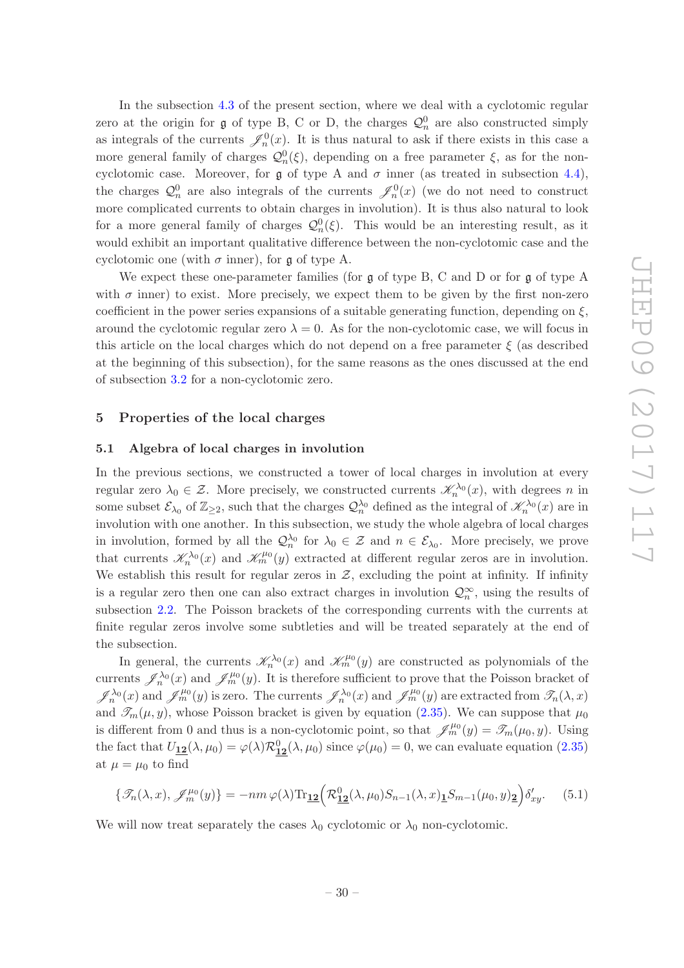In the subsection [4.3](#page-25-0) of the present section, where we deal with a cyclotomic regular zero at the origin for  $\mathfrak g$  of type B, C or D, the charges  $\mathcal Q_n^0$  are also constructed simply as integrals of the currents  $\mathscr{J}_n^0(x)$ . It is thus natural to ask if there exists in this case a more general family of charges  $\mathcal{Q}_n^0(\xi)$ , depending on a free parameter  $\xi$ , as for the noncyclotomic case. Moreover, for  $\mathfrak g$  of type A and  $\sigma$  inner (as treated in subsection [4.4\)](#page-26-0), the charges  $\mathcal{Q}_n^0$  are also integrals of the currents  $\mathscr{J}_n^0(x)$  (we do not need to construct more complicated currents to obtain charges in involution). It is thus also natural to look for a more general family of charges  $\mathcal{Q}_n^0(\xi)$ . This would be an interesting result, as it would exhibit an important qualitative difference between the non-cyclotomic case and the cyclotomic one (with  $\sigma$  inner), for  $\mathfrak g$  of type A.

We expect these one-parameter families (for  $\mathfrak g$  of type B, C and D or for  $\mathfrak g$  of type A with  $\sigma$  inner) to exist. More precisely, we expect them to be given by the first non-zero coefficient in the power series expansions of a suitable generating function, depending on  $\xi$ , around the cyclotomic regular zero  $\lambda = 0$ . As for the non-cyclotomic case, we will focus in this article on the local charges which do not depend on a free parameter  $\xi$  (as described at the beginning of this subsection), for the same reasons as the ones discussed at the end of subsection [3.2](#page-17-1) for a non-cyclotomic zero.

#### <span id="page-32-1"></span><span id="page-32-0"></span>5 Properties of the local charges

#### 5.1 Algebra of local charges in involution

In the previous sections, we constructed a tower of local charges in involution at every regular zero  $\lambda_0 \in \mathcal{Z}$ . More precisely, we constructed currents  $\mathscr{K}_n^{\lambda_0}(x)$ , with degrees n in some subset  $\mathcal{E}_{\lambda_0}$  of  $\mathbb{Z}_{\geq 2}$ , such that the charges  $\mathcal{Q}_n^{\lambda_0}$  defined as the integral of  $\mathscr{K}_n^{\lambda_0}(x)$  are in involution with one another. In this subsection, we study the whole algebra of local charges in involution, formed by all the  $\mathcal{Q}_n^{\lambda_0}$  for  $\lambda_0 \in \mathcal{Z}$  and  $n \in \mathcal{E}_{\lambda_0}$ . More precisely, we prove that currents  $\mathscr{K}_n^{\lambda_0}(x)$  and  $\mathscr{K}_m^{\mu_0}(y)$  extracted at different regular zeros are in involution. We establish this result for regular zeros in  $Z$ , excluding the point at infinity. If infinity is a regular zero then one can also extract charges in involution  $\mathcal{Q}_n^{\infty}$ , using the results of subsection [2.2.](#page-12-0) The Poisson brackets of the corresponding currents with the currents at finite regular zeros involve some subtleties and will be treated separately at the end of the subsection.

In general, the currents  $\mathscr{K}_n^{\lambda_0}(x)$  and  $\mathscr{K}_m^{\mu_0}(y)$  are constructed as polynomials of the currents  $\mathscr{J}^{\lambda_0}_n(x)$  and  $\mathscr{J}^{\mu_0}_m(y)$ . It is therefore sufficient to prove that the Poisson bracket of  $\mathscr{J}^{\lambda_0}_n(x)$  and  $\mathscr{J}^{\mu_0}_m(y)$  is zero. The currents  $\mathscr{J}^{\lambda_0}_n(x)$  and  $\mathscr{J}^{\mu_0}_m(y)$  are extracted from  $\mathscr{T}_n(\lambda,x)$ and  $\mathcal{T}_m(\mu, y)$ , whose Poisson bracket is given by equation  $(2.35)$ . We can suppose that  $\mu_0$ is different from 0 and thus is a non-cyclotomic point, so that  $\mathscr{J}_m^{\mu_0}(y) = \mathscr{T}_m(\mu_0, y)$ . Using the fact that  $U_{12}(\lambda, \mu_0) = \varphi(\lambda) \mathcal{R}_{12}^0(\lambda, \mu_0)$  since  $\varphi(\mu_0) = 0$ , we can evaluate equation  $(2.35)$ at  $\mu = \mu_0$  to find

<span id="page-32-2"></span>
$$
\{\mathcal{S}_n(\lambda, x), \mathcal{J}_m^{\mu_0}(y)\} = -nm\,\varphi(\lambda)\mathrm{Tr}_{\mathbf{12}}\Big(\mathcal{R}_{\mathbf{12}}^0(\lambda, \mu_0)S_{n-1}(\lambda, x) \mathbf{1}_{\mathbf{2}}S_{m-1}(\mu_0, y) \mathbf{2}\Big)\delta'_{xy}.\tag{5.1}
$$

We will now treat separately the cases  $\lambda_0$  cyclotomic or  $\lambda_0$  non-cyclotomic.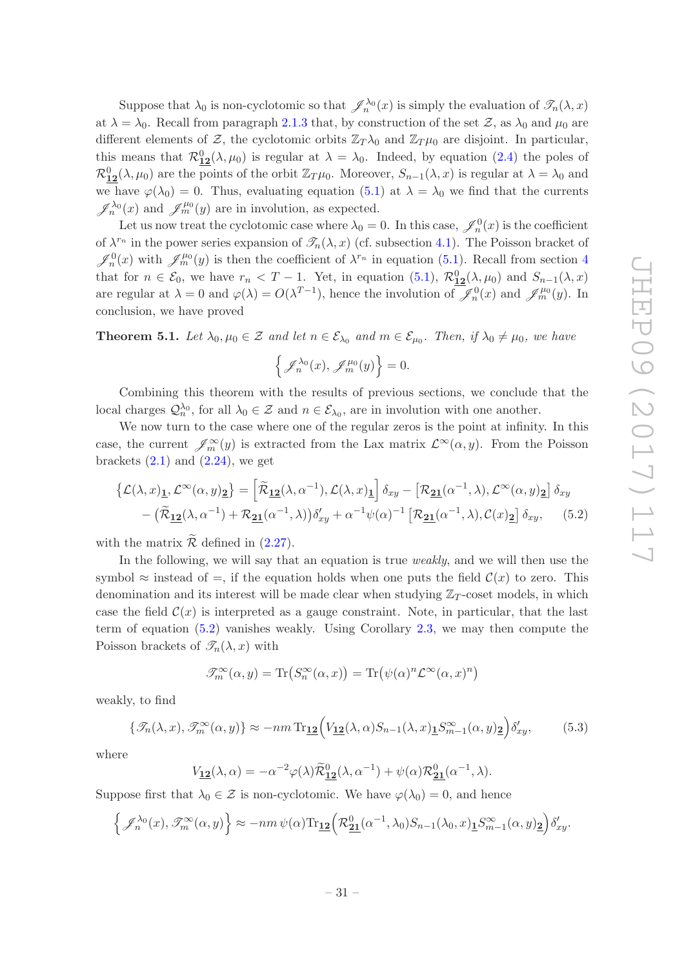Suppose that  $\lambda_0$  is non-cyclotomic so that  $\mathscr{J}_n^{\lambda_0}(x)$  is simply the evaluation of  $\mathscr{T}_n(\lambda, x)$ at  $\lambda = \lambda_0$ . Recall from paragraph [2.1.3](#page-9-0) that, by construction of the set Z, as  $\lambda_0$  and  $\mu_0$  are different elements of Z, the cyclotomic orbits  $\mathbb{Z}_T\lambda_0$  and  $\mathbb{Z}_T\mu_0$  are disjoint. In particular, this means that  $\mathcal{R}_{12}^0(\lambda, \mu_0)$  is regular at  $\lambda = \lambda_0$ . Indeed, by equation [\(2.4\)](#page-9-4) the poles of  $\mathcal{R}_{12}^0(\lambda,\mu_0)$  are the points of the orbit  $\mathbb{Z}_T\mu_0$ . Moreover,  $S_{n-1}(\lambda,x)$  is regular at  $\lambda=\lambda_0$  and we have  $\varphi(\lambda_0) = 0$ . Thus, evaluating equation  $(5.1)$  at  $\lambda = \lambda_0$  we find that the currents  $\mathscr{J}^{\lambda_0}_n(x)$  and  $\mathscr{J}^{\mu_0}_m(y)$  are in involution, as expected.

Let us now treat the cyclotomic case where  $\lambda_0 = 0$ . In this case,  $\mathscr{J}_n^0(x)$  is the coefficient of  $\lambda^{r_n}$  in the power series expansion of  $\mathcal{T}_n(\lambda, x)$  (cf. subsection [4.1\)](#page-23-0). The Poisson bracket of  $\mathscr{J}_n^0(x)$  with  $\mathscr{J}_m^{\mu_0}(y)$  is then the coefficient of  $\lambda^{r_n}$  in equation [\(5.1\)](#page-32-2). Recall from section [4](#page-22-1) that for  $n \in \mathcal{E}_0$ , we have  $r_n < T - 1$ . Yet, in equation [\(5.1\)](#page-32-2),  $\mathcal{R}_{12}^0(\lambda, \mu_0)$  and  $S_{n-1}(\lambda, x)$ are regular at  $\lambda = 0$  and  $\varphi(\lambda) = O(\lambda^{T-1})$ , hence the involution of  $\mathscr{J}_n^0(x)$  and  $\mathscr{J}_m^{\mu_0}(y)$ . In conclusion, we have proved

<span id="page-33-2"></span>**Theorem 5.1.** Let  $\lambda_0, \mu_0 \in \mathcal{Z}$  and let  $n \in \mathcal{E}_{\lambda_0}$  and  $m \in \mathcal{E}_{\mu_0}$ . Then, if  $\lambda_0 \neq \mu_0$ , we have

<span id="page-33-0"></span>
$$
\left\{\mathscr{J}_n^{\lambda_0}(x), \mathscr{J}_m^{\mu_0}(y)\right\} = 0.
$$

Combining this theorem with the results of previous sections, we conclude that the local charges  $\mathcal{Q}_n^{\lambda_0}$ , for all  $\lambda_0 \in \mathcal{Z}$  and  $n \in \mathcal{E}_{\lambda_0}$ , are in involution with one another.

We now turn to the case where one of the regular zeros is the point at infinity. In this case, the current  $\mathscr{J}_m^{\infty}(y)$  is extracted from the Lax matrix  $\mathcal{L}^{\infty}(\alpha, y)$ . From the Poisson brackets  $(2.1)$  and  $(2.24)$ , we get

$$
\left\{\mathcal{L}(\lambda,x)_{\mathbf{1}},\mathcal{L}^{\infty}(\alpha,y)_{\mathbf{2}}\right\} = \left[\widetilde{\mathcal{R}}_{\mathbf{12}}(\lambda,\alpha^{-1}),\mathcal{L}(\lambda,x)_{\mathbf{1}}\right]\delta_{xy} - \left[\mathcal{R}_{\mathbf{21}}(\alpha^{-1},\lambda),\mathcal{L}^{\infty}(\alpha,y)_{\mathbf{2}}\right]\delta_{xy} - \left(\widetilde{\mathcal{R}}_{\mathbf{12}}(\lambda,\alpha^{-1}) + \mathcal{R}_{\mathbf{21}}(\alpha^{-1},\lambda)\right)\delta'_{xy} + \alpha^{-1}\psi(\alpha)^{-1}\left[\mathcal{R}_{\mathbf{21}}(\alpha^{-1},\lambda),\mathcal{C}(x)_{\mathbf{2}}\right]\delta_{xy},\tag{5.2}
$$

with the matrix  $R$  defined in  $(2.27)$ .

In the following, we will say that an equation is true *weakly*, and we will then use the symbol  $\approx$  instead of  $=$ , if the equation holds when one puts the field  $\mathcal{C}(x)$  to zero. This denomination and its interest will be made clear when studying  $\mathbb{Z}_T$ -coset models, in which case the field  $\mathcal{C}(x)$  is interpreted as a gauge constraint. Note, in particular, that the last term of equation [\(5.2\)](#page-33-0) vanishes weakly. Using Corollary [2.3,](#page-15-2) we may then compute the Poisson brackets of  $\mathcal{I}_n(\lambda, x)$  with

$$
\mathcal{I}_m^{\infty}(\alpha, y) = \text{Tr}\big(S_n^{\infty}(\alpha, x)\big) = \text{Tr}\big(\psi(\alpha)^n \mathcal{L}^{\infty}(\alpha, x)^n\big)
$$

weakly, to find

<span id="page-33-1"></span>
$$
\{\mathcal{F}_n(\lambda, x), \mathcal{F}_m^{\infty}(\alpha, y)\} \approx -nm \operatorname{Tr}_{\mathbf{12}}\Big(V_{\mathbf{12}}(\lambda, \alpha)S_{n-1}(\lambda, x)\mathbf{1}_{S_{m-1}^{\infty}(\alpha, y)\mathbf{2}}\Big)\delta'_{xy},\tag{5.3}
$$

where

$$
V_{\mathbf{\underline{12}}}(\lambda,\alpha) = -\alpha^{-2} \varphi(\lambda) \widetilde{\mathcal{R}}_{\mathbf{\underline{12}}}^{0}(\lambda, \alpha^{-1}) + \psi(\alpha) \mathcal{R}_{\mathbf{\underline{21}}}^{0}(\alpha^{-1}, \lambda).
$$

Suppose first that  $\lambda_0 \in \mathcal{Z}$  is non-cyclotomic. We have  $\varphi(\lambda_0) = 0$ , and hence

$$
\left\{\mathscr{J}^{\lambda_0}_{n}(x),\mathscr{T}^{\infty}_m(\alpha,y)\right\} \approx -nm\,\psi(\alpha)\mathrm{Tr}_{\underline{\mathbf{12}}}\Big(\mathcal{R}^0_{\underline{\mathbf{21}}}(\alpha^{-1},\lambda_0)S_{n-1}(\lambda_0,x)\underline{\mathbf{1}}S^{\infty}_{m-1}(\alpha,y)\underline{\mathbf{2}}\Big)\delta'_{xy}.
$$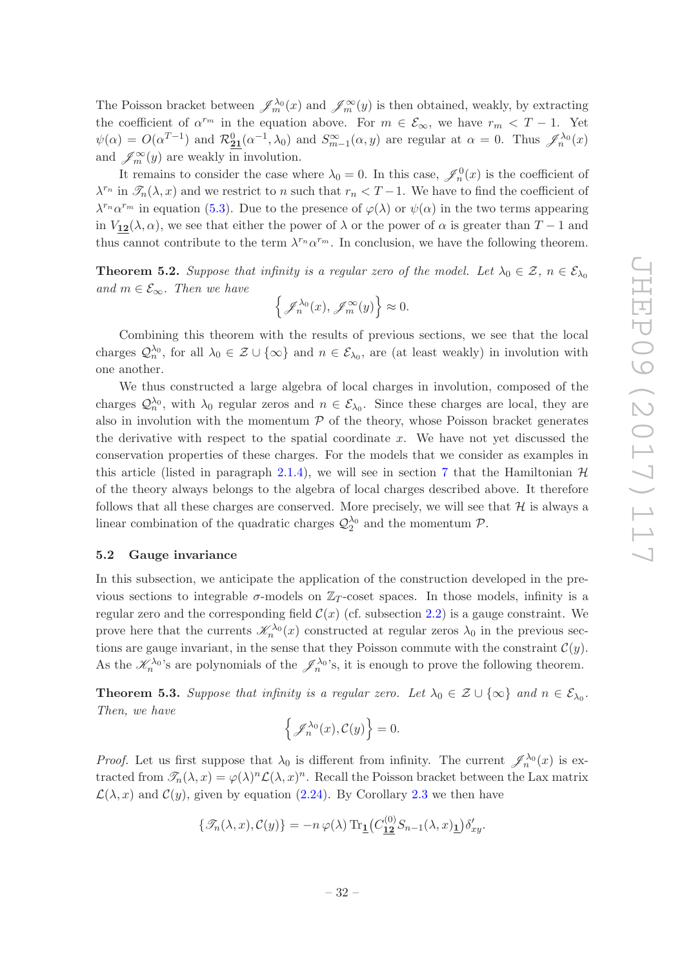The Poisson bracket between  $\mathscr{J}_m^{\lambda_0}(x)$  and  $\mathscr{J}_m^{\infty}(y)$  is then obtained, weakly, by extracting the coefficient of  $\alpha^{r_m}$  in the equation above. For  $m \in \mathcal{E}_{\infty}$ , we have  $r_m < T - 1$ . Yet  $\psi(\alpha) = O(\alpha^{T-1})$  and  $\mathcal{R}_{21}^0(\alpha^{-1}, \lambda_0)$  and  $S_{m-1}^{\infty}(\alpha, y)$  are regular at  $\alpha = 0$ . Thus  $\mathscr{J}_n^{\lambda_0}(x)$ and  $\mathscr{J}_m^{\infty}(y)$  are weakly in involution.

It remains to consider the case where  $\lambda_0 = 0$ . In this case,  $\mathscr{J}_n^0(x)$  is the coefficient of  $\lambda^{r_n}$  in  $\mathcal{T}_n(\lambda, x)$  and we restrict to n such that  $r_n < T-1$ . We have to find the coefficient of  $\lambda^{r_n} \alpha^{r_m}$  in equation [\(5.3\)](#page-33-1). Due to the presence of  $\varphi(\lambda)$  or  $\psi(\alpha)$  in the two terms appearing in  $V_{12}(\lambda, \alpha)$ , we see that either the power of  $\lambda$  or the power of  $\alpha$  is greater than  $T-1$  and thus cannot contribute to the term  $\lambda^{r_n} \alpha^{r_m}$ . In conclusion, we have the following theorem.

<span id="page-34-2"></span>**Theorem 5.2.** Suppose that infinity is a regular zero of the model. Let  $\lambda_0 \in \mathcal{Z}$ ,  $n \in \mathcal{E}_{\lambda_0}$ and  $m \in \mathcal{E}_{\infty}$ . Then we have

$$
\left\{\mathscr{J}_n^{\lambda_0}(x), \mathscr{J}_m^{\infty}(y)\right\} \approx 0.
$$

Combining this theorem with the results of previous sections, we see that the local charges  $\mathcal{Q}_n^{\lambda_0}$ , for all  $\lambda_0 \in \mathcal{Z} \cup \{\infty\}$  and  $n \in \mathcal{E}_{\lambda_0}$ , are (at least weakly) in involution with one another.

We thus constructed a large algebra of local charges in involution, composed of the charges  $\mathcal{Q}_n^{\lambda_0}$ , with  $\lambda_0$  regular zeros and  $n \in \mathcal{E}_{\lambda_0}$ . Since these charges are local, they are also in involution with the momentum  $P$  of the theory, whose Poisson bracket generates the derivative with respect to the spatial coordinate  $x$ . We have not yet discussed the conservation properties of these charges. For the models that we consider as examples in this article (listed in paragraph [2.1.4\)](#page-10-0), we will see in section [7](#page-46-0) that the Hamiltonian  $\mathcal{H}$ of the theory always belongs to the algebra of local charges described above. It therefore follows that all these charges are conserved. More precisely, we will see that  $\mathcal H$  is always a linear combination of the quadratic charges  $\mathcal{Q}_2^{\lambda_0}$  and the momentum  $\mathcal{P}$ .

#### <span id="page-34-0"></span>5.2 Gauge invariance

In this subsection, we anticipate the application of the construction developed in the previous sections to integrable  $\sigma$ -models on  $\mathbb{Z}_T$ -coset spaces. In those models, infinity is a regular zero and the corresponding field  $\mathcal{C}(x)$  (cf. subsection [2.2\)](#page-12-0) is a gauge constraint. We prove here that the currents  $\mathscr{K}_n^{\lambda_0}(x)$  constructed at regular zeros  $\lambda_0$  in the previous sections are gauge invariant, in the sense that they Poisson commute with the constraint  $\mathcal{C}(y)$ . As the  $\mathscr{K}_n^{\lambda_0}$ 's are polynomials of the  $\mathscr{J}_n^{\lambda_0}$ 's, it is enough to prove the following theorem.

<span id="page-34-1"></span>**Theorem 5.3.** Suppose that infinity is a regular zero. Let  $\lambda_0 \in \mathcal{Z} \cup \{\infty\}$  and  $n \in \mathcal{E}_{\lambda_0}$ . Then, we have

$$
\left\{\mathscr{J}^{\lambda_0}_n(x),\mathcal{C}(y)\right\}=0.
$$

*Proof.* Let us first suppose that  $\lambda_0$  is different from infinity. The current  $\mathscr{J}_n^{\lambda_0}(x)$  is extracted from  $\mathcal{T}_n(\lambda, x) = \varphi(\lambda)^n \mathcal{L}(\lambda, x)^n$ . Recall the Poisson bracket between the Lax matrix  $\mathcal{L}(\lambda, x)$  and  $\mathcal{C}(y)$ , given by equation [\(2.24\)](#page-13-0). By Corollary [2.3](#page-15-2) we then have

$$
\{\mathcal{T}_n(\lambda, x), \mathcal{C}(y)\} = -n \varphi(\lambda) \operatorname{Tr}_{\mathbf{\underline{1}}} \big(C_{\mathbf{\underline{12}}}^{(0)} S_{n-1}(\lambda, x) \mathbf{\underline{1}}\big) \delta_{xy}'.
$$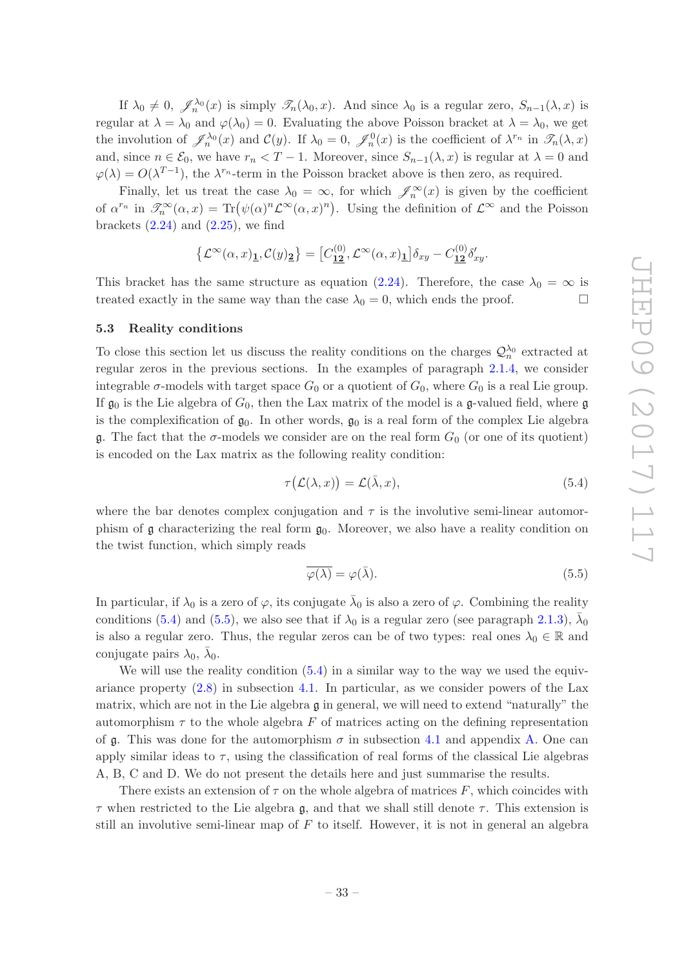If  $\lambda_0 \neq 0$ ,  $\mathscr{J}_n^{\lambda_0}(x)$  is simply  $\mathscr{T}_n(\lambda_0, x)$ . And since  $\lambda_0$  is a regular zero,  $S_{n-1}(\lambda, x)$  is regular at  $\lambda = \lambda_0$  and  $\varphi(\lambda_0) = 0$ . Evaluating the above Poisson bracket at  $\lambda = \lambda_0$ , we get the involution of  $\mathscr{J}_n^{\lambda_0}(x)$  and  $\mathcal{C}(y)$ . If  $\lambda_0 = 0$ ,  $\mathscr{J}_n^0(x)$  is the coefficient of  $\lambda^{r_n}$  in  $\mathscr{T}_n(\lambda, x)$ and, since  $n \in \mathcal{E}_0$ , we have  $r_n < T - 1$ . Moreover, since  $S_{n-1}(\lambda, x)$  is regular at  $\lambda = 0$  and  $\varphi(\lambda) = O(\lambda^{T-1})$ , the  $\lambda^{r_n}$ -term in the Poisson bracket above is then zero, as required.

Finally, let us treat the case  $\lambda_0 = \infty$ , for which  $\mathscr{J}_n^{\infty}(x)$  is given by the coefficient of  $\alpha^{r_n}$  in  $\mathscr{T}_n^{\infty}(\alpha,x) = \text{Tr}(\psi(\alpha)^n \mathcal{L}^{\infty}(\alpha,x)^n)$ . Using the definition of  $\mathcal{L}^{\infty}$  and the Poisson brackets  $(2.24)$  and  $(2.25)$ , we find

$$
\left\{\mathcal{L}^{\infty}(\alpha,x)_{\underline{1}},\mathcal{C}(y)_{\underline{2}}\right\}=\left[C_{\underline{1}\underline{2}}^{(0)},\mathcal{L}^{\infty}(\alpha,x)_{\underline{1}}\right]\delta_{xy}-C_{\underline{1}\underline{2}}^{(0)}\delta'_{xy}.
$$

This bracket has the same structure as equation [\(2.24\)](#page-13-0). Therefore, the case  $\lambda_0 = \infty$  is treated exactly in the same way than the case  $\lambda_0 = 0$ , which ends the proof.  $\Box$ 

#### <span id="page-35-0"></span>5.3 Reality conditions

To close this section let us discuss the reality conditions on the charges  $\mathcal{Q}_n^{\lambda_0}$  extracted at regular zeros in the previous sections. In the examples of paragraph [2.1.4,](#page-10-0) we consider integrable  $\sigma$ -models with target space  $G_0$  or a quotient of  $G_0$ , where  $G_0$  is a real Lie group. If  $\mathfrak{g}_0$  is the Lie algebra of  $G_0$ , then the Lax matrix of the model is a  $\mathfrak{g}\text{-valued field}$ , where  $\mathfrak{g}$ is the complexification of  $\mathfrak{g}_0$ . In other words,  $\mathfrak{g}_0$  is a real form of the complex Lie algebra **g**. The fact that the  $\sigma$ -models we consider are on the real form  $G_0$  (or one of its quotient) is encoded on the Lax matrix as the following reality condition:

<span id="page-35-1"></span>
$$
\tau(\mathcal{L}(\lambda, x)) = \mathcal{L}(\bar{\lambda}, x),\tag{5.4}
$$

where the bar denotes complex conjugation and  $\tau$  is the involutive semi-linear automorphism of  $\mathfrak g$  characterizing the real form  $\mathfrak g_0$ . Moreover, we also have a reality condition on the twist function, which simply reads

<span id="page-35-2"></span>
$$
\overline{\varphi(\lambda)} = \varphi(\overline{\lambda}).\tag{5.5}
$$

In particular, if  $\lambda_0$  is a zero of  $\varphi$ , its conjugate  $\bar{\lambda}_0$  is also a zero of  $\varphi$ . Combining the reality conditions [\(5.4\)](#page-35-1) and [\(5.5\)](#page-35-2), we also see that if  $\lambda_0$  is a regular zero (see paragraph [2.1.3\)](#page-9-0),  $\bar{\lambda}_0$ is also a regular zero. Thus, the regular zeros can be of two types: real ones  $\lambda_0 \in \mathbb{R}$  and conjugate pairs  $\lambda_0$ ,  $\bar{\lambda}_0$ .

We will use the reality condition  $(5.4)$  in a similar way to the way we used the equivariance property [\(2.8\)](#page-9-1) in subsection [4.1.](#page-23-0) In particular, as we consider powers of the Lax matrix, which are not in the Lie algebra g in general, we will need to extend "naturally" the automorphism  $\tau$  to the whole algebra  $F$  of matrices acting on the defining representation of  $\mathfrak g$ . This was done for the automorphism  $\sigma$  in subsection [4.1](#page-23-0) and appendix [A.](#page-55-0) One can apply similar ideas to  $\tau$ , using the classification of real forms of the classical Lie algebras A, B, C and D. We do not present the details here and just summarise the results.

There exists an extension of  $\tau$  on the whole algebra of matrices  $F$ , which coincides with  $\tau$  when restricted to the Lie algebra  $\mathfrak{g}$ , and that we shall still denote  $\tau$ . This extension is still an involutive semi-linear map of F to itself. However, it is not in general an algebra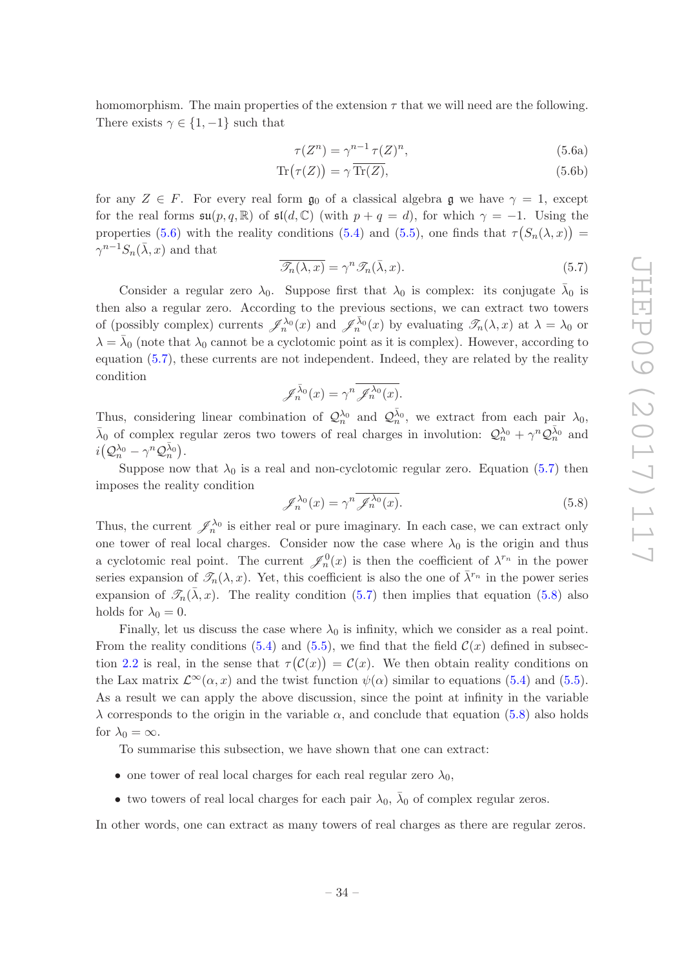homomorphism. The main properties of the extension  $\tau$  that we will need are the following. There exists  $\gamma \in \{1, -1\}$  such that

<span id="page-36-0"></span>
$$
\tau(Z^n) = \gamma^{n-1} \tau(Z)^n,\tag{5.6a}
$$

$$
\operatorname{Tr}(\tau(Z)) = \gamma \overline{\operatorname{Tr}(Z)},\tag{5.6b}
$$

for any  $Z \in F$ . For every real form  $\mathfrak{g}_0$  of a classical algebra  $\mathfrak{g}$  we have  $\gamma = 1$ , except for the real forms  $\mathfrak{su}(p,q,\mathbb{R})$  of  $\mathfrak{sl}(d,\mathbb{C})$  (with  $p+q=d$ ), for which  $\gamma=-1$ . Using the properties [\(5.6\)](#page-36-0) with the reality conditions [\(5.4\)](#page-35-1) and [\(5.5\)](#page-35-2), one finds that  $\tau(S_n(\lambda, x)) =$  $\gamma^{n-1} S_n(\bar{\lambda}, x)$  and that

<span id="page-36-1"></span>
$$
\overline{\mathcal{I}_n(\lambda, x)} = \gamma^n \mathcal{I}_n(\overline{\lambda}, x). \tag{5.7}
$$

Consider a regular zero  $\lambda_0$ . Suppose first that  $\lambda_0$  is complex: its conjugate  $\bar{\lambda}_0$  is then also a regular zero. According to the previous sections, we can extract two towers of (possibly complex) currents  $\mathscr{J}_n^{\lambda_0}(x)$  and  $\mathscr{J}_n^{\bar{\lambda}_0}(x)$  by evaluating  $\mathscr{T}_n(\lambda, x)$  at  $\lambda = \lambda_0$  or  $\lambda = \overline{\lambda}_0$  (note that  $\lambda_0$  cannot be a cyclotomic point as it is complex). However, according to equation [\(5.7\)](#page-36-1), these currents are not independent. Indeed, they are related by the reality condition

$$
\mathscr{J}_n^{\bar{\lambda}_0}(x) = \gamma^n \overline{\mathscr{J}_n^{\lambda_0}(x)}.
$$

Thus, considering linear combination of  $\mathcal{Q}_n^{\lambda_0}$  and  $\mathcal{Q}_n^{\overline{\lambda}_0}$ , we extract from each pair  $\lambda_0$ ,  $\bar{\lambda}_0$  of complex regular zeros two towers of real charges in involution:  $\mathcal{Q}_n^{\lambda_0} + \gamma^n \mathcal{Q}_n^{\bar{\lambda}_0}$  and  $i\big(\mathcal{Q}^{\lambda_0}_n-\gamma^n\mathcal{Q}^{\bar\lambda_0}_n\big).$ 

Suppose now that  $\lambda_0$  is a real and non-cyclotomic regular zero. Equation [\(5.7\)](#page-36-1) then imposes the reality condition

<span id="page-36-2"></span>
$$
\mathscr{J}_n^{\lambda_0}(x) = \gamma^n \overline{\mathscr{J}_n^{\lambda_0}(x)}.
$$
\n(5.8)

Thus, the current  $\mathscr{J}_n^{\lambda_0}$  is either real or pure imaginary. In each case, we can extract only one tower of real local charges. Consider now the case where  $\lambda_0$  is the origin and thus a cyclotomic real point. The current  $\mathscr{J}_n^0(x)$  is then the coefficient of  $\lambda^{r_n}$  in the power series expansion of  $\mathcal{T}_n(\lambda, x)$ . Yet, this coefficient is also the one of  $\bar{\lambda}^{r_n}$  in the power series expansion of  $\mathcal{T}_n(\bar{\lambda}, x)$ . The reality condition [\(5.7\)](#page-36-1) then implies that equation [\(5.8\)](#page-36-2) also holds for  $\lambda_0 = 0$ .

Finally, let us discuss the case where  $\lambda_0$  is infinity, which we consider as a real point. From the reality conditions [\(5.4\)](#page-35-1) and [\(5.5\)](#page-35-2), we find that the field  $\mathcal{C}(x)$  defined in subsec-tion [2.2](#page-12-0) is real, in the sense that  $\tau(\mathcal{C}(x)) = \mathcal{C}(x)$ . We then obtain reality conditions on the Lax matrix  $\mathcal{L}^{\infty}(\alpha, x)$  and the twist function  $\psi(\alpha)$  similar to equations [\(5.4\)](#page-35-1) and [\(5.5\)](#page-35-2). As a result we can apply the above discussion, since the point at infinity in the variable  $\lambda$  corresponds to the origin in the variable  $\alpha$ , and conclude that equation [\(5.8\)](#page-36-2) also holds for  $\lambda_0 = \infty$ .

To summarise this subsection, we have shown that one can extract:

- one tower of real local charges for each real regular zero  $\lambda_0$ ,
- two towers of real local charges for each pair  $\lambda_0$ ,  $\bar{\lambda}_0$  of complex regular zeros.

In other words, one can extract as many towers of real charges as there are regular zeros.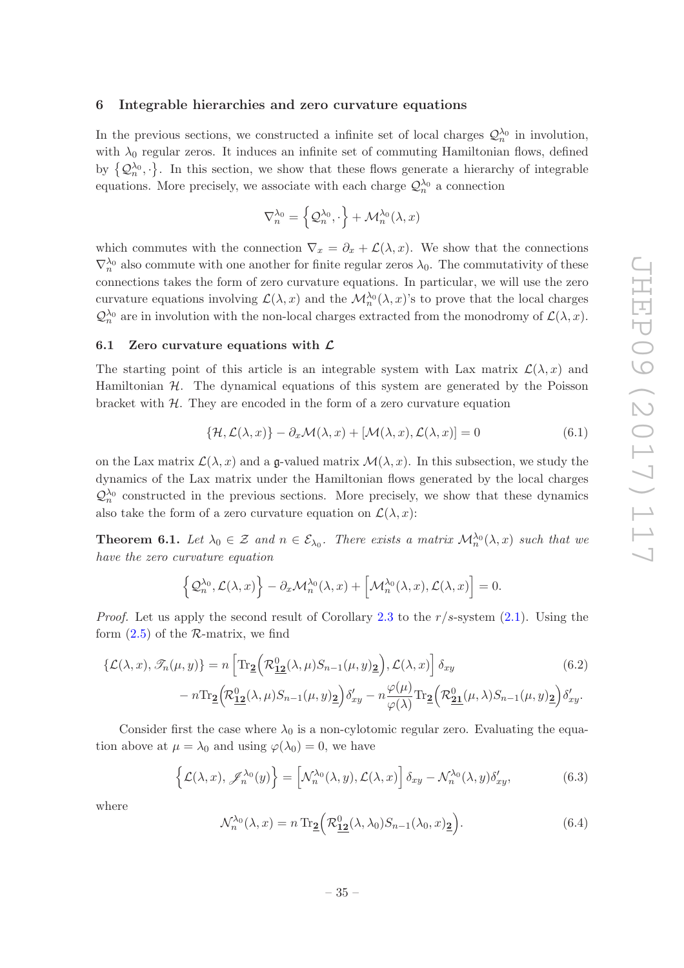#### <span id="page-37-0"></span>6 Integrable hierarchies and zero curvature equations

In the previous sections, we constructed a infinite set of local charges  $\mathcal{Q}_n^{\lambda_0}$  in involution, with  $\lambda_0$  regular zeros. It induces an infinite set of commuting Hamiltonian flows, defined by  $\{\mathcal{Q}_n^{\lambda_0},\cdot\}$ . In this section, we show that these flows generate a hierarchy of integrable equations. More precisely, we associate with each charge  $\mathcal{Q}_n^{\lambda_0}$  a connection

$$
\nabla_n^{\lambda_0} = \left\{ \mathcal{Q}_n^{\lambda_0}, \cdot \right\} + \mathcal{M}_n^{\lambda_0}(\lambda, x)
$$

which commutes with the connection  $\nabla_x = \partial_x + \mathcal{L}(\lambda, x)$ . We show that the connections  $\nabla_n^{\lambda_0}$  also commute with one another for finite regular zeros  $\lambda_0$ . The commutativity of these connections takes the form of zero curvature equations. In particular, we will use the zero curvature equations involving  $\mathcal{L}(\lambda, x)$  and the  $\mathcal{M}^{\lambda_0}_{n}(\lambda, x)$ 's to prove that the local charges  $\mathcal{Q}_n^{\lambda_0}$  are in involution with the non-local charges extracted from the monodromy of  $\mathcal{L}(\lambda, x)$ .

# <span id="page-37-1"></span>6.1 Zero curvature equations with  $\mathcal L$

The starting point of this article is an integrable system with Lax matrix  $\mathcal{L}(\lambda, x)$  and Hamiltonian  $H$ . The dynamical equations of this system are generated by the Poisson bracket with  $H$ . They are encoded in the form of a zero curvature equation

<span id="page-37-5"></span>
$$
\{\mathcal{H},\mathcal{L}(\lambda,x)\}-\partial_x\mathcal{M}(\lambda,x)+[\mathcal{M}(\lambda,x),\mathcal{L}(\lambda,x)]=0
$$
\n(6.1)

on the Lax matrix  $\mathcal{L}(\lambda, x)$  and a g-valued matrix  $\mathcal{M}(\lambda, x)$ . In this subsection, we study the dynamics of the Lax matrix under the Hamiltonian flows generated by the local charges  $\mathcal{Q}_n^{\lambda_0}$  constructed in the previous sections. More precisely, we show that these dynamics also take the form of a zero curvature equation on  $\mathcal{L}(\lambda, x)$ :

<span id="page-37-4"></span>**Theorem 6.1.** Let  $\lambda_0 \in \mathcal{Z}$  and  $n \in \mathcal{E}_{\lambda_0}$ . There exists a matrix  $\mathcal{M}_n^{\lambda_0}(\lambda, x)$  such that we have the zero curvature equation

$$
\left\{\mathcal{Q}_n^{\lambda_0},\mathcal{L}(\lambda,x)\right\}-\partial_x\mathcal{M}_n^{\lambda_0}(\lambda,x)+\left[\mathcal{M}_n^{\lambda_0}(\lambda,x),\mathcal{L}(\lambda,x)\right]=0.
$$

*Proof.* Let us apply the second result of Corollary [2.3](#page-15-2) to the  $r/s$ -system  $(2.1)$ . Using the form  $(2.5)$  of the R-matrix, we find

$$
\{\mathcal{L}(\lambda, x), \mathcal{F}_n(\mu, y)\} = n \left[ \text{Tr}_{\mathbf{\underline{2}}} \Big( \mathcal{R}_{\mathbf{\underline{12}}}^0(\lambda, \mu) S_{n-1}(\mu, y) \mathbf{I}(\lambda, x) \Big) \delta_{xy} \Big) \right] \delta_{xy} \tag{6.2}
$$

$$
- n \text{Tr}_{\mathbf{\underline{2}}} \Big( \mathcal{R}_{\mathbf{\underline{12}}}^0(\lambda, \mu) S_{n-1}(\mu, y) \mathbf{I}(\lambda, y) \Big) \delta'_{xy} - n \frac{\varphi(\mu)}{\varphi(\lambda)} \text{Tr}_{\mathbf{\underline{2}}} \Big( \mathcal{R}_{\mathbf{\underline{21}}}^0(\mu, \lambda) S_{n-1}(\mu, y) \mathbf{I}(\lambda, y) \Big) \delta'_{xy}.
$$

Consider first the case where  $\lambda_0$  is a non-cylotomic regular zero. Evaluating the equation above at  $\mu = \lambda_0$  and using  $\varphi(\lambda_0) = 0$ , we have

<span id="page-37-3"></span>
$$
\left\{\mathcal{L}(\lambda,x),\mathscr{J}_n^{\lambda_0}(y)\right\} = \left[\mathcal{N}_n^{\lambda_0}(\lambda,y),\mathcal{L}(\lambda,x)\right]\delta_{xy} - \mathcal{N}_n^{\lambda_0}(\lambda,y)\delta'_{xy},\tag{6.3}
$$

where

<span id="page-37-6"></span><span id="page-37-2"></span>
$$
\mathcal{N}_n^{\lambda_0}(\lambda, x) = n \operatorname{Tr}_{\mathbf{\underline{2}}} \Big( \mathcal{R}_{\mathbf{\underline{12}}}^0(\lambda, \lambda_0) S_{n-1}(\lambda_0, x)_{\mathbf{\underline{2}}} \Big). \tag{6.4}
$$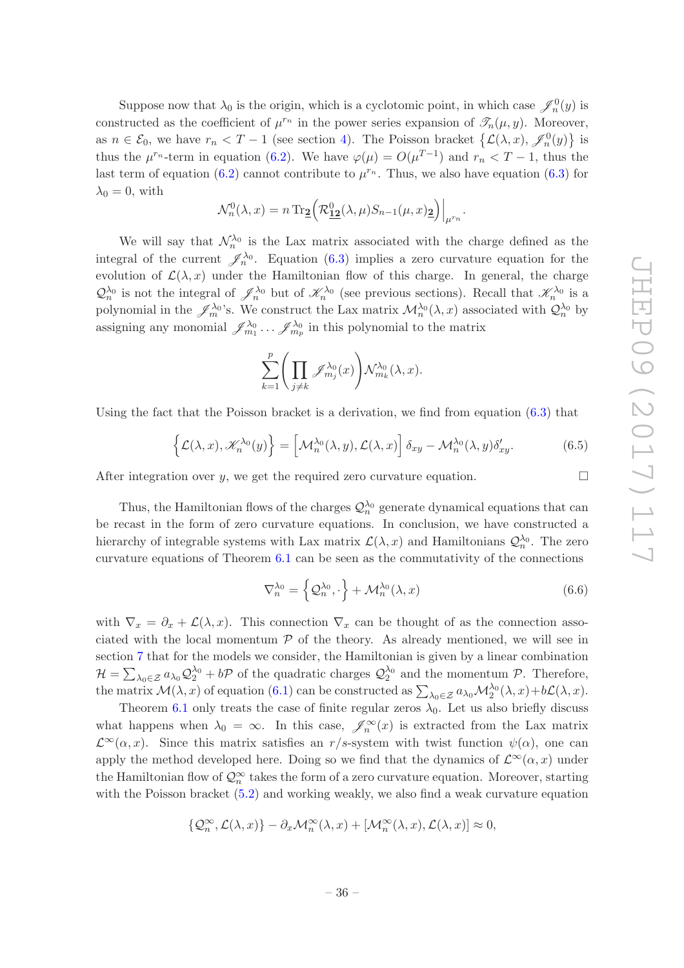$\Box$ 

Suppose now that  $\lambda_0$  is the origin, which is a cyclotomic point, in which case  $\mathscr{J}_n^0(y)$  is constructed as the coefficient of  $\mu^{r_n}$  in the power series expansion of  $\mathcal{T}_n(\mu, y)$ . Moreover, as  $n \in \mathcal{E}_0$ , we have  $r_n < T - 1$  (see section [4\)](#page-22-1). The Poisson bracket  $\{\mathcal{L}(\lambda, x), \mathcal{J}_n^0(y)\}\$ is thus the  $\mu^{r_n}$ -term in equation [\(6.2\)](#page-37-2). We have  $\varphi(\mu) = O(\mu^{T-1})$  and  $r_n < T-1$ , thus the last term of equation [\(6.2\)](#page-37-2) cannot contribute to  $\mu^{r_n}$ . Thus, we also have equation [\(6.3\)](#page-37-3) for  $\lambda_0 = 0$ , with

$$
\mathcal{N}_n^0(\lambda, x) = n \operatorname{Tr}_{\mathbf{\underline{2}}} \Big( \mathcal{R}_{\mathbf{\underline{12}}}^0(\lambda, \mu) S_{n-1}(\mu, x)_{\mathbf{\underline{2}}} \Big) \Big|_{\mu^{r_n}}.
$$

We will say that  $\mathcal{N}_n^{\lambda_0}$  is the Lax matrix associated with the charge defined as the integral of the current  $\mathscr{J}_n^{\lambda_0}$ . Equation [\(6.3\)](#page-37-3) implies a zero curvature equation for the evolution of  $\mathcal{L}(\lambda, x)$  under the Hamiltonian flow of this charge. In general, the charge  $\mathcal{Q}_n^{\lambda_0}$  is not the integral of  $\mathscr{J}_n^{\lambda_0}$  but of  $\mathscr{K}_n^{\lambda_0}$  (see previous sections). Recall that  $\mathscr{K}_n^{\lambda_0}$  is a polynomial in the  $\mathscr{J}_m^{\lambda_0}$ 's. We construct the Lax matrix  $\mathcal{M}_n^{\lambda_0}(\lambda,x)$  associated with  $\mathcal{Q}_n^{\lambda_0}$  by assigning any monomial  $\mathscr{J}_{m_1}^{\lambda_0} \cdots \mathscr{J}_{m_p}^{\lambda_0}$  in this polynomial to the matrix

$$
\sum_{k=1}^p \left( \prod_{j \neq k} \mathcal{J}_{m_j}^{\lambda_0}(x) \right) \mathcal{N}_{m_k}^{\lambda_0}(\lambda, x).
$$

Using the fact that the Poisson bracket is a derivation, we find from equation  $(6.3)$  that

$$
\left\{\mathcal{L}(\lambda,x), \mathscr{K}_n^{\lambda_0}(y)\right\} = \left[\mathcal{M}_n^{\lambda_0}(\lambda,y), \mathcal{L}(\lambda,x)\right] \delta_{xy} - \mathcal{M}_n^{\lambda_0}(\lambda,y) \delta'_{xy}.
$$
 (6.5)

After integration over y, we get the required zero curvature equation.

Thus, the Hamiltonian flows of the charges  $\mathcal{Q}_n^{\lambda_0}$  generate dynamical equations that can be recast in the form of zero curvature equations. In conclusion, we have constructed a hierarchy of integrable systems with Lax matrix  $\mathcal{L}(\lambda, x)$  and Hamiltonians  $\mathcal{Q}_n^{\lambda_0}$ . The zero curvature equations of Theorem [6.1](#page-37-4) can be seen as the commutativity of the connections

<span id="page-38-0"></span>
$$
\nabla_n^{\lambda_0} = \left\{ \mathcal{Q}_n^{\lambda_0}, \cdot \right\} + \mathcal{M}_n^{\lambda_0}(\lambda, x) \tag{6.6}
$$

with  $\nabla_x = \partial_x + \mathcal{L}(\lambda, x)$ . This connection  $\nabla_x$  can be thought of as the connection associated with the local momentum  $P$  of the theory. As already mentioned, we will see in section [7](#page-46-0) that for the models we consider, the Hamiltonian is given by a linear combination  $\mathcal{H} = \sum_{\lambda_0 \in \mathcal{Z}} a_{\lambda_0} \mathcal{Q}_2^{\lambda_0} + b\mathcal{P}$  of the quadratic charges  $\mathcal{Q}_2^{\lambda_0}$  and the momentum  $\mathcal{P}$ . Therefore, the matrix  $\mathcal{M}(\lambda, x)$  of equation [\(6.1\)](#page-37-5) can be constructed as  $\sum_{\lambda_0 \in \mathcal{Z}} a_{\lambda_0} \mathcal{M}_2^{\lambda_0}(\lambda, x) + b\mathcal{L}(\lambda, x)$ .

Theorem [6.1](#page-37-4) only treats the case of finite regular zeros  $\lambda_0$ . Let us also briefly discuss what happens when  $\lambda_0 = \infty$ . In this case,  $\mathscr{J}_n^{\infty}(x)$  is extracted from the Lax matrix  $\mathcal{L}^{\infty}(\alpha, x)$ . Since this matrix satisfies an r/s-system with twist function  $\psi(\alpha)$ , one can apply the method developed here. Doing so we find that the dynamics of  $\mathcal{L}^{\infty}(\alpha, x)$  under the Hamiltonian flow of  $\mathcal{Q}_n^{\infty}$  takes the form of a zero curvature equation. Moreover, starting with the Poisson bracket  $(5.2)$  and working weakly, we also find a weak curvature equation

$$
\{\mathcal{Q}_n^\infty,\mathcal{L}(\lambda,x)\}-\partial_x\mathcal{M}_n^\infty(\lambda,x)+[\mathcal{M}_n^\infty(\lambda,x),\mathcal{L}(\lambda,x)]\approx 0,
$$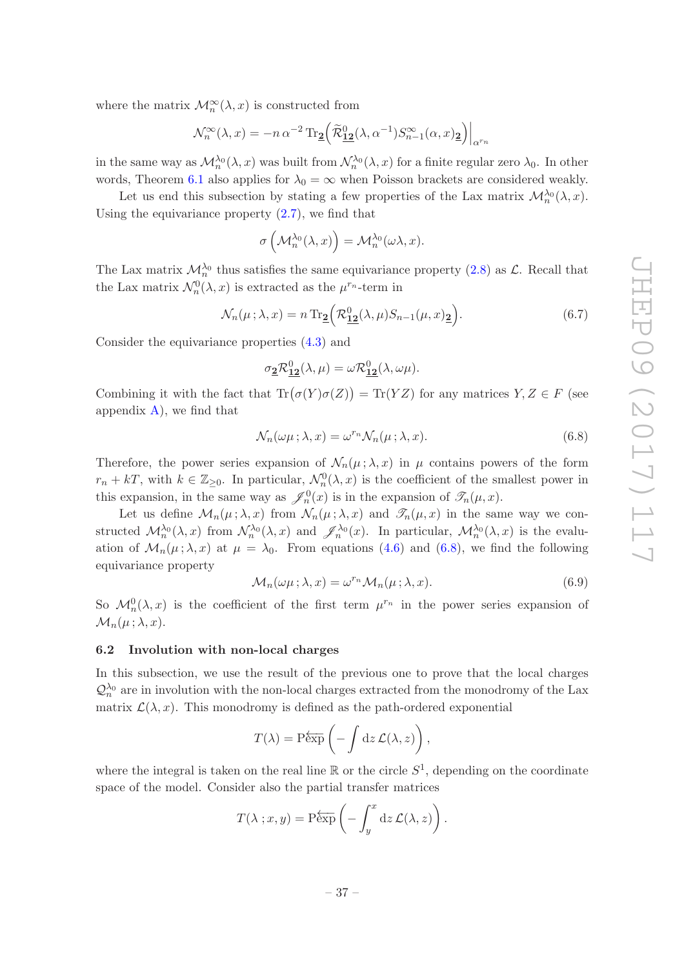where the matrix  $\mathcal{M}_n^{\infty}(\lambda, x)$  is constructed from

$$
\mathcal{N}_n^{\infty}(\lambda, x) = -n \alpha^{-2} \operatorname{Tr}_{\mathbf{\underline{2}}} \left( \widetilde{\mathcal{R}}_{\mathbf{\underline{12}}}^0(\lambda, \alpha^{-1}) S_{n-1}^{\infty}(\alpha, x)_{\mathbf{\underline{2}}} \right) \Big|_{\alpha^{r_n}}
$$

in the same way as  $\mathcal{M}^{\lambda_0}_{n}(\lambda,x)$  was built from  $\mathcal{N}^{\lambda_0}_{n}(\lambda,x)$  for a finite regular zero  $\lambda_0$ . In other words, Theorem [6.1](#page-37-4) also applies for  $\lambda_0 = \infty$  when Poisson brackets are considered weakly.

Let us end this subsection by stating a few properties of the Lax matrix  $\mathcal{M}_n^{\lambda_0}(\lambda, x)$ . Using the equivariance property  $(2.7)$ , we find that

$$
\sigma\left(\mathcal{M}^{\lambda_0}_n(\lambda,x)\right)=\mathcal{M}^{\lambda_0}_n(\omega\lambda,x).
$$

The Lax matrix  $\mathcal{M}_n^{\lambda_0}$  thus satisfies the same equivariance property [\(2.8\)](#page-9-1) as  $\mathcal{L}$ . Recall that the Lax matrix  $\mathcal{N}_n^0(\lambda, x)$  is extracted as the  $\mu^{r_n}$ -term in

<span id="page-39-2"></span>
$$
\mathcal{N}_n(\mu; \lambda, x) = n \operatorname{Tr}_{\mathbf{\underline{2}}} \Big( \mathcal{R}_{\mathbf{\underline{12}}}^0(\lambda, \mu) S_{n-1}(\mu, x)_{\mathbf{\underline{2}}} \Big). \tag{6.7}
$$

Consider the equivariance properties [\(4.3\)](#page-23-5) and

$$
\sigma_{\underline{2}} \mathcal{R}_{\underline{1}\underline{2}}^{0}(\lambda,\mu) = \omega \mathcal{R}_{\underline{1}\underline{2}}^{0}(\lambda,\omega\mu).
$$

Combining it with the fact that  $\text{Tr}(\sigma(Y)\sigma(Z)) = \text{Tr}(YZ)$  for any matrices  $Y, Z \in F$  (see appendix [A\)](#page-55-0), we find that

<span id="page-39-1"></span>
$$
\mathcal{N}_n(\omega\mu; \lambda, x) = \omega^{r_n} \mathcal{N}_n(\mu; \lambda, x).
$$
\n(6.8)

Therefore, the power series expansion of  $\mathcal{N}_n(\mu;\lambda,x)$  in  $\mu$  contains powers of the form  $r_n + kT$ , with  $k \in \mathbb{Z}_{\geq 0}$ . In particular,  $\mathcal{N}_n^0(\lambda, x)$  is the coefficient of the smallest power in this expansion, in the same way as  $\mathscr{J}_n^0(x)$  is in the expansion of  $\mathscr{T}_n(\mu, x)$ .

Let us define  $\mathcal{M}_n(\mu; \lambda, x)$  from  $\mathcal{N}_n(\mu; \lambda, x)$  and  $\mathcal{I}_n(\mu, x)$  in the same way we constructed  $\mathcal{M}_{n}^{\lambda_{0}}(\lambda,x)$  from  $\mathcal{N}_{n}^{\lambda_{0}}(\lambda,x)$  and  $\mathscr{J}_{n}^{\lambda_{0}}(x)$ . In particular,  $\mathcal{M}_{n}^{\lambda_{0}}(\lambda,x)$  is the evaluation of  $\mathcal{M}_n(\mu; \lambda, x)$  at  $\mu = \lambda_0$ . From equations [\(4.6\)](#page-24-1) and [\(6.8\)](#page-39-1), we find the following equivariance property

$$
\mathcal{M}_n(\omega\mu;\lambda,x) = \omega^{r_n} \mathcal{M}_n(\mu;\lambda,x). \tag{6.9}
$$

So  $\mathcal{M}_n^0(\lambda, x)$  is the coefficient of the first term  $\mu^{r_n}$  in the power series expansion of  $\mathcal{M}_n(\mu\,;\lambda,x).$ 

#### <span id="page-39-0"></span>6.2 Involution with non-local charges

In this subsection, we use the result of the previous one to prove that the local charges  $\mathcal{Q}_n^{\lambda_0}$  are in involution with the non-local charges extracted from the monodromy of the Lax matrix  $\mathcal{L}(\lambda, x)$ . This monodromy is defined as the path-ordered exponential

$$
T(\lambda) = P \overleftarrow{\exp} \left( - \int dz \, \mathcal{L}(\lambda, z) \right),
$$

where the integral is taken on the real line  $\mathbb R$  or the circle  $S^1$ , depending on the coordinate space of the model. Consider also the partial transfer matrices

$$
T(\lambda; x, y) = P \overleftarrow{\exp} \left( - \int_y^x dz \, \mathcal{L}(\lambda, z) \right).
$$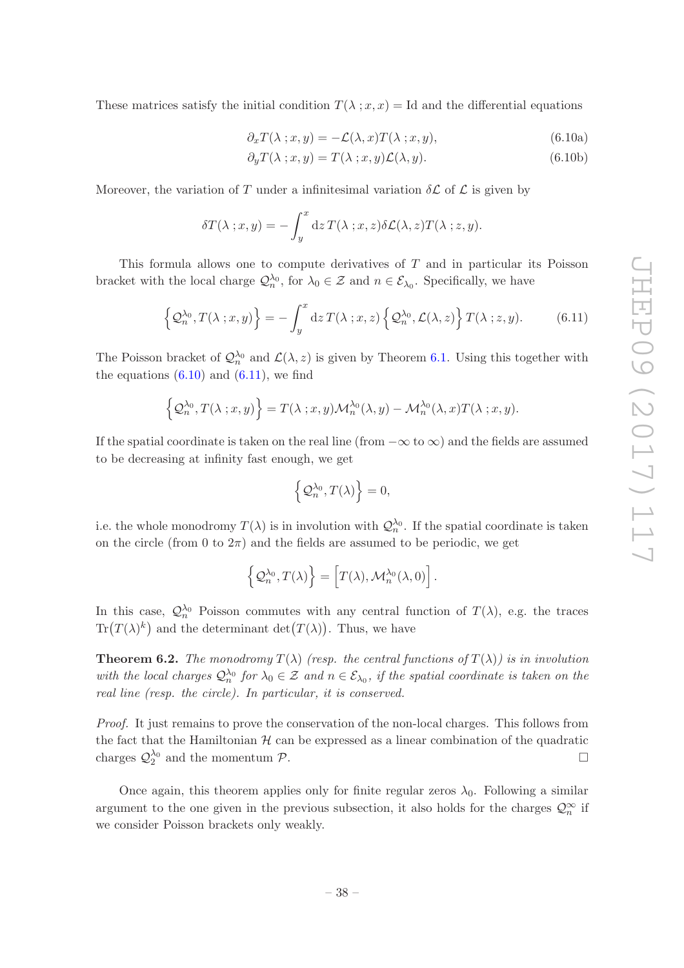These matrices satisfy the initial condition  $T(\lambda; x, x) =$  Id and the differential equations

<span id="page-40-0"></span>
$$
\partial_x T(\lambda; x, y) = -\mathcal{L}(\lambda, x) T(\lambda; x, y), \qquad (6.10a)
$$

$$
\partial_y T(\lambda; x, y) = T(\lambda; x, y) \mathcal{L}(\lambda, y). \tag{6.10b}
$$

Moreover, the variation of T under a infinitesimal variation  $\delta \mathcal{L}$  of  $\mathcal{L}$  is given by

$$
\delta T(\lambda \; ; x, y) = -\int_y^x dz \, T(\lambda \; ; x, z) \delta \mathcal{L}(\lambda, z) T(\lambda \; ; z, y).
$$

This formula allows one to compute derivatives of T and in particular its Poisson bracket with the local charge  $\mathcal{Q}_n^{\lambda_0}$ , for  $\lambda_0 \in \mathcal{Z}$  and  $n \in \mathcal{E}_{\lambda_0}$ . Specifically, we have

<span id="page-40-1"></span>
$$
\left\{\mathcal{Q}_n^{\lambda_0}, T(\lambda; x, y)\right\} = -\int_y^x \mathrm{d}z \, T(\lambda; x, z) \left\{\mathcal{Q}_n^{\lambda_0}, \mathcal{L}(\lambda, z)\right\} T(\lambda; z, y). \tag{6.11}
$$

The Poisson bracket of  $\mathcal{Q}_n^{\lambda_0}$  and  $\mathcal{L}(\lambda, z)$  is given by Theorem [6.1.](#page-37-4) Using this together with the equations  $(6.10)$  and  $(6.11)$ , we find

$$
\left\{\mathcal{Q}_n^{\lambda_0}, T(\lambda; x, y)\right\} = T(\lambda; x, y) \mathcal{M}_n^{\lambda_0}(\lambda, y) - \mathcal{M}_n^{\lambda_0}(\lambda, x) T(\lambda; x, y).
$$

If the spatial coordinate is taken on the real line (from  $-\infty$  to  $\infty$ ) and the fields are assumed to be decreasing at infinity fast enough, we get

$$
\Big\{\mathcal{Q}_{n}^{\lambda_{0}},T(\lambda)\Big\}=0,
$$

i.e. the whole monodromy  $T(\lambda)$  is in involution with  $\mathcal{Q}_n^{\lambda_0}$ . If the spatial coordinate is taken on the circle (from 0 to  $2\pi$ ) and the fields are assumed to be periodic, we get

$$
\left\{\mathcal{Q}_n^{\lambda_0},T(\lambda)\right\} = \left[T(\lambda),\mathcal{M}_n^{\lambda_0}(\lambda,0)\right].
$$

<span id="page-40-2"></span>In this case,  $\mathcal{Q}_n^{\lambda_0}$  Poisson commutes with any central function of  $T(\lambda)$ , e.g. the traces  $\text{Tr}(T(\lambda)^k)$  and the determinant  $\det(T(\lambda))$ . Thus, we have

**Theorem 6.2.** The monodromy  $T(\lambda)$  (resp. the central functions of  $T(\lambda)$ ) is in involution with the local charges  $Q_n^{\lambda_0}$  for  $\lambda_0 \in \mathcal{Z}$  and  $n \in \mathcal{E}_{\lambda_0}$ , if the spatial coordinate is taken on the real line (resp. the circle). In particular, it is conserved .

Proof. It just remains to prove the conservation of the non-local charges. This follows from the fact that the Hamiltonian  $H$  can be expressed as a linear combination of the quadratic charges  $\mathcal{Q}_2^{\lambda_0}$  and the momentum  $\mathcal{P}$ .  $\Box$ 

Once again, this theorem applies only for finite regular zeros  $\lambda_0$ . Following a similar argument to the one given in the previous subsection, it also holds for the charges  $\mathcal{Q}_n^{\infty}$  if we consider Poisson brackets only weakly.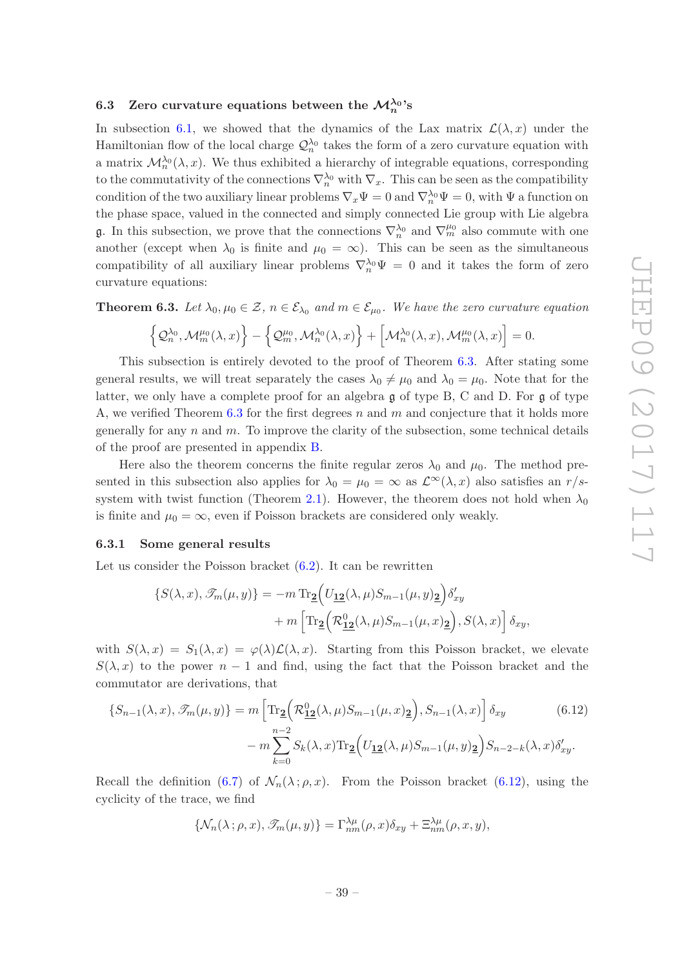# <span id="page-41-0"></span>6.3 Zero curvature equations between the  $\mathcal{M}^{\lambda_0 \prime}_n$ 's

In subsection [6.1,](#page-37-1) we showed that the dynamics of the Lax matrix  $\mathcal{L}(\lambda, x)$  under the Hamiltonian flow of the local charge  $\mathcal{Q}_n^{\lambda_0}$  takes the form of a zero curvature equation with a matrix  $\mathcal{M}_n^{\lambda_0}(\lambda, x)$ . We thus exhibited a hierarchy of integrable equations, corresponding to the commutativity of the connections  $\nabla_n^{\lambda_0}$  with  $\nabla_x$ . This can be seen as the compatibility condition of the two auxiliary linear problems  $\nabla_x \Psi = 0$  and  $\nabla_n^{\lambda_0} \Psi = 0$ , with  $\Psi$  a function on the phase space, valued in the connected and simply connected Lie group with Lie algebra g. In this subsection, we prove that the connections  $\nabla_n^{\lambda_0}$  and  $\nabla_m^{\mu_0}$  also commute with one another (except when  $\lambda_0$  is finite and  $\mu_0 = \infty$ ). This can be seen as the simultaneous compatibility of all auxiliary linear problems  $\nabla_n^{\lambda_0} \Psi = 0$  and it takes the form of zero curvature equations:

<span id="page-41-2"></span>**Theorem 6.3.** Let  $\lambda_0, \mu_0 \in \mathcal{Z}$ ,  $n \in \mathcal{E}_{\lambda_0}$  and  $m \in \mathcal{E}_{\mu_0}$ . We have the zero curvature equation

$$
\Big\{\mathcal{Q}_{n}^{\lambda_{0}},\mathcal{M}_{m}^{\mu_{0}}(\lambda,x)\Big\}-\Big\{\mathcal{Q}_{m}^{\mu_{0}},\mathcal{M}_{n}^{\lambda_{0}}(\lambda,x)\Big\}+\Big[\mathcal{M}_{n}^{\lambda_{0}}(\lambda,x),\mathcal{M}_{m}^{\mu_{0}}(\lambda,x)\Big]=0.
$$

This subsection is entirely devoted to the proof of Theorem [6.3.](#page-41-2) After stating some general results, we will treat separately the cases  $\lambda_0 \neq \mu_0$  and  $\lambda_0 = \mu_0$ . Note that for the latter, we only have a complete proof for an algebra g of type B, C and D. For g of type A, we verified Theorem [6.3](#page-41-2) for the first degrees  $n$  and  $m$  and conjecture that it holds more generally for any n and m. To improve the clarity of the subsection, some technical details of the proof are presented in appendix [B](#page-56-1) .

Here also the theorem concerns the finite regular zeros  $\lambda_0$  and  $\mu_0$ . The method presented in this subsection also applies for  $\lambda_0 = \mu_0 = \infty$  as  $\mathcal{L}^{\infty}(\lambda, x)$  also satisfies an  $r/s$ -system with twist function (Theorem [2.1\)](#page-13-3). However, the theorem does not hold when  $\lambda_0$ is finite and  $\mu_0 = \infty$ , even if Poisson brackets are considered only weakly.

#### <span id="page-41-1"></span>6.3.1 Some general results

Let us consider the Poisson bracket  $(6.2)$ . It can be rewritten

$$
\{S(\lambda, x), \mathcal{F}_m(\mu, y)\} = -m \operatorname{Tr}_{\mathbf{\underline{2}}} \Big( U_{\mathbf{\underline{12}}}(\lambda, \mu) S_{m-1}(\mu, y) \mathbf{\underline{2}} \Big) \delta'_{xy} + m \left[ \operatorname{Tr}_{\mathbf{\underline{2}}} \Big( \mathcal{R}_{\mathbf{\underline{12}}}^0(\lambda, \mu) S_{m-1}(\mu, x) \mathbf{\underline{2}} \Big), S(\lambda, x) \right] \delta_{xy},
$$

with  $S(\lambda, x) = S_1(\lambda, x) = \varphi(\lambda) \mathcal{L}(\lambda, x)$ . Starting from this Poisson bracket, we elevate  $S(\lambda, x)$  to the power  $n-1$  and find, using the fact that the Poisson bracket and the commutator are derivations, that

$$
\{S_{n-1}(\lambda, x), \mathcal{I}_m(\mu, y)\} = m \left[ \text{Tr}_{\mathbf{\underline{2}}} \Big( \mathcal{R}_{\mathbf{\underline{12}}}^0(\lambda, \mu) S_{m-1}(\mu, x) \mathbf{I}_2 \Big), S_{n-1}(\lambda, x) \right] \delta_{xy} \tag{6.12}
$$

$$
- m \sum_{k=0}^{n-2} S_k(\lambda, x) \text{Tr}_{\mathbf{\underline{2}}} \Big( U_{\mathbf{\underline{12}}}(\lambda, \mu) S_{m-1}(\mu, y) \mathbf{I}_2 \Big) S_{n-2-k}(\lambda, x) \delta'_{xy}.
$$

Recall the definition [\(6.7\)](#page-39-2) of  $\mathcal{N}_n(\lambda;\rho,x)$ . From the Poisson bracket [\(6.12\)](#page-41-3), using the cyclicity of the trace, we find

<span id="page-41-3"></span>
$$
\{\mathcal{N}_n(\lambda;\rho,x),\mathcal{I}_m(\mu,y)\}=\Gamma^{\lambda\mu}_{nm}(\rho,x)\delta_{xy}+\Xi^{\lambda\mu}_{nm}(\rho,x,y),
$$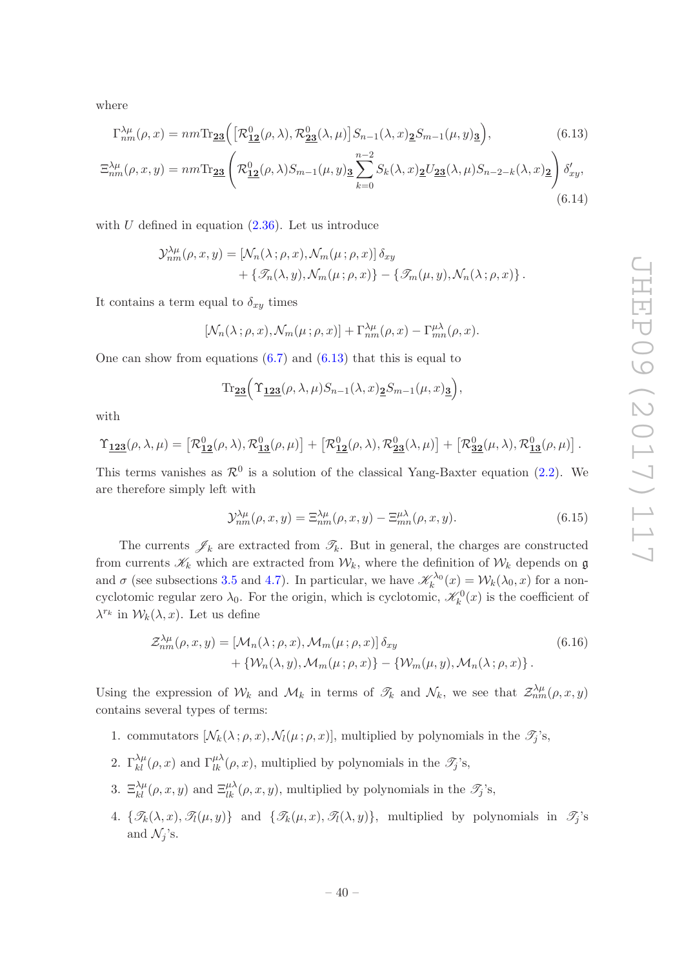<span id="page-42-2"></span><span id="page-42-0"></span>(6.14)

where

$$
\Gamma_{nm}^{\lambda\mu}(\rho,x) = nm \text{Tr}_{\mathbf{23}}\Big(\Big[\mathcal{R}_{\mathbf{12}}^{0}(\rho,\lambda),\mathcal{R}_{\mathbf{23}}^{0}(\lambda,\mu)\Big]S_{n-1}(\lambda,x)_{\mathbf{2}}S_{m-1}(\mu,y)_{\mathbf{3}}\Big),\tag{6.13}
$$
\n
$$
\Xi_{nm}^{\lambda\mu}(\rho,x,y) = nm \text{Tr}_{\mathbf{23}}\left(\mathcal{R}_{\mathbf{12}}^{0}(\rho,\lambda)S_{m-1}(\mu,y)_{\mathbf{3}}\sum_{k=0}^{n-2}S_{k}(\lambda,x)_{\mathbf{2}}U_{\mathbf{23}}(\lambda,\mu)S_{n-2-k}(\lambda,x)_{\mathbf{2}}\right)\delta_{xy}',
$$

with  $U$  defined in equation  $(2.36)$ . Let us introduce

$$
\mathcal{Y}_{nm}^{\lambda\mu}(\rho, x, y) = [\mathcal{N}_n(\lambda; \rho, x), \mathcal{N}_m(\mu; \rho, x)] \, \delta_{xy} \n+ \{ \mathcal{I}_n(\lambda, y), \mathcal{N}_m(\mu; \rho, x) \} - \{ \mathcal{I}_m(\mu, y), \mathcal{N}_n(\lambda; \rho, x) \}.
$$

It contains a term equal to  $\delta_{xy}$  times

$$
[\mathcal{N}_n(\lambda;\rho,x),\mathcal{N}_m(\mu;\rho,x)] + \Gamma^{\lambda\mu}_{nm}(\rho,x) - \Gamma^{\mu\lambda}_{mn}(\rho,x).
$$

One can show from equations  $(6.7)$  and  $(6.13)$  that this is equal to

$$
\mathrm{Tr}_{\underline{\mathbf{33}}} \Big( \Upsilon_{\underline{\mathbf{123}}}(\rho, \lambda, \mu) S_{n-1}(\lambda, x) \underline{\mathbf{2}} S_{m-1}(\mu, x) \underline{\mathbf{3}} \Big),
$$

with

$$
\Upsilon_{\underline{123}}(\rho,\lambda,\mu)=\left[\mathcal{R}_{\underline{12}}^0(\rho,\lambda),\mathcal{R}_{\underline{13}}^0(\rho,\mu)\right]+\left[\mathcal{R}_{\underline{12}}^0(\rho,\lambda),\mathcal{R}_{\underline{23}}^0(\lambda,\mu)\right]+\left[\mathcal{R}_{\underline{32}}^0(\mu,\lambda),\mathcal{R}_{\underline{13}}^0(\rho,\mu)\right].
$$

This terms vanishes as  $\mathcal{R}^0$  is a solution of the classical Yang-Baxter equation [\(2.2\)](#page-8-6). We are therefore simply left with

<span id="page-42-1"></span>
$$
\mathcal{Y}_{nm}^{\lambda\mu}(\rho, x, y) = \Xi_{nm}^{\lambda\mu}(\rho, x, y) - \Xi_{mn}^{\mu\lambda}(\rho, x, y). \tag{6.15}
$$

The currents  $\mathscr{J}_k$  are extracted from  $\mathscr{T}_k$ . But in general, the charges are constructed from currents  $\mathscr{K}_k$  which are extracted from  $\mathcal{W}_k$ , where the definition of  $\mathcal{W}_k$  depends on  $\mathfrak g$ and  $\sigma$  (see subsections [3.5](#page-22-0) and [4.7\)](#page-31-0). In particular, we have  $\mathscr{K}_k^{\lambda_0}(x) = \mathcal{W}_k(\lambda_0, x)$  for a noncyclotomic regular zero  $\lambda_0$ . For the origin, which is cyclotomic,  $\mathscr{K}_k^0(x)$  is the coefficient of  $\lambda^{r_k}$  in  $\mathcal{W}_k(\lambda, x)$ . Let us define

$$
\mathcal{Z}_{nm}^{\lambda\mu}(\rho, x, y) = [\mathcal{M}_n(\lambda; \rho, x), \mathcal{M}_m(\mu; \rho, x)] \, \delta_{xy} \n+ \{\mathcal{W}_n(\lambda, y), \mathcal{M}_m(\mu; \rho, x)\} - \{\mathcal{W}_m(\mu, y), \mathcal{M}_n(\lambda; \rho, x)\}.
$$
\n(6.16)

Using the expression of  $\mathcal{W}_k$  and  $\mathcal{M}_k$  in terms of  $\mathcal{T}_k$  and  $\mathcal{N}_k$ , we see that  $\mathcal{Z}_{nm}^{\lambda\mu}(\rho,x,y)$ contains several types of terms:

- 1. commutators  $[\mathcal{N}_k(\lambda; \rho, x), \mathcal{N}_l(\mu; \rho, x)]$ , multiplied by polynomials in the  $\mathscr{T}_j$ 's,
- 2.  $\Gamma_{kl}^{\lambda\mu}(\rho,x)$  and  $\Gamma_{lk}^{\mu\lambda}(\rho,x)$ , multiplied by polynomials in the  $\mathscr{T}_j$ 's,
- 3.  $\Xi_{kl}^{\lambda\mu}(\rho,x,y)$  and  $\Xi_{lk}^{\mu\lambda}(\rho,x,y)$ , multiplied by polynomials in the  $\mathscr{T}_j$ 's,
- 4.  $\{\mathcal{T}_k(\lambda, x), \mathcal{T}_l(\mu, y)\}\$ and  $\{\mathcal{T}_k(\mu, x), \mathcal{T}_l(\lambda, y)\}\$ , multiplied by polynomials in  $\mathcal{T}_j$ 's and  $\mathcal{N}_j$ 's.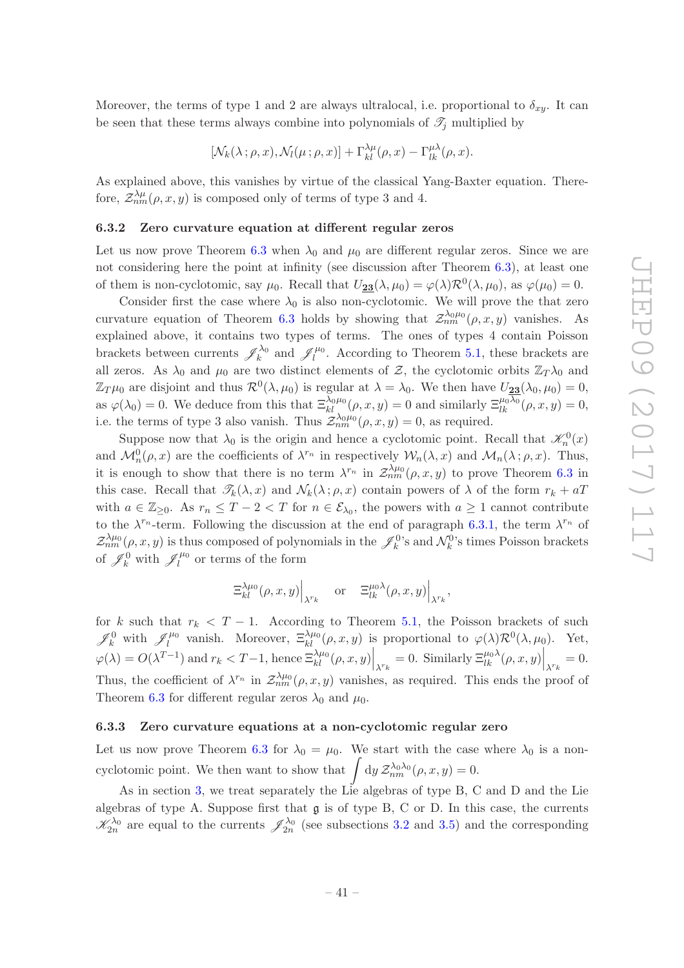Moreover, the terms of type 1 and 2 are always ultralocal, i.e. proportional to  $\delta_{xy}$ . It can be seen that these terms always combine into polynomials of  $\mathcal{I}_j$  multiplied by

$$
[\mathcal{N}_k(\lambda;\rho,x),\mathcal{N}_l(\mu;\rho,x)] + \Gamma_{kl}^{\lambda\mu}(\rho,x) - \Gamma_{lk}^{\mu\lambda}(\rho,x).
$$

As explained above, this vanishes by virtue of the classical Yang-Baxter equation. Therefore,  $\mathcal{Z}_{nm}^{\lambda\mu}(\rho,x,y)$  is composed only of terms of type 3 and 4.

#### <span id="page-43-0"></span>6.3.2 Zero curvature equation at different regular zeros

Let us now prove Theorem [6.3](#page-41-2) when  $\lambda_0$  and  $\mu_0$  are different regular zeros. Since we are not considering here the point at infinity (see discussion after Theorem [6.3\)](#page-41-2), at least one of them is non-cyclotomic, say  $\mu_0$ . Recall that  $U_{23}(\lambda, \mu_0) = \varphi(\lambda) \mathcal{R}^0(\lambda, \mu_0)$ , as  $\varphi(\mu_0) = 0$ .

Consider first the case where  $\lambda_0$  is also non-cyclotomic. We will prove the that zero curvature equation of Theorem [6.3](#page-41-2) holds by showing that  $\mathcal{Z}_{nm}^{\lambda_0\mu_0}(\rho,x,y)$  vanishes. As explained above, it contains two types of terms. The ones of types 4 contain Poisson brackets between currents  $\mathscr{J}_k^{\lambda_0}$  and  $\mathscr{J}_l^{\mu_0}$ . According to Theorem [5.1,](#page-33-2) these brackets are all zeros. As  $\lambda_0$  and  $\mu_0$  are two distinct elements of Z, the cyclotomic orbits  $\mathbb{Z}_T\lambda_0$  and  $\mathbb{Z}_T\mu_0$  are disjoint and thus  $\mathcal{R}^0(\lambda,\mu_0)$  is regular at  $\lambda = \lambda_0$ . We then have  $U_{23}(\lambda_0,\mu_0) = 0$ , as  $\varphi(\lambda_0) = 0$ . We deduce from this that  $\Xi_{kl}^{\lambda_0 \mu_0}(\rho, x, y) = 0$  and similarly  $\Xi_{lk}^{\mu_0 \lambda_0}(\rho, x, y) = 0$ , i.e. the terms of type 3 also vanish. Thus  $\mathcal{Z}_{nm}^{\lambda_0\mu_0}(\rho,x,y)=0$ , as required.

Suppose now that  $\lambda_0$  is the origin and hence a cyclotomic point. Recall that  $\mathscr{K}_n^0(x)$ and  $\mathcal{M}_n^0(\rho, x)$  are the coefficients of  $\lambda^{r_n}$  in respectively  $\mathcal{W}_n(\lambda, x)$  and  $\mathcal{M}_n(\lambda; \rho, x)$ . Thus, it is enough to show that there is no term  $\lambda^{r_n}$  in  $\mathcal{Z}_{nm}^{\lambda\mu_0}(\rho,x,y)$  to prove Theorem [6.3](#page-41-2) in this case. Recall that  $\mathcal{T}_k(\lambda, x)$  and  $\mathcal{N}_k(\lambda; \rho, x)$  contain powers of  $\lambda$  of the form  $r_k + aT$ with  $a \in \mathbb{Z}_{\geq 0}$ . As  $r_n \leq T-2 < T$  for  $n \in \mathcal{E}_{\lambda_0}$ , the powers with  $a \geq 1$  cannot contribute to the  $\lambda^{r_n}$ -term. Following the discussion at the end of paragraph [6.3.1,](#page-41-1) the term  $\lambda^{r_n}$  of  $\mathcal{Z}_{nm}^{\lambda\mu_0}(\rho,x,y)$  is thus composed of polynomials in the  $\mathcal{J}_k^{0}$ 's and  $\mathcal{N}_k^{0}$ 's times Poisson brackets of  $\mathcal{J}_k^0$  with  $\mathcal{J}_l^{\mu_0}$  or terms of the form

$$
\left. \Xi^{\lambda\mu_0}_{kl}(\rho, x, y) \right|_{\lambda^{r_k}} \quad \text{or} \quad \left. \Xi^{\mu_0\lambda}_{lk}(\rho, x, y) \right|_{\lambda^{r_k}},
$$

for k such that  $r_k < T - 1$ . According to Theorem [5.1,](#page-33-2) the Poisson brackets of such  $\mathscr{J}_k^0$  with  $\mathscr{J}_l^{\mu_0}$  vanish. Moreover,  $\Xi_{kl}^{\lambda\mu_0}(\rho,x,y)$  is proportional to  $\varphi(\lambda)\mathcal{R}^0(\lambda,\mu_0)$ . Yet,  $\varphi(\lambda) = O(\lambda^{T-1})$  and  $r_k < T-1$ , hence  $\frac{\partial \lambda \mu_0}{\partial r_k}(\rho, x, y) \Big|_{\lambda^{r_k}} = 0$ . Similarly  $\Xi_{lk}^{\mu_0 \lambda}$  $\left.\frac{\mu_0\lambda}{lk}(\rho,x,y)\right|_{\lambda^{r_k}}=0.$ Thus, the coefficient of  $\lambda^{r_n}$  in  $\mathcal{Z}_{nm}^{\lambda\mu_0}(\rho,x,y)$  vanishes, as required. This ends the proof of Theorem [6.3](#page-41-2) for different regular zeros  $\lambda_0$  and  $\mu_0$ .

#### <span id="page-43-1"></span>6.3.3 Zero curvature equations at a non-cyclotomic regular zero

Let us now prove Theorem [6.3](#page-41-2) for  $\lambda_0 = \mu_0$ . We start with the case where  $\lambda_0$  is a noncyclotomic point. We then want to show that  $\int dy \mathcal{Z}_{nm}^{\lambda_0\lambda_0}(\rho, x, y) = 0.$ 

As in section [3,](#page-16-0) we treat separately the Lie algebras of type B, C and D and the Lie algebras of type A. Suppose first that g is of type B, C or D. In this case, the currents  $\mathscr{K}_{2n}^{\lambda_0}$  are equal to the currents  $\mathscr{J}_{2n}^{\lambda_0}$  (see subsections [3.2](#page-17-1) and [3.5\)](#page-22-0) and the corresponding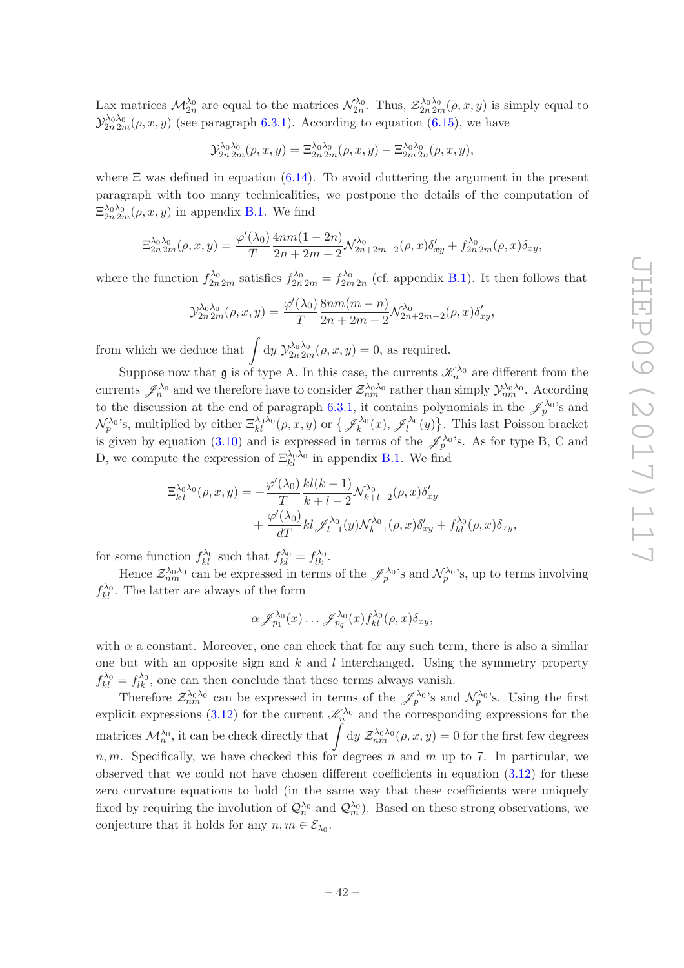Lax matrices  $\mathcal{M}_{2n}^{\lambda_0}$  are equal to the matrices  $\mathcal{N}_{2n}^{\lambda_0}$ . Thus,  $\mathcal{Z}_{2n 2m}^{\lambda_0 \lambda_0}(\rho, x, y)$  is simply equal to  $\mathcal{Y}_{2n\,2m}^{\lambda_0\lambda_0}(\rho,x,y)$  (see paragraph [6.3.1\)](#page-41-1). According to equation [\(6.15\)](#page-42-1), we have

$$
\mathcal{Y}_{2n 2m}^{\lambda_0 \lambda_0}(\rho, x, y) = \Xi_{2n 2m}^{\lambda_0 \lambda_0}(\rho, x, y) - \Xi_{2m 2n}^{\lambda_0 \lambda_0}(\rho, x, y),
$$

where  $\Xi$  was defined in equation [\(6.14\)](#page-42-2). To avoid cluttering the argument in the present paragraph with too many technicalities, we postpone the details of the computation of  $\Xi_{2n,2m}^{\lambda_0\lambda_0}(\rho,x,y)$  in appendix [B.1.](#page-57-0) We find

$$
\Xi_{2n\,2m}^{\lambda_0\lambda_0}(\rho,x,y) = \frac{\varphi'(\lambda_0)}{T} \frac{4nm(1-2n)}{2n+2m-2} \mathcal{N}_{2n+2m-2}^{\lambda_0}(\rho,x) \delta'_{xy} + f_{2n\,2m}^{\lambda_0}(\rho,x) \delta_{xy},
$$

where the function  $f_{2n\,2m}^{\lambda_0}$  satisfies  $f_{2n\,2m}^{\lambda_0} = f_{2m\,2n}^{\lambda_0}$  (cf. appendix [B.1\)](#page-57-0). It then follows that

$$
\mathcal{Y}_{2n\,2m}^{\lambda_0\lambda_0}(\rho,x,y) = \frac{\varphi'(\lambda_0)}{T} \frac{8nm(m-n)}{2n+2m-2} \mathcal{N}_{2n+2m-2}^{\lambda_0}(\rho,x) \delta_{xy}',
$$

from which we deduce that z  $dy \mathcal{Y}_{2n 2m}^{\lambda_0 \lambda_0}(\rho, x, y) = 0$ , as required.

Suppose now that  $\mathfrak g$  is of type A. In this case, the currents  $\mathscr K_n^{\lambda_0}$  are different from the currents  $\mathscr{J}_n^{\lambda_0}$  and we therefore have to consider  $\mathcal{Z}_{nm}^{\lambda_0\lambda_0}$  rather than simply  $\mathcal{Y}_{nm}^{\lambda_0\lambda_0}$ . According to the discussion at the end of paragraph [6.3.1,](#page-41-1) it contains polynomials in the  $\mathscr{J}_p^{\lambda_0}$ 's and  $\mathcal{N}_p^{\lambda_0}$ 's, multiplied by either  $\Xi_{kl}^{\lambda_0\lambda_0}(\rho,x,y)$  or  $\{\mathscr{J}_k^{\lambda_0}(x),\mathscr{J}_l^{\lambda_0}(y)\}\$ . This last Poisson bracket is given by equation [\(3.10\)](#page-19-1) and is expressed in terms of the  $\mathscr{J}_p^{\lambda_0}$ 's. As for type B, C and D, we compute the expression of  $\Xi_{kl}^{\lambda_0\lambda_0}$  in appendix [B.1.](#page-57-0) We find

$$
\begin{split} \Xi_{kl}^{\lambda_0\lambda_0}(\rho,x,y) &= -\frac{\varphi'(\lambda_0)}{T} \frac{kl(k-1)}{k+l-2} \mathcal{N}_{k+l-2}^{\lambda_0}(\rho,x) \delta_{xy}' \\ &+ \frac{\varphi'(\lambda_0)}{dT} kl \mathscr{J}_{l-1}^{\lambda_0}(y) \mathcal{N}_{k-1}^{\lambda_0}(\rho,x) \delta_{xy}' + f_{kl}^{\lambda_0}(\rho,x) \delta_{xy}, \end{split}
$$

for some function  $f_{kl}^{\lambda_0}$  such that  $f_{kl}^{\lambda_0} = f_{lk}^{\lambda_0}$ .

Hence  $\mathcal{Z}_{nm}^{\lambda_0\lambda_0}$  can be expressed in terms of the  $\mathcal{J}_p^{\lambda_0}$ 's and  $\mathcal{N}_p^{\lambda_0}$ 's, up to terms involving  $f_{kl}^{\lambda_0}$ . The latter are always of the form

$$
\alpha \mathscr{J}_{p_1}^{\lambda_0}(x) \dots \mathscr{J}_{p_q}^{\lambda_0}(x) f_{kl}^{\lambda_0}(\rho,x) \delta_{xy},
$$

with  $\alpha$  a constant. Moreover, one can check that for any such term, there is also a similar one but with an opposite sign and k and l interchanged. Using the symmetry property  $f_{kl}^{\lambda_0} = f_{lk}^{\lambda_0}$ , one can then conclude that these terms always vanish.

Therefore  $\mathcal{Z}_{nm}^{\lambda_0\lambda_0}$  can be expressed in terms of the  $\mathscr{J}_p^{\lambda_0}$ 's and  $\mathcal{N}_p^{\lambda_0}$ 's. Using the first explicit expressions [\(3.12\)](#page-19-2) for the current  $\mathscr{K}_n^{\lambda_0}$  and the corresponding expressions for the matrices  $\mathcal{M}_n^{\lambda_0}$ , it can be check directly that Z  $dy \mathcal{Z}_{nm}^{\lambda_0\lambda_0}(\rho,x,y) = 0$  for the first few degrees  $n, m$ . Specifically, we have checked this for degrees  $n$  and  $m$  up to 7. In particular, we observed that we could not have chosen different coefficients in equation [\(3.12\)](#page-19-2) for these zero curvature equations to hold (in the same way that these coefficients were uniquely fixed by requiring the involution of  $\mathcal{Q}_n^{\lambda_0}$  and  $\mathcal{Q}_m^{\lambda_0}$ . Based on these strong observations, we conjecture that it holds for any  $n, m \in \mathcal{E}_{\lambda_0}$ .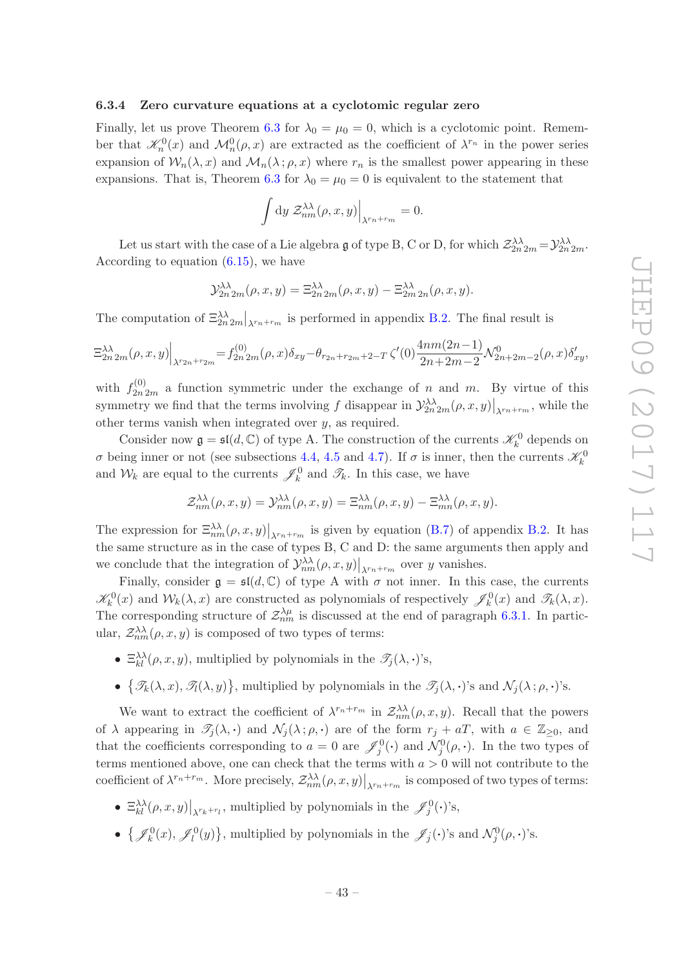#### <span id="page-45-0"></span>6.3.4 Zero curvature equations at a cyclotomic regular zero

Finally, let us prove Theorem [6.3](#page-41-2) for  $\lambda_0 = \mu_0 = 0$ , which is a cyclotomic point. Remember that  $\mathscr{K}_n^0(x)$  and  $\mathcal{M}_n^0(\rho,x)$  are extracted as the coefficient of  $\lambda^{r_n}$  in the power series expansion of  $\mathcal{W}_n(\lambda, x)$  and  $\mathcal{M}_n(\lambda; \rho, x)$  where  $r_n$  is the smallest power appearing in these expansions. That is, Theorem [6.3](#page-41-2) for  $\lambda_0 = \mu_0 = 0$  is equivalent to the statement that

$$
\int dy \mathcal{Z}_{nm}^{\lambda\lambda}(\rho,x,y)\Big|_{\lambda^{r_n+r_m}}=0.
$$

Let us start with the case of a Lie algebra  $\mathfrak g$  of type B, C or D, for which  $\mathcal Z_{2n2m}^{\lambda\lambda}=\mathcal Y_{2n2m}^{\lambda\lambda}$ . According to equation  $(6.15)$ , we have

$$
\mathcal{Y}_{2n 2m}^{\lambda \lambda}(\rho, x, y) = \Xi_{2n 2m}^{\lambda \lambda}(\rho, x, y) - \Xi_{2m 2n}^{\lambda \lambda}(\rho, x, y).
$$

The computation of  $\Xi_{2n2m}^{\lambda\lambda}|_{\lambda^{r_n+r_m}}$  is performed in appendix [B.2.](#page-58-0) The final result is

$$
\Xi_{2n\,2m}^{\lambda\lambda}(\rho,x,y)\Big|_{\lambda^{r_{2n}+r_{2m}}}=f^{(0)}_{2n\,2m}(\rho,x)\delta_{xy}-\theta_{r_{2n}+r_{2m}+2-T}\,\zeta'(0)\frac{4nm(2n-1)}{2n+2m-2}\mathcal{N}^{0}_{2n+2m-2}(\rho,x)\delta'_{xy},
$$

with  $f_{2n}^{(0)}$  $2n \n\geq m$  a function symmetric under the exchange of n and m. By virtue of this symmetry we find that the terms involving f disappear in  $\mathcal{Y}_{2n 2m}^{\lambda \lambda}(\rho, x, y) \big|_{\lambda^{r_n + r_m}}$ , while the other terms vanish when integrated over y, as required.

Consider now  $\mathfrak{g} = \mathfrak{sl}(d, \mathbb{C})$  of type A. The construction of the currents  $\mathcal{K}_k^0$  depends on σ being inner or not (see subsections [4.4](#page-26-0), [4.5](#page-27-0) and [4.7\)](#page-31-0). If σ is inner, then the currents  $\mathcal{K}_k^0$ and  $\mathcal{W}_k$  are equal to the currents  $\mathcal{J}_k^0$  and  $\mathcal{I}_k$ . In this case, we have

$$
\mathcal{Z}_{nm}^{\lambda\lambda}(\rho,x,y)=\mathcal{Y}_{nm}^{\lambda\lambda}(\rho,x,y)=\Xi_{nm}^{\lambda\lambda}(\rho,x,y)-\Xi_{mn}^{\lambda\lambda}(\rho,x,y).
$$

The expression for  $\Xi_{nm}^{\lambda\lambda}(\rho,x,y)|_{\lambda^{r_n+r_m}}$  is given by equation [\(B.7\)](#page-60-0) of appendix [B.2.](#page-58-0) It has the same structure as in the case of types B, C and D: the same arguments then apply and we conclude that the integration of  $\mathcal{Y}_{nm}^{\lambda\lambda}(\rho,x,y)\big|_{\lambda^{r_n+r_m}}$  over y vanishes.

Finally, consider  $\mathfrak{g} = \mathfrak{sl}(d, \mathbb{C})$  of type A with  $\sigma$  not inner. In this case, the currents  $\mathscr{K}_k^0(x)$  and  $\mathcal{W}_k(\lambda, x)$  are constructed as polynomials of respectively  $\mathscr{J}_k^0(x)$  and  $\mathscr{T}_k(\lambda, x)$ . The corresponding structure of  $\mathcal{Z}_{nm}^{\lambda\mu}$  is discussed at the end of paragraph [6.3.1.](#page-41-1) In particular,  $\mathcal{Z}_{nm}^{\lambda\lambda}(\rho,x,y)$  is composed of two types of terms:

- $\Xi_{kl}^{\lambda\lambda}(\rho,x,y)$ , multiplied by polynomials in the  $\mathscr{T}_j(\lambda,\cdot)$ 's,
- $\{\mathcal{T}_k(\lambda,x), \mathcal{T}_l(\lambda,y)\}\$ , multiplied by polynomials in the  $\mathcal{T}_j(\lambda,\cdot)$ 's and  $\mathcal{N}_j(\lambda;\rho,\cdot)$ 's.

We want to extract the coefficient of  $\lambda^{r_n+r_m}$  in  $\mathcal{Z}_{nm}^{\lambda\lambda}(\rho,x,y)$ . Recall that the powers of  $\lambda$  appearing in  $\mathcal{T}_j(\lambda, \cdot)$  and  $\mathcal{N}_j(\lambda; \rho, \cdot)$  are of the form  $r_j + aT$ , with  $a \in \mathbb{Z}_{\geq 0}$ , and that the coefficients corresponding to  $a = 0$  are  $\mathscr{J}_j^0(\cdot)$  and  $\mathcal{N}_j^0(\rho, \cdot)$ . In the two types of terms mentioned above, one can check that the terms with  $a > 0$  will not contribute to the coefficient of  $\lambda^{r_n+r_m}$ . More precisely,  $\mathcal{Z}_{nm}^{\lambda\lambda}(\rho,x,y)|_{\lambda^{r_n+r_m}}$  is composed of two types of terms:

- $\mathbb{E}_{kl}^{\lambda\lambda}(\rho,x,y)|_{\lambda^{r_k+r_l}}$ , multiplied by polynomials in the  $\mathscr{J}_j^0(\cdot)$ 's,
- $\{\mathscr{J}_k^0(x), \mathscr{J}_l^0(y)\}\$ , multiplied by polynomials in the  $\mathscr{J}_j(\cdot)$ 's and  $\mathcal{N}_j^0(\rho, \cdot)$ 's.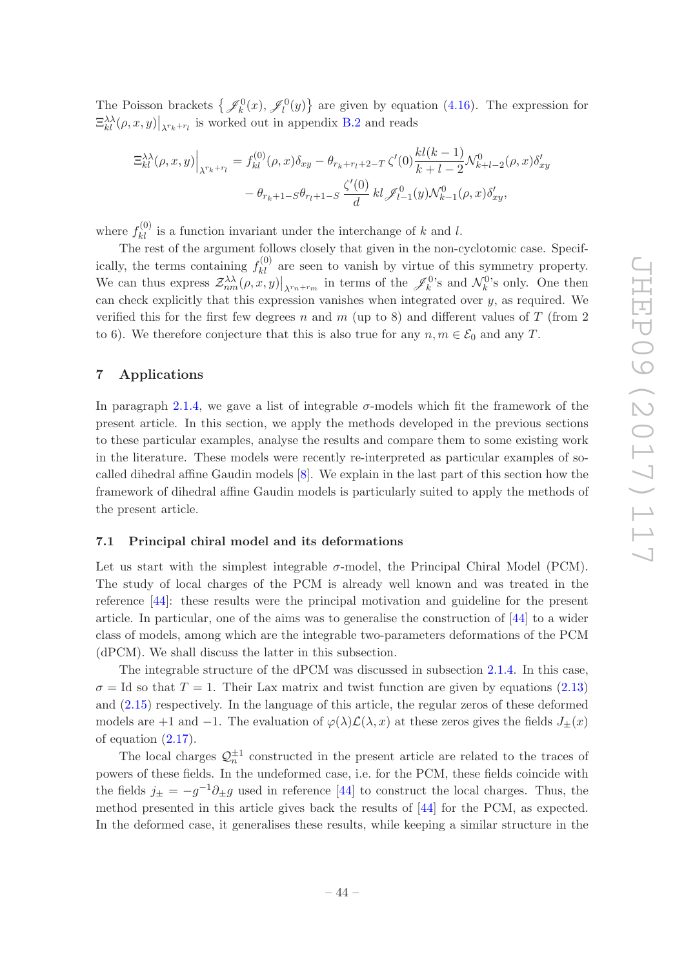The Poisson brackets  $\{\mathcal{J}_k^0(x), \mathcal{J}_l^0(y)\}\$  are given by equation [\(4.16\)](#page-27-2). The expression for  $\left. \Xi_{kl}^{\lambda\lambda}(\rho,x,y)\right|_{\lambda^{r_k+r_l}}$  is worked out in appendix [B.2](#page-58-0) and reads

$$
\left. \begin{aligned} \left. \Xi_{kl}^{\lambda\lambda}(\rho,x,y) \right|_{\lambda^{r_k+r_l}} &= f_{kl}^{(0)}(\rho,x)\delta_{xy} - \theta_{r_k+r_l+2-T} \,\zeta'(0) \frac{kl(k-1)}{k+l-2} \mathcal{N}_{k+l-2}^0(\rho,x) \delta_{xy}' \\ &- \theta_{r_k+1-S} \theta_{r_l+1-S} \frac{\zeta'(0)}{d} \, kl \, \mathscr{J}_{l-1}^0(y) \mathcal{N}_{k-1}^0(\rho,x) \delta_{xy}', \end{aligned} \right.
$$

where  $f_{kl}^{(0)}$  is a function invariant under the interchange of k and l.

The rest of the argument follows closely that given in the non-cyclotomic case. Specifically, the terms containing  $f_{kl}^{(0)}$  are seen to vanish by virtue of this symmetry property. We can thus express  $\mathcal{Z}_{nm}^{\lambda\lambda}(\rho,x,y)|_{\lambda^{r_n+r_m}}$  in terms of the  $\mathcal{J}_k^{0,s}$  and  $\mathcal{N}_k^{0,s}$  only. One then can check explicitly that this expression vanishes when integrated over  $y$ , as required. We verified this for the first few degrees  $n$  and  $m$  (up to 8) and different values of  $T$  (from 2) to 6). We therefore conjecture that this is also true for any  $n, m \in \mathcal{E}_0$  and any T.

# <span id="page-46-0"></span>7 Applications

In paragraph [2.1.4,](#page-10-0) we gave a list of integrable  $\sigma$ -models which fit the framework of the present article. In this section, we apply the methods developed in the previous sections to these particular examples, analyse the results and compare them to some existing work in the literature. These models were recently re-interpreted as particular examples of socalled dihedral affine Gaudin models [\[8\]](#page-61-6). We explain in the last part of this section how the framework of dihedral affine Gaudin models is particularly suited to apply the methods of the present article.

#### <span id="page-46-1"></span>7.1 Principal chiral model and its deformations

Let us start with the simplest integrable  $\sigma$ -model, the Principal Chiral Model (PCM). The study of local charges of the PCM is already well known and was treated in the reference [\[44](#page-63-4)]: these results were the principal motivation and guideline for the present article. In particular, one of the aims was to generalise the construction of [\[44\]](#page-63-4) to a wider class of models, among which are the integrable two-parameters deformations of the PCM (dPCM). We shall discuss the latter in this subsection.

The integrable structure of the dPCM was discussed in subsection [2.1.4.](#page-10-0) In this case,  $\sigma =$ Id so that  $T = 1$ . Their Lax matrix and twist function are given by equations [\(2.13](#page-10-1)) and [\(2.15\)](#page-11-0) respectively. In the language of this article, the regular zeros of these deformed models are +1 and -1. The evaluation of  $\varphi(\lambda) \mathcal{L}(\lambda, x)$  at these zeros gives the fields  $J_{\pm}(x)$ of equation [\(2.17\)](#page-11-1).

The local charges  $\mathcal{Q}_n^{\pm 1}$  constructed in the present article are related to the traces of powers of these fields. In the undeformed case, i.e. for the PCM, these fields coincide with the fields  $j_{\pm} = -g^{-1}\partial_{\pm}g$  used in reference [\[44\]](#page-63-4) to construct the local charges. Thus, the method presented in this article gives back the results of [\[44\]](#page-63-4) for the PCM, as expected. In the deformed case, it generalises these results, while keeping a similar structure in the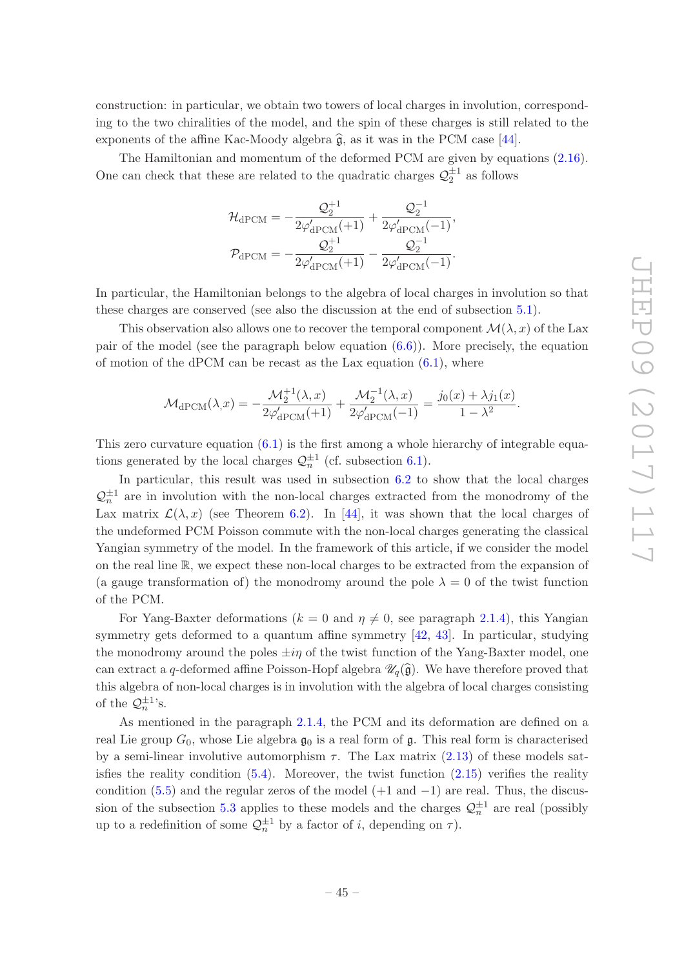construction: in particular, we obtain two towers of local charges in involution, corresponding to the two chiralities of the model, and the spin of these charges is still related to the exponents of the affine Kac-Moody algebra  $\widehat{\mathfrak{g}}$ , as it was in the PCM case [\[44](#page-63-4)].

The Hamiltonian and momentum of the deformed PCM are given by equations [\(2.16\)](#page-11-2). One can check that these are related to the quadratic charges  $\mathcal{Q}_2^{\pm 1}$  as follows

$$
\begin{aligned} \mathcal{H}_{\mathrm{dPCM}} &= -\frac{\mathcal{Q}_{2}^{+1}}{2\varphi_{\mathrm{dPCM}}'(+1)} + \frac{\mathcal{Q}_{2}^{-1}}{2\varphi_{\mathrm{dPCM}}'(-1)}, \\ \mathcal{P}_{\mathrm{dPCM}} &= -\frac{\mathcal{Q}_{2}^{+1}}{2\varphi_{\mathrm{dPCM}}'(+1)} - \frac{\mathcal{Q}_{2}^{-1}}{2\varphi_{\mathrm{dPCM}}'(-1)}. \end{aligned}
$$

In particular, the Hamiltonian belongs to the algebra of local charges in involution so that these charges are conserved (see also the discussion at the end of subsection [5.1\)](#page-32-1).

This observation also allows one to recover the temporal component  $\mathcal{M}(\lambda, x)$  of the Lax pair of the model (see the paragraph below equation  $(6.6)$ ). More precisely, the equation of motion of the dPCM can be recast as the Lax equation  $(6.1)$ , where

$$
\mathcal{M}_{\text{dPCM}}(\lambda, x) = -\frac{\mathcal{M}_2^{+1}(\lambda, x)}{2\varphi_{\text{dPCM}}'(+1)} + \frac{\mathcal{M}_2^{-1}(\lambda, x)}{2\varphi_{\text{dPCM}}'(-1)} = \frac{j_0(x) + \lambda j_1(x)}{1 - \lambda^2}.
$$

This zero curvature equation  $(6.1)$  is the first among a whole hierarchy of integrable equations generated by the local charges  $\mathcal{Q}_n^{\pm 1}$  (cf. subsection [6.1\)](#page-37-1).

In particular, this result was used in subsection [6.2](#page-39-0) to show that the local charges  $\mathcal{Q}_n^{\pm 1}$  are in involution with the non-local charges extracted from the monodromy of the Lax matrix  $\mathcal{L}(\lambda, x)$  (see Theorem [6.2\)](#page-40-2). In [\[44\]](#page-63-4), it was shown that the local charges of the undeformed PCM Poisson commute with the non-local charges generating the classical Yangian symmetry of the model. In the framework of this article, if we consider the model on the real line R, we expect these non-local charges to be extracted from the expansion of (a gauge transformation of) the monodromy around the pole  $\lambda = 0$  of the twist function of the PCM.

For Yang-Baxter deformations ( $k = 0$  and  $\eta \neq 0$ , see paragraph [2.1.4\)](#page-10-0), this Yangian symmetry gets deformed to a quantum affine symmetry [\[42](#page-63-2) , [43\]](#page-63-3). In particular, studying the monodromy around the poles  $\pm i\eta$  of the twist function of the Yang-Baxter model, one can extract a q-deformed affine Poisson-Hopf algebra  $\mathscr{U}_q(\widehat{\mathfrak{g}})$ . We have therefore proved that this algebra of non-local charges is in involution with the algebra of local charges consisting of the  $\mathcal{Q}_n^{\pm 1}$ 's.

As mentioned in the paragraph [2.1.4,](#page-10-0) the PCM and its deformation are defined on a real Lie group  $G_0$ , whose Lie algebra  $\mathfrak{g}_0$  is a real form of  $\mathfrak{g}$ . This real form is characterised by a semi-linear involutive automorphism  $\tau$ . The Lax matrix  $(2.13)$  of these models satisfies the reality condition  $(5.4)$ . Moreover, the twist function  $(2.15)$  verifies the reality condition  $(5.5)$  and the regular zeros of the model  $(+1 \text{ and } -1)$  are real. Thus, the discus-sion of the subsection [5.3](#page-35-0) applies to these models and the charges  $\mathcal{Q}_n^{\pm 1}$  are real (possibly up to a redefinition of some  $\mathcal{Q}_n^{\pm 1}$  by a factor of *i*, depending on  $\tau$ ).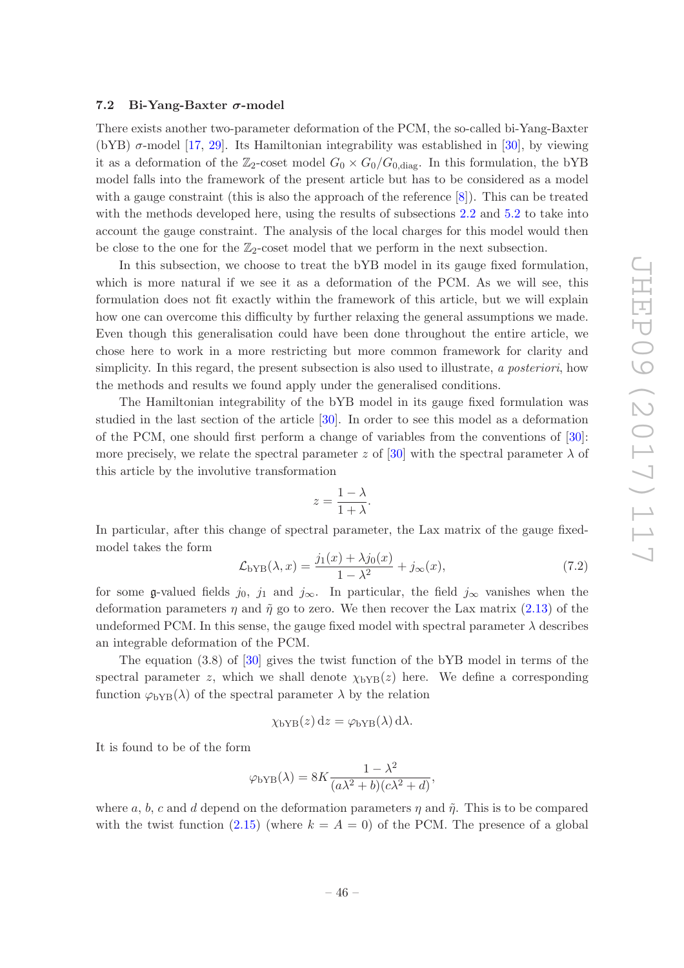# <span id="page-48-0"></span>7.2 Bi-Yang-Baxter  $\sigma$ -model

There exists another two-parameter deformation of the PCM, the so-called bi-Yang-Baxter (bYB)  $\sigma$ -model [\[17](#page-61-17), [29\]](#page-62-3). Its Hamiltonian integrability was established in [\[30](#page-62-4)], by viewing it as a deformation of the  $\mathbb{Z}_2$ -coset model  $G_0 \times G_0/G_{0,\text{diag}}$ . In this formulation, the bYB model falls into the framework of the present article but has to be considered as a model with a gauge constraint (this is also the approach of the reference [[8](#page-61-6)]). This can be treated with the methods developed here, using the results of subsections [2.2](#page-12-0) and [5.2](#page-34-0) to take into account the gauge constraint. The analysis of the local charges for this model would then be close to the one for the Z <sup>2</sup>-coset model that we perform in the next subsection.

In this subsection, we choose to treat the bYB model in its gauge fixed formulation, which is more natural if we see it as a deformation of the PCM. As we will see, this formulation does not fit exactly within the framework of this article, but we will explain how one can overcome this difficulty by further relaxing the general assumptions we made. Even though this generalisation could have been done throughout the entire article, we chose here to work in a more restricting but more common framework for clarity and simplicity. In this regard, the present subsection is also used to illustrate, a posteriori, how the methods and results we found apply under the generalised conditions.

The Hamiltonian integrability of the bYB model in its gauge fixed formulation was studied in the last section of the article [\[30](#page-62-4)]. In order to see this model as a deformation of the PCM, one should first perform a change of variables from the conventions of [\[30\]](#page-62-4): more precisely, we relate the spectral parameter z of  $[30]$  with the spectral parameter  $\lambda$  of this article by the involutive transformation

$$
z = \frac{1 - \lambda}{1 + \lambda}.
$$

In particular, after this change of spectral parameter, the Lax matrix of the gauge fixedmodel takes the form

<span id="page-48-1"></span>
$$
\mathcal{L}_{bYB}(\lambda, x) = \frac{j_1(x) + \lambda j_0(x)}{1 - \lambda^2} + j_\infty(x),\tag{7.2}
$$

for some g-valued fields  $j_0$ ,  $j_1$  and  $j_{\infty}$ . In particular, the field  $j_{\infty}$  vanishes when the deformation parameters  $\eta$  and  $\tilde{\eta}$  go to zero. We then recover the Lax matrix [\(2.13\)](#page-10-1) of the undeformed PCM. In this sense, the gauge fixed model with spectral parameter  $\lambda$  describes an integrable deformation of the PCM.

The equation (3.8) of [\[30\]](#page-62-4) gives the twist function of the bYB model in terms of the spectral parameter z, which we shall denote  $\chi_{\text{bYB}}(z)$  here. We define a corresponding function  $\varphi_{\text{bYB}}(\lambda)$  of the spectral parameter  $\lambda$  by the relation

$$
\chi_{\rm bYB}(z) dz = \varphi_{\rm bYB}(\lambda) d\lambda.
$$

It is found to be of the form

$$
\varphi_{\rm bYB}(\lambda) = 8K \frac{1 - \lambda^2}{(a\lambda^2 + b)(c\lambda^2 + d)},
$$

where a, b, c and d depend on the deformation parameters  $\eta$  and  $\tilde{\eta}$ . This is to be compared with the twist function  $(2.15)$  (where  $k = A = 0$ ) of the PCM. The presence of a global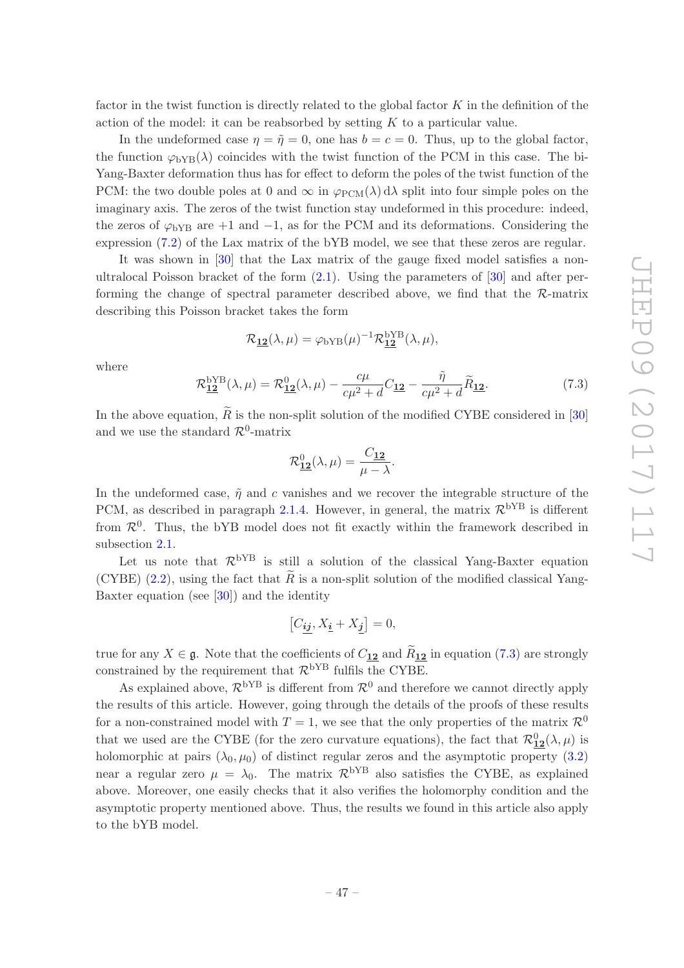factor in the twist function is directly related to the global factor K in the definition of the action of the model: it can be reabsorbed by setting  $K$  to a particular value.

In the undeformed case  $\eta = \tilde{\eta} = 0$ , one has  $b = c = 0$ . Thus, up to the global factor, the function  $\varphi_{\text{bYB}}(\lambda)$  coincides with the twist function of the PCM in this case. The bi-Yang-Baxter deformation thus has for effect to deform the poles of the twist function of the PCM: the two double poles at 0 and  $\infty$  in  $\varphi_{\rm{PCM}}(\lambda) d\lambda$  split into four simple poles on the imaginary axis. The zeros of the twist function stay undeformed in this procedure: indeed, the zeros of  $\varphi_{\text{bYB}}$  are +1 and -1, as for the PCM and its deformations. Considering the expression [\(7.2\)](#page-48-1) of the Lax matrix of the bYB model, we see that these zeros are regular.

It was shown in [\[30\]](#page-62-4) that the Lax matrix of the gauge fixed model satisfies a nonultralocal Poisson bracket of the form  $(2.1)$ . Using the parameters of  $[30]$  and after performing the change of spectral parameter described above, we find that the R-matrix describing this Poisson bracket takes the form

$$
\mathcal{R}_{\mathbf{12}}(\lambda,\mu) = \varphi_{\mathrm{bYB}}(\mu)^{-1} \mathcal{R}_{\mathbf{12}}^{\mathrm{bYB}}(\lambda,\mu),
$$

where

<span id="page-49-0"></span>
$$
\mathcal{R}_{\underline{12}}^{\text{bYB}}(\lambda,\mu) = \mathcal{R}_{\underline{12}}^0(\lambda,\mu) - \frac{c\mu}{c\mu^2 + d}C_{\underline{12}} - \frac{\tilde{\eta}}{c\mu^2 + d}\tilde{R}_{\underline{12}}.
$$
\n(7.3)

In the above equation,  $R$  is the non-split solution of the modified CYBE considered in [\[30](#page-62-4)] and we use the standard  $\mathcal{R}^0$ -matrix

$$
\mathcal{R}_{\mathbf{\underline{12}}}^{0}(\lambda,\mu)=\frac{C_{\mathbf{\underline{12}}}}{\mu-\lambda}.
$$

In the undeformed case,  $\tilde{\eta}$  and c vanishes and we recover the integrable structure of the PCM, as described in paragraph [2.1.4.](#page-10-0) However, in general, the matrix  $\mathcal{R}^{bYB}$  is different from  $\mathcal{R}^0$ . Thus, the bYB model does not fit exactly within the framework described in subsection [2.1](#page-8-1).

Let us note that  $\mathcal{R}^{bYB}$  is still a solution of the classical Yang-Baxter equation (CYBE)  $(2.2)$ , using the fact that R is a non-split solution of the modified classical Yang-Baxter equation (see [\[30\]](#page-62-4)) and the identity

$$
\left[C_{\underline{\textbf{\textit{i}}\underline{\textbf{\textit{j}}}},X_{\underline{\textbf{\textit{i}}}}+X_{\underline{\textbf{\textit{j}}}}\right]=0,
$$

true for any  $X \in \mathfrak{g}$ . Note that the coefficients of  $C_{12}$  and  $R_{12}$  in equation [\(7.3\)](#page-49-0) are strongly constrained by the requirement that  $\mathcal{R}^{bYB}$  fulfils the CYBE.

As explained above,  $\mathcal{R}^{bYB}$  is different from  $\mathcal{R}^0$  and therefore we cannot directly apply the results of this article. However, going through the details of the proofs of these results for a non-constrained model with  $T = 1$ , we see that the only properties of the matrix  $\mathcal{R}^0$ that we used are the CYBE (for the zero curvature equations), the fact that  $\mathcal{R}_{12}^0(\lambda,\mu)$  is holomorphic at pairs  $(\lambda_0, \mu_0)$  of distinct regular zeros and the asymptotic property  $(3.2)$ near a regular zero  $\mu = \lambda_0$ . The matrix  $\mathcal{R}^{bYB}$  also satisfies the CYBE, as explained above. Moreover, one easily checks that it also verifies the holomorphy condition and the asymptotic property mentioned above. Thus, the results we found in this article also apply to the bYB model.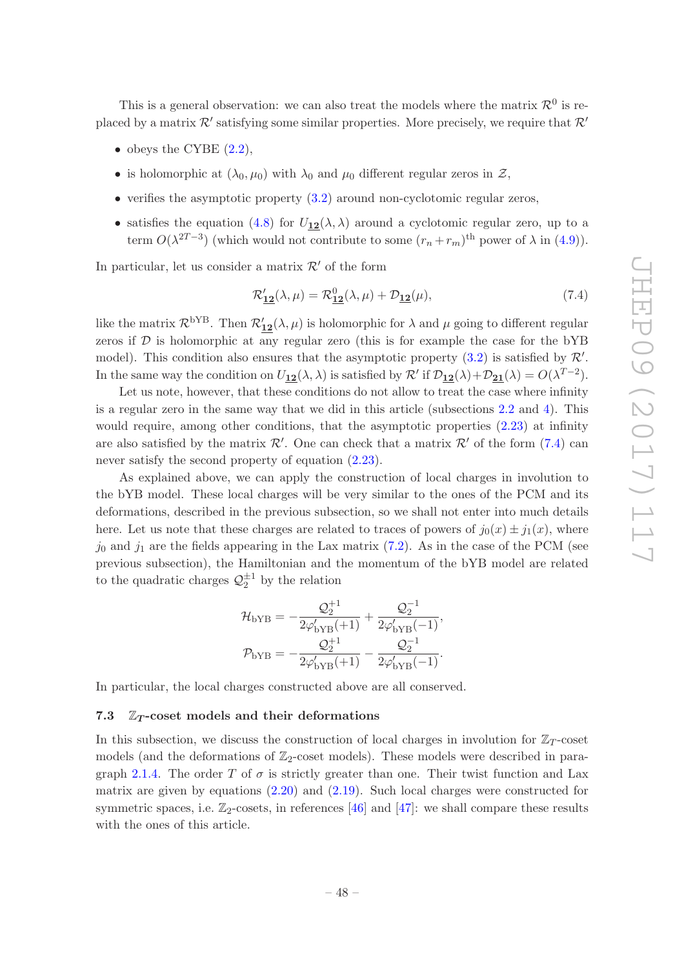This is a general observation: we can also treat the models where the matrix  $\mathcal{R}^0$  is replaced by a matrix  $\mathcal{R}'$  satisfying some similar properties. More precisely, we require that  $\mathcal{R}'$ 

- obeys the CYBE  $(2.2)$ ,
- is holomorphic at  $(\lambda_0, \mu_0)$  with  $\lambda_0$  and  $\mu_0$  different regular zeros in  $\mathcal{Z}$ ,
- verifies the asymptotic property  $(3.2)$  around non-cyclotomic regular zeros,
- satisfies the equation [\(4.8\)](#page-24-6) for  $U_{12}(\lambda, \lambda)$  around a cyclotomic regular zero, up to a term  $O(\lambda^{2T-3})$  (which would not contribute to some  $(r_n + r_m)^{\text{th}}$  power of  $\lambda$  in [\(4.9\)](#page-24-2)).

In particular, let us consider a matrix  $\mathcal{R}'$  of the form

<span id="page-50-1"></span>
$$
\mathcal{R}_{12}'(\lambda,\mu) = \mathcal{R}_{12}^0(\lambda,\mu) + \mathcal{D}_{12}(\mu),\tag{7.4}
$$

like the matrix  $\mathcal{R}^{bYB}$ . Then  $\mathcal{R}'_{12}(\lambda,\mu)$  is holomorphic for  $\lambda$  and  $\mu$  going to different regular zeros if  $D$  is holomorphic at any regular zero (this is for example the case for the bYB model). This condition also ensures that the asymptotic property  $(3.2)$  is satisfied by  $\mathcal{R}'$ . In the same way the condition on  $U_{12}(\lambda, \lambda)$  is satisfied by  $\mathcal{R}'$  if  $\mathcal{D}_{12}(\lambda)+\mathcal{D}_{21}(\lambda)=O(\lambda^{T-2})$ .

Let us note, however, that these conditions do not allow to treat the case where infinity is a regular zero in the same way that we did in this article (subsections [2.2](#page-12-0) and [4\)](#page-22-1). This would require, among other conditions, that the asymptotic properties [\(2.23\)](#page-13-5) at infinity are also satisfied by the matrix  $\mathcal{R}'$ . One can check that a matrix  $\mathcal{R}'$  of the form [\(7.4\)](#page-50-1) can never satisfy the second property of equation  $(2.23)$ .

As explained above, we can apply the construction of local charges in involution to the bYB model. These local charges will be very similar to the ones of the PCM and its deformations, described in the previous subsection, so we shall not enter into much details here. Let us note that these charges are related to traces of powers of  $j_0(x) \pm j_1(x)$ , where  $j_0$  and  $j_1$  are the fields appearing in the Lax matrix [\(7.2\)](#page-48-1). As in the case of the PCM (see previous subsection), the Hamiltonian and the momentum of the bYB model are related to the quadratic charges  $\mathcal{Q}_2^{\pm 1}$  by the relation

$$
\begin{aligned} \mathcal{H}_{bYB} &= -\frac{\mathcal{Q}_{2}^{+1}}{2\varphi_{bYB}^{\prime}(+1)} + \frac{\mathcal{Q}_{2}^{-1}}{2\varphi_{bYB}^{\prime}(-1)}, \\ \mathcal{P}_{bYB} &= -\frac{\mathcal{Q}_{2}^{+1}}{2\varphi_{bYB}^{\prime}(+1)} - \frac{\mathcal{Q}_{2}^{-1}}{2\varphi_{bYB}^{\prime}(-1)}. \end{aligned}
$$

<span id="page-50-0"></span>In particular, the local charges constructed above are all conserved.

#### 7.3  $\mathbb{Z}_T$ -coset models and their deformations

In this subsection, we discuss the construction of local charges in involution for  $\mathbb{Z}_T$ -coset models (and the deformations of  $\mathbb{Z}_2$ -coset models). These models were described in para-graph [2.1.4.](#page-10-0) The order T of  $\sigma$  is strictly greater than one. Their twist function and Lax matrix are given by equations  $(2.20)$  and  $(2.19)$ . Such local charges were constructed for symmetric spaces, i.e.  $\mathbb{Z}_2$ -cosets, in references [\[46](#page-63-6)] and [\[47\]](#page-63-7): we shall compare these results with the ones of this article.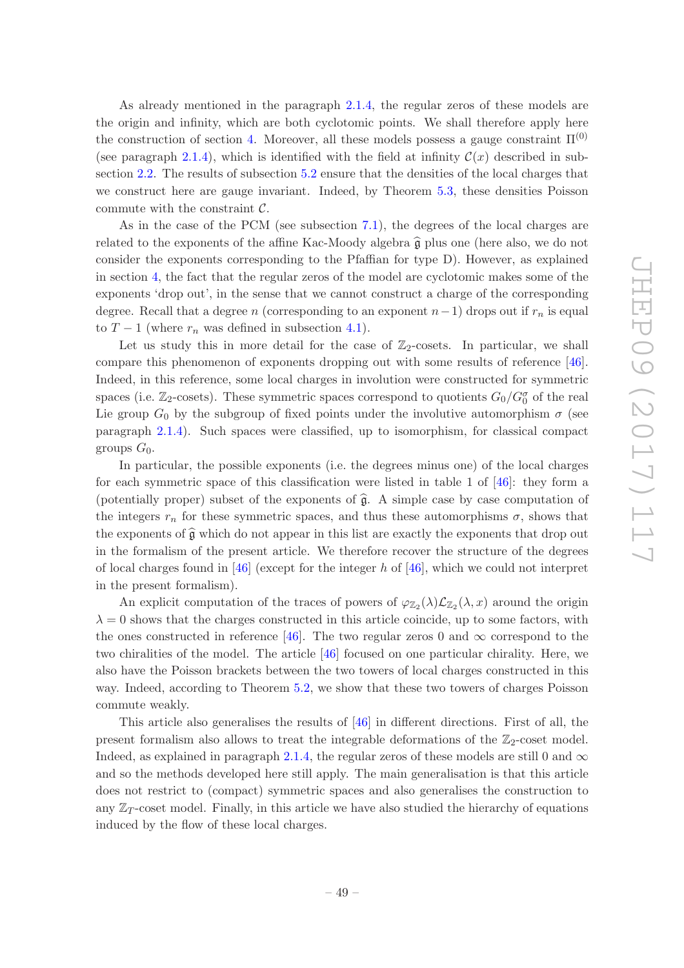As already mentioned in the paragraph [2.1.4,](#page-10-0) the regular zeros of these models are the origin and infinity, which are both cyclotomic points. We shall therefore apply here the construction of section [4.](#page-22-1) Moreover, all these models possess a gauge constraint  $\Pi^{(0)}$ (see paragraph [2.1.4\)](#page-10-0), which is identified with the field at infinity  $\mathcal{C}(x)$  described in subsection [2.2.](#page-12-0) The results of subsection [5.2](#page-34-0) ensure that the densities of the local charges that we construct here are gauge invariant. Indeed, by Theorem [5.3,](#page-34-1) these densities Poisson commute with the constraint  $\mathcal{C}$ .

As in the case of the PCM (see subsection [7.1\)](#page-46-1), the degrees of the local charges are related to the exponents of the affine Kac-Moody algebra  $\hat{\mathfrak{g}}$  plus one (here also, we do not consider the exponents corresponding to the Pfaffian for type D). However, as explained in section [4,](#page-22-1) the fact that the regular zeros of the model are cyclotomic makes some of the exponents 'drop out', in the sense that we cannot construct a charge of the corresponding degree. Recall that a degree n (corresponding to an exponent  $n-1$ ) drops out if  $r_n$  is equal to  $T-1$  (where  $r_n$  was defined in subsection [4.1\)](#page-23-0).

Let us study this in more detail for the case of  $\mathbb{Z}_2$ -cosets. In particular, we shall compare this phenomenon of exponents dropping out with some results of reference [\[46\]](#page-63-6). Indeed, in this reference, some local charges in involution were constructed for symmetric spaces (i.e.  $\mathbb{Z}_2$ -cosets). These symmetric spaces correspond to quotients  $G_0/G_0^{\sigma}$  of the real Lie group  $G_0$  by the subgroup of fixed points under the involutive automorphism  $\sigma$  (see paragraph [2.1.4\)](#page-10-0). Such spaces were classified, up to isomorphism, for classical compact groups  $G_0$ .

In particular, the possible exponents (i.e. the degrees minus one) of the local charges for each symmetric space of this classification were listed in table 1 of [\[46\]](#page-63-6): they form a (potentially proper) subset of the exponents of  $\hat{\mathfrak{g}}$ . A simple case by case computation of the integers  $r_n$  for these symmetric spaces, and thus these automorphisms  $\sigma$ , shows that the exponents of  $\hat{\mathfrak{g}}$  which do not appear in this list are exactly the exponents that drop out in the formalism of the present article. We therefore recover the structure of the degrees of local charges found in  $[46]$  (except for the integer h of  $[46]$ , which we could not interpret in the present formalism).

An explicit computation of the traces of powers of  $\varphi_{\mathbb{Z}_2}(\lambda)\mathcal{L}_{\mathbb{Z}_2}(\lambda,x)$  around the origin  $\lambda = 0$  shows that the charges constructed in this article coincide, up to some factors, with the ones constructed in reference [\[46\]](#page-63-6). The two regular zeros 0 and  $\infty$  correspond to the two chiralities of the model. The article [\[46](#page-63-6)] focused on one particular chirality. Here, we also have the Poisson brackets between the two towers of local charges constructed in this way. Indeed, according to Theorem [5.2,](#page-34-2) we show that these two towers of charges Poisson commute weakly.

This article also generalises the results of [\[46](#page-63-6)] in different directions. First of all, the present formalism also allows to treat the integrable deformations of the Z <sup>2</sup>-coset model. Indeed, as explained in paragraph [2.1.4,](#page-10-0) the regular zeros of these models are still 0 and  $\infty$ and so the methods developed here still apply. The main generalisation is that this article does not restrict to (compact) symmetric spaces and also generalises the construction to any  $\mathbb{Z}_T$ -coset model. Finally, in this article we have also studied the hierarchy of equations induced by the flow of these local charges.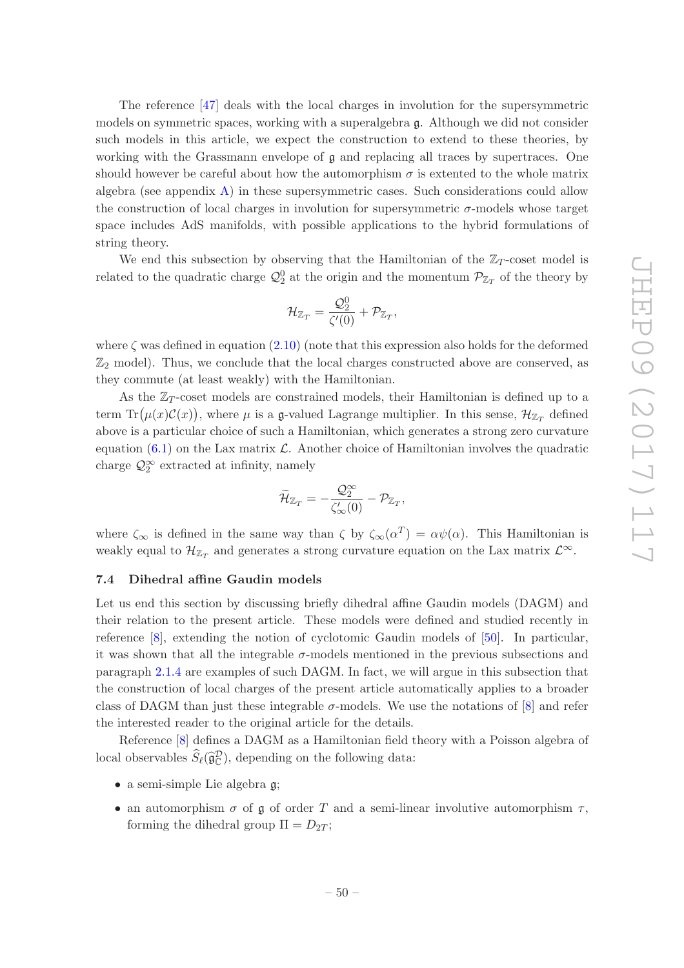The reference [\[47](#page-63-7)] deals with the local charges in involution for the supersymmetric models on symmetric spaces, working with a superalgebra g. Although we did not consider such models in this article, we expect the construction to extend to these theories, by working with the Grassmann envelope of g and replacing all traces by supertraces. One should however be careful about how the automorphism  $\sigma$  is extented to the whole matrix algebra (see appendix [A\)](#page-55-0) in these supersymmetric cases. Such considerations could allow the construction of local charges in involution for supersymmetric  $\sigma$ -models whose target space includes AdS manifolds, with possible applications to the hybrid formulations of string theory.

We end this subsection by observing that the Hamiltonian of the  $\mathbb{Z}_T$ -coset model is related to the quadratic charge  $\mathcal{Q}_2^0$  at the origin and the momentum  $\mathcal{P}_{\mathbb{Z}_T}$  of the theory by

$$
\mathcal{H}_{\mathbb{Z}_T} = \frac{\mathcal{Q}_2^0}{\zeta'(0)} + \mathcal{P}_{\mathbb{Z}_T},
$$

where  $\zeta$  was defined in equation  $(2.10)$  (note that this expression also holds for the deformed  $\mathbb{Z}_2$  model). Thus, we conclude that the local charges constructed above are conserved, as they commute (at least weakly) with the Hamiltonian.

As the  $\mathbb{Z}_T$ -coset models are constrained models, their Hamiltonian is defined up to a term Tr $(\mu(x)\mathcal{C}(x))$ , where  $\mu$  is a g-valued Lagrange multiplier. In this sense,  $\mathcal{H}_{\mathbb{Z}_T}$  defined above is a particular choice of such a Hamiltonian, which generates a strong zero curvature equation  $(6.1)$  on the Lax matrix  $\mathcal{L}$ . Another choice of Hamiltonian involves the quadratic charge  $\mathcal{Q}_2^{\infty}$  extracted at infinity, namely

$$
\widetilde{\mathcal{H}}_{\mathbb{Z}_T} = -\frac{\mathcal{Q}_2^{\infty}}{\zeta_{\infty}'(0)} - \mathcal{P}_{\mathbb{Z}_T},
$$

where  $\zeta_{\infty}$  is defined in the same way than  $\zeta$  by  $\zeta_{\infty}(\alpha^T) = \alpha \psi(\alpha)$ . This Hamiltonian is weakly equal to  $\mathcal{H}_{\mathbb{Z}_T}$  and generates a strong curvature equation on the Lax matrix  $\mathcal{L}^{\infty}$ .

#### <span id="page-52-0"></span>7.4 Dihedral affine Gaudin models

Let us end this section by discussing briefly dihedral affine Gaudin models (DAGM) and their relation to the present article. These models were defined and studied recently in reference [ [8\]](#page-61-6), extending the notion of cyclotomic Gaudin models of [\[50](#page-63-10)]. In particular, it was shown that all the integrable  $\sigma$ -models mentioned in the previous subsections and paragraph [2.1.4](#page-10-0) are examples of such DAGM. In fact, we will argue in this subsection that the construction of local charges of the present article automatically applies to a broader class of DAGM than just these integrable  $\sigma$ -models. We use the notations of [[8](#page-61-6)] and refer the interested reader to the original article for the details.

Reference [ [8\]](#page-61-6) defines a DAGM as a Hamiltonian field theory with a Poisson algebra of local observables  $\widehat{S}_{\ell}(\widehat{\mathfrak{g}}_{\mathbb{C}}^{\mathcal{D}})$ , depending on the following data:

- a semi-simple Lie algebra  $\mathfrak{g}$ ;
- an automorphism  $\sigma$  of  $\mathfrak g$  of order T and a semi-linear involutive automorphism  $\tau$ , forming the dihedral group  $\Pi = D_{2T}$ ;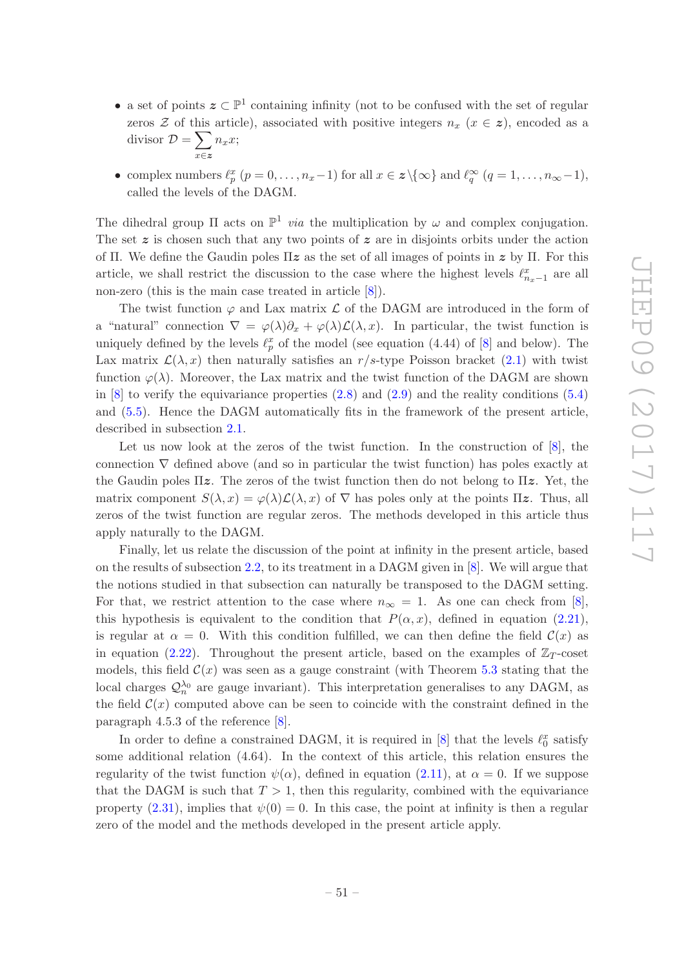- a set of points  $z \subset \mathbb{P}^1$  containing infinity (not to be confused with the set of regular zeros  $\mathcal Z$  of this article), associated with positive integers  $n_x$   $(x \in \mathbf z)$ , encoded as a divisor  $\mathcal{D} = \sum n_x x;$ x∈z
- complex numbers  $\ell_p^x$   $(p = 0, \ldots, n_x 1)$  for all  $x \in \mathbf{z} \setminus \{\infty\}$  and  $\ell_q^{\infty}$   $(q = 1, \ldots, n_{\infty} 1)$ , called the levels of the DAGM.

The dihedral group  $\Pi$  acts on  $\mathbb{P}^1$  via the multiplication by  $\omega$  and complex conjugation. The set z is chosen such that any two points of z are in disjoints orbits under the action of Π. We define the Gaudin poles Πz as the set of all images of points in z by Π. For this article, we shall restrict the discussion to the case where the highest levels  $\ell_{n_x-1}^x$  are all non-zero (this is the main case treated in article  $[8]$  $[8]$  $[8]$ ).

The twist function  $\varphi$  and Lax matrix  $\mathcal L$  of the DAGM are introduced in the form of a "natural" connection  $\nabla = \varphi(\lambda)\partial_x + \varphi(\lambda)\mathcal{L}(\lambda, x)$ . In particular, the twist function is uniquely defined by the levels  $\ell_p^x$  of the model (see equation (4.44) of [[8](#page-61-6)] and below). The Lax matrix  $\mathcal{L}(\lambda, x)$  then naturally satisfies an  $r/s$ -type Poisson bracket  $(2.1)$  with twist function  $\varphi(\lambda)$ . Moreover, the Lax matrix and the twist function of the DAGM are shown in  $[8]$  $[8]$  to verify the equivariance properties  $(2.8)$  and  $(2.9)$  and the reality conditions  $(5.4)$ and [\(5.5\)](#page-35-2). Hence the DAGM automatically fits in the framework of the present article, described in subsection [2.1](#page-8-1) .

Let us now look at the zeros of the twist function. In the construction of  $[8]$  $[8]$ , the connection  $\nabla$  defined above (and so in particular the twist function) has poles exactly at the Gaudin poles Π z. The zeros of the twist function then do not belong to Π z. Yet, the matrix component  $S(\lambda, x) = \varphi(\lambda) \mathcal{L}(\lambda, x)$  of  $\nabla$  has poles only at the points  $\Pi z$ . Thus, all zeros of the twist function are regular zeros. The methods developed in this article thus apply naturally to the DAGM.

Finally, let us relate the discussion of the point at infinity in the present article, based on the results of subsection [2.2,](#page-12-0) to its treatment in a DAGM given in [ [8\]](#page-61-6). We will argue that the notions studied in that subsection can naturally be transposed to the DAGM setting. For that, we restrict attention to the case where  $n_{\infty} = 1$ . As one can check from [[8\]](#page-61-6), this hypothesis is equivalent to the condition that  $P(\alpha, x)$ , defined in equation [\(2.21\)](#page-12-4), is regular at  $\alpha = 0$ . With this condition fulfilled, we can then define the field  $\mathcal{C}(x)$  as in equation [\(2.22\)](#page-13-6). Throughout the present article, based on the examples of  $\mathbb{Z}_T$ -coset models, this field  $\mathcal{C}(x)$  was seen as a gauge constraint (with Theorem [5.3](#page-34-1) stating that the local charges  $\mathcal{Q}_n^{\lambda_0}$  are gauge invariant). This interpretation generalises to any DAGM, as the field  $\mathcal{C}(x)$  computed above can be seen to coincide with the constraint defined in the paragraph 4.5.3 of the reference [ [8](#page-61-6)].

In order to define a constrained DAGM, it is required in [[8](#page-61-6)] that the levels  $\ell_0^x$  satisfy some additional relation (4.64). In the context of this article, this relation ensures the regularity of the twist function  $\psi(\alpha)$ , defined in equation  $(2.11)$ , at  $\alpha = 0$ . If we suppose that the DAGM is such that  $T > 1$ , then this regularity, combined with the equivariance property  $(2.31)$ , implies that  $\psi(0) = 0$ . In this case, the point at infinity is then a regular zero of the model and the methods developed in the present article apply.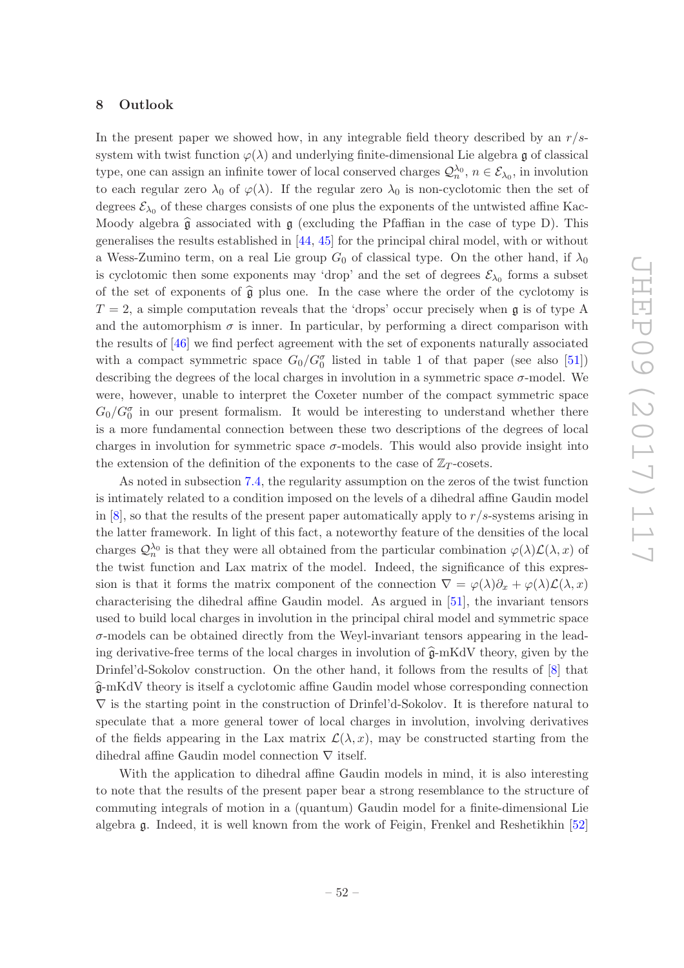#### <span id="page-54-0"></span>8 Outlook

In the present paper we showed how, in any integrable field theory described by an  $r/s$ system with twist function  $\varphi(\lambda)$  and underlying finite-dimensional Lie algebra  $\mathfrak g$  of classical type, one can assign an infinite tower of local conserved charges  $\mathcal{Q}_n^{\lambda_0}, n \in \mathcal{E}_{\lambda_0}$ , in involution to each regular zero  $\lambda_0$  of  $\varphi(\lambda)$ . If the regular zero  $\lambda_0$  is non-cyclotomic then the set of degrees  $\mathcal{E}_{\lambda_0}$  of these charges consists of one plus the exponents of the untwisted affine Kac-Moody algebra  $\hat{\mathfrak{g}}$  associated with g (excluding the Pfaffian in the case of type D). This generalises the results established in [\[44](#page-63-4) , [45\]](#page-63-5) for the principal chiral model, with or without a Wess-Zumino term, on a real Lie group  $G_0$  of classical type. On the other hand, if  $\lambda_0$ is cyclotomic then some exponents may 'drop' and the set of degrees  $\mathcal{E}_{\lambda_0}$  forms a subset of the set of exponents of  $\hat{\mathfrak{g}}$  plus one. In the case where the order of the cyclotomy is  $T=2$ , a simple computation reveals that the 'drops' occur precisely when  $\mathfrak g$  is of type A and the automorphism  $\sigma$  is inner. In particular, by performing a direct comparison with the results of [\[46](#page-63-6)] we find perfect agreement with the set of exponents naturally associated with a compact symmetric space  $G_0/G_0^{\sigma}$  listed in table 1 of that paper (see also [\[51\]](#page-63-11)) describing the degrees of the local charges in involution in a symmetric space  $\sigma$ -model. We were, however, unable to interpret the Coxeter number of the compact symmetric space  $G_0/G_0^{\sigma}$  in our present formalism. It would be interesting to understand whether there is a more fundamental connection between these two descriptions of the degrees of local charges in involution for symmetric space  $\sigma$ -models. This would also provide insight into the extension of the definition of the exponents to the case of  $\mathbb{Z}_T$ -cosets.

As noted in subsection [7.4,](#page-52-0) the regularity assumption on the zeros of the twist function is intimately related to a condition imposed on the levels of a dihedral affine Gaudin model in  $[8]$  $[8]$ , so that the results of the present paper automatically apply to  $r/s$ -systems arising in the latter framework. In light of this fact, a noteworthy feature of the densities of the local charges  $\mathcal{Q}_n^{\lambda_0}$  is that they were all obtained from the particular combination  $\varphi(\lambda)\mathcal{L}(\lambda,x)$  of the twist function and Lax matrix of the model. Indeed, the significance of this expression is that it forms the matrix component of the connection  $\nabla = \varphi(\lambda)\partial_x + \varphi(\lambda)\mathcal{L}(\lambda, x)$ characterising the dihedral affine Gaudin model. As argued in [\[51\]](#page-63-11), the invariant tensors used to build local charges in involution in the principal chiral model and symmetric space  $\sigma$ -models can be obtained directly from the Weyl-invariant tensors appearing in the leading derivative-free terms of the local charges in involution of  $\hat{\mathfrak{g}}$ -mKdV theory, given by the Drinfel'd-Sokolov construction. On the other hand, it follows from the results of [ [8\]](#page-61-6) that  $\widehat{\mathfrak{g}}$ -mKdV theory is itself a cyclotomic affine Gaudin model whose corresponding connection  $\nabla$  is the starting point in the construction of Drinfel'd-Sokolov. It is therefore natural to speculate that a more general tower of local charges in involution, involving derivatives of the fields appearing in the Lax matrix  $\mathcal{L}(\lambda, x)$ , may be constructed starting from the dihedral affine Gaudin model connection  $\nabla$  itself.

With the application to dihedral affine Gaudin models in mind, it is also interesting to note that the results of the present paper bear a strong resemblance to the structure of commuting integrals of motion in a (quantum) Gaudin model for a finite-dimensional Lie algebra g. Indeed, it is well known from the work of Feigin, Frenkel and Reshetikhin [\[52](#page-63-12) ]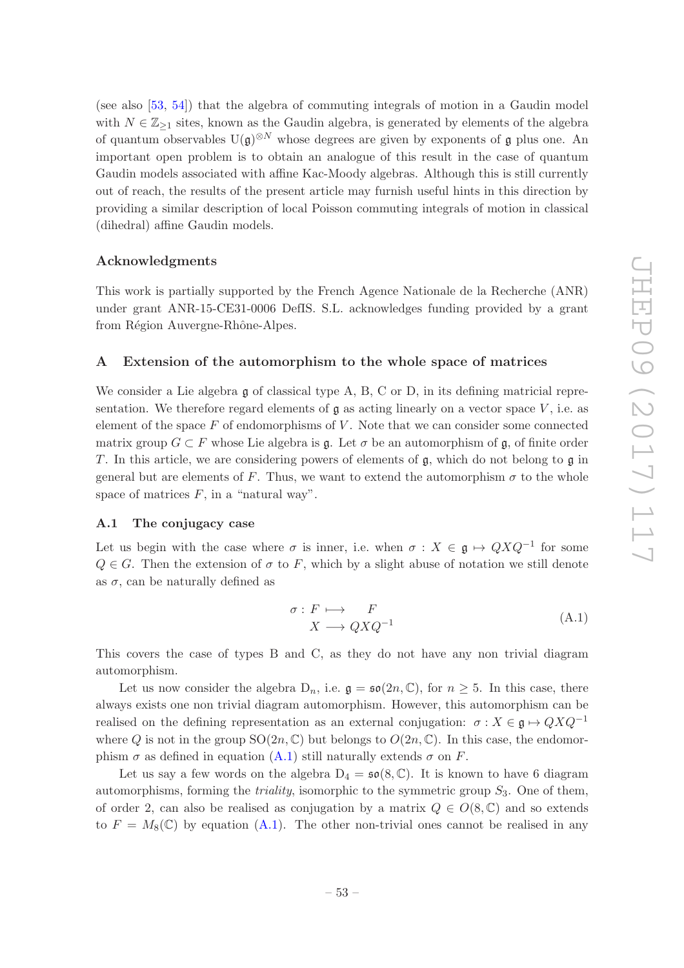(see also [\[53](#page-63-13) , [54\]](#page-63-14)) that the algebra of commuting integrals of motion in a Gaudin model with  $N \in \mathbb{Z}_{\geq 1}$  sites, known as the Gaudin algebra, is generated by elements of the algebra of quantum observables  $\mathrm{U}(\mathfrak{g})^{\otimes N}$  whose degrees are given by exponents of  $\mathfrak g$  plus one. An important open problem is to obtain an analogue of this result in the case of quantum Gaudin models associated with affine Kac-Moody algebras. Although this is still currently out of reach, the results of the present article may furnish useful hints in this direction by providing a similar description of local Poisson commuting integrals of motion in classical (dihedral) affine Gaudin models.

# Acknowledgments

This work is partially supported by the French Agence Nationale de la Recherche (ANR) under grant ANR-15-CE31-0006 DefIS. S.L. acknowledges funding provided by a grant from Région Auvergne-Rhône-Alpes.

# <span id="page-55-0"></span>A Extension of the automorphism to the whole space of matrice s

We consider a Lie algebra  $\mathfrak g$  of classical type A, B, C or D, in its defining matricial representation. We therefore regard elements of  $\mathfrak g$  as acting linearly on a vector space V, i.e. as element of the space  $F$  of endomorphisms of  $V$ . Note that we can consider some connected matrix group  $G \subset F$  whose Lie algebra is  $\mathfrak{g}$ . Let  $\sigma$  be an automorphism of  $\mathfrak{g}$ , of finite order T. In this article, we are considering powers of elements of g, which do not belong to g in general but are elements of F. Thus, we want to extend the automorphism  $\sigma$  to the whole space of matrices  $F$ , in a "natural way".

## <span id="page-55-1"></span>A.1 The conjugacy case

Let us begin with the case where  $\sigma$  is inner, i.e. when  $\sigma : X \in \mathfrak{g} \mapsto QXQ^{-1}$  for some  $Q \in G$ . Then the extension of  $\sigma$  to F, which by a slight abuse of notation we still denote as  $\sigma$ , can be naturally defined as

<span id="page-55-2"></span>
$$
\sigma: F \longmapsto F
$$
  

$$
X \longrightarrow QXQ^{-1}
$$
  
(A.1)

This covers the case of types B and C, as they do not have any non trivial diagram automorphism.

Let us now consider the algebra  $D_n$ , i.e.  $\mathfrak{g} = \mathfrak{so}(2n, \mathbb{C})$ , for  $n \geq 5$ . In this case, there always exists one non trivial diagram automorphism. However, this automorphism can be realised on the defining representation as an external conjugation:  $\sigma: X \in \mathfrak{g} \mapsto QXQ^{-1}$ where Q is not in the group  $SO(2n, \mathbb{C})$  but belongs to  $O(2n, \mathbb{C})$ . In this case, the endomorphism  $\sigma$  as defined in equation [\(A.1\)](#page-55-2) still naturally extends  $\sigma$  on F.

Let us say a few words on the algebra  $D_4 = \mathfrak{so}(8, \mathbb{C})$ . It is known to have 6 diagram automorphisms, forming the *triality*, isomorphic to the symmetric group  $S_3$ . One of them, of order 2, can also be realised as conjugation by a matrix  $Q \in O(8, \mathbb{C})$  and so extends to  $F = M_8(\mathbb{C})$  by equation [\(A.1\)](#page-55-2). The other non-trivial ones cannot be realised in any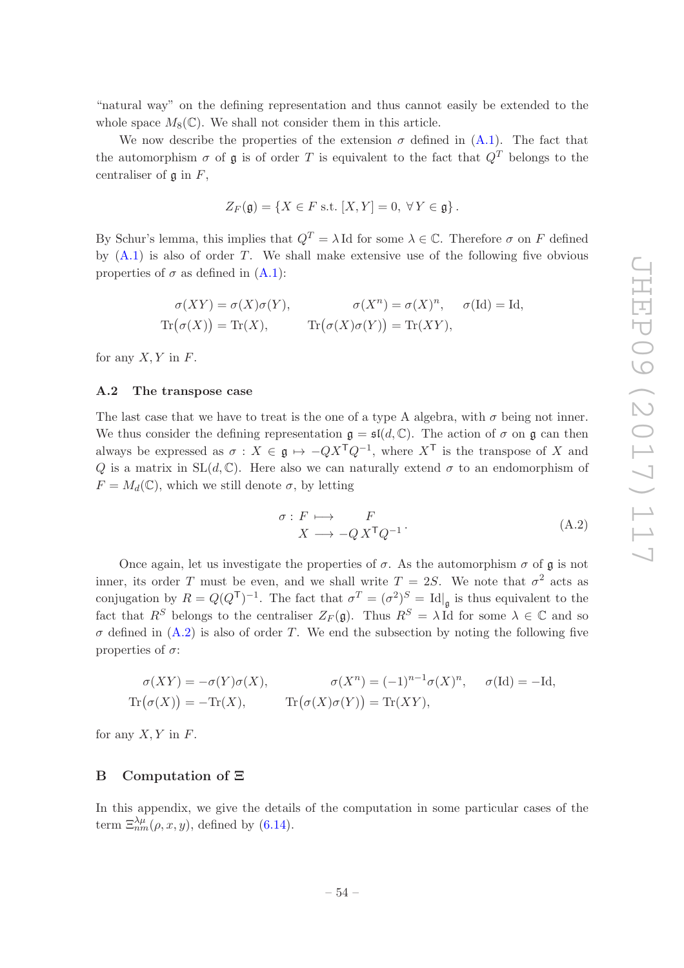"natural way" on the defining representation and thus cannot easily be extended to the whole space  $M_8(\mathbb{C})$ . We shall not consider them in this article.

We now describe the properties of the extension  $\sigma$  defined in  $(A.1)$ . The fact that the automorphism  $\sigma$  of  $\mathfrak g$  is of order T is equivalent to the fact that  $Q^T$  belongs to the centraliser of  $\mathfrak g$  in  $F$ ,

$$
Z_F(\mathfrak{g}) = \{ X \in F \text{ s.t. } [X, Y] = 0, \ \forall Y \in \mathfrak{g} \}.
$$

By Schur's lemma, this implies that  $Q^T = \lambda \operatorname{Id}$  for some  $\lambda \in \mathbb{C}$ . Therefore  $\sigma$  on F defined by  $(A.1)$  is also of order T. We shall make extensive use of the following five obvious properties of  $\sigma$  as defined in  $(A.1)$ :

$$
\sigma(XY) = \sigma(X)\sigma(Y), \qquad \sigma(X^n) = \sigma(X)^n, \qquad \sigma(\text{Id}) = \text{Id},
$$
  
Tr $(\sigma(X)) = \text{Tr}(X), \qquad \text{Tr}(\sigma(X)\sigma(Y)) = \text{Tr}(XY),$ 

<span id="page-56-0"></span>for any  $X, Y$  in  $F$ .

#### A.2 The transpose case

The last case that we have to treat is the one of a type A algebra, with  $\sigma$  being not inner. We thus consider the defining representation  $\mathfrak{g} = \mathfrak{sl}(d, \mathbb{C})$ . The action of  $\sigma$  on  $\mathfrak{g}$  can then always be expressed as  $\sigma : X \in \mathfrak{g} \mapsto -QX^{\mathsf{T}}Q^{-1}$ , where  $X^{\mathsf{T}}$  is the transpose of X and Q is a matrix in  $SL(d, \mathbb{C})$ . Here also we can naturally extend  $\sigma$  to an endomorphism of  $F = M_d(\mathbb{C})$ , which we still denote  $\sigma$ , by letting

<span id="page-56-2"></span>
$$
\begin{aligned}\n\sigma: F &\longmapsto \qquad F \\
X &\longrightarrow -Q X^{\mathsf{T}} Q^{-1} \n\end{aligned} \tag{A.2}
$$

Once again, let us investigate the properties of  $\sigma$ . As the automorphism  $\sigma$  of  $\mathfrak g$  is not inner, its order T must be even, and we shall write  $T = 2S$ . We note that  $\sigma^2$  acts as conjugation by  $R = Q(Q^{\mathsf{T}})^{-1}$ . The fact that  $\sigma^T = (\sigma^2)^S = \mathrm{Id}_{\vert \mathfrak{g}}$  is thus equivalent to the fact that  $R^S$  belongs to the centraliser  $Z_F(\mathfrak{g})$ . Thus  $R^S = \lambda \text{Id}$  for some  $\lambda \in \mathbb{C}$  and so  $\sigma$  defined in  $(A.2)$  is also of order T. We end the subsection by noting the following five properties of  $\sigma$ :

$$
\sigma(XY) = -\sigma(Y)\sigma(X), \qquad \sigma(X^n) = (-1)^{n-1}\sigma(X)^n, \qquad \sigma(\text{Id}) = -\text{Id},
$$
  
\n
$$
\text{Tr}(\sigma(X)) = -\text{Tr}(X), \qquad \text{Tr}(\sigma(X)\sigma(Y)) = \text{Tr}(XY),
$$

for any  $X, Y$  in  $F$ .

# <span id="page-56-1"></span>B Computation of Ξ

In this appendix, we give the details of the computation in some particular cases of the term  $\Xi_{nm}^{\lambda\mu}(\rho,x,y)$ , defined by [\(6.14\)](#page-42-2).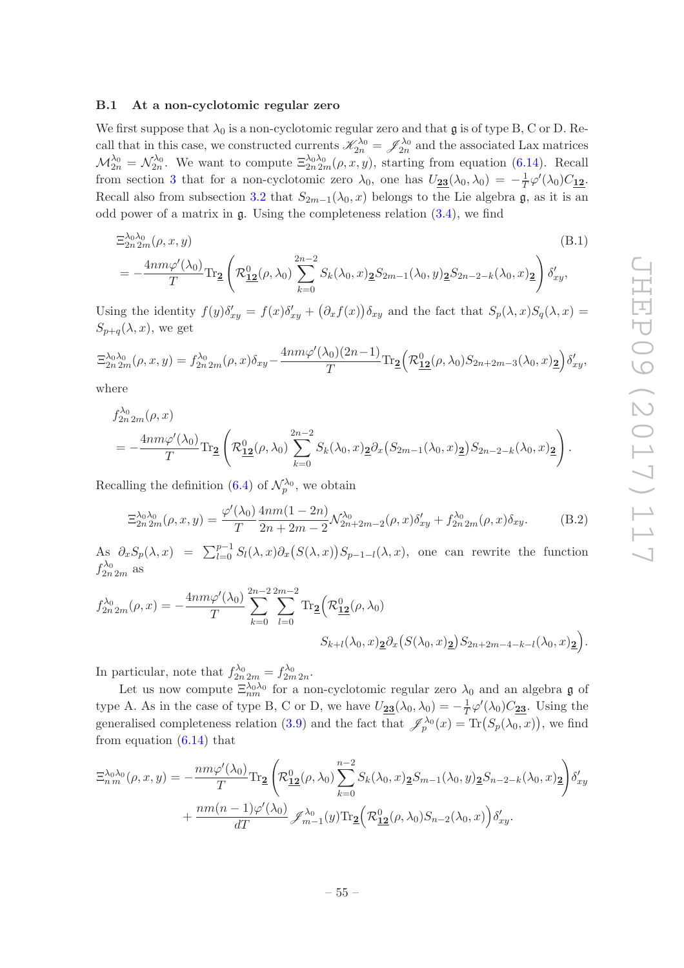#### <span id="page-57-0"></span>B.1 At a non-cyclotomic regular zero

We first suppose that  $\lambda_0$  is a non-cyclotomic regular zero and that  $\mathfrak g$  is of type B, C or D. Recall that in this case, we constructed currents  $\mathscr{K}_{2n}^{\lambda_0} = \mathscr{J}_{2n}^{\lambda_0}$  and the associated Lax matrices  $\mathcal{M}_{2n}^{\lambda_0} = \mathcal{N}_{2n}^{\lambda_0}$ . We want to compute  $\Xi_{2n}^{\lambda_0\lambda_0}(\rho, x, y)$ , starting from equation [\(6.14\)](#page-42-2). Recall from section [3](#page-16-0) that for a non-cyclotomic zero  $\lambda_0$ , one has  $U_{23}(\lambda_0, \lambda_0) = -\frac{1}{7}$  $\frac{1}{T}\varphi'(\lambda_0)C_{\mathbf{\underline{12}}}.$ Recall also from subsection [3.2](#page-17-1) that  $S_{2m-1}(\lambda_0, x)$  belongs to the Lie algebra  $\mathfrak{g}$ , as it is an odd power of a matrix in g. Using the completeness relation [\(3.4\)](#page-17-3), we find

<span id="page-57-1"></span>
$$
\begin{split} \Xi_{2n\,2m}^{\lambda_0\lambda_0}(\rho,x,y) & \qquad \qquad (\text{B.1})\\ = -\frac{4nm\varphi'(\lambda_0)}{T} \text{Tr}_{\mathbf{\underline{2}}} \left( \mathcal{R}_{\mathbf{\underline{12}}}^0(\rho,\lambda_0) \sum_{k=0}^{2n-2} S_k(\lambda_0,x) \mathbf{2} S_{2m-1}(\lambda_0,y) \mathbf{2} S_{2n-2-k}(\lambda_0,x) \mathbf{2} \right) \delta'_{xy}, \end{split}
$$

Using the identity  $f(y)\delta'_{xy} = f(x)\delta'_{xy} + (\partial_x f(x))\delta_{xy}$  and the fact that  $S_p(\lambda, x)S_q(\lambda, x) =$  $S_{p+q}(\lambda, x)$ , we get

$$
\Xi_{2n\,2m}^{\lambda_0\lambda_0}(\rho,x,y)=f_{2n\,2m}^{\lambda_0}(\rho,x)\delta_{xy}-\frac{4nm\varphi'(\lambda_0)(2n-1)}{T}\text{Tr}_{\mathbf{\underline{2}}}(\mathcal{R}_{\mathbf{\underline{12}}}^0(\rho,\lambda_0)S_{2n+2m-3}(\lambda_0,x)\mathbf{\underline{2}})\delta'_{xy},
$$

where

$$
f_{2n\,2m}^{\lambda_0}(\rho, x) = -\frac{4nm\varphi'(\lambda_0)}{T} \text{Tr}_{\mathbf{\mathbf{2}}} \left( \mathcal{R}_{\mathbf{12}}^0(\rho, \lambda_0) \sum_{k=0}^{2n-2} S_k(\lambda_0, x) \mathbf{2} \partial_x (S_{2m-1}(\lambda_0, x) \mathbf{2}) S_{2n-2-k}(\lambda_0, x) \mathbf{2} \right).
$$

Recalling the definition  $(6.4)$  of  $\mathcal{N}_p^{\lambda_0}$ , we obtain

<span id="page-57-2"></span>
$$
\Xi_{2n\,2m}^{\lambda_0\lambda_0}(\rho,x,y) = \frac{\varphi'(\lambda_0)}{T} \frac{4nm(1-2n)}{2n+2m-2} \mathcal{N}_{2n+2m-2}^{\lambda_0}(\rho,x) \delta'_{xy} + f_{2n\,2m}^{\lambda_0}(\rho,x) \delta_{xy}.
$$
 (B.2)

As  $\partial_x S_p(\lambda, x) = \sum_{l=0}^{p-1}$  $\int_{l=0}^{p-1} S_l(\lambda, x) \partial_x (S(\lambda, x)) S_{p-1-l}(\lambda, x)$ , one can rewrite the function  $f^{\lambda_0}_{2n\,2m}$  as

$$
f_{2n\,2m}^{\lambda_0}(\rho,x) = -\frac{4nm\varphi'(\lambda_0)}{T} \sum_{k=0}^{2n-2} \sum_{l=0}^{2m-2} \text{Tr}_{\mathbf{\mathbf{2}}}(\mathcal{R}_{\mathbf{\mathbf{12}}}^0(\rho,\lambda_0)
$$
  

$$
S_{k+l}(\lambda_0,x)_{\mathbf{\mathbf{2}}} \partial_x (S(\lambda_0,x)_{\mathbf{\mathbf{2}}}) S_{2n+2m-4-k-l}(\lambda_0,x)_{\mathbf{\mathbf{2}}}).
$$

In particular, note that  $f_{2n\,2m}^{\lambda_0} = f_{2m\,2n}^{\lambda_0}$ .

Let us now compute  $\Xi_{nm}^{\lambda_0\lambda_0}$  for a non-cyclotomic regular zero  $\lambda_0$  and an algebra  $\mathfrak g$  of type A. As in the case of type B, C or D, we have  $U_{23}(\lambda_0, \lambda_0) = -\frac{1}{7}$  $\frac{1}{T}\varphi'(\lambda_0)C_{\underline{23}}$ . Using the generalised completeness relation [\(3.9\)](#page-19-4) and the fact that  $\mathscr{J}_p^{\lambda_0}(x) = \text{Tr}(S_p(\lambda_0, x))$ , we find from equation  $(6.14)$  that

$$
\Xi_{nm}^{\lambda_0\lambda_0}(\rho,x,y) = -\frac{nm\varphi'(\lambda_0)}{T} \text{Tr}_{\mathbf{\mathbf{2}}} \left( \mathcal{R}_{\mathbf{\mathbf{12}}}^0(\rho,\lambda_0) \sum_{k=0}^{n-2} S_k(\lambda_0,x) \mathbf{2} S_{m-1}(\lambda_0,y) \mathbf{2} S_{n-2-k}(\lambda_0,x) \mathbf{2} \right) \delta'_{xy} \n+ \frac{nm(n-1)\varphi'(\lambda_0)}{dT} \mathcal{J}_{m-1}^{\lambda_0}(y) \text{Tr}_{\mathbf{\mathbf{2}}} \left( \mathcal{R}_{\mathbf{\mathbf{12}}}^0(\rho,\lambda_0) S_{n-2}(\lambda_0,x) \right) \delta'_{xy}.
$$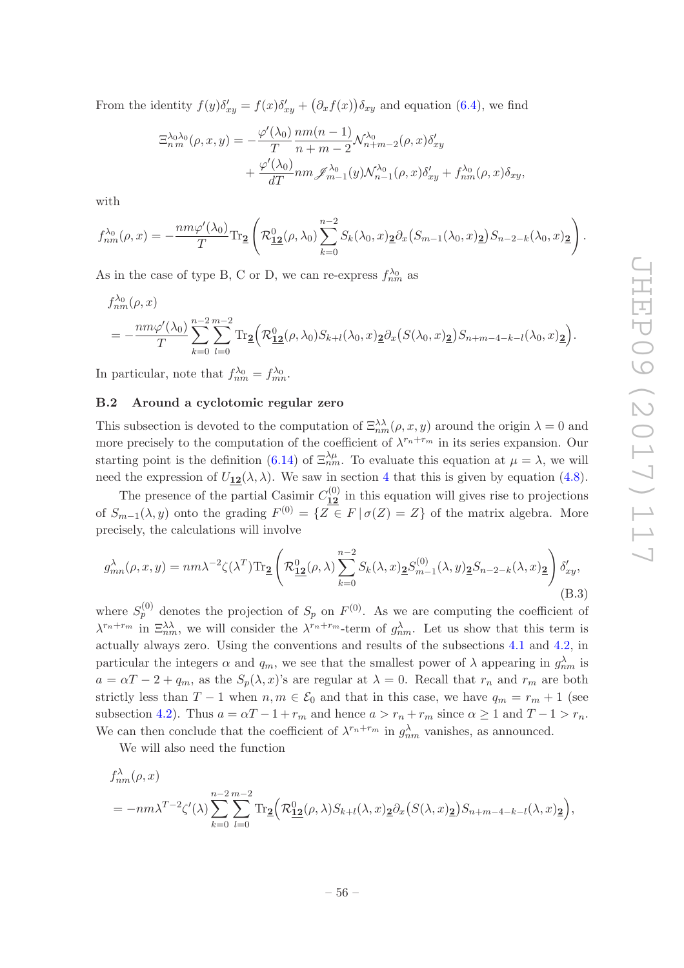From the identity  $f(y)\delta'_{xy} = f(x)\delta'_{xy} + (\partial_x f(x))\delta_{xy}$  and equation [\(6.4\)](#page-37-6), we find

$$
\begin{split} \Xi^{\lambda_0\lambda_0}_{nm}(\rho,x,y) &= -\frac{\varphi'(\lambda_0)}{T} \frac{nm(n-1)}{n+m-2} \mathcal{N}^{\lambda_0}_{n+m-2}(\rho,x) \delta'_{xy} \\ &+ \frac{\varphi'(\lambda_0)}{dT} nm \mathscr{J}^{\lambda_0}_{m-1}(y) \mathcal{N}^{\lambda_0}_{n-1}(\rho,x) \delta'_{xy} + f^{\lambda_0}_{nm}(\rho,x) \delta_{xy}, \end{split}
$$

with

$$
f_{nm}^{\lambda_0}(\rho,x) = -\frac{nm\varphi'(\lambda_0)}{T} \text{Tr}_{\mathbf{\underline{2}}} \left( \mathcal{R}_{\mathbf{\underline{12}}}^0(\rho,\lambda_0) \sum_{k=0}^{n-2} S_k(\lambda_0,x) \mathbf{2} \partial_x (S_{m-1}(\lambda_0,x) \mathbf{2}) S_{n-2-k}(\lambda_0,x) \mathbf{2} \right).
$$

As in the case of type B, C or D, we can re-express  $f_{nm}^{\lambda_0}$  as

$$
f_{nm}^{\lambda_0}(\rho, x)
$$
  
= 
$$
-\frac{nm\varphi'(\lambda_0)}{T}\sum_{k=0}^{n-2}\sum_{l=0}^{m-2}\text{Tr}_{\mathbf{2}}\Big(\mathcal{R}_{\mathbf{12}}^0(\rho, \lambda_0)S_{k+l}(\lambda_0, x)_{\mathbf{2}}\partial_x\big(S(\lambda_0, x)_{\mathbf{2}}\big)S_{n+m-4-k-l}(\lambda_0, x)_{\mathbf{2}}\Big).
$$

<span id="page-58-0"></span>In particular, note that  $f_{nm}^{\lambda_0} = f_{mn}^{\lambda_0}$ .

# B.2 Around a cyclotomic regular zero

This subsection is devoted to the computation of  $\Xi_{nm}^{\lambda\lambda}(\rho,x,y)$  around the origin  $\lambda=0$  and more precisely to the computation of the coefficient of  $\lambda^{r_n+r_m}$  in its series expansion. Our starting point is the definition [\(6.14\)](#page-42-2) of  $\Xi_{nm}^{\lambda\mu}$ . To evaluate this equation at  $\mu = \lambda$ , we will need the expression of  $U_{12}(\lambda, \lambda)$ . We saw in section [4](#page-22-1) that this is given by equation [\(4.8\)](#page-24-6).

The presence of the partial Casimir  $C_{12}^{(0)}$  in this equation will gives rise to projections of  $S_{m-1}(\lambda, y)$  onto the grading  $F^{(0)} = \{ Z \in F \mid \sigma(Z) = Z \}$  of the matrix algebra. More precisely, the calculations will involve

<span id="page-58-1"></span>
$$
g_{mn}^{\lambda}(\rho,x,y) = nm\lambda^{-2}\zeta(\lambda^T)\text{Tr}_{\mathbf{\underline{2}}} \left(\mathcal{R}_{\mathbf{\underline{12}}}^0(\rho,\lambda)\sum_{k=0}^{n-2} S_k(\lambda,x)\mathbf{2}S_{m-1}^{(0)}(\lambda,y)\mathbf{2}S_{n-2-k}(\lambda,x)\mathbf{2}\right)\delta_{xy}',
$$
\n(B.3)

where  $S_p^{(0)}$  denotes the projection of  $S_p$  on  $F^{(0)}$ . As we are computing the coefficient of  $\lambda^{r_n+r_m}$  in  $\Xi_{nm}^{\lambda\lambda}$ , we will consider the  $\lambda^{r_n+r_m}$ -term of  $g_{nm}^{\lambda}$ . Let us show that this term is actually always zero. Using the conventions and results of the subsections [4.1](#page-23-0) and [4.2,](#page-24-0) in particular the integers  $\alpha$  and  $q_m$ , we see that the smallest power of  $\lambda$  appearing in  $g_{nm}^{\lambda}$  is  $a = \alpha T - 2 + q_m$ , as the  $S_p(\lambda, x)$ 's are regular at  $\lambda = 0$ . Recall that  $r_n$  and  $r_m$  are both strictly less than  $T-1$  when  $n, m \in \mathcal{E}_0$  and that in this case, we have  $q_m = r_m + 1$  (see subsection [4.2\)](#page-24-0). Thus  $a = \alpha T - 1 + r_m$  and hence  $a > r_n + r_m$  since  $\alpha \ge 1$  and  $T - 1 > r_n$ . We can then conclude that the coefficient of  $\lambda^{r_n+r_m}$  in  $g_{nm}^{\lambda}$  vanishes, as announced.

We will also need the function

$$
f_{nm}^{\lambda}(\rho, x)
$$
  
=  $-nm\lambda^{T-2}\zeta'(\lambda)\sum_{k=0}^{n-2}\sum_{l=0}^{m-2}\text{Tr}_{\mathbf{2}}\Big(\mathcal{R}_{\mathbf{\mathbf{12}}}^{0}(\rho, \lambda)S_{k+l}(\lambda, x)_{\mathbf{\mathbf{2}}}\partial_{x}\big(S(\lambda, x)_{\mathbf{\mathbf{2}}}\big)S_{n+m-4-k-l}(\lambda, x)_{\mathbf{\mathbf{2}}}\Big),$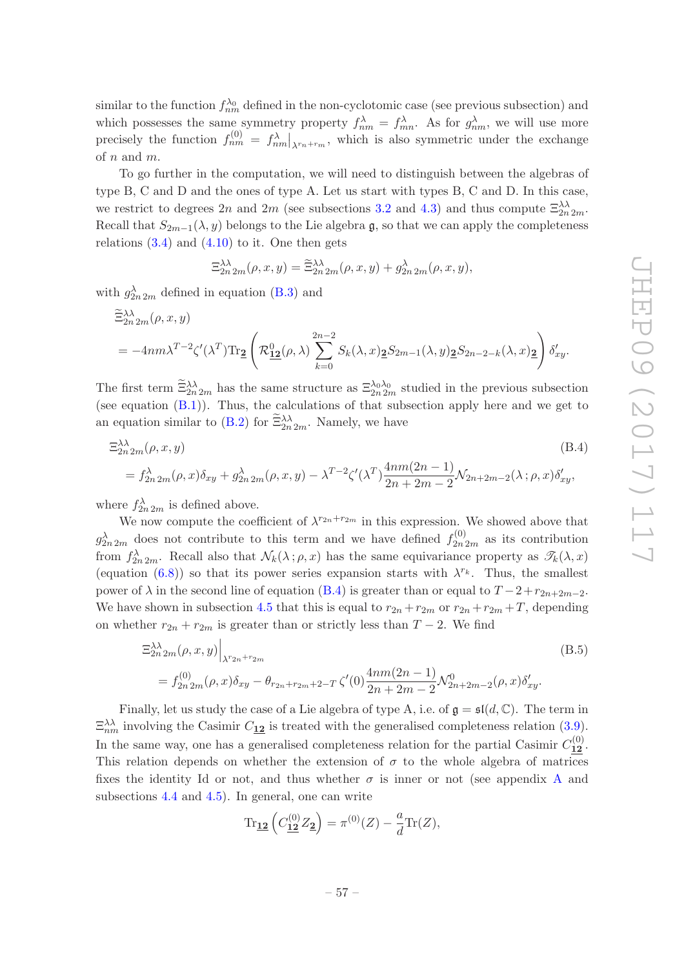similar to the function  $f_{nm}^{\lambda_0}$  defined in the non-cyclotomic case (see previous subsection) and which possesses the same symmetry property  $f_{nm}^{\lambda} = f_{mn}^{\lambda}$ . As for  $g_{nm}^{\lambda}$ , we will use more precisely the function  $f_{nm}^{(0)} = f_{nm}^{\lambda} \vert_{\lambda^{r_n+r_m}}$ , which is also symmetric under the exchange of  $n$  and  $m$ .

To go further in the computation, we will need to distinguish between the algebras of type B, C and D and the ones of type A. Let us start with types B, C and D. In this case, we restrict to degrees  $2n$  and  $2m$  (see subsections [3.2](#page-17-1) and [4.3\)](#page-25-0) and thus compute  $\Xi_{2n}^{\lambda\lambda}$ <sub>2m</sub>. Recall that  $S_{2m-1}(\lambda, y)$  belongs to the Lie algebra  $\mathfrak{g}$ , so that we can apply the completeness relations  $(3.4)$  and  $(4.10)$  to it. One then gets

$$
\Xi_{2n\,2m}^{\lambda\lambda}(\rho,x,y) = \widetilde{\Xi}_{2n\,2m}^{\lambda\lambda}(\rho,x,y) + g_{2n\,2m}^{\lambda}(\rho,x,y)
$$

<span id="page-59-0"></span>,

with  $g_{2n2m}^{\lambda}$  defined in equation [\(B.3\)](#page-58-1) and

$$
\begin{split} &\widetilde{\Xi}_{2n\, 2m}^{\lambda\lambda}(\rho,x,y)\\ &=-4nm\lambda^{T-2}\zeta'(\lambda^T)\mathrm{Tr}_{\underline{\bf 2}}\left(\mathcal{R}_{\underline{\bf 1}\underline{\bf 2}}^0(\rho,\lambda)\sum_{k=0}^{2n-2}S_k(\lambda,x)\underline{\bf 2}S_{2m-1}(\lambda,y)\underline{\bf 2}S_{2n-2-k}(\lambda,x)\underline{\bf 2}\right)\delta'_{xy}. \end{split}
$$

The first term  $\tilde{\Xi}_{2n2m}^{\lambda\lambda}$  has the same structure as  $\Xi_{2n2m}^{\lambda_0\lambda_0}$  studied in the previous subsection (see equation  $(B.1)$ ). Thus, the calculations of that subsection apply here and we get to an equation similar to [\(B.2\)](#page-57-2) for  $\Xi_{2n,2m}^{\lambda\lambda}$ . Namely, we have

$$
\begin{split} \Xi_{2n\,2m}^{\lambda\lambda}(\rho,x,y) \\ &= f_{2n\,2m}^{\lambda}(\rho,x)\delta_{xy} + g_{2n\,2m}^{\lambda}(\rho,x,y) - \lambda^{T-2}\zeta'(\lambda^{T})\frac{4nm(2n-1)}{2n+2m-2}\mathcal{N}_{2n+2m-2}(\lambda\,;\rho,x)\delta'_{xy}, \end{split} \tag{B.4}
$$

where  $f_{2n 2m}^{\lambda}$  is defined above.

We now compute the coefficient of  $\lambda^{r_{2n}+r_{2m}}$  in this expression. We showed above that  $g_{2n\,2m}^{\lambda}$  does not contribute to this term and we have defined  $f_{2n}^{(0)}$  $\frac{2n}{2n}$  as its contribution from  $f_{2n2m}^{\lambda}$ . Recall also that  $\mathcal{N}_k(\lambda;\rho,x)$  has the same equivariance property as  $\mathcal{T}_k(\lambda,x)$ (equation [\(6.8\)](#page-39-1)) so that its power series expansion starts with  $\lambda^{r_k}$ . Thus, the smallest power of  $\lambda$  in the second line of equation [\(B.4\)](#page-59-0) is greater than or equal to  $T-2+r_{2n+2m-2}$ . We have shown in subsection [4.5](#page-27-0) that this is equal to  $r_{2n} + r_{2m}$  or  $r_{2n} + r_{2m} + T$ , depending on whether  $r_{2n} + r_{2m}$  is greater than or strictly less than  $T - 2$ . We find

$$
\Xi_{2n\,2m}^{\lambda\lambda}(\rho,x,y)\Big|_{\lambda^{r_{2n}+r_{2m}}} \tag{B.5}
$$
\n
$$
= f_{2n\,2m}^{(0)}(\rho,x)\delta_{xy} - \theta_{r_{2n}+r_{2m}+2-T}\,\zeta'(0)\frac{4nm(2n-1)}{2n+2m-2}\mathcal{N}_{2n+2m-2}^{0}(\rho,x)\delta'_{xy}.
$$

Finally, let us study the case of a Lie algebra of type A, i.e. of  $\mathfrak{g} = \mathfrak{sl}(d, \mathbb{C})$ . The term in  $\Xi_{nm}^{\lambda\lambda}$  involving the Casimir  $C_{12}$  is treated with the generalised completeness relation [\(3.9\)](#page-19-4). In the same way, one has a generalised completeness relation for the partial Casimir  $C_{12}^{(0)}$ . This relation depends on whether the extension of  $\sigma$  to the whole algebra of matrices fixes the identity Id or not, and thus whether  $\sigma$  is inner or not (see appendix [A](#page-55-0) and subsections [4.4](#page-26-0) and [4.5\)](#page-27-0). In general, one can write

$$
\mathrm{Tr}_{\underline{\mathbf{12}}}\left(C_{\underline{\mathbf{12}}}^{(0)}Z_{\underline{\mathbf{2}}}\right)=\pi^{(0)}(Z)-\frac{a}{d}\mathrm{Tr}(Z),
$$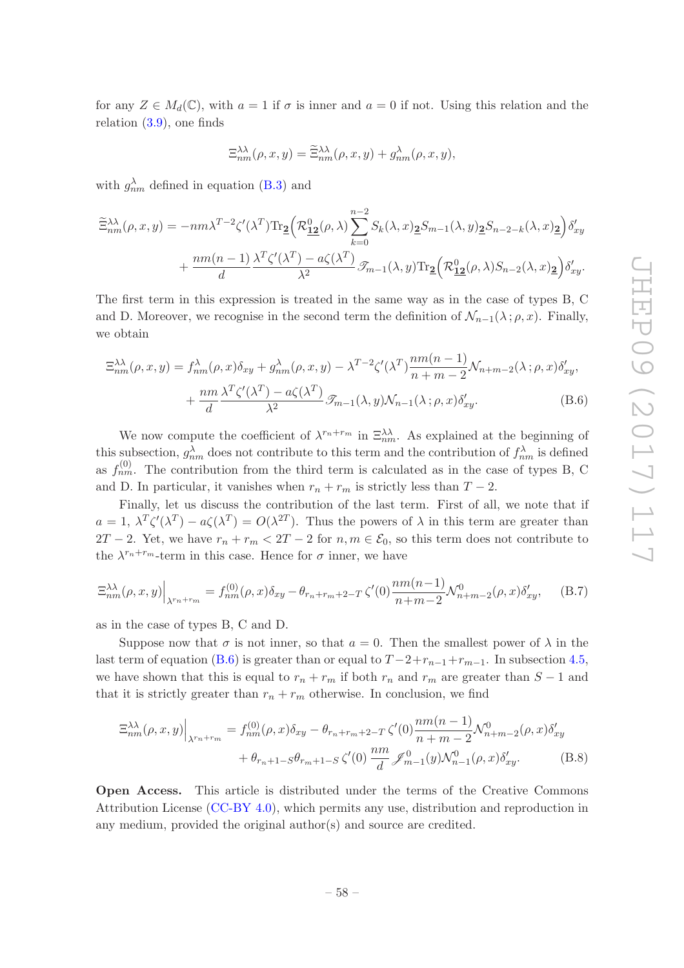for any  $Z \in M_d(\mathbb{C})$ , with  $a = 1$  if  $\sigma$  is inner and  $a = 0$  if not. Using this relation and the relation [\(3.9\)](#page-19-4), one finds

<span id="page-60-1"></span>
$$
\Xi_{nm}^{\lambda\lambda}(\rho,x,y)=\widetilde{\Xi}_{nm}^{\lambda\lambda}(\rho,x,y)+g_{nm}^{\lambda}(\rho,x,y),
$$

with  $g_{nm}^{\lambda}$  defined in equation [\(B.3\)](#page-58-1) and

$$
\widetilde{\Xi}_{nm}^{\lambda\lambda}(\rho,x,y) = -nm\lambda^{T-2}\zeta'(\lambda^T)\mathrm{Tr}_{\mathbf{\underline{2}}}(\mathcal{R}_{\mathbf{\underline{12}}}^0(\rho,\lambda)\sum_{k=0}^{n-2}S_k(\lambda,x)\mathbf{\underline{2}}S_{m-1}(\lambda,y)\mathbf{\underline{2}}S_{n-2-k}(\lambda,x)\mathbf{\underline{2}})\delta'_{xy} \n+ \frac{nm(n-1)}{d}\frac{\lambda^T\zeta'(\lambda^T) - a\zeta(\lambda^T)}{\lambda^2}\mathcal{I}_{m-1}(\lambda,y)\mathrm{Tr}_{\mathbf{\underline{2}}}(\mathcal{R}_{\mathbf{\underline{12}}}^0(\rho,\lambda)S_{n-2}(\lambda,x)\mathbf{\underline{2}})\delta'_{xy}.
$$

The first term in this expression is treated in the same way as in the case of types B, C and D. Moreover, we recognise in the second term the definition of  $\mathcal{N}_{n-1}(\lambda;\rho,x)$ . Finally, we obtain

$$
\Xi_{nm}^{\lambda\lambda}(\rho,x,y) = f_{nm}^{\lambda}(\rho,x)\delta_{xy} + g_{nm}^{\lambda}(\rho,x,y) - \lambda^{T-2}\zeta'(\lambda^T)\frac{nm(n-1)}{n+m-2}\mathcal{N}_{n+m-2}(\lambda;\rho,x)\delta'_{xy},
$$

$$
+ \frac{nm}{d}\frac{\lambda^T\zeta'(\lambda^T) - a\zeta(\lambda^T)}{\lambda^2}\mathcal{F}_{m-1}(\lambda,y)\mathcal{N}_{n-1}(\lambda;\rho,x)\delta'_{xy}.
$$
(B.6)

We now compute the coefficient of  $\lambda^{r_n+r_m}$  in  $\Xi_{nm}^{\lambda\lambda}$ . As explained at the beginning of this subsection,  $g_{nm}^{\lambda}$  does not contribute to this term and the contribution of  $f_{nm}^{\lambda}$  is defined as  $f_{nm}^{(0)}$ . The contribution from the third term is calculated as in the case of types B, C and D. In particular, it vanishes when  $r_n + r_m$  is strictly less than  $T - 2$ .

Finally, let us discuss the contribution of the last term. First of all, we note that if  $a = 1, \lambda^T \zeta'(\lambda^T) - a\zeta(\lambda^T) = O(\lambda^{2T}).$  Thus the powers of  $\lambda$  in this term are greater than  $2T-2$ . Yet, we have  $r_n+r_m < 2T-2$  for  $n,m \in \mathcal{E}_0$ , so this term does not contribute to the  $\lambda^{r_n+r_m}$ -term in this case. Hence for  $\sigma$  inner, we have

<span id="page-60-0"></span>
$$
\Xi_{nm}^{\lambda\lambda}(\rho,x,y)\Big|_{\lambda^{r_n+r_m}} = f_{nm}^{(0)}(\rho,x)\delta_{xy} - \theta_{r_n+r_m+2-T} \zeta'(0)\frac{nm(n-1)}{n+m-2}\mathcal{N}_{n+m-2}^0(\rho,x)\delta'_{xy},\tag{B.7}
$$

as in the case of types B, C and D.

Suppose now that  $\sigma$  is not inner, so that  $a = 0$ . Then the smallest power of  $\lambda$  in the last term of equation [\(B.6\)](#page-60-1) is greater than or equal to  $T-2+r_{n-1}+r_{m-1}$ . In subsection [4.5](#page-27-0), we have shown that this is equal to  $r_n + r_m$  if both  $r_n$  and  $r_m$  are greater than  $S-1$  and that it is strictly greater than  $r_n + r_m$  otherwise. In conclusion, we find

$$
\Xi_{nm}^{\lambda\lambda}(\rho,x,y)\Big|_{\lambda^{r_n+r_m}} = f_{nm}^{(0)}(\rho,x)\delta_{xy} - \theta_{r_n+r_m+2-T}\zeta'(0)\frac{nm(n-1)}{n+m-2}\mathcal{N}_{n+m-2}^0(\rho,x)\delta'_{xy} + \theta_{r_n+1-S}\theta_{r_m+1-S}\zeta'(0)\frac{nm}{d}\mathscr{J}_{m-1}^0(y)\mathcal{N}_{n-1}^0(\rho,x)\delta'_{xy}.
$$
 (B.8)

Open Access. This article is distributed under the terms of the Creative Commons Attribution License [\(CC-BY 4.0\)](https://creativecommons.org/licenses/by/4.0/), which permits any use, distribution and reproduction in any medium, provided the original author(s) and source are credited.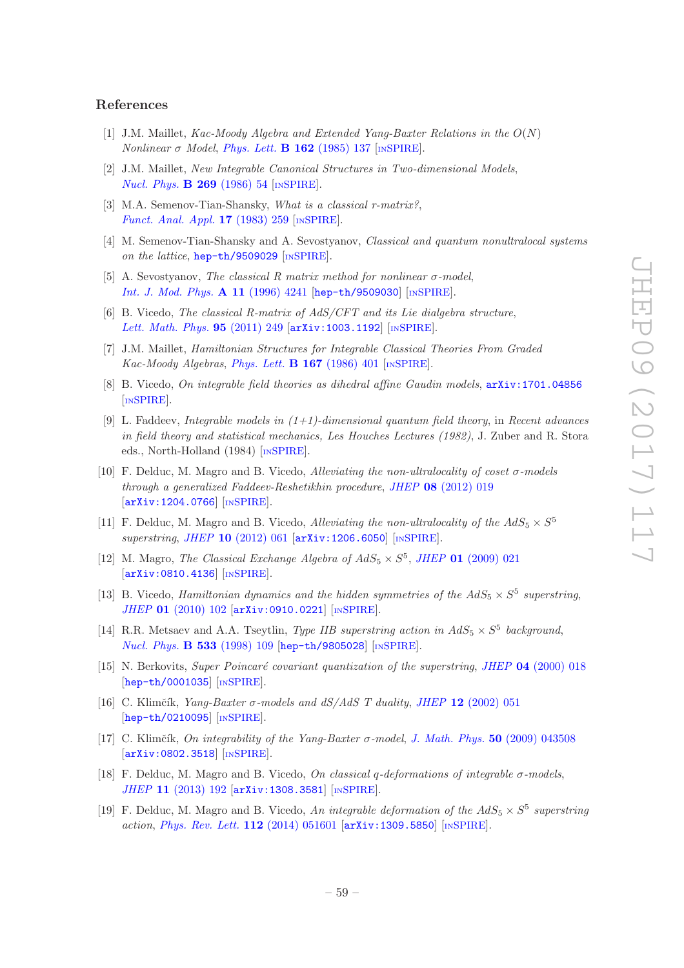#### References

- <span id="page-61-0"></span>[1] J.M. Maillet, Kac-Moody Algebra and Extended Yang-Baxter Relations in the  $O(N)$ Nonlinear  $\sigma$  Model, [Phys. Lett.](https://doi.org/10.1016/0370-2693(85)91075-5) **B 162** (1985) 137 [IN[SPIRE](https://inspirehep.net/search?p=find+J+%22Phys.Lett.,B162,137%22)].
- <span id="page-61-1"></span>[2] J.M. Maillet, New Integrable Canonical Structures in Two-dimensional Models, [Nucl. Phys.](https://doi.org/10.1016/0550-3213(86)90365-2) **B 269** (1986) 54 [IN[SPIRE](https://inspirehep.net/search?p=find+J+%22Nucl.Phys.,B269,54%22)].
- <span id="page-61-2"></span>[3] M.A. Semenov-Tian-Shansky, What is a classical r-matrix?, [Funct. Anal. Appl.](https://doi.org/10.1007/BF01076717) 17 (1983) 259 [IN[SPIRE](https://inspirehep.net/search?p=find+J+%22Funct.Anal.Appl.,17,259%22)].
- <span id="page-61-3"></span>[4] M. Semenov-Tian-Shansky and A. Sevostyanov, Classical and quantum nonultralocal systems on the lattice, [hep-th/9509029](https://arxiv.org/abs/hep-th/9509029) [IN[SPIRE](https://inspirehep.net/search?p=find+EPRINT+hep-th/9509029)].
- <span id="page-61-7"></span>[5] A. Sevostyanov, The classical R matrix method for nonlinear  $\sigma$ -model, [Int. J. Mod. Phys.](https://doi.org/10.1142/S0217751X96001978) **A 11** (1996) 4241 [[hep-th/9509030](https://arxiv.org/abs/hep-th/9509030)] [IN[SPIRE](https://inspirehep.net/search?p=find+EPRINT+hep-th/9509030)].
- <span id="page-61-4"></span>[6] B. Vicedo, The classical R-matrix of AdS/CFT and its Lie dialgebra structure, [Lett. Math. Phys.](https://doi.org/10.1007/s11005-010-0446-9) **95** (2011) 249 [[arXiv:1003.1192](https://arxiv.org/abs/1003.1192)] [IN[SPIRE](https://inspirehep.net/search?p=find+EPRINT+arXiv:1003.1192)].
- <span id="page-61-5"></span>[7] J.M. Maillet, Hamiltonian Structures for Integrable Classical Theories From Graded Kac-Moody Algebras, [Phys. Lett.](https://doi.org/10.1016/0370-2693(86)91289-X)  $\bf{B}$  167 (1986) 401 [IN[SPIRE](https://inspirehep.net/search?p=find+J+%22Phys.Lett.,B167,401%22)].
- <span id="page-61-6"></span>[8] B. Vicedo, On integrable field theories as dihedral affine Gaudin models , [arXiv:1701.04856](https://arxiv.org/abs/1701.04856) [IN[SPIRE](https://inspirehep.net/search?p=find+EPRINT+arXiv:1701.04856)].
- <span id="page-61-8"></span>[9] L. Faddeev, Integrable models in  $(1+1)$ -dimensional quantum field theory, in Recent advances in field theory and statistical mechanics, Les Houches Lectures (1982), J. Zuber and R. Stora eds., North-Holland (1984) [IN[SPIRE](https://inspirehep.net/search?p=find+IRN+1005979)].
- <span id="page-61-9"></span>[10] F. Delduc, M. Magro and B. Vicedo, *Alleviating the non-ultralocality of coset*  $\sigma$ -models through a generalized Faddeev-Reshetikhin procedure, JHEP 08 [\(2012\) 019](https://doi.org/10.1007/JHEP08(2012)019) [[arXiv:1204.0766](https://arxiv.org/abs/1204.0766)] [IN[SPIRE](https://inspirehep.net/search?p=find+EPRINT+arXiv:1204.0766)].
- <span id="page-61-10"></span>[11] F. Delduc, M. Magro and B. Vicedo, Alleviating the non-ultralocality of the  $AdS_5 \times S^5$ superstring, JHEP 10 [\(2012\) 061](https://doi.org/10.1007/JHEP10(2012)061) [[arXiv:1206.6050](https://arxiv.org/abs/1206.6050)] [IN[SPIRE](https://inspirehep.net/search?p=find+EPRINT+arXiv:1206.6050)].
- <span id="page-61-11"></span>[12] M. Magro, *The Classical Exchange Algebra of AdS*<sub>5</sub>  $\times$   $S^5$ , *JHEP* **01** [\(2009\) 021](https://doi.org/10.1088/1126-6708/2009/01/021) [[arXiv:0810.4136](https://arxiv.org/abs/0810.4136)] [IN[SPIRE](https://inspirehep.net/search?p=find+EPRINT+arXiv:0810.4136)].
- <span id="page-61-12"></span>[13] B. Vicedo, *Hamiltonian dynamics and the hidden symmetries of the AdS*<sub>5</sub>  $\times$  S<sup>5</sup> superstring, JHEP 01 [\(2010\) 102](https://doi.org/10.1007/JHEP01(2010)102) [[arXiv:0910.0221](https://arxiv.org/abs/0910.0221)] [IN[SPIRE](https://inspirehep.net/search?p=find+EPRINT+arXiv:0910.0221)].
- <span id="page-61-13"></span>[14] R.R. Metsaev and A.A. Tseytlin, Type IIB superstring action in  $AdS_5 \times S^5$  background, [Nucl. Phys.](https://doi.org/10.1016/S0550-3213(98)00570-7) **B 533** (1998) 109 [[hep-th/9805028](https://arxiv.org/abs/hep-th/9805028)] [IN[SPIRE](https://inspirehep.net/search?p=find+EPRINT+hep-th/9805028)].
- <span id="page-61-14"></span>[15] N. Berkovits, Super Poincaré covariant quantization of the superstring, JHEP 04 [\(2000\) 018](https://doi.org/10.1088/1126-6708/2000/04/018) [[hep-th/0001035](https://arxiv.org/abs/hep-th/0001035)] [IN[SPIRE](https://inspirehep.net/search?p=find+EPRINT+hep-th/0001035)].
- <span id="page-61-15"></span>[16] C. Klimčík, Yang-Baxter  $\sigma$ -models and dS/AdS T duality, JHEP 12 [\(2002\) 051](https://doi.org/10.1088/1126-6708/2002/12/051) [[hep-th/0210095](https://arxiv.org/abs/hep-th/0210095)] [IN[SPIRE](https://inspirehep.net/search?p=find+EPRINT+hep-th/0210095)].
- <span id="page-61-17"></span>[17] C. Klimčík, On integrability of the Yang-Baxter  $\sigma$ -model, [J. Math. Phys.](https://doi.org/10.1063/1.3116242) 50 (2009) 043508 [[arXiv:0802.3518](https://arxiv.org/abs/0802.3518)] [IN[SPIRE](https://inspirehep.net/search?p=find+EPRINT+arXiv:0802.3518)].
- <span id="page-61-16"></span>[18] F. Delduc, M. Magro and B. Vicedo, *On classical q-deformations of integrable*  $\sigma$ -models, JHEP 11 [\(2013\) 192](https://doi.org/10.1007/JHEP11(2013)192) [[arXiv:1308.3581](https://arxiv.org/abs/1308.3581)] [IN[SPIRE](https://inspirehep.net/search?p=find+EPRINT+arXiv:1308.3581)].
- [19] F. Delduc, M. Magro and B. Vicedo, An integrable deformation of the  $AdS_5 \times S^5$  superstring action, *[Phys. Rev. Lett.](https://doi.org/10.1103/PhysRevLett.112.051601)* **112** (2014) 051601 [[arXiv:1309.5850](https://arxiv.org/abs/1309.5850)] [IN[SPIRE](https://inspirehep.net/search?p=find+EPRINT+arXiv:1309.5850)].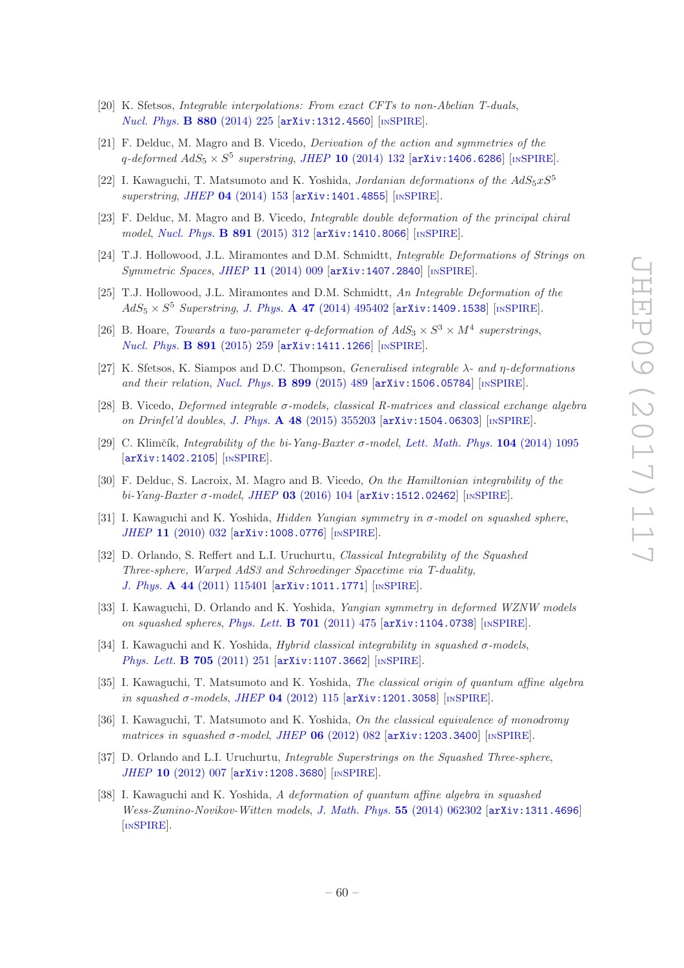- [20] K. Sfetsos, Integrable interpolations: From exact CFTs to non-Abelian T-duals , [Nucl. Phys.](https://doi.org/10.1016/j.nuclphysb.2014.01.004) **B 880** (2014) 225 [[arXiv:1312.4560](https://arxiv.org/abs/1312.4560)] [IN[SPIRE](https://inspirehep.net/search?p=find+EPRINT+arXiv:1312.4560)].
- <span id="page-62-1"></span>[21] F. Delduc, M. Magro and B. Vicedo, Derivation of the action and symmetries of the q-deformed  $AdS_5 \times S^5$  superstring, JHEP 10 [\(2014\) 132](https://doi.org/10.1007/JHEP10(2014)132)  $\overline{a}$ xiv:1406.6286] [IN[SPIRE](https://inspirehep.net/search?p=find+EPRINT+arXiv:1406.6286)].
- [22] I. Kawaguchi, T. Matsumoto and K. Yoshida, Jordanian deformations of the  $AdS_5xS^5$ superstring, JHEP 04 [\(2014\) 153](https://doi.org/10.1007/JHEP04(2014)153) [[arXiv:1401.4855](https://arxiv.org/abs/1401.4855)] [IN[SPIRE](https://inspirehep.net/search?p=find+EPRINT+arXiv:1401.4855)].
- <span id="page-62-7"></span>[23] F. Delduc, M. Magro and B. Vicedo, Integrable double deformation of the principal chiral model, [Nucl. Phys.](https://doi.org/10.1016/j.nuclphysb.2014.12.018) **B 891** (2015) 312 [[arXiv:1410.8066](https://arxiv.org/abs/1410.8066)] [IN[SPIRE](https://inspirehep.net/search?p=find+EPRINT+arXiv:1410.8066)].
- [24] T.J. Hollowood, J.L. Miramontes and D.M. Schmidtt, Integrable Deformations of Strings on Symmetric Spaces, JHEP 11 [\(2014\) 009](https://doi.org/10.1007/JHEP11(2014)009) [[arXiv:1407.2840](https://arxiv.org/abs/1407.2840)] [IN[SPIRE](https://inspirehep.net/search?p=find+EPRINT+arXiv:1407.2840)].
- [25] T.J. Hollowood, J.L. Miramontes and D.M. Schmidtt, An Integrable Deformation of the  $AdS_5 \times S^5$  Superstring, J. Phys. A 47 [\(2014\) 495402](https://doi.org/10.1088/1751-8113/47/49/495402) [[arXiv:1409.1538](https://arxiv.org/abs/1409.1538)] [IN[SPIRE](https://inspirehep.net/search?p=find+EPRINT+arXiv:1409.1538)].
- [26] B. Hoare, Towards a two-parameter q-deformation of  $AdS_3 \times S^3 \times M^4$  superstrings, *[Nucl. Phys.](https://doi.org/10.1016/j.nuclphysb.2014.12.012)* **B** 891 (2015) 259  $arXiv:1411.1266$  [IN[SPIRE](https://inspirehep.net/search?p=find+EPRINT+arXiv:1411.1266)].
- <span id="page-62-0"></span>[27] K. Sfetsos, K. Siampos and D.C. Thompson, *Generalised integrable*  $\lambda$ - and  $\eta$ -deformations and their relation, [Nucl. Phys.](https://doi.org/10.1016/j.nuclphysb.2015.08.015) **B 899** (2015) 489 [[arXiv:1506.05784](https://arxiv.org/abs/1506.05784)] [IN[SPIRE](https://inspirehep.net/search?p=find+EPRINT+arXiv:1506.05784)].
- <span id="page-62-2"></span>[28] B. Vicedo, *Deformed integrable*  $\sigma$ -models, classical R-matrices and classical exchange algebra on Drinfel'd doubles, J. Phys. A 48 [\(2015\) 355203](https://doi.org/10.1088/1751-8113/48/35/355203) [[arXiv:1504.06303](https://arxiv.org/abs/1504.06303)] [IN[SPIRE](https://inspirehep.net/search?p=find+EPRINT+arXiv:1504.06303)].
- <span id="page-62-3"></span>[29] C. Klimčík, *Integrability of the bi-Yang-Baxter*  $\sigma$ *-model, [Lett. Math. Phys.](https://doi.org/10.1007/s11005-014-0709-y)* **104** (2014) 1095 [[arXiv:1402.2105](https://arxiv.org/abs/1402.2105)] [IN[SPIRE](https://inspirehep.net/search?p=find+EPRINT+arXiv:1402.2105)].
- <span id="page-62-4"></span>[30] F. Delduc, S. Lacroix, M. Magro and B. Vicedo, On the Hamiltonian integrability of the  $bi\text{-}Yang\text{-}Baster$  σ $\text{-}model$ , JHEP 03 [\(2016\) 104](https://doi.org/10.1007/JHEP03(2016)104)  $[\text{arXiv:1512.02462}]$  $[\text{arXiv:1512.02462}]$  $[\text{arXiv:1512.02462}]$   $[\text{INSPIRE}]$  $[\text{INSPIRE}]$  $[\text{INSPIRE}]$ .
- <span id="page-62-5"></span>[31] I. Kawaguchi and K. Yoshida, *Hidden Yangian symmetry in*  $\sigma$ -model on squashed sphere, JHEP 11 [\(2010\) 032](https://doi.org/10.1007/JHEP11(2010)032) [[arXiv:1008.0776](https://arxiv.org/abs/1008.0776)] [IN[SPIRE](https://inspirehep.net/search?p=find+EPRINT+arXiv:1008.0776)].
- [32] D. Orlando, S. Reffert and L.I. Uruchurtu, Classical Integrability of the Squashed Three-sphere, Warped AdS3 and Schroedinger Spacetime via T-duality , J. Phys. A 44 [\(2011\) 115401](https://doi.org/10.1088/1751-8113/44/11/115401) [[arXiv:1011.1771](https://arxiv.org/abs/1011.1771)] [IN[SPIRE](https://inspirehep.net/search?p=find+EPRINT+arXiv:1011.1771)].
- [33] I. Kawaguchi, D. Orlando and K. Yoshida, Yangian symmetry in deformed WZNW models on squashed spheres, [Phys. Lett.](https://doi.org/10.1016/j.physletb.2011.06.007)  $\bf{B}$  701 (2011) 475  $\left[$ [arXiv:1104.0738](https://arxiv.org/abs/1104.0738) $\right]$   $\left[$ IN[SPIRE](https://inspirehep.net/search?p=find+EPRINT+arXiv:1104.0738) $\right]$ .
- [34] I. Kawaguchi and K. Yoshida, *Hybrid classical integrability in squashed*  $\sigma$ -models, *[Phys. Lett.](https://doi.org/10.1016/j.physletb.2011.09.117)* **B** 705  $(2011)$  251  $[\text{arXiv:1107.3662}]$  $[\text{arXiv:1107.3662}]$  $[\text{arXiv:1107.3662}]$   $[\text{nsPIRE}]$ .
- [35] I. Kawaguchi, T. Matsumoto and K. Yoshida, The classical origin of quantum affine algebra in squashed  $\sigma$ -models, JHEP 04 [\(2012\) 115](https://doi.org/10.1007/JHEP04(2012)115)  $\left[$ [arXiv:1201.3058](https://arxiv.org/abs/1201.3058)]  $\left[$ IN[SPIRE](https://inspirehep.net/search?p=find+EPRINT+arXiv:1201.3058)].
- [36] I. Kawaguchi, T. Matsumoto and K. Yoshida, On the classical equivalence of monodromy matrices in squashed  $\sigma$ -model, JHEP 06 [\(2012\) 082](https://doi.org/10.1007/JHEP06(2012)082)  $\left[$ [arXiv:1203.3400](https://arxiv.org/abs/1203.3400)]  $\left[$ IN[SPIRE](https://inspirehep.net/search?p=find+EPRINT+arXiv:1203.3400)].
- [37] D. Orlando and L.I. Uruchurtu, *Integrable Superstrings on the Squashed Three-sphere*,  $JHEP$  10  $(2012)$  007  $[$ [arXiv:1208.3680](https://arxiv.org/abs/1208.3680)]  $[$ IN[SPIRE](https://inspirehep.net/search?p=find+EPRINT+arXiv:1208.3680)].
- <span id="page-62-6"></span>[38] I. Kawaguchi and K. Yoshida, A deformation of quantum affine algebra in squashed Wess-Zumino-Novikov-Witten models, [J. Math. Phys.](https://doi.org/10.1063/1.4880341) 55 (2014) 062302 [[arXiv:1311.4696](https://arxiv.org/abs/1311.4696)] [IN[SPIRE](https://inspirehep.net/search?p=find+EPRINT+arXiv:1311.4696)].